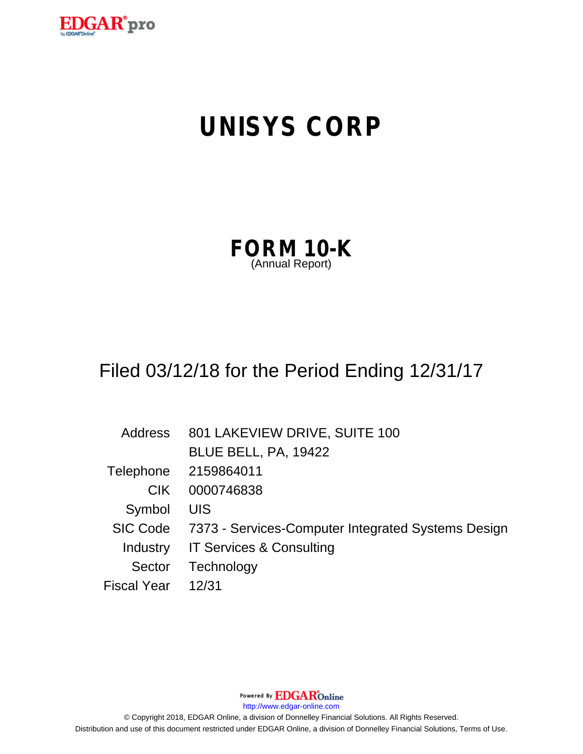

# **UNISYS CORP**

| <b>FORM 10-K</b> |  |  |
|------------------|--|--|
| (Annual Report)  |  |  |

# Filed 03/12/18 for the Period Ending 12/31/17

| <b>Address</b>  | 801 LAKEVIEW DRIVE, SUITE 100                               |
|-----------------|-------------------------------------------------------------|
|                 | BLUE BELL, PA, 19422                                        |
|                 | Telephone 2159864011                                        |
| <b>CIK</b>      | 0000746838                                                  |
| Symbol          | <b>UIS</b>                                                  |
|                 | SIC Code 7373 - Services-Computer Integrated Systems Design |
| <b>Industry</b> | <b>IT Services &amp; Consulting</b>                         |
| Sector          | Technology                                                  |
| Fiscal Year     | 12/31                                                       |

Powered By **EDGAR**Online

http://www.edgar-online.com

© Copyright 2018, EDGAR Online, a division of Donnelley Financial Solutions. All Rights Reserved. Distribution and use of this document restricted under EDGAR Online, a division of Donnelley Financial Solutions, Terms of Use.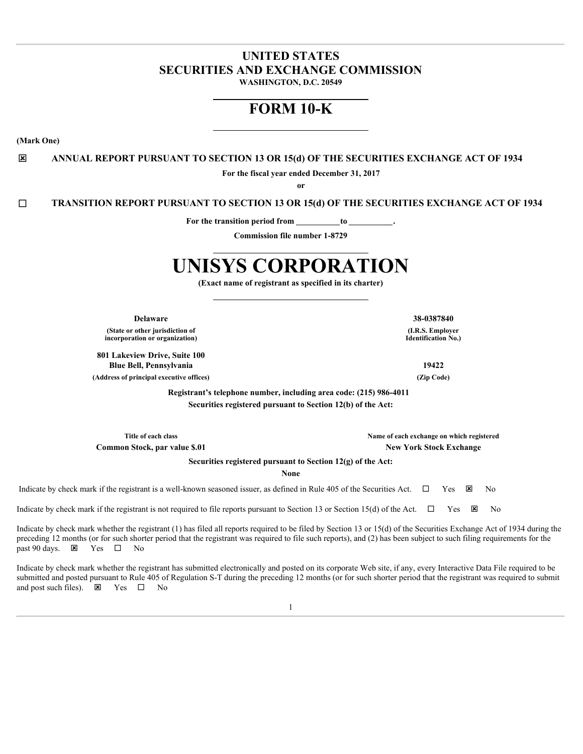# **UNITED STATES SECURITIES AND EXCHANGE COMMISSION**

**WASHINGTON, D.C. 20549**

# **FORM 10-K**

**(Mark One)**

#### ý **ANNUAL REPORT PURSUANT TO SECTION 13 OR 15(d) OF THE SECURITIES EXCHANGE ACT OF 1934**

**For the fiscal year ended December 31, 2017**

**or**

### □ **TRANSITION REPORT PURSUANT TO SECTION 13 OR 15(d) OF THE SECURITIES EXCHANGE ACT OF 1934**

For the transition period from \_\_\_\_\_\_\_\_\_to \_

**Commission file number 1-8729**

# **UNISYS CORPORATION**

**(Exact name of registrant as specified in its charter)**

| <b>Delaware</b>                                                                                                         | 38-0387840                                       |
|-------------------------------------------------------------------------------------------------------------------------|--------------------------------------------------|
| (State or other jurisdiction of                                                                                         | (I.R.S. Employer                                 |
| incorporation or organization)                                                                                          | <b>Identification No.)</b>                       |
| 801 Lakeview Drive, Suite 100                                                                                           |                                                  |
| <b>Blue Bell, Pennsylvania</b>                                                                                          | 19422                                            |
| (Address of principal executive offices)                                                                                | (Zip Code)                                       |
| Registrant's telephone number, including area code: (215) 986-4011                                                      |                                                  |
| Securities registered pursuant to Section 12(b) of the Act:                                                             |                                                  |
|                                                                                                                         |                                                  |
| Title of each class                                                                                                     | Name of each exchange on which registered        |
| Common Stock, par value \$.01                                                                                           | <b>New York Stock Exchange</b>                   |
| Securities registered pursuant to Section $12(g)$ of the Act:                                                           |                                                  |
| <b>None</b>                                                                                                             |                                                  |
| Indicate by check mark if the registrant is a well-known seasoned issuer, as defined in Rule 405 of the Securities Act. | $\boldsymbol{\mathsf{x}}$<br>No<br>Yes<br>$\Box$ |
|                                                                                                                         |                                                  |
|                                                                                                                         |                                                  |

Indicate by check mark if the registrant is not required to file reports pursuant to Section 13 or Section 15(d) of the Act.  $\square$  Yes  $\boxtimes$ No

Indicate by check mark whether the registrant (1) has filed all reports required to be filed by Section 13 or 15(d) of the Securities Exchange Act of 1934 during the preceding 12 months (or for such shorter period that the registrant was required to file such reports), and (2) has been subject to such filing requirements for the past 90 days.  $\boxtimes$  Yes  $\square$ No

Indicate by check mark whether the registrant has submitted electronically and posted on its corporate Web site, if any, every Interactive Data File required to be submitted and posted pursuant to Rule 405 of Regulation S-T during the preceding 12 months (or for such shorter period that the registrant was required to submit and post such files).  $\boxtimes$  Yes  $\Box$ No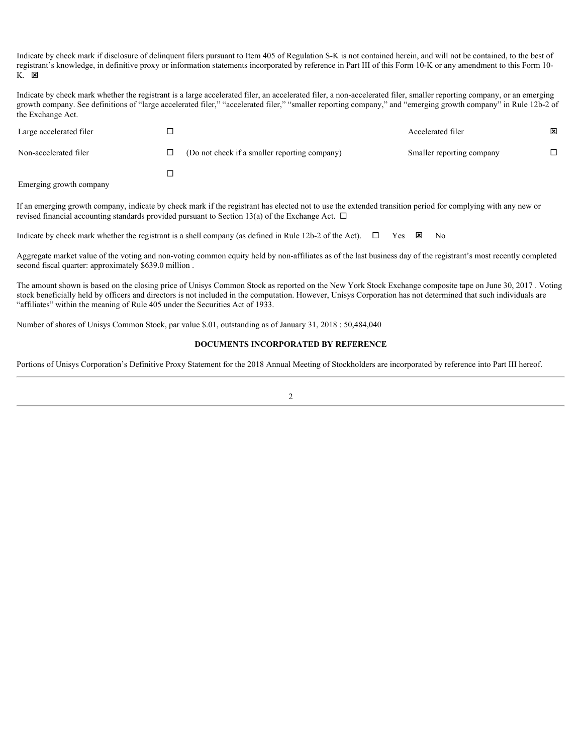Indicate by check mark if disclosure of delinquent filers pursuant to Item 405 of Regulation S-K is not contained herein, and will not be contained, to the best of registrant's knowledge, in definitive proxy or information statements incorporated by reference in Part III of this Form 10-K or any amendment to this Form 10-  $K.$   $\boxtimes$ 

Indicate by check mark whether the registrant is a large accelerated filer, an accelerated filer, a non-accelerated filer, smaller reporting company, or an emerging growth company. See definitions of "large accelerated filer," "accelerated filer," "smaller reporting company," and "emerging growth company" in Rule 12b-2 of the Exchange Act.

| Large accelerated filer |                                               | Accelerated filer         |  |
|-------------------------|-----------------------------------------------|---------------------------|--|
| Non-accelerated filer   | (Do not check if a smaller reporting company) | Smaller reporting company |  |
| $\sim$                  |                                               |                           |  |

Emerging growth company

If an emerging growth company, indicate by check mark if the registrant has elected not to use the extended transition period for complying with any new or revised financial accounting standards provided pursuant to Section 13(a) of the Exchange Act.  $\Box$ 

Indicate by check mark whether the registrant is a shell company (as defined in Rule 12b-2 of the Act).  $\Box$  Yes  $\boxtimes$ No

Aggregate market value of the voting and non-voting common equity held by non-affiliates as of the last business day of the registrant's most recently completed second fiscal quarter: approximately \$639.0 million .

The amount shown is based on the closing price of Unisys Common Stock as reported on the New York Stock Exchange composite tape on June 30, 2017 . Voting stock beneficially held by officers and directors is not included in the computation. However, Unisys Corporation has not determined that such individuals are "affiliates" within the meaning of Rule 405 under the Securities Act of 1933.

Number of shares of Unisys Common Stock, par value \$.01, outstanding as of January 31, 2018 : 50,484,040

#### **DOCUMENTS INCORPORATED BY REFERENCE**

Portions of Unisys Corporation's Definitive Proxy Statement for the 2018 Annual Meeting of Stockholders are incorporated by reference into Part III hereof.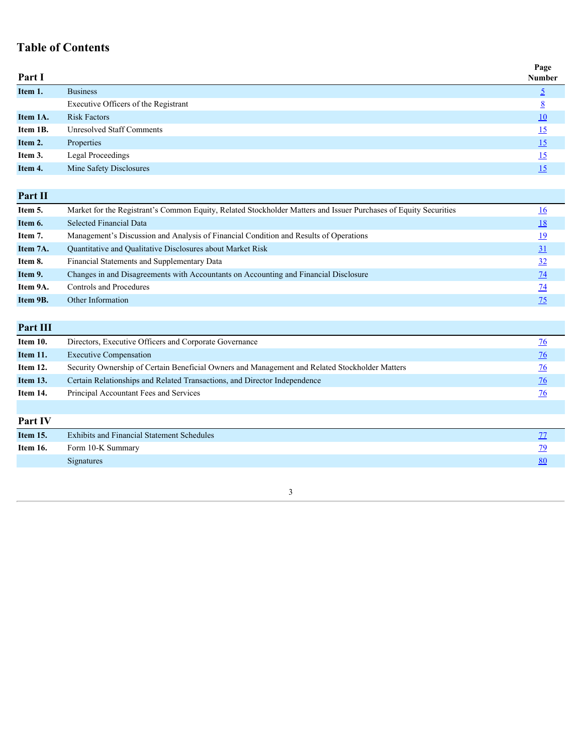# **Table of Contents**

|          |                                      | Page            |
|----------|--------------------------------------|-----------------|
| Part I   |                                      | <b>Number</b>   |
| Item 1.  | <b>Business</b>                      |                 |
|          | Executive Officers of the Registrant | $\underline{8}$ |
| Item 1A. | <b>Risk Factors</b>                  | 10              |
| Item 1B. | <b>Unresolved Staff Comments</b>     | 15              |
| Item 2.  | Properties                           | 15              |
| Item 3.  | Legal Proceedings                    | 15              |
| Item 4.  | Mine Safety Disclosures              | 15              |
|          |                                      |                 |

**Part II**

| Item 5.  | Market for the Registrant's Common Equity, Related Stockholder Matters and Issuer Purchases of Equity Securities |           |
|----------|------------------------------------------------------------------------------------------------------------------|-----------|
| Item 6.  | Selected Financial Data                                                                                          | 18        |
| Item 7.  | Management's Discussion and Analysis of Financial Condition and Results of Operations                            | 19        |
| Item 7A. | Quantitative and Qualitative Disclosures about Market Risk                                                       | 31        |
| Item 8.  | Financial Statements and Supplementary Data                                                                      | <u>32</u> |
| Item 9.  | Changes in and Disagreements with Accountants on Accounting and Financial Disclosure                             | <u>74</u> |
| Item 9A. | Controls and Procedures                                                                                          | 74        |
| Item 9B. | Other Information                                                                                                | 75        |
|          |                                                                                                                  |           |

# **Part III**

| Item 10. | Directors, Executive Officers and Corporate Governance                                         | <u>76</u>      |
|----------|------------------------------------------------------------------------------------------------|----------------|
| Item 11. | <b>Executive Compensation</b>                                                                  | $\frac{76}{5}$ |
| Item 12. | Security Ownership of Certain Beneficial Owners and Management and Related Stockholder Matters | 76             |
| Item 13. | Certain Relationships and Related Transactions, and Director Independence                      | $\frac{76}{5}$ |
| Item 14. | Principal Accountant Fees and Services                                                         | <u>76</u>      |
|          |                                                                                                |                |
| Part IV  |                                                                                                |                |

| <b>Exhibits and Financial Statement Schedules</b><br><b>Item 15.</b> | $\overline{\phantom{0}}$ |
|----------------------------------------------------------------------|--------------------------|
| Item 16.<br>Form 10-K Summary                                        |                          |
| Signatures                                                           | 80                       |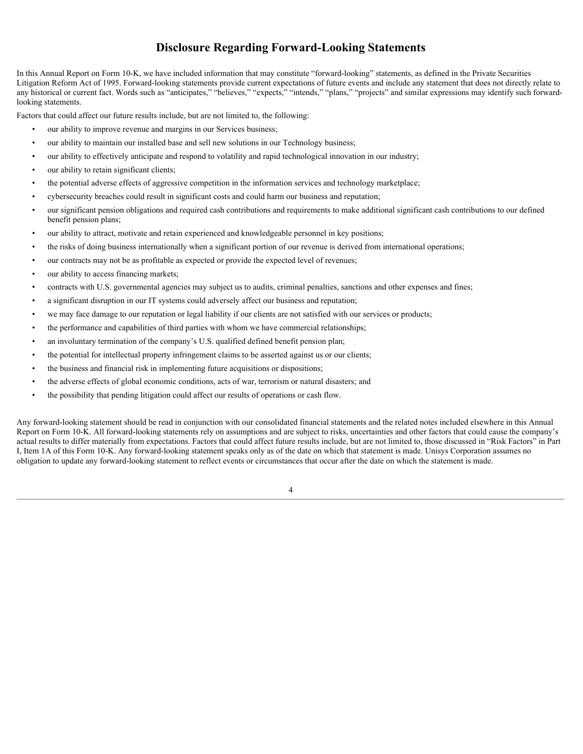# **Disclosure Regarding Forward-Looking Statements**

In this Annual Report on Form 10-K, we have included information that may constitute "forward-looking" statements, as defined in the Private Securities Litigation Reform Act of 1995. Forward-looking statements provide current expectations of future events and include any statement that does not directly relate to any historical or current fact. Words such as "anticipates," "believes," "expects," "intends," "plans," "projects" and similar expressions may identify such forwardlooking statements.

Factors that could affect our future results include, but are not limited to, the following:

- our ability to improve revenue and margins in our Services business;
- our ability to maintain our installed base and sell new solutions in our Technology business;
- our ability to effectively anticipate and respond to volatility and rapid technological innovation in our industry;
- our ability to retain significant clients;
- the potential adverse effects of aggressive competition in the information services and technology marketplace;
- cybersecurity breaches could result in significant costs and could harm our business and reputation;
- our significant pension obligations and required cash contributions and requirements to make additional significant cash contributions to our defined benefit pension plans;
- our ability to attract, motivate and retain experienced and knowledgeable personnel in key positions;
- the risks of doing business internationally when a significant portion of our revenue is derived from international operations;
- our contracts may not be as profitable as expected or provide the expected level of revenues;
- our ability to access financing markets;
- contracts with U.S. governmental agencies may subject us to audits, criminal penalties, sanctions and other expenses and fines;
- a significant disruption in our IT systems could adversely affect our business and reputation;
- we may face damage to our reputation or legal liability if our clients are not satisfied with our services or products;
- the performance and capabilities of third parties with whom we have commercial relationships;
- an involuntary termination of the company's U.S. qualified defined benefit pension plan;
- the potential for intellectual property infringement claims to be asserted against us or our clients;
- the business and financial risk in implementing future acquisitions or dispositions;
- the adverse effects of global economic conditions, acts of war, terrorism or natural disasters; and
- the possibility that pending litigation could affect our results of operations or cash flow.

Any forward-looking statement should be read in conjunction with our consolidated financial statements and the related notes included elsewhere in this Annual Report on Form 10-K. All forward-looking statements rely on assumptions and are subject to risks, uncertainties and other factors that could cause the company's actual results to differ materially from expectations. Factors that could affect future results include, but are not limited to, those discussed in "Risk Factors" in Part I, Item 1A of this Form 10-K. Any forward-looking statement speaks only as of the date on which that statement is made. Unisys Corporation assumes no obligation to update any forward-looking statement to reflect events or circumstances that occur after the date on which the statement is made.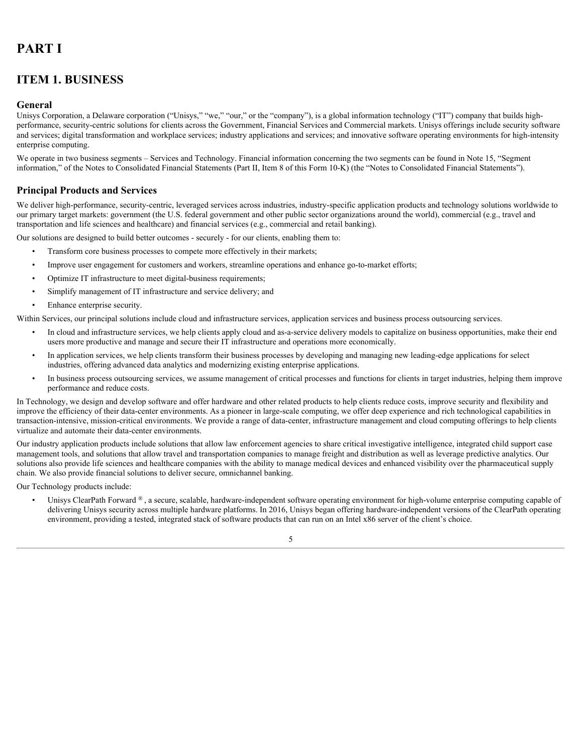# **PART I**

# <span id="page-5-0"></span>**ITEM 1. BUSINESS**

# **General**

Unisys Corporation, a Delaware corporation ("Unisys," "we," "our," or the "company"), is a global information technology ("IT") company that builds highperformance, security-centric solutions for clients across the Government, Financial Services and Commercial markets. Unisys offerings include security software and services; digital transformation and workplace services; industry applications and services; and innovative software operating environments for high-intensity enterprise computing.

We operate in two business segments – Services and Technology. Financial information concerning the two segments can be found in Note 15, "Segment information," of the Notes to Consolidated Financial Statements (Part II, Item 8 of this Form 10-K) (the "Notes to Consolidated Financial Statements").

# **Principal Products and Services**

We deliver high-performance, security-centric, leveraged services across industries, industry-specific application products and technology solutions worldwide to our primary target markets: government (the U.S. federal government and other public sector organizations around the world), commercial (e.g., travel and transportation and life sciences and healthcare) and financial services (e.g., commercial and retail banking).

Our solutions are designed to build better outcomes - securely - for our clients, enabling them to:

- Transform core business processes to compete more effectively in their markets;
- Improve user engagement for customers and workers, streamline operations and enhance go-to-market efforts;
- Optimize IT infrastructure to meet digital-business requirements;
- Simplify management of IT infrastructure and service delivery; and
- Enhance enterprise security.

Within Services, our principal solutions include cloud and infrastructure services, application services and business process outsourcing services.

- In cloud and infrastructure services, we help clients apply cloud and as-a-service delivery models to capitalize on business opportunities, make their end users more productive and manage and secure their IT infrastructure and operations more economically.
- In application services, we help clients transform their business processes by developing and managing new leading-edge applications for select industries, offering advanced data analytics and modernizing existing enterprise applications.
- In business process outsourcing services, we assume management of critical processes and functions for clients in target industries, helping them improve performance and reduce costs.

In Technology, we design and develop software and offer hardware and other related products to help clients reduce costs, improve security and flexibility and improve the efficiency of their data-center environments. As a pioneer in large-scale computing, we offer deep experience and rich technological capabilities in transaction-intensive, mission-critical environments. We provide a range of data-center, infrastructure management and cloud computing offerings to help clients virtualize and automate their data-center environments.

Our industry application products include solutions that allow law enforcement agencies to share critical investigative intelligence, integrated child support case management tools, and solutions that allow travel and transportation companies to manage freight and distribution as well as leverage predictive analytics. Our solutions also provide life sciences and healthcare companies with the ability to manage medical devices and enhanced visibility over the pharmaceutical supply chain. We also provide financial solutions to deliver secure, omnichannel banking.

Our Technology products include:

Unisys ClearPath Forward  $\mathbb{R}$ , a secure, scalable, hardware-independent software operating environment for high-volume enterprise computing capable of delivering Unisys security across multiple hardware platforms. In 2016, Unisys began offering hardware-independent versions of the ClearPath operating environment, providing a tested, integrated stack of software products that can run on an Intel x86 server of the client's choice.

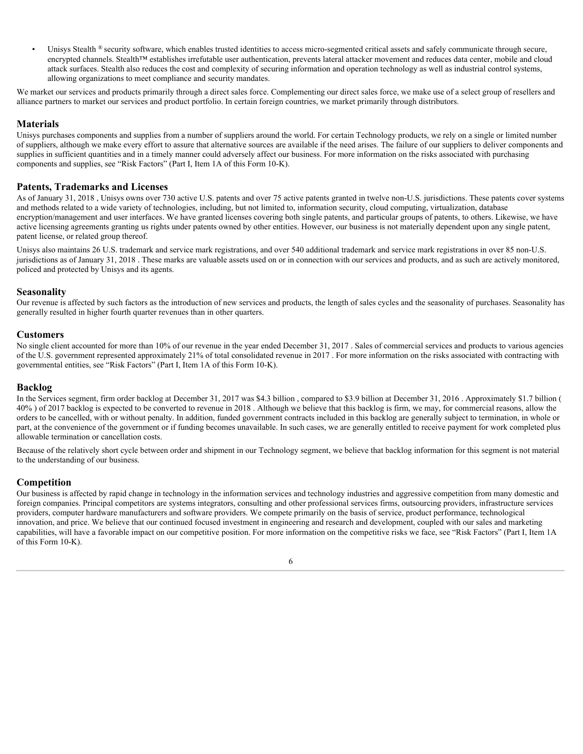Unisys Stealth  $\mathcal{O}$  security software, which enables trusted identities to access micro-segmented critical assets and safely communicate through secure, encrypted channels. Stealth™ establishes irrefutable user authentication, prevents lateral attacker movement and reduces data center, mobile and cloud attack surfaces. Stealth also reduces the cost and complexity of securing information and operation technology as well as industrial control systems, allowing organizations to meet compliance and security mandates.

We market our services and products primarily through a direct sales force. Complementing our direct sales force, we make use of a select group of resellers and alliance partners to market our services and product portfolio. In certain foreign countries, we market primarily through distributors.

### **Materials**

Unisys purchases components and supplies from a number of suppliers around the world. For certain Technology products, we rely on a single or limited number of suppliers, although we make every effort to assure that alternative sources are available if the need arises. The failure of our suppliers to deliver components and supplies in sufficient quantities and in a timely manner could adversely affect our business. For more information on the risks associated with purchasing components and supplies, see "Risk Factors" (Part I, Item 1A of this Form 10-K).

### **Patents, Trademarks and Licenses**

As of January 31, 2018 , Unisys owns over 730 active U.S. patents and over 75 active patents granted in twelve non-U.S. jurisdictions. These patents cover systems and methods related to a wide variety of technologies, including, but not limited to, information security, cloud computing, virtualization, database encryption/management and user interfaces. We have granted licenses covering both single patents, and particular groups of patents, to others. Likewise, we have active licensing agreements granting us rights under patents owned by other entities. However, our business is not materially dependent upon any single patent, patent license, or related group thereof.

Unisys also maintains 26 U.S. trademark and service mark registrations, and over 540 additional trademark and service mark registrations in over 85 non-U.S. jurisdictions as of January 31, 2018 . These marks are valuable assets used on or in connection with our services and products, and as such are actively monitored, policed and protected by Unisys and its agents.

### **Seasonality**

Our revenue is affected by such factors as the introduction of new services and products, the length of sales cycles and the seasonality of purchases. Seasonality has generally resulted in higher fourth quarter revenues than in other quarters.

### **Customers**

No single client accounted for more than 10% of our revenue in the year ended December 31, 2017 . Sales of commercial services and products to various agencies of the U.S. government represented approximately 21% of total consolidated revenue in 2017 . For more information on the risks associated with contracting with governmental entities, see "Risk Factors" (Part I, Item 1A of this Form 10-K).

### **Backlog**

In the Services segment, firm order backlog at December 31, 2017 was \$4.3 billion , compared to \$3.9 billion at December 31, 2016 . Approximately \$1.7 billion ( 40% ) of 2017 backlog is expected to be converted to revenue in 2018 . Although we believe that this backlog is firm, we may, for commercial reasons, allow the orders to be cancelled, with or without penalty. In addition, funded government contracts included in this backlog are generally subject to termination, in whole or part, at the convenience of the government or if funding becomes unavailable. In such cases, we are generally entitled to receive payment for work completed plus allowable termination or cancellation costs.

Because of the relatively short cycle between order and shipment in our Technology segment, we believe that backlog information for this segment is not material to the understanding of our business.

### **Competition**

Our business is affected by rapid change in technology in the information services and technology industries and aggressive competition from many domestic and foreign companies. Principal competitors are systems integrators, consulting and other professional services firms, outsourcing providers, infrastructure services providers, computer hardware manufacturers and software providers. We compete primarily on the basis of service, product performance, technological innovation, and price. We believe that our continued focused investment in engineering and research and development, coupled with our sales and marketing capabilities, will have a favorable impact on our competitive position. For more information on the competitive risks we face, see "Risk Factors" (Part I, Item 1A of this Form 10-K).

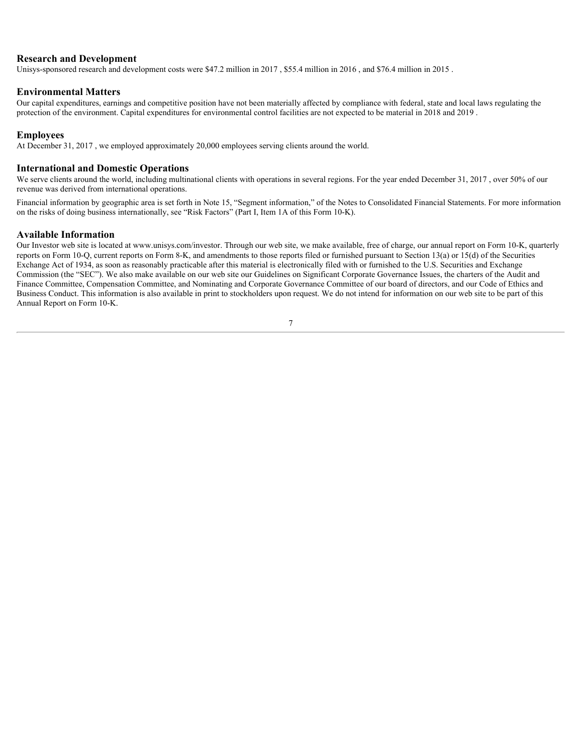### **Research and Development**

Unisys-sponsored research and development costs were \$47.2 million in 2017 , \$55.4 million in 2016 , and \$76.4 million in 2015 .

### **Environmental Matters**

Our capital expenditures, earnings and competitive position have not been materially affected by compliance with federal, state and local laws regulating the protection of the environment. Capital expenditures for environmental control facilities are not expected to be material in 2018 and 2019 .

### **Employees**

At December 31, 2017 , we employed approximately 20,000 employees serving clients around the world.

### **International and Domestic Operations**

We serve clients around the world, including multinational clients with operations in several regions. For the year ended December 31, 2017, over 50% of our revenue was derived from international operations.

Financial information by geographic area is set forth in Note 15, "Segment information," of the Notes to Consolidated Financial Statements. For more information on the risks of doing business internationally, see "Risk Factors" (Part I, Item 1A of this Form 10-K).

### **Available Information**

Our Investor web site is located at www.unisys.com/investor. Through our web site, we make available, free of charge, our annual report on Form 10-K, quarterly reports on Form 10-Q, current reports on Form 8-K, and amendments to those reports filed or furnished pursuant to Section 13(a) or 15(d) of the Securities Exchange Act of 1934, as soon as reasonably practicable after this material is electronically filed with or furnished to the U.S. Securities and Exchange Commission (the "SEC"). We also make available on our web site our Guidelines on Significant Corporate Governance Issues, the charters of the Audit and Finance Committee, Compensation Committee, and Nominating and Corporate Governance Committee of our board of directors, and our Code of Ethics and Business Conduct. This information is also available in print to stockholders upon request. We do not intend for information on our web site to be part of this Annual Report on Form 10-K.

<sup>7</sup>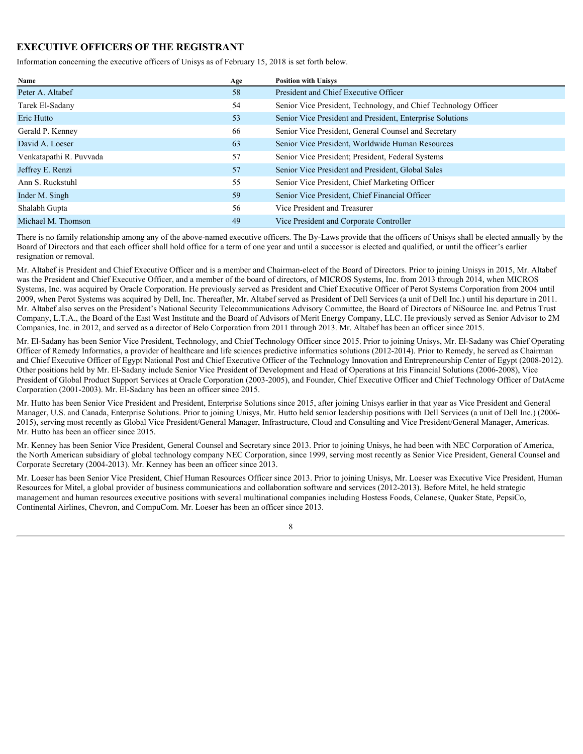# <span id="page-8-0"></span>**EXECUTIVE OFFICERS OF THE REGISTRANT**

Information concerning the executive officers of Unisys as of February 15, 2018 is set forth below.

| Name                    | Age | <b>Position with Unisys</b>                                     |
|-------------------------|-----|-----------------------------------------------------------------|
| Peter A. Altabef        | 58  | President and Chief Executive Officer                           |
| Tarek El-Sadany         | 54  | Senior Vice President, Technology, and Chief Technology Officer |
| Eric Hutto              | 53  | Senior Vice President and President, Enterprise Solutions       |
| Gerald P. Kenney        | 66  | Senior Vice President, General Counsel and Secretary            |
| David A. Loeser         | 63  | Senior Vice President, Worldwide Human Resources                |
| Venkatapathi R. Puvvada | 57  | Senior Vice President; President, Federal Systems               |
| Jeffrey E. Renzi        | 57  | Senior Vice President and President, Global Sales               |
| Ann S. Ruckstuhl        | 55  | Senior Vice President, Chief Marketing Officer                  |
| Inder M. Singh          | 59  | Senior Vice President, Chief Financial Officer                  |
| Shalabh Gupta           | 56  | Vice President and Treasurer                                    |
| Michael M. Thomson      | 49  | Vice President and Corporate Controller                         |

There is no family relationship among any of the above-named executive officers. The By-Laws provide that the officers of Unisys shall be elected annually by the Board of Directors and that each officer shall hold office for a term of one year and until a successor is elected and qualified, or until the officer's earlier resignation or removal.

Mr. Altabef is President and Chief Executive Officer and is a member and Chairman-elect of the Board of Directors. Prior to joining Unisys in 2015, Mr. Altabef was the President and Chief Executive Officer, and a member of the board of directors, of MICROS Systems, Inc. from 2013 through 2014, when MICROS Systems, Inc. was acquired by Oracle Corporation. He previously served as President and Chief Executive Officer of Perot Systems Corporation from 2004 until 2009, when Perot Systems was acquired by Dell, Inc. Thereafter, Mr. Altabef served as President of Dell Services (a unit of Dell Inc.) until his departure in 2011. Mr. Altabef also serves on the President's National Security Telecommunications Advisory Committee, the Board of Directors of NiSource Inc. and Petrus Trust Company, L.T.A., the Board of the East West Institute and the Board of Advisors of Merit Energy Company, LLC. He previously served as Senior Advisor to 2M Companies, Inc. in 2012, and served as a director of Belo Corporation from 2011 through 2013. Mr. Altabef has been an officer since 2015.

Mr. El-Sadany has been Senior Vice President, Technology, and Chief Technology Officer since 2015. Prior to joining Unisys, Mr. El-Sadany was Chief Operating Officer of Remedy Informatics, a provider of healthcare and life sciences predictive informatics solutions (2012-2014). Prior to Remedy, he served as Chairman and Chief Executive Officer of Egypt National Post and Chief Executive Officer of the Technology Innovation and Entrepreneurship Center of Egypt (2008-2012). Other positions held by Mr. El-Sadany include Senior Vice President of Development and Head of Operations at Iris Financial Solutions (2006-2008), Vice President of Global Product Support Services at Oracle Corporation (2003-2005), and Founder, Chief Executive Officer and Chief Technology Officer of DatAcme Corporation (2001-2003). Mr. El-Sadany has been an officer since 2015.

Mr. Hutto has been Senior Vice President and President, Enterprise Solutions since 2015, after joining Unisys earlier in that year as Vice President and General Manager, U.S. and Canada, Enterprise Solutions. Prior to joining Unisys, Mr. Hutto held senior leadership positions with Dell Services (a unit of Dell Inc.) (2006- 2015), serving most recently as Global Vice President/General Manager, Infrastructure, Cloud and Consulting and Vice President/General Manager, Americas. Mr. Hutto has been an officer since 2015.

Mr. Kenney has been Senior Vice President, General Counsel and Secretary since 2013. Prior to joining Unisys, he had been with NEC Corporation of America, the North American subsidiary of global technology company NEC Corporation, since 1999, serving most recently as Senior Vice President, General Counsel and Corporate Secretary (2004-2013). Mr. Kenney has been an officer since 2013.

Mr. Loeser has been Senior Vice President, Chief Human Resources Officer since 2013. Prior to joining Unisys, Mr. Loeser was Executive Vice President, Human Resources for Mitel, a global provider of business communications and collaboration software and services (2012-2013). Before Mitel, he held strategic management and human resources executive positions with several multinational companies including Hostess Foods, Celanese, Quaker State, PepsiCo, Continental Airlines, Chevron, and CompuCom. Mr. Loeser has been an officer since 2013.

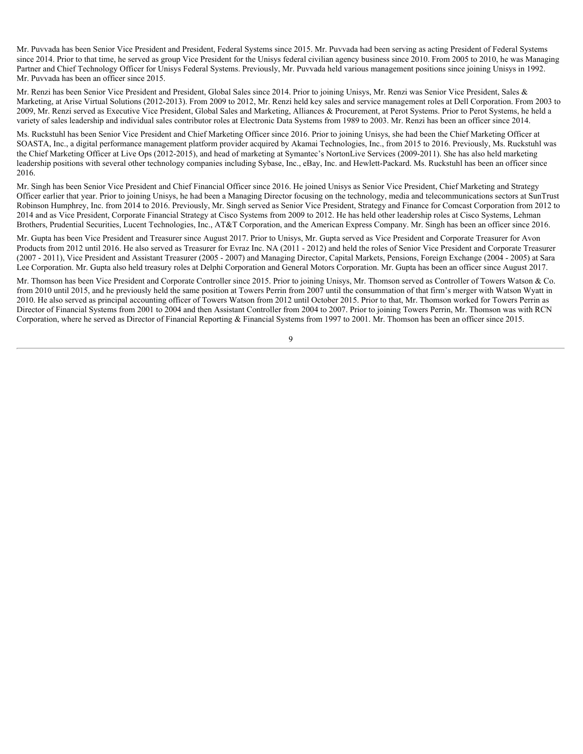Mr. Puvvada has been Senior Vice President and President, Federal Systems since 2015. Mr. Puvvada had been serving as acting President of Federal Systems since 2014. Prior to that time, he served as group Vice President for the Unisys federal civilian agency business since 2010. From 2005 to 2010, he was Managing Partner and Chief Technology Officer for Unisys Federal Systems. Previously, Mr. Puvvada held various management positions since joining Unisys in 1992. Mr. Puvvada has been an officer since 2015.

Mr. Renzi has been Senior Vice President and President, Global Sales since 2014. Prior to joining Unisys, Mr. Renzi was Senior Vice President, Sales & Marketing, at Arise Virtual Solutions (2012-2013). From 2009 to 2012, Mr. Renzi held key sales and service management roles at Dell Corporation. From 2003 to 2009, Mr. Renzi served as Executive Vice President, Global Sales and Marketing, Alliances & Procurement, at Perot Systems. Prior to Perot Systems, he held a variety of sales leadership and individual sales contributor roles at Electronic Data Systems from 1989 to 2003. Mr. Renzi has been an officer since 2014.

Ms. Ruckstuhl has been Senior Vice President and Chief Marketing Officer since 2016. Prior to joining Unisys, she had been the Chief Marketing Officer at SOASTA, Inc., a digital performance management platform provider acquired by Akamai Technologies, Inc., from 2015 to 2016. Previously, Ms. Ruckstuhl was the Chief Marketing Officer at Live Ops (2012-2015), and head of marketing at Symantec's NortonLive Services (2009-2011). She has also held marketing leadership positions with several other technology companies including Sybase, Inc., eBay, Inc. and Hewlett-Packard. Ms. Ruckstuhl has been an officer since 2016.

Mr. Singh has been Senior Vice President and Chief Financial Officer since 2016. He joined Unisys as Senior Vice President, Chief Marketing and Strategy Officer earlier that year. Prior to joining Unisys, he had been a Managing Director focusing on the technology, media and telecommunications sectors at SunTrust Robinson Humphrey, Inc. from 2014 to 2016. Previously, Mr. Singh served as Senior Vice President, Strategy and Finance for Comcast Corporation from 2012 to 2014 and as Vice President, Corporate Financial Strategy at Cisco Systems from 2009 to 2012. He has held other leadership roles at Cisco Systems, Lehman Brothers, Prudential Securities, Lucent Technologies, Inc., AT&T Corporation, and the American Express Company. Mr. Singh has been an officer since 2016.

Mr. Gupta has been Vice President and Treasurer since August 2017. Prior to Unisys, Mr. Gupta served as Vice President and Corporate Treasurer for Avon Products from 2012 until 2016. He also served as Treasurer for Evraz Inc. NA (2011 - 2012) and held the roles of Senior Vice President and Corporate Treasurer (2007 - 2011), Vice President and Assistant Treasurer (2005 - 2007) and Managing Director, Capital Markets, Pensions, Foreign Exchange (2004 - 2005) at Sara Lee Corporation. Mr. Gupta also held treasury roles at Delphi Corporation and General Motors Corporation. Mr. Gupta has been an officer since August 2017.

Mr. Thomson has been Vice President and Corporate Controller since 2015. Prior to joining Unisys, Mr. Thomson served as Controller of Towers Watson & Co. from 2010 until 2015, and he previously held the same position at Towers Perrin from 2007 until the consummation of that firm's merger with Watson Wyatt in 2010. He also served as principal accounting officer of Towers Watson from 2012 until October 2015. Prior to that, Mr. Thomson worked for Towers Perrin as Director of Financial Systems from 2001 to 2004 and then Assistant Controller from 2004 to 2007. Prior to joining Towers Perrin, Mr. Thomson was with RCN Corporation, where he served as Director of Financial Reporting & Financial Systems from 1997 to 2001. Mr. Thomson has been an officer since 2015.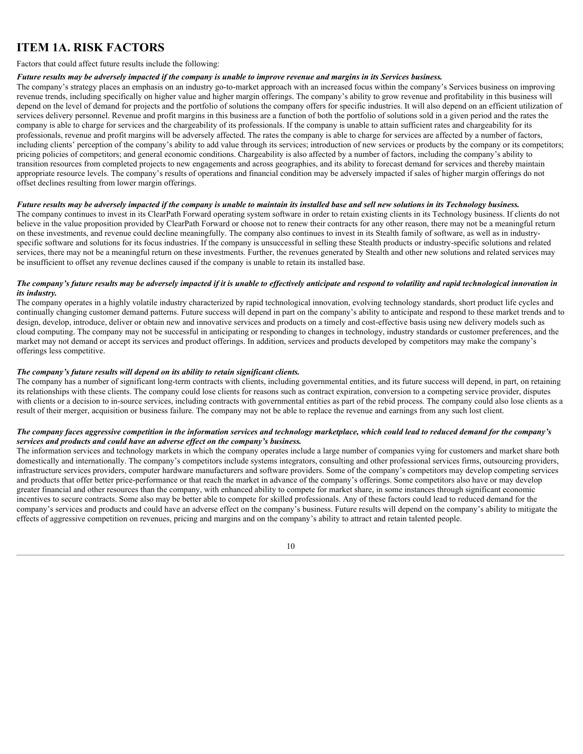# <span id="page-10-0"></span>**ITEM 1A. RISK FACTORS**

#### Factors that could affect future results include the following:

#### *Future results may be adversely impacted if the company is unable to improve revenue and margins in its Services business.*

The company's strategy places an emphasis on an industry go-to-market approach with an increased focus within the company's Services business on improving revenue trends, including specifically on higher value and higher margin offerings. The company's ability to grow revenue and profitability in this business will depend on the level of demand for projects and the portfolio of solutions the company offers for specific industries. It will also depend on an efficient utilization of services delivery personnel. Revenue and profit margins in this business are a function of both the portfolio of solutions sold in a given period and the rates the company is able to charge for services and the chargeability of its professionals. If the company is unable to attain sufficient rates and chargeability for its professionals, revenue and profit margins will be adversely affected. The rates the company is able to charge for services are affected by a number of factors, including clients' perception of the company's ability to add value through its services; introduction of new services or products by the company or its competitors; pricing policies of competitors; and general economic conditions. Chargeability is also affected by a number of factors, including the company's ability to transition resources from completed projects to new engagements and across geographies, and its ability to forecast demand for services and thereby maintain appropriate resource levels. The company's results of operations and financial condition may be adversely impacted if sales of higher margin offerings do not offset declines resulting from lower margin offerings.

#### *Future results may be adversely impacted if the company is unable to maintain its installed base and sell new solutions in its Technology business.*

The company continues to invest in its ClearPath Forward operating system software in order to retain existing clients in its Technology business. If clients do not believe in the value proposition provided by ClearPath Forward or choose not to renew their contracts for any other reason, there may not be a meaningful return on these investments, and revenue could decline meaningfully. The company also continues to invest in its Stealth family of software, as well as in industryspecific software and solutions for its focus industries. If the company is unsuccessful in selling these Stealth products or industry-specific solutions and related services, there may not be a meaningful return on these investments. Further, the revenues generated by Stealth and other new solutions and related services may be insufficient to offset any revenue declines caused if the company is unable to retain its installed base.

#### *The company's future results may be adversely impacted if it is unable to effectively anticipate and respond to volatility and rapid technological innovation in its industry.*

The company operates in a highly volatile industry characterized by rapid technological innovation, evolving technology standards, short product life cycles and continually changing customer demand patterns. Future success will depend in part on the company's ability to anticipate and respond to these market trends and to design, develop, introduce, deliver or obtain new and innovative services and products on a timely and cost-effective basis using new delivery models such as cloud computing. The company may not be successful in anticipating or responding to changes in technology, industry standards or customer preferences, and the market may not demand or accept its services and product offerings. In addition, services and products developed by competitors may make the company's offerings less competitive.

#### *The company's future results will depend on its ability to retain significant clients.*

The company has a number of significant long-term contracts with clients, including governmental entities, and its future success will depend, in part, on retaining its relationships with these clients. The company could lose clients for reasons such as contract expiration, conversion to a competing service provider, disputes with clients or a decision to in-source services, including contracts with governmental entities as part of the rebid process. The company could also lose clients as a result of their merger, acquisition or business failure. The company may not be able to replace the revenue and earnings from any such lost client.

#### *The company faces aggressive competition in the information services and technology marketplace, which could lead to reduced demand for the company's services and products and could have an adverse effect on the company's business.*

The information services and technology markets in which the company operates include a large number of companies vying for customers and market share both domestically and internationally. The company's competitors include systems integrators, consulting and other professional services firms, outsourcing providers, infrastructure services providers, computer hardware manufacturers and software providers. Some of the company's competitors may develop competing services and products that offer better price-performance or that reach the market in advance of the company's offerings. Some competitors also have or may develop greater financial and other resources than the company, with enhanced ability to compete for market share, in some instances through significant economic incentives to secure contracts. Some also may be better able to compete for skilled professionals. Any of these factors could lead to reduced demand for the company's services and products and could have an adverse effect on the company's business. Future results will depend on the company's ability to mitigate the effects of aggressive competition on revenues, pricing and margins and on the company's ability to attract and retain talented people.

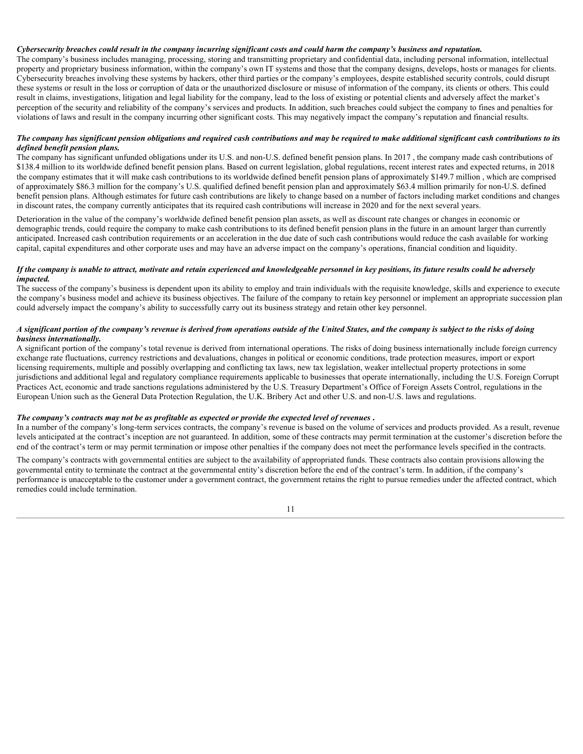#### *Cybersecurity breaches could result in the company incurring significant costs and could harm the company's business and reputation.*

The company's business includes managing, processing, storing and transmitting proprietary and confidential data, including personal information, intellectual property and proprietary business information, within the company's own IT systems and those that the company designs, develops, hosts or manages for clients. Cybersecurity breaches involving these systems by hackers, other third parties or the company's employees, despite established security controls, could disrupt these systems or result in the loss or corruption of data or the unauthorized disclosure or misuse of information of the company, its clients or others. This could result in claims, investigations, litigation and legal liability for the company, lead to the loss of existing or potential clients and adversely affect the market's perception of the security and reliability of the company's services and products. In addition, such breaches could subject the company to fines and penalties for violations of laws and result in the company incurring other significant costs. This may negatively impact the company's reputation and financial results.

#### *The company has significant pension obligations and required cash contributions and may be required to make additional significant cash contributions to its defined benefit pension plans.*

The company has significant unfunded obligations under its U.S. and non-U.S. defined benefit pension plans. In 2017, the company made cash contributions of \$138.4 million to its worldwide defined benefit pension plans. Based on current legislation, global regulations, recent interest rates and expected returns, in 2018 the company estimates that it will make cash contributions to its worldwide defined benefit pension plans of approximately \$149.7 million , which are comprised of approximately \$86.3 million for the company's U.S. qualified defined benefit pension plan and approximately \$63.4 million primarily for non-U.S. defined benefit pension plans. Although estimates for future cash contributions are likely to change based on a number of factors including market conditions and changes in discount rates, the company currently anticipates that its required cash contributions will increase in 2020 and for the next several years.

Deterioration in the value of the company's worldwide defined benefit pension plan assets, as well as discount rate changes or changes in economic or demographic trends, could require the company to make cash contributions to its defined benefit pension plans in the future in an amount larger than currently anticipated. Increased cash contribution requirements or an acceleration in the due date of such cash contributions would reduce the cash available for working capital, capital expenditures and other corporate uses and may have an adverse impact on the company's operations, financial condition and liquidity.

#### *If the company is unable to attract, motivate and retain experienced and knowledgeable personnel in key positions, its future results could be adversely impacted.*

The success of the company's business is dependent upon its ability to employ and train individuals with the requisite knowledge, skills and experience to execute the company's business model and achieve its business objectives. The failure of the company to retain key personnel or implement an appropriate succession plan could adversely impact the company's ability to successfully carry out its business strategy and retain other key personnel.

#### *A significant portion of the company's revenue is derived from operations outside of the United States, and the company is subject to the risks of doing business internationally.*

A significant portion of the company's total revenue is derived from international operations. The risks of doing business internationally include foreign currency exchange rate fluctuations, currency restrictions and devaluations, changes in political or economic conditions, trade protection measures, import or export licensing requirements, multiple and possibly overlapping and conflicting tax laws, new tax legislation, weaker intellectual property protections in some jurisdictions and additional legal and regulatory compliance requirements applicable to businesses that operate internationally, including the U.S. Foreign Corrupt Practices Act, economic and trade sanctions regulations administered by the U.S. Treasury Department's Office of Foreign Assets Control, regulations in the European Union such as the General Data Protection Regulation, the U.K. Bribery Act and other U.S. and non-U.S. laws and regulations.

#### *The company's contracts may not be as profitable as expected or provide the expected level of revenues* **.**

In a number of the company's long-term services contracts, the company's revenue is based on the volume of services and products provided. As a result, revenue levels anticipated at the contract's inception are not guaranteed. In addition, some of these contracts may permit termination at the customer's discretion before the end of the contract's term or may permit termination or impose other penalties if the company does not meet the performance levels specified in the contracts.

The company's contracts with governmental entities are subject to the availability of appropriated funds. These contracts also contain provisions allowing the governmental entity to terminate the contract at the governmental entity's discretion before the end of the contract's term. In addition, if the company's performance is unacceptable to the customer under a government contract, the government retains the right to pursue remedies under the affected contract, which remedies could include termination.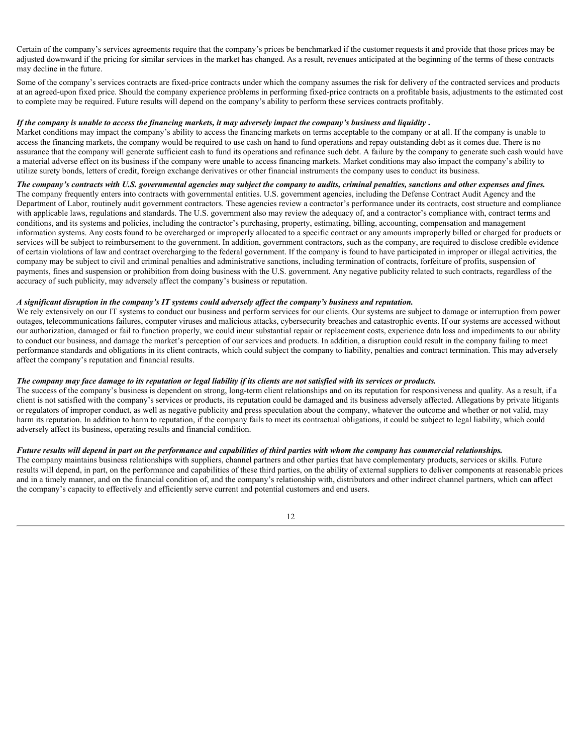Certain of the company's services agreements require that the company's prices be benchmarked if the customer requests it and provide that those prices may be adjusted downward if the pricing for similar services in the market has changed. As a result, revenues anticipated at the beginning of the terms of these contracts may decline in the future.

Some of the company's services contracts are fixed-price contracts under which the company assumes the risk for delivery of the contracted services and products at an agreed-upon fixed price. Should the company experience problems in performing fixed-price contracts on a profitable basis, adjustments to the estimated cost to complete may be required. Future results will depend on the company's ability to perform these services contracts profitably.

#### *If the company is unable to access the financing markets, it may adversely impact the company's business and liquidity* **.**

Market conditions may impact the company's ability to access the financing markets on terms acceptable to the company or at all. If the company is unable to access the financing markets, the company would be required to use cash on hand to fund operations and repay outstanding debt as it comes due. There is no assurance that the company will generate sufficient cash to fund its operations and refinance such debt. A failure by the company to generate such cash would have a material adverse effect on its business if the company were unable to access financing markets. Market conditions may also impact the company's ability to utilize surety bonds, letters of credit, foreign exchange derivatives or other financial instruments the company uses to conduct its business.

#### *The company's contracts with U.S. governmental agencies may subject the company to audits, criminal penalties, sanctions and other expenses and fines.*

The company frequently enters into contracts with governmental entities. U.S. government agencies, including the Defense Contract Audit Agency and the Department of Labor, routinely audit government contractors. These agencies review a contractor's performance under its contracts, cost structure and compliance with applicable laws, regulations and standards. The U.S. government also may review the adequacy of, and a contractor's compliance with, contract terms and conditions, and its systems and policies, including the contractor's purchasing, property, estimating, billing, accounting, compensation and management information systems. Any costs found to be overcharged or improperly allocated to a specific contract or any amounts improperly billed or charged for products or services will be subject to reimbursement to the government. In addition, government contractors, such as the company, are required to disclose credible evidence of certain violations of law and contract overcharging to the federal government. If the company is found to have participated in improper or illegal activities, the company may be subject to civil and criminal penalties and administrative sanctions, including termination of contracts, forfeiture of profits, suspension of payments, fines and suspension or prohibition from doing business with the U.S. government. Any negative publicity related to such contracts, regardless of the accuracy of such publicity, may adversely affect the company's business or reputation.

#### *A significant disruption in the company's IT systems could adversely affect the company's business and reputation.*

We rely extensively on our IT systems to conduct our business and perform services for our clients. Our systems are subject to damage or interruption from power outages, telecommunications failures, computer viruses and malicious attacks, cybersecurity breaches and catastrophic events. If our systems are accessed without our authorization, damaged or fail to function properly, we could incur substantial repair or replacement costs, experience data loss and impediments to our ability to conduct our business, and damage the market's perception of our services and products. In addition, a disruption could result in the company failing to meet performance standards and obligations in its client contracts, which could subject the company to liability, penalties and contract termination. This may adversely affect the company's reputation and financial results.

#### *The company may face damage to its reputation or legal liability if its clients are not satisfied with its services or products.*

The success of the company's business is dependent on strong, long-term client relationships and on its reputation for responsiveness and quality. As a result, if a client is not satisfied with the company's services or products, its reputation could be damaged and its business adversely affected. Allegations by private litigants or regulators of improper conduct, as well as negative publicity and press speculation about the company, whatever the outcome and whether or not valid, may harm its reputation. In addition to harm to reputation, if the company fails to meet its contractual obligations, it could be subject to legal liability, which could adversely affect its business, operating results and financial condition.

### *Future results will depend in part on the performance and capabilities of third parties with whom the company has commercial relationships.*

The company maintains business relationships with suppliers, channel partners and other parties that have complementary products, services or skills. Future results will depend, in part, on the performance and capabilities of these third parties, on the ability of external suppliers to deliver components at reasonable prices and in a timely manner, and on the financial condition of, and the company's relationship with, distributors and other indirect channel partners, which can affect the company's capacity to effectively and efficiently serve current and potential customers and end users.

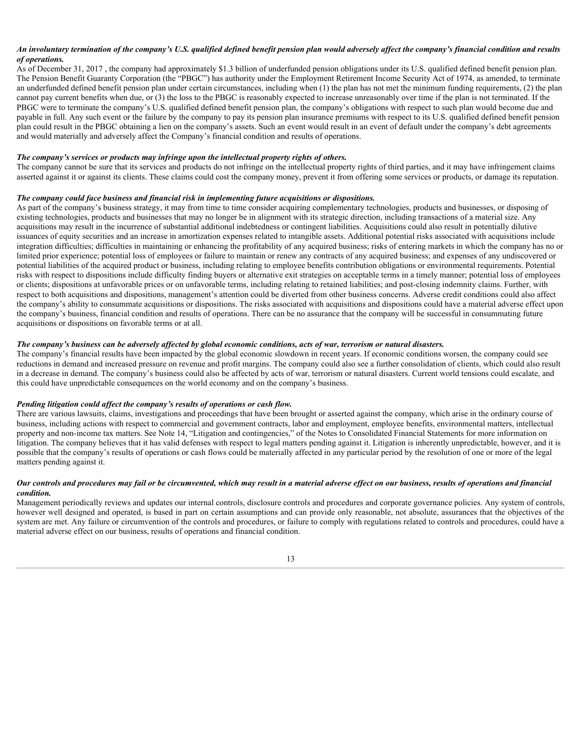#### *An involuntary termination of the company's U.S. qualified defined benefit pension plan would adversely affect the company's financial condition and results of operations.*

As of December 31, 2017 , the company had approximately \$1.3 billion of underfunded pension obligations under its U.S. qualified defined benefit pension plan. The Pension Benefit Guaranty Corporation (the "PBGC") has authority under the Employment Retirement Income Security Act of 1974, as amended, to terminate an underfunded defined benefit pension plan under certain circumstances, including when (1) the plan has not met the minimum funding requirements, (2) the plan cannot pay current benefits when due, or (3) the loss to the PBGC is reasonably expected to increase unreasonably over time if the plan is not terminated. If the PBGC were to terminate the company's U.S. qualified defined benefit pension plan, the company's obligations with respect to such plan would become due and payable in full. Any such event or the failure by the company to pay its pension plan insurance premiums with respect to its U.S. qualified defined benefit pension plan could result in the PBGC obtaining a lien on the company's assets. Such an event would result in an event of default under the company's debt agreements and would materially and adversely affect the Company's financial condition and results of operations.

#### *The company's services or products may infringe upon the intellectual property rights of others.*

The company cannot be sure that its services and products do not infringe on the intellectual property rights of third parties, and it may have infringement claims asserted against it or against its clients. These claims could cost the company money, prevent it from offering some services or products, or damage its reputation.

#### *The company could face business and financial risk in implementing future acquisitions or dispositions.*

As part of the company's business strategy, it may from time to time consider acquiring complementary technologies, products and businesses, or disposing of existing technologies, products and businesses that may no longer be in alignment with its strategic direction, including transactions of a material size. Any acquisitions may result in the incurrence of substantial additional indebtedness or contingent liabilities. Acquisitions could also result in potentially dilutive issuances of equity securities and an increase in amortization expenses related to intangible assets. Additional potential risks associated with acquisitions include integration difficulties; difficulties in maintaining or enhancing the profitability of any acquired business; risks of entering markets in which the company has no or limited prior experience; potential loss of employees or failure to maintain or renew any contracts of any acquired business; and expenses of any undiscovered or potential liabilities of the acquired product or business, including relating to employee benefits contribution obligations or environmental requirements. Potential risks with respect to dispositions include difficulty finding buyers or alternative exit strategies on acceptable terms in a timely manner; potential loss of employees or clients; dispositions at unfavorable prices or on unfavorable terms, including relating to retained liabilities; and post-closing indemnity claims. Further, with respect to both acquisitions and dispositions, management's attention could be diverted from other business concerns. Adverse credit conditions could also affect the company's ability to consummate acquisitions or dispositions. The risks associated with acquisitions and dispositions could have a material adverse effect upon the company's business, financial condition and results of operations. There can be no assurance that the company will be successful in consummating future acquisitions or dispositions on favorable terms or at all.

#### *The company's business can be adversely affected by global economic conditions, acts of war, terrorism or natural disasters.*

The company's financial results have been impacted by the global economic slowdown in recent years. If economic conditions worsen, the company could see reductions in demand and increased pressure on revenue and profit margins. The company could also see a further consolidation of clients, which could also result in a decrease in demand. The company's business could also be affected by acts of war, terrorism or natural disasters. Current world tensions could escalate, and this could have unpredictable consequences on the world economy and on the company's business.

#### *Pending litigation could affect the company's results of operations or cash flow.*

There are various lawsuits, claims, investigations and proceedings that have been brought or asserted against the company, which arise in the ordinary course of business, including actions with respect to commercial and government contracts, labor and employment, employee benefits, environmental matters, intellectual property and non-income tax matters. See Note 14, "Litigation and contingencies," of the Notes to Consolidated Financial Statements for more information on litigation. The company believes that it has valid defenses with respect to legal matters pending against it. Litigation is inherently unpredictable, however, and it is possible that the company's results of operations or cash flows could be materially affected in any particular period by the resolution of one or more of the legal matters pending against it.

#### *Our controls and procedures may fail or be circumvented, which may result in a material adverse effect on our business, results of operations and financial condition.*

Management periodically reviews and updates our internal controls, disclosure controls and procedures and corporate governance policies. Any system of controls, however well designed and operated, is based in part on certain assumptions and can provide only reasonable, not absolute, assurances that the objectives of the system are met. Any failure or circumvention of the controls and procedures, or failure to comply with regulations related to controls and procedures, could have a material adverse effect on our business, results of operations and financial condition.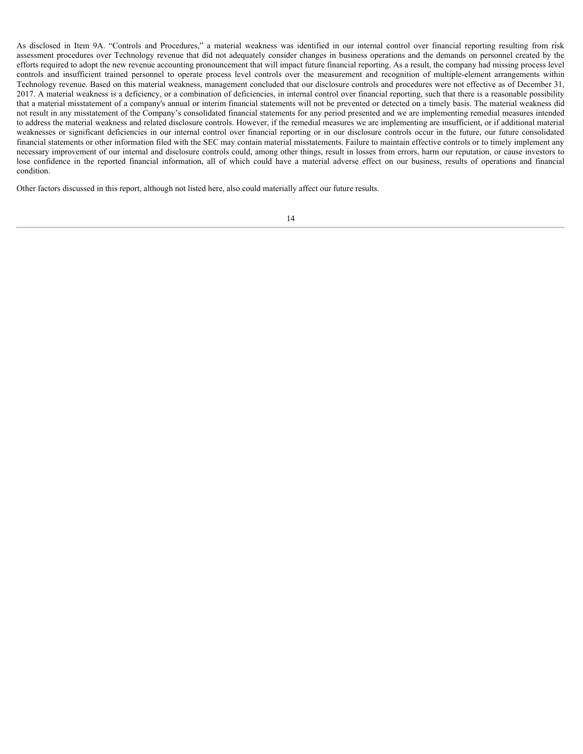As disclosed in Item 9A. "Controls and Procedures," a material weakness was identified in our internal control over financial reporting resulting from risk<br>assessment procedures over Technology revenue that did not adequat assessment procedures over Technology revenue that did not adequately consider changes in business operations and the demands on personnel created by the efforts required to adopt the new revenue accounting pronouncement that will impact future financial reporting. As a result, the company had missing process level As disclosed in Item 9A. "Controls and Procedures," a material weakness was identified in our internal control over financial reporting resulting from risk<br>assessment procedures over Technology revenue that did not adequat Technology revenue. Based on this material weakness, management concluded that our disclosure controls and procedures were not effective as of December 31, 2017. A material weakness is a deficiency, or a combination of deficiencies, in internal control over financial reporting, such that there is a reasonable possibility that a material misstatement of a company's annual or interim financial statements will not be prevented or detected on a timely basis. The material weakness did not result in any misstatement of the Company's consolidated financial statements for any period presented and we are implementing remedial measures intended to address the material weakness and related disclosure controls. However, if the remedial measures we are implementing are insufficient, or if additional material As disclosed in Item 9A. "Controls and Procedures," a material weakness was identified in our internal control over financial reporting resulting from risk assessment procedures over Technology revenue accounting and prono financial statements or other information filed with the SEC may contain material misstatements. Failure to maintain effective controls or to timely implement any necessary improvement of our internal and disclosure controls could, among other things, result in losses from errors, harm our reputation, or cause investors to As disclosed in Item 9A. "Controls and Procedures," a muterial weakness was identified in our internal control over financial reporting resulting from risk<br>assessment procedures over Technology revenue that did not adequa condition.

Other factors discussed in this report, although not listed here, also could materially affect our future results.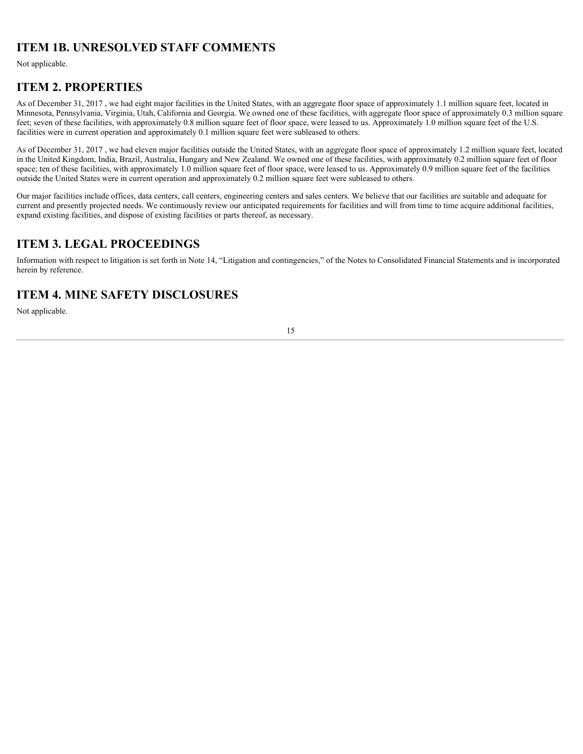# <span id="page-15-0"></span>**ITEM 1B. UNRESOLVED STAFF COMMENTS**

Not applicable.

# <span id="page-15-1"></span>**ITEM 2. PROPERTIES**

As of December 31, 2017 , we had eight major facilities in the United States, with an aggregate floor space of approximately 1.1 million square feet, located in Minnesota, Pennsylvania, Virginia, Utah, California and Georgia. We owned one of these facilities, with aggregate floor space of approximately 0.3 million square feet; seven of these facilities, with approximately 0.8 million square feet of floor space, were leased to us. Approximately 1.0 million square feet of the U.S. facilities were in current operation and approximately 0.1 million square feet were subleased to others.

As of December 31, 2017 , we had eleven major facilities outside the United States, with an aggregate floor space of approximately 1.2 million square feet, located in the United Kingdom, India, Brazil, Australia, Hungary and New Zealand. We owned one of these facilities, with approximately 0.2 million square feet of floor space; ten of these facilities, with approximately 1.0 million square feet of floor space, were leased to us. Approximately 0.9 million square feet of the facilities outside the United States were in current operation and approximately 0.2 million square feet were subleased to others.

Our major facilities include offices, data centers, call centers, engineering centers and sales centers. We believe that our facilities are suitable and adequate for current and presently projected needs. We continuously review our anticipated requirements for facilities and will from time to time acquire additional facilities, expand existing facilities, and dispose of existing facilities or parts thereof, as necessary.

# <span id="page-15-2"></span>**ITEM 3. LEGAL PROCEEDINGS**

Information with respect to litigation is set forth in Note 14, "Litigation and contingencies," of the Notes to Consolidated Financial Statements and is incorporated herein by reference.

# <span id="page-15-3"></span>**ITEM 4. MINE SAFETY DISCLOSURES**

Not applicable.

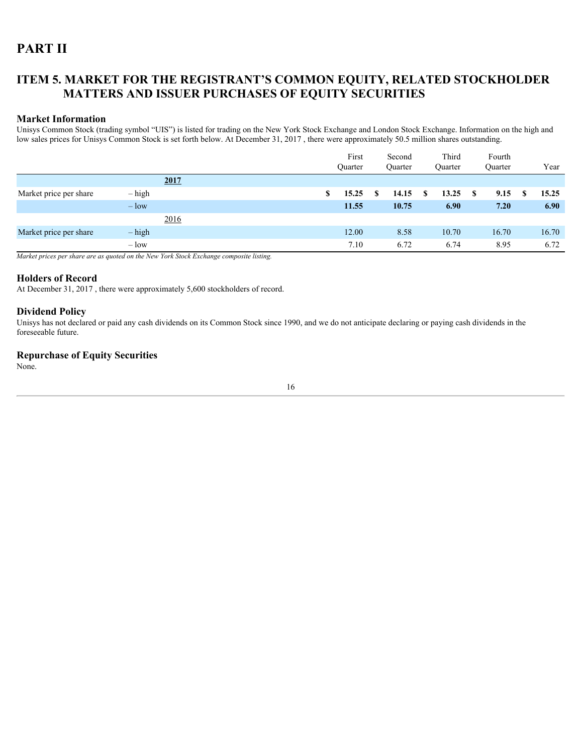# **PART II**

# <span id="page-16-0"></span>**ITEM 5. MARKET FOR THE REGISTRANT'S COMMON EQUITY, RELATED STOCKHOLDER MATTERS AND ISSUER PURCHASES OF EQUITY SECURITIES**

# **Market Information**

Unisys Common Stock (trading symbol "UIS") is listed for trading on the New York Stock Exchange and London Stock Exchange. Information on the high and low sales prices for Unisys Common Stock is set forth below. At December 31, 2017, there were approximately 50.5 million shares outstanding.

|                        |          |      |   | First<br>Quarter |      | Second<br>Quarter |     | Third<br>Quarter |   | Fourth<br>Quarter | Year  |
|------------------------|----------|------|---|------------------|------|-------------------|-----|------------------|---|-------------------|-------|
|                        |          | 2017 |   |                  |      |                   |     |                  |   |                   |       |
| Market price per share | - high   |      | Œ | 15.25            | - 55 | 14.15             | - S | 13.25            | S | 9.15              | 15.25 |
|                        | $-$ low  |      |   | 11.55            |      | 10.75             |     | 6.90             |   | 7.20              | 6.90  |
|                        |          | 2016 |   |                  |      |                   |     |                  |   |                   |       |
| Market price per share | $-$ high |      |   | 12.00            |      | 8.58              |     | 10.70            |   | 16.70             | 16.70 |
|                        | $-$ low  |      |   | 7.10             |      | 6.72              |     | 6.74             |   | 8.95              | 6.72  |
|                        |          |      |   |                  |      |                   |     |                  |   |                   |       |

*Market prices per share are as quoted on the New York Stock Exchange composite listing.*

# **Holders of Record**

At December 31, 2017 , there were approximately 5,600 stockholders of record.

# **Dividend Policy**

Unisys has not declared or paid any cash dividends on its Common Stock since 1990, and we do not anticipate declaring or paying cash dividends in the foreseeable future.

16

### **Repurchase of Equity Securities**

None.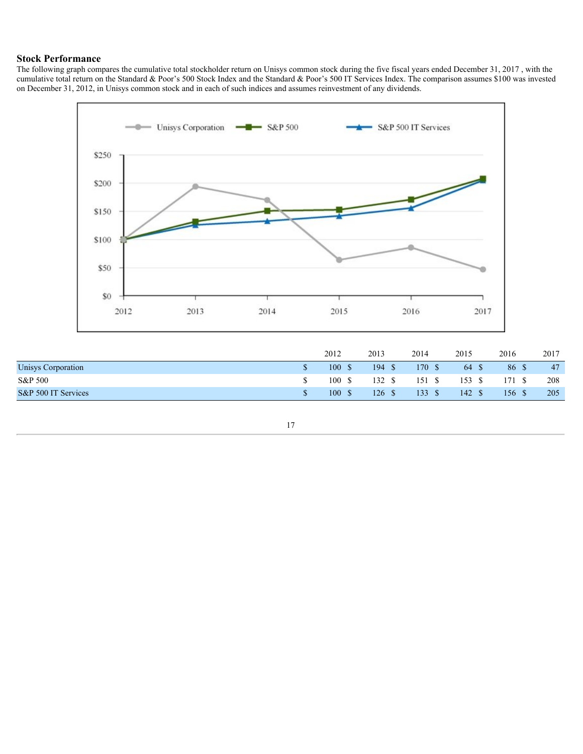# **Stock Performance**

The following graph compares the cumulative total stockholder return on Unisys common stock during the five fiscal years ended December 31, 2017 , with the cumulative total return on the Standard & Poor's 500 Stock Index and the Standard & Poor's 500 IT Services Index. The comparison assumes \$100 was invested on December 31, 2012, in Unisys common stock and in each of such indices and assumes reinvestment of any dividends.



|                           | 2012 | 2013   | 2014        | 2015 | 2016   | 2017 |
|---------------------------|------|--------|-------------|------|--------|------|
| <b>Unisys Corporation</b> | 100  | 194    | 170<br>- 35 | 64   | 86     | 47   |
| S&P 500                   | 100  | 132 \$ | 151 \$      | 153  | 171S   | 208  |
| S&P 500 IT Services       | 100  | 126S   | 133         | 142  | 156 \$ | 205  |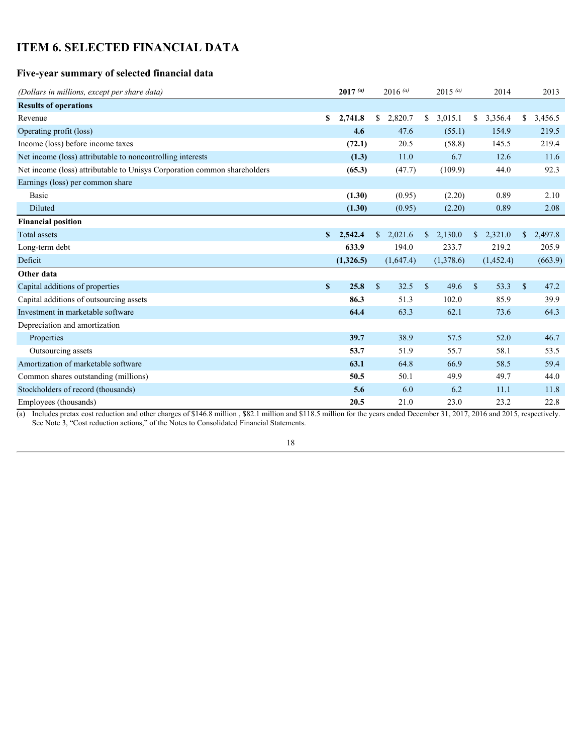# <span id="page-18-0"></span>**ITEM 6. SELECTED FINANCIAL DATA**

# **Five-year summary of selected financial data**

| (Dollars in millions, except per share data)                             | $2017^{(a)}$  |               | $2016$ (a) |               | $2015^{(a)}$ |               | 2014      |               | 2013    |  |
|--------------------------------------------------------------------------|---------------|---------------|------------|---------------|--------------|---------------|-----------|---------------|---------|--|
| <b>Results of operations</b>                                             |               |               |            |               |              |               |           |               |         |  |
| Revenue                                                                  | \$<br>2,741.8 | \$            | 2,820.7    | <sup>\$</sup> | 3,015.1      | <sup>\$</sup> | 3,356.4   | S.            | 3,456.5 |  |
| Operating profit (loss)                                                  | 4.6           |               | 47.6       |               | (55.1)       |               | 154.9     |               | 219.5   |  |
| Income (loss) before income taxes                                        | (72.1)        |               | 20.5       |               | (58.8)       |               | 145.5     |               | 219.4   |  |
| Net income (loss) attributable to noncontrolling interests               | (1.3)         |               | 11.0       |               | 6.7          |               | 12.6      |               | 11.6    |  |
| Net income (loss) attributable to Unisys Corporation common shareholders | (65.3)        |               | (47.7)     |               | (109.9)      |               | 44.0      |               | 92.3    |  |
| Earnings (loss) per common share                                         |               |               |            |               |              |               |           |               |         |  |
| Basic                                                                    | (1.30)        |               | (0.95)     |               | (2.20)       |               | 0.89      |               | 2.10    |  |
| Diluted                                                                  | (1.30)        |               | (0.95)     |               | (2.20)       |               | 0.89      |               | 2.08    |  |
| <b>Financial position</b>                                                |               |               |            |               |              |               |           |               |         |  |
| Total assets                                                             | S<br>2,542.4  | -S            | 2,021.6    | <sup>\$</sup> | 2,130.0      | $\mathbb{S}$  | 2,321.0   | <sup>\$</sup> | 2,497.8 |  |
| Long-term debt                                                           | 633.9         |               | 194.0      |               | 233.7        |               | 219.2     |               | 205.9   |  |
| Deficit                                                                  | (1,326.5)     |               | (1,647.4)  |               | (1,378.6)    |               | (1,452.4) |               | (663.9) |  |
| Other data                                                               |               |               |            |               |              |               |           |               |         |  |
| Capital additions of properties                                          | S<br>25.8     | <sup>\$</sup> | 32.5       | - \$          | 49.6         | <sup>S</sup>  | 53.3      | <sup>S</sup>  | 47.2    |  |
| Capital additions of outsourcing assets                                  | 86.3          |               | 51.3       |               | 102.0        |               | 85.9      |               | 39.9    |  |
| Investment in marketable software                                        | 64.4          |               | 63.3       |               | 62.1         |               | 73.6      |               | 64.3    |  |
| Depreciation and amortization                                            |               |               |            |               |              |               |           |               |         |  |
| Properties                                                               | 39.7          |               | 38.9       |               | 57.5         |               | 52.0      |               | 46.7    |  |
| Outsourcing assets                                                       | 53.7          |               | 51.9       |               | 55.7         |               | 58.1      |               | 53.5    |  |
| Amortization of marketable software                                      | 63.1          |               | 64.8       |               | 66.9         |               | 58.5      |               | 59.4    |  |
| Common shares outstanding (millions)                                     | 50.5          |               | 50.1       |               | 49.9         |               | 49.7      |               | 44.0    |  |
| Stockholders of record (thousands)                                       | 5.6           |               | 6.0        |               | 6.2          |               | 11.1      |               | 11.8    |  |
| Employees (thousands)                                                    | 20.5          |               | 21.0       |               | 23.0         |               | 23.2      |               | 22.8    |  |

(a) Includes pretax cost reduction and other charges of \$146.8 million , \$82.1 million and \$118.5 million for the years ended December 31, 2017, 2016 and 2015, respectively. See Note 3, "Cost reduction actions," of the Notes to Consolidated Financial Statements.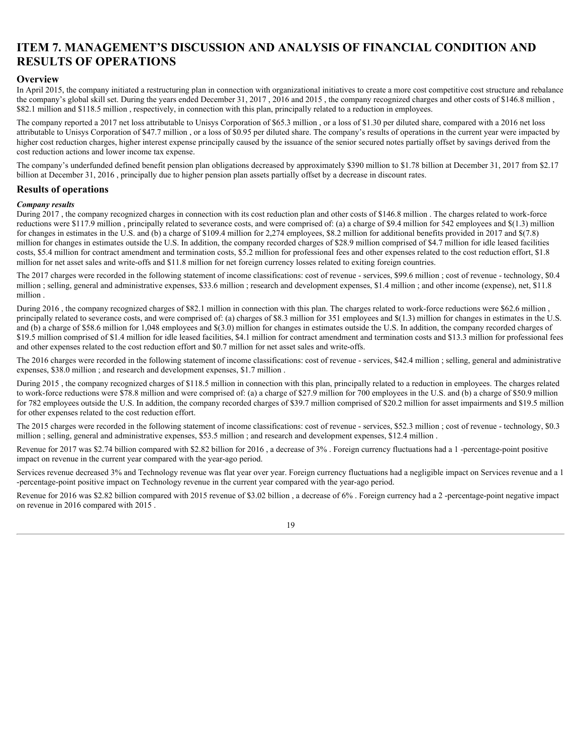# <span id="page-19-0"></span>**ITEM 7. MANAGEMENT'S DISCUSSION AND ANALYSIS OF FINANCIAL CONDITION AND RESULTS OF OPERATIONS**

### **Overview**

In April 2015, the company initiated a restructuring plan in connection with organizational initiatives to create a more cost competitive cost structure and rebalance the company's global skill set. During the years ended December 31, 2017, 2016 and 2015, the company recognized charges and other costs of \$146.8 million, \$82.1 million and \$118.5 million , respectively, in connection with this plan, principally related to a reduction in employees.

The company reported a 2017 net loss attributable to Unisys Corporation of \$65.3 million , or a loss of \$1.30 per diluted share, compared with a 2016 net loss attributable to Unisys Corporation of \$47.7 million , or a loss of \$0.95 per diluted share. The company's results of operations in the current year were impacted by higher cost reduction charges, higher interest expense principally caused by the issuance of the senior secured notes partially offset by savings derived from the cost reduction actions and lower income tax expense.

The company's underfunded defined benefit pension plan obligations decreased by approximately \$390 million to \$1.78 billion at December 31, 2017 from \$2.17 billion at December 31, 2016 , principally due to higher pension plan assets partially offset by a decrease in discount rates.

### **Results of operations**

#### *Company results*

During 2017 , the company recognized charges in connection with its cost reduction plan and other costs of \$146.8 million . The charges related to work-force reductions were \$117.9 million , principally related to severance costs, and were comprised of: (a) a charge of \$9.4 million for 542 employees and \$(1.3) million for changes in estimates in the U.S. and (b) a charge of \$109.4 million for 2,274 employees, \$8.2 million for additional benefits provided in 2017 and \$(7.8) million for changes in estimates outside the U.S. In addition, the company recorded charges of \$28.9 million comprised of \$4.7 million for idle leased facilities costs, \$5.4 million for contract amendment and termination costs, \$5.2 million for professional fees and other expenses related to the cost reduction effort, \$1.8 million for net asset sales and write-offs and \$11.8 million for net foreign currency losses related to exiting foreign countries.

The 2017 charges were recorded in the following statement of income classifications: cost of revenue - services, \$99.6 million ; cost of revenue - technology, \$0.4 million ; selling, general and administrative expenses, \$33.6 million ; research and development expenses, \$1.4 million ; and other income (expense), net, \$11.8 million .

During 2016 , the company recognized charges of \$82.1 million in connection with this plan. The charges related to work-force reductions were \$62.6 million , principally related to severance costs, and were comprised of: (a) charges of \$8.3 million for 351 employees and \$(1.3) million for changes in estimates in the U.S. and (b) a charge of \$58.6 million for 1,048 employees and \$(3.0) million for changes in estimates outside the U.S. In addition, the company recorded charges of \$19.5 million comprised of \$1.4 million for idle leased facilities, \$4.1 million for contract amendment and termination costs and \$13.3 million for professional fees and other expenses related to the cost reduction effort and \$0.7 million for net asset sales and write-offs.

The 2016 charges were recorded in the following statement of income classifications: cost of revenue - services, \$42.4 million ; selling, general and administrative expenses, \$38.0 million ; and research and development expenses, \$1.7 million .

During 2015 , the company recognized charges of \$118.5 million in connection with this plan, principally related to a reduction in employees. The charges related to work-force reductions were \$78.8 million and were comprised of: (a) a charge of \$27.9 million for 700 employees in the U.S. and (b) a charge of \$50.9 million for 782 employees outside the U.S. In addition, the company recorded charges of \$39.7 million comprised of \$20.2 million for asset impairments and \$19.5 million for other expenses related to the cost reduction effort.

The 2015 charges were recorded in the following statement of income classifications: cost of revenue - services, \$52.3 million ; cost of revenue - technology, \$0.3 million ; selling, general and administrative expenses, \$53.5 million ; and research and development expenses, \$12.4 million .

Revenue for 2017 was \$2.74 billion compared with \$2.82 billion for 2016 , a decrease of 3% . Foreign currency fluctuations had a 1 -percentage-point positive impact on revenue in the current year compared with the year-ago period.

Services revenue decreased 3% and Technology revenue was flat year over year. Foreign currency fluctuations had a negligible impact on Services revenue and a 1 -percentage-point positive impact on Technology revenue in the current year compared with the year-ago period.

Revenue for 2016 was \$2.82 billion compared with 2015 revenue of \$3.02 billion , a decrease of 6% . Foreign currency had a 2 -percentage-point negative impact on revenue in 2016 compared with 2015 .

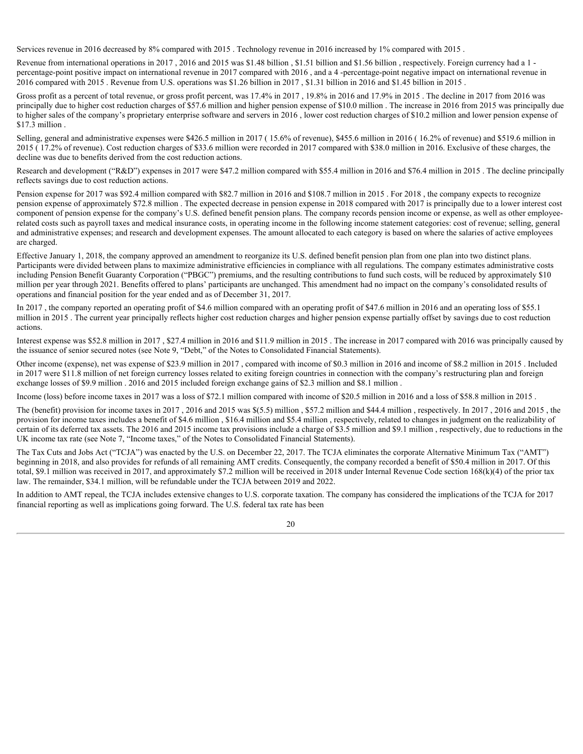Services revenue in 2016 decreased by 8% compared with 2015 . Technology revenue in 2016 increased by 1% compared with 2015 .

Revenue from international operations in 2017, 2016 and 2015 was \$1.48 billion, \$1.51 billion and \$1.56 billion, respectively. Foreign currency had a 1 percentage-point positive impact on international revenue in 2017 compared with 2016 , and a 4 -percentage-point negative impact on international revenue in 2016 compared with 2015 . Revenue from U.S. operations was \$1.26 billion in 2017 , \$1.31 billion in 2016 and \$1.45 billion in 2015 .

Gross profit as a percent of total revenue, or gross profit percent, was 17.4% in 2017 , 19.8% in 2016 and 17.9% in 2015 . The decline in 2017 from 2016 was principally due to higher cost reduction charges of \$57.6 million and higher pension expense of \$10.0 million . The increase in 2016 from 2015 was principally due to higher sales of the company's proprietary enterprise software and servers in 2016 , lower cost reduction charges of \$10.2 million and lower pension expense of  $$17.3$  million.

Selling, general and administrative expenses were \$426.5 million in 2017 ( 15.6% of revenue), \$455.6 million in 2016 ( 16.2% of revenue) and \$519.6 million in 2015 ( 17.2% of revenue). Cost reduction charges of \$33.6 million were recorded in 2017 compared with \$38.0 million in 2016. Exclusive of these charges, the decline was due to benefits derived from the cost reduction actions.

Research and development ("R&D") expenses in 2017 were \$47.2 million compared with \$55.4 million in 2016 and \$76.4 million in 2015 . The decline principally reflects savings due to cost reduction actions.

Pension expense for 2017 was \$92.4 million compared with \$82.7 million in 2016 and \$108.7 million in 2015 . For 2018 , the company expects to recognize pension expense of approximately \$72.8 million . The expected decrease in pension expense in 2018 compared with 2017 is principally due to a lower interest cost component of pension expense for the company's U.S. defined benefit pension plans. The company records pension income or expense, as well as other employeerelated costs such as payroll taxes and medical insurance costs, in operating income in the following income statement categories: cost of revenue; selling, general and administrative expenses; and research and development expenses. The amount allocated to each category is based on where the salaries of active employees are charged.

Effective January 1, 2018, the company approved an amendment to reorganize its U.S. defined benefit pension plan from one plan into two distinct plans. Participants were divided between plans to maximize administrative efficiencies in compliance with all regulations. The company estimates administrative costs including Pension Benefit Guaranty Corporation ("PBGC") premiums, and the resulting contributions to fund such costs, will be reduced by approximately \$10 million per year through 2021. Benefits offered to plans' participants are unchanged. This amendment had no impact on the company's consolidated results of operations and financial position for the year ended and as of December 31, 2017.

In 2017 , the company reported an operating profit of \$4.6 million compared with an operating profit of \$47.6 million in 2016 and an operating loss of \$55.1 million in 2015 . The current year principally reflects higher cost reduction charges and higher pension expense partially offset by savings due to cost reduction actions.

Interest expense was \$52.8 million in 2017 , \$27.4 million in 2016 and \$11.9 million in 2015 . The increase in 2017 compared with 2016 was principally caused by the issuance of senior secured notes (see Note 9, "Debt," of the Notes to Consolidated Financial Statements).

Other income (expense), net was expense of \$23.9 million in 2017 , compared with income of \$0.3 million in 2016 and income of \$8.2 million in 2015 . Included in 2017 were \$11.8 million of net foreign currency losses related to exiting foreign countries in connection with the company's restructuring plan and foreign exchange losses of \$9.9 million . 2016 and 2015 included foreign exchange gains of \$2.3 million and \$8.1 million .

Income (loss) before income taxes in 2017 was a loss of \$72.1 million compared with income of \$20.5 million in 2016 and a loss of \$58.8 million in 2015 .

The (benefit) provision for income taxes in 2017, 2016 and 2015 was \$(5.5) million, \$57.2 million and \$44.4 million, respectively. In 2017, 2016 and 2015, the provision for income taxes includes a benefit of \$4.6 million , \$16.4 million and \$5.4 million , respectively, related to changes in judgment on the realizability of certain of its deferred tax assets. The 2016 and 2015 income tax provisions include a charge of \$3.5 million and \$9.1 million , respectively, due to reductions in the UK income tax rate (see Note 7, "Income taxes," of the Notes to Consolidated Financial Statements).

The Tax Cuts and Jobs Act ("TCJA") was enacted by the U.S. on December 22, 2017. The TCJA eliminates the corporate Alternative Minimum Tax ("AMT") beginning in 2018, and also provides for refunds of all remaining AMT credits. Consequently, the company recorded a benefit of \$50.4 million in 2017. Of this total, \$9.1 million was received in 2017, and approximately \$7.2 million will be received in 2018 under Internal Revenue Code section 168(k)(4) of the prior tax law. The remainder, \$34.1 million, will be refundable under the TCJA between 2019 and 2022.

In addition to AMT repeal, the TCJA includes extensive changes to U.S. corporate taxation. The company has considered the implications of the TCJA for 2017 financial reporting as well as implications going forward. The U.S. federal tax rate has been

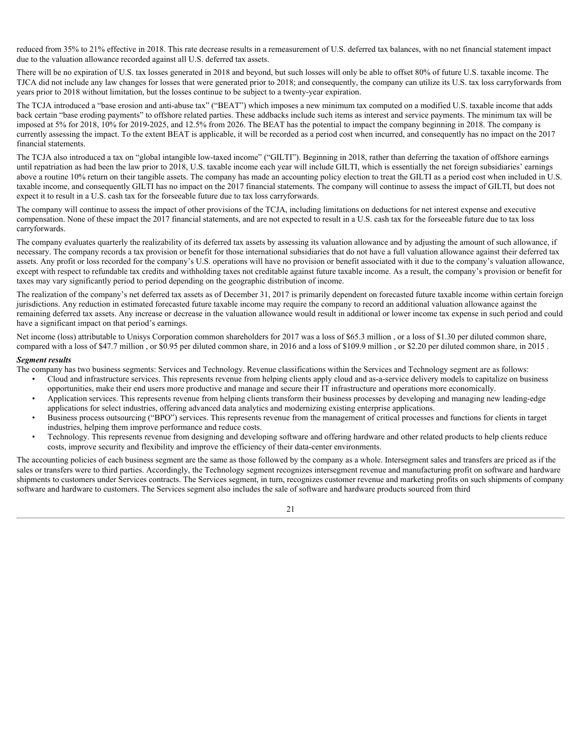reduced from 35% to 21% effective in 2018. This rate decrease results in a remeasurement of U.S. deferred tax balances, with no net financial statement impact due to the valuation allowance recorded against all U.S. deferred tax assets.

There will be no expiration of U.S. tax losses generated in 2018 and beyond, but such losses will only be able to offset 80% of future U.S. taxable income. The TJCA did not include any law changes for losses that were generated prior to 2018; and consequently, the company can utilize its U.S. tax loss carryforwards from years prior to 2018 without limitation, but the losses continue to be subject to a twenty-year expiration.

The TCJA introduced a "base erosion and anti-abuse tax" ("BEAT") which imposes a new minimum tax computed on a modified U.S. taxable income that adds back certain "base eroding payments" to offshore related parties. These addbacks include such items as interest and service payments. The minimum tax will be imposed at 5% for 2018, 10% for 2019-2025, and 12.5% from 2026. The BEAT has the potential to impact the company beginning in 2018. The company is currently assessing the impact. To the extent BEAT is applicable, it will be recorded as a period cost when incurred, and consequently has no impact on the 2017 financial statements.

The TCJA also introduced a tax on "global intangible low-taxed income" ("GILTI"). Beginning in 2018, rather than deferring the taxation of offshore earnings until repatriation as had been the law prior to 2018, U.S. taxable income each year will include GILTI, which is essentially the net foreign subsidiaries' earnings above a routine 10% return on their tangible assets. The company has made an accounting policy election to treat the GILTI as a period cost when included in U.S. taxable income, and consequently GILTI has no impact on the 2017 financial statements. The company will continue to assess the impact of GILTI, but does not expect it to result in a U.S. cash tax for the forseeable future due to tax loss carryforwards.

The company will continue to assess the impact of other provisions of the TCJA, including limitations on deductions for net interest expense and executive compensation. None of these impact the 2017 financial statements, and are not expected to result in a U.S. cash tax for the forseeable future due to tax loss carryforwards.

The company evaluates quarterly the realizability of its deferred tax assets by assessing its valuation allowance and by adjusting the amount of such allowance, if necessary. The company records a tax provision or benefit for those international subsidiaries that do not have a full valuation allowance against their deferred tax assets. Any profit or loss recorded for the company's U.S. operations will have no provision or benefit associated with it due to the company's valuation allowance, except with respect to refundable tax credits and withholding taxes not creditable against future taxable income. As a result, the company's provision or benefit for taxes may vary significantly period to period depending on the geographic distribution of income.

The realization of the company's net deferred tax assets as of December 31, 2017 is primarily dependent on forecasted future taxable income within certain foreign jurisdictions. Any reduction in estimated forecasted future taxable income may require the company to record an additional valuation allowance against the remaining deferred tax assets. Any increase or decrease in the valuation allowance would result in additional or lower income tax expense in such period and could have a significant impact on that period's earnings.

Net income (loss) attributable to Unisys Corporation common shareholders for 2017 was a loss of \$65.3 million, or a loss of \$1.30 per diluted common share, compared with a loss of \$47.7 million, or \$0.95 per diluted common share, in 2016 and a loss of \$109.9 million, or \$2.20 per diluted common share, in 2015.

#### *Segment results*

The company has two business segments: Services and Technology. Revenue classifications within the Services and Technology segment are as follows:

- Cloud and infrastructure services. This represents revenue from helping clients apply cloud and as-a-service delivery models to capitalize on business opportunities, make their end users more productive and manage and secure their IT infrastructure and operations more economically.
- Application services. This represents revenue from helping clients transform their business processes by developing and managing new leading-edge applications for select industries, offering advanced data analytics and modernizing existing enterprise applications.
- Business process outsourcing ("BPO") services. This represents revenue from the management of critical processes and functions for clients in target industries, helping them improve performance and reduce costs.
- Technology. This represents revenue from designing and developing software and offering hardware and other related products to help clients reduce costs, improve security and flexibility and improve the efficiency of their data-center environments.

The accounting policies of each business segment are the same as those followed by the company as a whole. Intersegment sales and transfers are priced as if the sales or transfers were to third parties. Accordingly, the Technology segment recognizes intersegment revenue and manufacturing profit on software and hardware shipments to customers under Services contracts. The Services segment, in turn, recognizes customer revenue and marketing profits on such shipments of company software and hardware to customers. The Services segment also includes the sale of software and hardware products sourced from third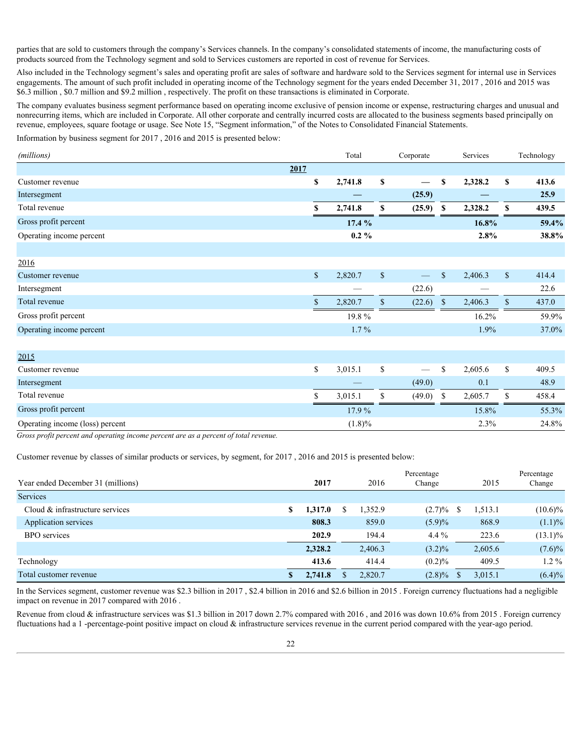parties that are sold to customers through the company's Services channels. In the company's consolidated statements of income, the manufacturing costs of products sourced from the Technology segment and sold to Services customers are reported in cost of revenue for Services.

Also included in the Technology segment's sales and operating profit are sales of software and hardware sold to the Services segment for internal use in Services engagements. The amount of such profit included in operating income of the Technology segment for the years ended December 31, 2017 , 2016 and 2015 was \$6.3 million , \$0.7 million and \$9.2 million , respectively. The profit on these transactions is eliminated in Corporate.

The company evaluates business segment performance based on operating income exclusive of pension income or expense, restructuring charges and unusual and nonrecurring items, which are included in Corporate. All other corporate and centrally incurred costs are allocated to the business segments based principally on revenue, employees, square footage or usage. See Note 15, "Segment information," of the Notes to Consolidated Financial Statements.

Information by business segment for 2017 , 2016 and 2015 is presented below:

| (millions)                      |      |              | Total             |              | Corporate                |      | Services                 |               | Technology |
|---------------------------------|------|--------------|-------------------|--------------|--------------------------|------|--------------------------|---------------|------------|
|                                 | 2017 |              |                   |              |                          |      |                          |               |            |
| Customer revenue                | \$   |              | 2,741.8           | S            | $\overline{\phantom{0}}$ |      | 2,328.2                  | <sup>S</sup>  | 413.6      |
| Intersegment                    |      |              | $\hspace{0.05cm}$ |              | (25.9)                   |      | $\overline{\phantom{m}}$ |               | 25.9       |
| Total revenue                   |      |              | 2,741.8           | S            | (25.9)                   | - S  | 2,328.2                  | <b>S</b>      | 439.5      |
| Gross profit percent            |      |              | 17.4%             |              |                          |      | $16.8\%$                 |               | 59.4%      |
| Operating income percent        |      |              | $0.2 \%$          |              |                          |      | 2.8%                     |               | 38.8%      |
|                                 |      |              |                   |              |                          |      |                          |               |            |
| 2016                            |      |              |                   |              |                          |      |                          |               |            |
| Customer revenue                |      | $\mathbb{S}$ | 2,820.7           | $\mathbb{S}$ | $\overline{\phantom{a}}$ |      | 2,406.3                  | $\mathbb{S}$  | 414.4      |
| Intersegment                    |      |              | $\hspace{0.05cm}$ |              | (22.6)                   |      | $\hspace{0.05cm}$        |               | 22.6       |
| Total revenue                   |      |              | 2,820.7           | -S           | (22.6)                   | -S   | 2,406.3                  | -\$           | 437.0      |
| Gross profit percent            |      |              | 19.8%             |              |                          |      | 16.2%                    |               | 59.9%      |
| Operating income percent        |      |              | $1.7\%$           |              |                          |      | 1.9%                     |               | 37.0%      |
|                                 |      |              |                   |              |                          |      |                          |               |            |
| 2015                            |      |              |                   |              |                          |      |                          |               |            |
| Customer revenue                |      | $\mathbb{S}$ | 3,015.1           | $\mathbb{S}$ | $\frac{1}{2}$            |      | 2,605.6                  | $\mathcal{S}$ | 409.5      |
| Intersegment                    |      |              | $\hspace{0.05cm}$ |              | (49.0)                   |      | 0.1                      |               | 48.9       |
| Total revenue                   |      |              | 3,015.1           | <sup>S</sup> | (49.0)                   | - 55 | 2,605.7                  | <sup>S</sup>  | 458.4      |
| Gross profit percent            |      |              | 17.9%             |              |                          |      | 15.8%                    |               | 55.3%      |
| Operating income (loss) percent |      |              | $(1.8)\%$         |              |                          |      | 2.3%                     |               | 24.8%      |

*Gross profit percent and operating income percent are as a percent of total revenue.* 

Customer revenue by classes of similar products or services, by segment, for 2017 , 2016 and 2015 is presented below:

| Year ended December 31 (millions) | 2017    | 2016    | Percentage<br>Change | 2015    | Percentage<br>Change |
|-----------------------------------|---------|---------|----------------------|---------|----------------------|
| Services                          |         |         |                      |         |                      |
| Cloud & infrastructure services   | 1,317.0 | 1,352.9 | $(2.7)\%$            | 1,513.1 | $(10.6)\%$           |
| Application services              | 808.3   | 859.0   | $(5.9)\%$            | 868.9   | (1.1)%               |
| <b>BPO</b> services               | 202.9   | 194.4   | $4.4\%$              | 223.6   | $(13.1)\%$           |
|                                   | 2,328.2 | 2,406.3 | $(3.2)\%$            | 2,605.6 | $(7.6)\%$            |
| Technology                        | 413.6   | 414.4   | $(0.2)\%$            | 409.5   | $1.2\%$              |
| Total customer revenue            | 2,741.8 | 2,820.7 | $(2.8)\%$            | 3,015.1 | (6.4)%               |

In the Services segment, customer revenue was \$2.3 billion in 2017 , \$2.4 billion in 2016 and \$2.6 billion in 2015 . Foreign currency fluctuations had a negligible impact on revenue in 2017 compared with 2016 .

Revenue from cloud & infrastructure services was \$1.3 billion in 2017 down 2.7% compared with 2016 , and 2016 was down 10.6% from 2015 . Foreign currency fluctuations had a 1-percentage-point positive impact on cloud & infrastructure services revenue in the current period compared with the year-ago period.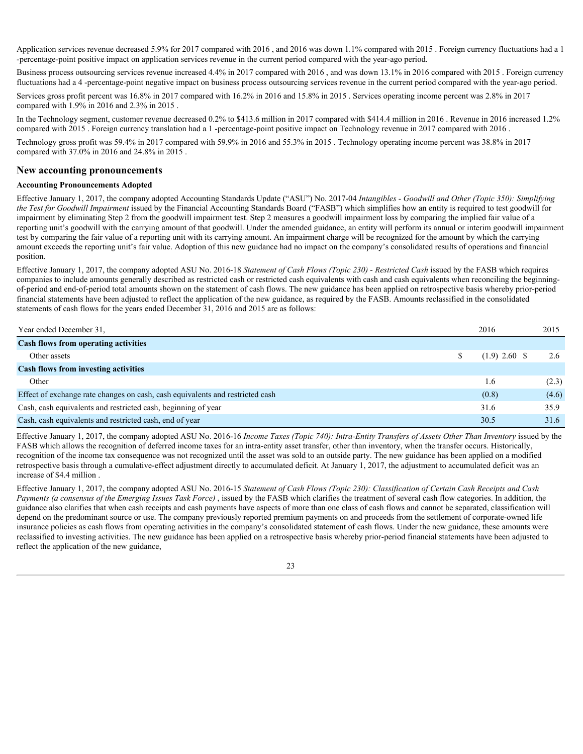Application services revenue decreased 5.9% for 2017 compared with 2016 , and 2016 was down 1.1% compared with 2015 . Foreign currency fluctuations had a 1 -percentage-point positive impact on application services revenue in the current period compared with the year-ago period.

Business process outsourcing services revenue increased 4.4% in 2017 compared with 2016 , and was down 13.1% in 2016 compared with 2015 . Foreign currency fluctuations had a 4 -percentage-point negative impact on business process outsourcing services revenue in the current period compared with the year-ago period.

Services gross profit percent was 16.8% in 2017 compared with 16.2% in 2016 and 15.8% in 2015 . Services operating income percent was 2.8% in 2017 compared with 1.9% in 2016 and 2.3% in 2015 .

In the Technology segment, customer revenue decreased 0.2% to \$413.6 million in 2017 compared with \$414.4 million in 2016 . Revenue in 2016 increased 1.2% compared with 2015 . Foreign currency translation had a 1 -percentage-point positive impact on Technology revenue in 2017 compared with 2016 .

Technology gross profit was 59.4% in 2017 compared with 59.9% in 2016 and 55.3% in 2015 . Technology operating income percent was 38.8% in 2017 compared with 37.0% in 2016 and 24.8% in 2015 .

#### **New accounting pronouncements**

#### **Accounting Pronouncements Adopted**

Effective January 1, 2017, the company adopted Accounting Standards Update ("ASU") No. 2017-04 *Intangibles -Goodwill and Other (Topic 350): Simplifying the Test for Goodwill Impairment* issued by the Financial Accounting Standards Board ("FASB") which simplifies how an entity is required to test goodwill for impairment by eliminating Step 2 from the goodwill impairment test. Step 2 measures a goodwill impairment loss by comparing the implied fair value of a reporting unit's goodwill with the carrying amount of that goodwill. Under the amended guidance, an entity will perform its annual or interim goodwill impairment test by comparing the fair value of a reporting unit with its carrying amount. An impairment charge will be recognized for the amount by which the carrying amount exceeds the reporting unit's fair value. Adoption of this new guidance had no impact on the company's consolidated results of operations and financial position.

Effective January 1, 2017, the company adopted ASU No. 2016-18 *Statement of Cash Flows (Topic 230) -Restricted Cash* issued by the FASB which requires companies to include amounts generally described as restricted cash or restricted cash equivalents with cash and cash equivalents when reconciling the beginningof-period and end-of-period total amounts shown on the statement of cash flows. The new guidance has been applied on retrospective basis whereby prior-period financial statements have been adjusted to reflect the application of the new guidance, as required by the FASB. Amounts reclassified in the consolidated statements of cash flows for the years ended December 31, 2016 and 2015 are as follows:

| Year ended December 31.                                                       | 2016            | 2015  |
|-------------------------------------------------------------------------------|-----------------|-------|
| <b>Cash flows from operating activities</b>                                   |                 |       |
| Other assets                                                                  | $(1.9)$ 2.60 \$ | 2.6   |
| <b>Cash flows from investing activities</b>                                   |                 |       |
| Other                                                                         | 1.6             | (2.3) |
| Effect of exchange rate changes on cash, cash equivalents and restricted cash | (0.8)           | (4.6) |
| Cash, cash equivalents and restricted cash, beginning of year                 | 31.6            | 35.9  |
| Cash, cash equivalents and restricted cash, end of year                       | 30.5            | 31.6  |

Effective January 1, 2017, the company adopted ASU No. 2016-16 Income Taxes (Topic 740): Intra-Entity Transfers of Assets Other Than Inventory issued by the FASB which allows the recognition of deferred income taxes for an intra-entity asset transfer, other than inventory, when the transfer occurs. Historically, recognition of the income tax consequence was not recognized until the asset was sold to an outside party. The new guidance has been applied on a modified retrospective basis through a cumulative-effect adjustment directly to accumulated deficit. At January 1, 2017, the adjustment to accumulated deficit was an increase of \$4.4 million .

Effective January 1, 2017, the company adopted ASU No. 2016-15 Statement of Cash Flows (Topic 230): Classification of Certain Cash Receipts and *Cash Payments (a consensus of the Emerging Issues Task Force)* , issued by the FASB which clarifies the treatment of several cash flow categories. In addition, the guidance also clarifies that when cash receipts and cash payments have aspects of more than one class of cash flows and cannot be separated, classification will depend on the predominant source or use. The company previously reported premium payments on and proceeds from the settlement of corporate-owned life insurance policies as cash flows from operating activities in the company's consolidated statement of cash flows. Under the new guidance, these amounts were reclassified to investing activities. The new guidance has been applied on a retrospective basis whereby prior-period financial statements have been adjusted to reflect the application of the new guidance,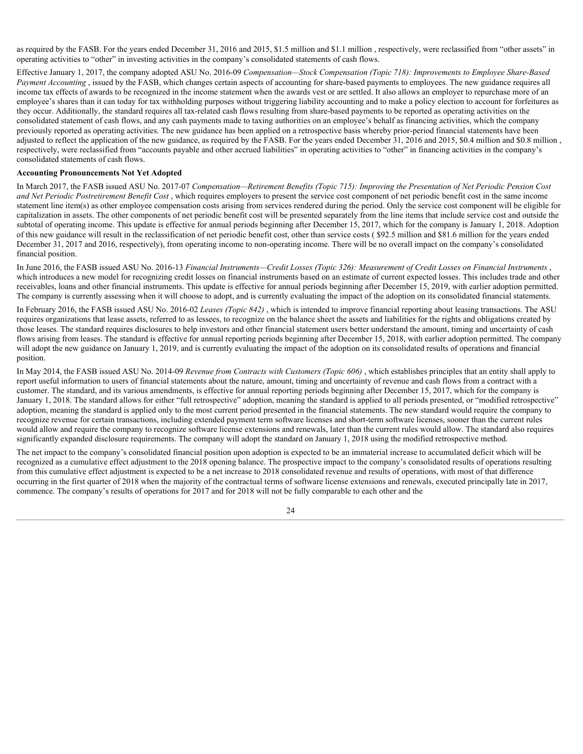as required by the FASB. For the years ended December 31, 2016 and 2015, \$1.5 million and \$1.1 million , respectively, were reclassified from "other assets" in operating activities to "other" in investing activities in the company's consolidated statements of cash flows.

Effective January 1, 2017, the company adopted ASU No. 2016-09 *Compensation—Stock Compensation (Topic 718): Improvements to Employee Share-Based Payment Accounting* , issued by the FASB, which changes certain aspects of accounting for share-based payments to employees. The new guidance requires all income tax effects of awards to be recognized in the income statement when the awards vest or are settled. It also allows an employer to repurchase more of an employee's shares than it can today for tax withholding purposes without triggering liability accounting and to make a policy election to account for forfeitures as they occur. Additionally, the standard requires all tax-related cash flows resulting from share-based payments to be reported as operating activities on the consolidated statement of cash flows, and any cash payments made to taxing authorities on an employee's behalf as financing activities, which the company previously reported as operating activities. The new guidance has been applied on a retrospective basis whereby prior-period financial statements have been adjusted to reflect the application of the new guidance, as required by the FASB. For the years ended December 31, 2016 and 2015, \$0.4 million and \$0.8 million , respectively, were reclassified from "accounts payable and other accrued liabilities" in operating activities to "other" in financing activities in the company's consolidated statements of cash flows.

#### **Accounting Pronouncements Not Yet Adopted**

In March 2017, the FASB issued ASU No. 2017-07 Compensation—Retirement Benefits (Topic 715): Improving the Presentation of Net Periodic Pension Cost *and Net Periodic Postretirement Benefit Cost* , which requires employers to present the service cost component of net periodic benefit cost in the same income statement line item(s) as other employee compensation costs arising from services rendered during the period. Only the service cost component will be eligible for capitalization in assets. The other components of net periodic benefit cost will be presented separately from the line items that include service cost and outside the subtotal of operating income. This update is effective for annual periods beginning after December 15, 2017, which for the company is January 1, 2018. Adoption of this new guidance will result in the reclassification of net periodic benefit cost, other than service costs ( \$92.5 million and \$81.6 million for the years ended December 31, 2017 and 2016, respectively), from operating income to non-operating income. There will be no overall impact on the company's consolidated financial position.

In June 2016, the FASB issued ASU No. 2016-13 Financial Instruments—Credit Losses (Topic 326): Measurement of Credit Losses on Financial Instruments , which introduces a new model for recognizing credit losses on financial instruments based on an estimate of current expected losses. This includes trade and other receivables, loans and other financial instruments. This update is effective for annual periods beginning after December 15, 2019, with earlier adoption permitted. The company is currently assessing when it will choose to adopt, and is currently evaluating the impact of the adoption on its consolidated financial statements.

In February 2016, the FASB issued ASU No. 2016-02 *Leases (Topic 842)* , which is intended to improve financial reporting about leasing transactions. The ASU requires organizations that lease assets, referred to as lessees, to recognize on the balance sheet the assets and liabilities for the rights and obligations created by those leases. The standard requires disclosures to help investors and other financial statement users better understand the amount, timing and uncertainty of cash flows arising from leases. The standard is effective for annual reporting periods beginning after December 15, 2018, with earlier adoption permitted. The company will adopt the new guidance on January 1, 2019, and is currently evaluating the impact of the adoption on its consolidated results of operations and financial position.

In May 2014, the FASB issued ASU No. 2014-09 *Revenue from Contracts with Customers (Topic 606)* , which establishes principles that an entity shall apply to report useful information to users of financial statements about the nature, amount, timing and uncertainty of revenue and cash flows from a contract with a customer. The standard, and its various amendments, is effective for annual reporting periods beginning after December 15, 2017, which for the company is January 1, 2018. The standard allows for either "full retrospective" adoption, meaning the standard is applied to all periods presented, or "modified retrospective" adoption, meaning the standard is applied only to the most current period presented in the financial statements. The new standard would require the company to recognize revenue for certain transactions, including extended payment term software licenses and short-term software licenses, sooner than the current rules would allow and require the company to recognize software license extensions and renewals, later than the current rules would allow. The standard also requires significantly expanded disclosure requirements. The company will adopt the standard on January 1, 2018 using the modified retrospective method.

The net impact to the company's consolidated financial position upon adoption is expected to be an immaterial increase to accumulated deficit which will be recognized as a cumulative effect adjustment to the 2018 opening balance. The prospective impact to the company's consolidated results of operations resulting from this cumulative effect adjustment is expected to be a net increase to 2018 consolidated revenue and results of operations, with most of that difference occurring in the first quarter of 2018 when the majority of the contractual terms of software license extensions and renewals, executed principally late in 2017, commence. The company's results of operations for 2017 and for 2018 will not be fully comparable to each other and the

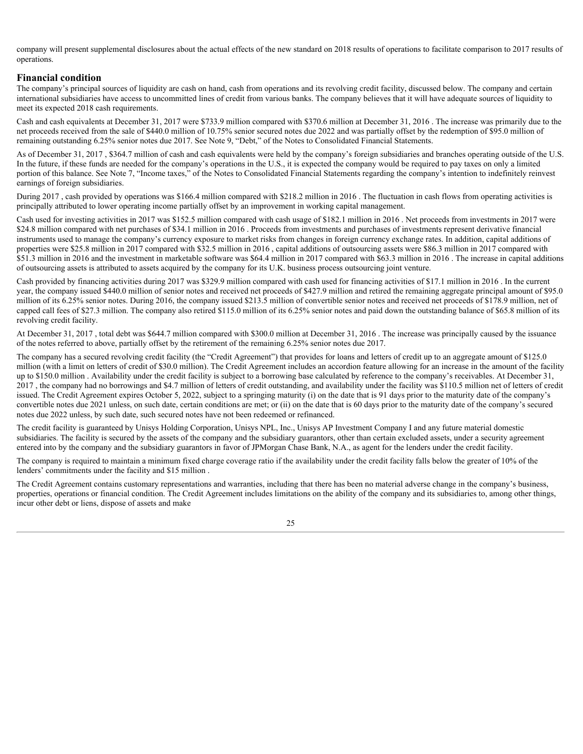company will present supplemental disclosures about the actual effects of the new standard on 2018 results of operations to facilitate comparison to 2017 results of operations.

### **Financial condition**

The company's principal sources of liquidity are cash on hand, cash from operations and its revolving credit facility, discussed below. The company and certain international subsidiaries have access to uncommitted lines of credit from various banks. The company believes that it will have adequate sources of liquidity to meet its expected 2018 cash requirements.

Cash and cash equivalents at December 31, 2017 were \$733.9 million compared with \$370.6 million at December 31, 2016 . The increase was primarily due to the net proceeds received from the sale of \$440.0 million of 10.75% senior secured notes due 2022 and was partially offset by the redemption of \$95.0 million of remaining outstanding 6.25% senior notes due 2017. See Note 9, "Debt," of the Notes to Consolidated Financial Statements.

As of December 31, 2017 , \$364.7 million of cash and cash equivalents were held by the company's foreign subsidiaries and branches operating outside of the U.S. In the future, if these funds are needed for the company's operations in the U.S., it is expected the company would be required to pay taxes on only a limited portion of this balance. See Note 7, "Income taxes," of the Notes to Consolidated Financial Statements regarding the company's intention to indefinitely reinvest earnings of foreign subsidiaries.

During 2017 , cash provided by operations was \$166.4 million compared with \$218.2 million in 2016 . The fluctuation in cash flows from operating activities is principally attributed to lower operating income partially offset by an improvement in working capital management.

Cash used for investing activities in 2017 was \$152.5 million compared with cash usage of \$182.1 million in 2016 . Net proceeds from investments in 2017 were \$24.8 million compared with net purchases of \$34.1 million in 2016. Proceeds from investments and purchases of investments represent derivative financial instruments used to manage the company's currency exposure to market risks from changes in foreign currency exchange rates. In addition, capital additions of properties were \$25.8 million in 2017 compared with \$32.5 million in 2016 , capital additions of outsourcing assets were \$86.3 million in 2017 compared with \$51.3 million in 2016 and the investment in marketable software was \$64.4 million in 2017 compared with \$63.3 million in 2016 . The increase in capital additions of outsourcing assets is attributed to assets acquired by the company for its U.K. business process outsourcing joint venture.

Cash provided by financing activities during 2017 was \$329.9 million compared with cash used for financing activities of \$17.1 million in 2016 . In the current year, the company issued \$440.0 million of senior notes and received net proceeds of \$427.9 million and retired the remaining aggregate principal amount of \$95.0 million of its 6.25% senior notes. During 2016, the company issued \$213.5 million of convertible senior notes and received net proceeds of \$178.9 million, net of capped call fees of \$27.3 million. The company also retired \$115.0 million of its 6.25% senior notes and paid down the outstanding balance of \$65.8 million of its revolving credit facility.

At December 31, 2017 , total debt was \$644.7 million compared with \$300.0 million at December 31, 2016 . The increase was principally caused by the issuance of the notes referred to above, partially offset by the retirement of the remaining 6.25% senior notes due 2017.

The company has a secured revolving credit facility (the "Credit Agreement") that provides for loans and letters of credit up to an aggregate amount of \$125.0 million (with a limit on letters of credit of \$30.0 million). The Credit Agreement includes an accordion feature allowing for an increase in the amount of the facility up to \$150.0 million . Availability under the credit facility is subject to a borrowing base calculated by reference to the company's receivables. At December 31, 2017 , the company had no borrowings and \$4.7 million of letters of credit outstanding, and availability under the facility was \$110.5 million net of letters of credit issued. The Credit Agreement expires October 5, 2022, subject to a springing maturity (i) on the date that is 91 days prior to the maturity date of the company's convertible notes due 2021 unless, on such date, certain conditions are met; or (ii) on the date that is 60 days prior to the maturity date of the company's secured notes due 2022 unless, by such date, such secured notes have not been redeemed or refinanced.

The credit facility is guaranteed by Unisys Holding Corporation, Unisys NPL, Inc., Unisys AP Investment Company I and any future material domestic subsidiaries. The facility is secured by the assets of the company and the subsidiary guarantors, other than certain excluded assets, under a security agreement entered into by the company and the subsidiary guarantors in favor of JPMorgan Chase Bank, N.A., as agent for the lenders under the credit facility.

The company is required to maintain a minimum fixed charge coverage ratio if the availability under the credit facility falls below the greater of 10% of the lenders' commitments under the facility and \$15 million .

The Credit Agreement contains customary representations and warranties, including that there has been no material adverse change in the company's business, properties, operations or financial condition. The Credit Agreement includes limitations on the ability of the company and its subsidiaries to, among other things, incur other debt or liens, dispose of assets and make

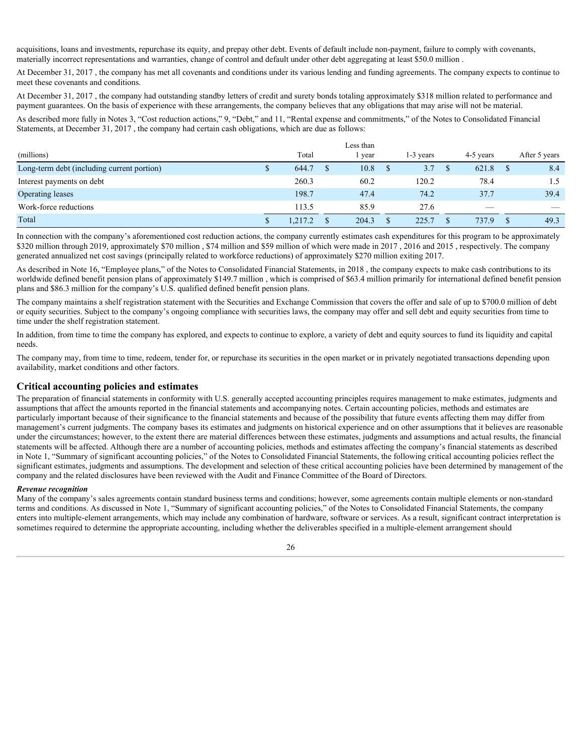acquisitions, loans and investments, repurchase its equity, and prepay other debt. Events of default include non-payment, failure to comply with covenants, materially incorrect representations and warranties, change of control and default under other debt aggregating at least \$50.0 million .

At December 31, 2017 , the company has met all covenants and conditions under its various lending and funding agreements. The company expects to continue to meet these covenants and conditions.

At December 31, 2017 , the company had outstanding standby letters of credit and surety bonds totaling approximately \$318 million related to performance and payment guarantees. On the basis of experience with these arrangements, the company believes that any obligations that may arise will not be material.

As described more fully in Notes 3, "Cost reduction actions," 9, "Debt," and 11, "Rental expense and commitments," of the Notes to Consolidated Financial Statements, at December 31, 2017 , the company had certain cash obligations, which are due as follows:

|                                            |        | Less than |           |                          |                          |  |
|--------------------------------------------|--------|-----------|-----------|--------------------------|--------------------------|--|
| (millions)                                 | Total  | i year    | 1-3 years | 4-5 years                | After 5 years            |  |
| Long-term debt (including current portion) | 644.7  | 10.8      |           | 621.8                    | 8.4                      |  |
| Interest payments on debt                  | 260.3  | 60.2      | 120.2     | 78.4                     |                          |  |
| <b>Operating leases</b>                    | 198.7  | 47.4      | 74.2      | 37.7                     | 39.4                     |  |
| Work-force reductions                      | 113.5  | 85.9      | 27.6      | $\overline{\phantom{a}}$ | $\overline{\phantom{a}}$ |  |
| Total                                      | .217.2 | 204.3     | 225.7     | 737.9                    | 49.3                     |  |

In connection with the company's aforementioned cost reduction actions, the company currently estimates cash expenditures for this program to be approximately \$320 million through 2019, approximately \$70 million, \$74 million and \$59 million of which were made in 2017, 2016 and 2015, respectively. The company generated annualized net cost savings (principally related to workforce reductions) of approximately \$270 million exiting 2017.

As described in Note 16, "Employee plans," of the Notes to Consolidated Financial Statements, in 2018 , the company expects to make cash contributions to its worldwide defined benefit pension plans of approximately \$149.7 million , which is comprised of \$63.4 million primarily for international defined benefit pension plans and \$86.3 million for the company's U.S. qualified defined benefit pension plans.

The company maintains a shelf registration statement with the Securities and Exchange Commission that covers the offer and sale of up to \$700.0 million of debt or equity securities. Subject to the company's ongoing compliance with securities laws, the company may offer and sell debt and equity securities from time to time under the shelf registration statement.

In addition, from time to time the company has explored, and expects to continue to explore, a variety of debt and equity sources to fund its liquidity and capital needs.

The company may, from time to time, redeem, tender for, or repurchase its securities in the open market or in privately negotiated transactions depending upon availability, market conditions and other factors.

# **Critical accounting policies and estimates**

The preparation of financial statements in conformity with U.S. generally accepted accounting principles requires management to make estimates, judgments and assumptions that affect the amounts reported in the financial statements and accompanying notes. Certain accounting policies, methods and estimates are particularly important because of their significance to the financial statements and because of the possibility that future events affecting them may differ from management's current judgments. The company bases its estimates and judgments on historical experience and on other assumptions that it believes are reasonable under the circumstances; however, to the extent there are material differences between these estimates, judgments and assumptions and actual results, the financial statements will be affected. Although there are a number of accounting policies, methods and estimates affecting the company's financial statements as described in Note 1, "Summary of significant accounting policies," of the Notes to Consolidated Financial Statements, the following critical accounting policies reflect the significant estimates, judgments and assumptions. The development and selection of these critical accounting policies have been determined by management of the company and the related disclosures have been reviewed with the Audit and Finance Committee of the Board of Directors.

### *Revenue recognition*

Many of the company's sales agreements contain standard business terms and conditions; however, some agreements contain multiple elements or non-standard terms and conditions. As discussed in Note 1, "Summary of significant accounting policies," of the Notes to Consolidated Financial Statements, the company enters into multiple-element arrangements, which may include any combination of hardware, software or services. As a result, significant contract interpretation is sometimes required to determine the appropriate accounting, including whether the deliverables specified in a multiple-element arrangement should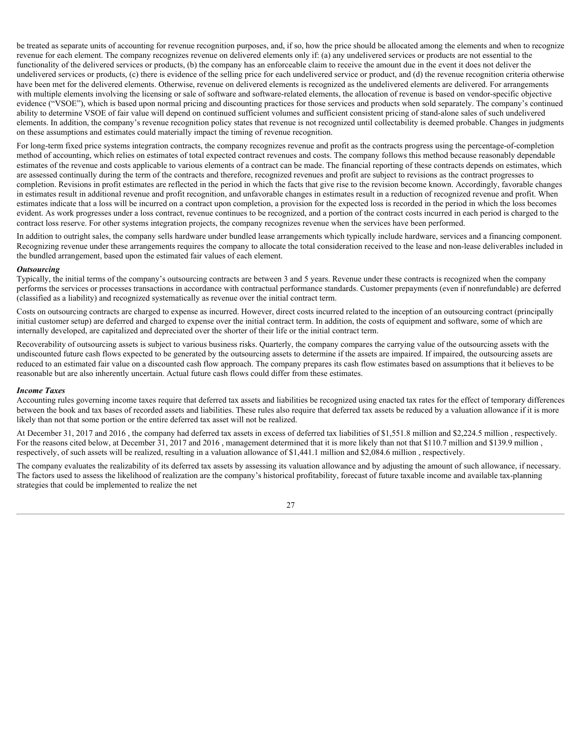be treated as separate units of accounting for revenue recognition purposes, and, if so, how the price should be allocated among the elements and when to recognize revenue for each element. The company recognizes revenue on delivered elements only if: (a) any undelivered services or products are not essential to the functionality of the delivered services or products, (b) the company has an enforceable claim to receive the amount due in the event it does not deliver the undelivered services or products, (c) there is evidence of the selling price for each undelivered service or product, and (d) the revenue recognition criteria otherwise have been met for the delivered elements. Otherwise, revenue on delivered elements is recognized as the undelivered elements are delivered. For arrangements with multiple elements involving the licensing or sale of software and software-related elements, the allocation of revenue is based on vendor-specific objective evidence ("VSOE"), which is based upon normal pricing and discounting practices for those services and products when sold separately. The company's continued ability to determine VSOE of fair value will depend on continued sufficient volumes and sufficient consistent pricing of stand-alone sales of such undelivered elements. In addition, the company's revenue recognition policy states that revenue is not recognized until collectability is deemed probable. Changes in judgments on these assumptions and estimates could materially impact the timing of revenue recognition.

For long-term fixed price systems integration contracts, the company recognizes revenue and profit as the contracts progress using the percentage-of-completion method of accounting, which relies on estimates of total expected contract revenues and costs. The company follows this method because reasonably dependable estimates of the revenue and costs applicable to various elements of a contract can be made. The financial reporting of these contracts depends on estimates, which are assessed continually during the term of the contracts and therefore, recognized revenues and profit are subject to revisions as the contract progresses to completion. Revisions in profit estimates are reflected in the period in which the facts that give rise to the revision become known. Accordingly, favorable changes in estimates result in additional revenue and profit recognition, and unfavorable changes in estimates result in a reduction of recognized revenue and profit. When estimates indicate that a loss will be incurred on a contract upon completion, a provision for the expected loss is recorded in the period in which the loss becomes evident. As work progresses under a loss contract, revenue continues to be recognized, and a portion of the contract costs incurred in each period is charged to the contract loss reserve. For other systems integration projects, the company recognizes revenue when the services have been performed.

In addition to outright sales, the company sells hardware under bundled lease arrangements which typically include hardware, services and a financing component. Recognizing revenue under these arrangements requires the company to allocate the total consideration received to the lease and non-lease deliverables included in the bundled arrangement, based upon the estimated fair values of each element.

#### *Outsourcing*

Typically, the initial terms of the company's outsourcing contracts are between 3 and 5 years. Revenue under these contracts is recognized when the company performs the services or processes transactions in accordance with contractual performance standards. Customer prepayments (even if nonrefundable) are deferred (classified as a liability) and recognized systematically as revenue over the initial contract term.

Costs on outsourcing contracts are charged to expense as incurred. However, direct costs incurred related to the inception of an outsourcing contract (principally initial customer setup) are deferred and charged to expense over the initial contract term. In addition, the costs of equipment and software, some of which are internally developed, are capitalized and depreciated over the shorter of their life or the initial contract term.

Recoverability of outsourcing assets is subject to various business risks. Quarterly, the company compares the carrying value of the outsourcing assets with the undiscounted future cash flows expected to be generated by the outsourcing assets to determine if the assets are impaired. If impaired, the outsourcing assets are reduced to an estimated fair value on a discounted cash flow approach. The company prepares its cash flow estimates based on assumptions that it believes to be reasonable but are also inherently uncertain. Actual future cash flows could differ from these estimates.

#### *Income Taxes*

Accounting rules governing income taxes require that deferred tax assets and liabilities be recognized using enacted tax rates for the effect of temporary differences between the book and tax bases of recorded assets and liabilities. These rules also require that deferred tax assets be reduced by a valuation allowance if it is more likely than not that some portion or the entire deferred tax asset will not be realized.

At December 31, 2017 and 2016 , the company had deferred tax assets in excess of deferred tax liabilities of \$1,551.8 million and \$2,224.5 million , respectively. For the reasons cited below, at December 31, 2017 and 2016, management determined that it is more likely than not that \$110.7 million and \$139.9 million. respectively, of such assets will be realized, resulting in a valuation allowance of \$1,441.1 million and \$2,084.6 million , respectively.

The company evaluates the realizability of its deferred tax assets by assessing its valuation allowance and by adjusting the amount of such allowance, if necessary. The factors used to assess the likelihood of realization are the company's historical profitability, forecast of future taxable income and available tax-planning strategies that could be implemented to realize the net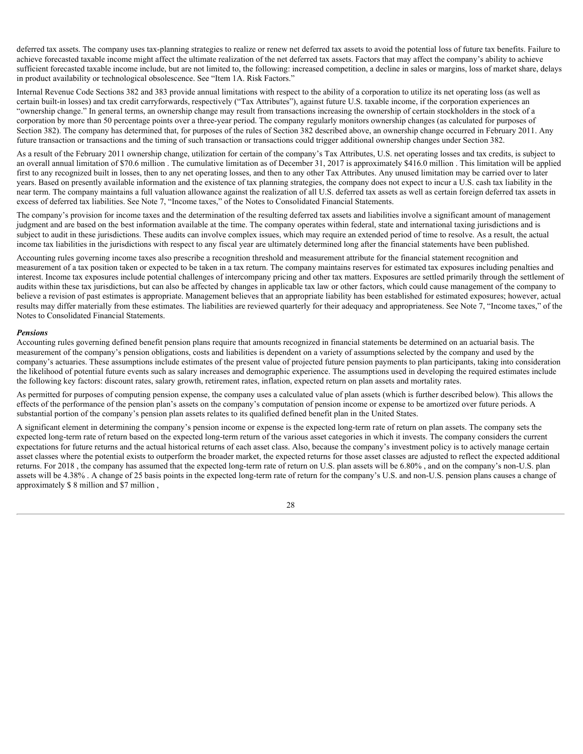deferred tax assets. The company uses tax-planning strategies to realize or renew net deferred tax assets to avoid the potential loss of future tax benefits. Failure to achieve forecasted taxable income might affect the ultimate realization of the net deferred tax assets. Factors that may affect the company's ability to achieve sufficient forecasted taxable income include, but are not limited to, the following: increased competition, a decline in sales or margins, loss of market share, delays in product availability or technological obsolescence. See "Item 1A. Risk Factors."

Internal Revenue Code Sections 382 and 383 provide annual limitations with respect to the ability of a corporation to utilize its net operating loss (as well as certain built-in losses) and tax credit carryforwards, respectively ("Tax Attributes"), against future U.S. taxable income, if the corporation experiences an "ownership change." In general terms, an ownership change may result from transactions increasing the ownership of certain stockholders in the stock of a corporation by more than 50 percentage points over a three-year period. The company regularly monitors ownership changes (as calculated for purposes of Section 382). The company has determined that, for purposes of the rules of Section 382 described above, an ownership change occurred in February 2011. Any future transaction or transactions and the timing of such transaction or transactions could trigger additional ownership changes under Section 382.

As a result of the February 2011 ownership change, utilization for certain of the company's Tax Attributes, U.S. net operating losses and tax credits, is subject to an overall annual limitation of \$70.6 million . The cumulative limitation as of December 31, 2017 is approximately \$416.0 million . This limitation will be applied first to any recognized built in losses, then to any net operating losses, and then to any other Tax Attributes. Any unused limitation may be carried over to later years. Based on presently available information and the existence of tax planning strategies, the company does not expect to incur a U.S. cash tax liability in the near term. The company maintains a full valuation allowance against the realization of all U.S. deferred tax assets as well as certain foreign deferred tax assets in excess of deferred tax liabilities. See Note 7, "Income taxes," of the Notes to Consolidated Financial Statements.

The company's provision for income taxes and the determination of the resulting deferred tax assets and liabilities involve a significant amount of management judgment and are based on the best information available at the time. The company operates within federal, state and international taxing jurisdictions and is subject to audit in these jurisdictions. These audits can involve complex issues, which may require an extended period of time to resolve. As a result, the actual income tax liabilities in the jurisdictions with respect to any fiscal year are ultimately determined long after the financial statements have been published.

Accounting rules governing income taxes also prescribe a recognition threshold and measurement attribute for the financial statement recognition and measurement of a tax position taken or expected to be taken in a tax return. The company maintains reserves for estimated tax exposures including penalties and interest. Income tax exposures include potential challenges of intercompany pricing and other tax matters. Exposures are settled primarily through the settlement of audits within these tax jurisdictions, but can also be affected by changes in applicable tax law or other factors, which could cause management of the company to believe a revision of past estimates is appropriate. Management believes that an appropriate liability has been established for estimated exposures; however, actual results may differ materially from these estimates. The liabilities are reviewed quarterly for their adequacy and appropriateness. See Note 7, "Income taxes," of the Notes to Consolidated Financial Statements.

#### *Pensions*

Accounting rules governing defined benefit pension plans require that amounts recognized in financial statements be determined on an actuarial basis. The measurement of the company's pension obligations, costs and liabilities is dependent on a variety of assumptions selected by the company and used by the company's actuaries. These assumptions include estimates of the present value of projected future pension payments to plan participants, taking into consideration the likelihood of potential future events such as salary increases and demographic experience. The assumptions used in developing the required estimates include the following key factors: discount rates, salary growth, retirement rates, inflation, expected return on plan assets and mortality rates.

As permitted for purposes of computing pension expense, the company uses a calculated value of plan assets (which is further described below). This allows the effects of the performance of the pension plan's assets on the company's computation of pension income or expense to be amortized over future periods. A substantial portion of the company's pension plan assets relates to its qualified defined benefit plan in the United States.

A significant element in determining the company's pension income or expense is the expected long-term rate of return on plan assets. The company sets the expected long-term rate of return based on the expected long-term return of the various asset categories in which it invests. The company considers the current expectations for future returns and the actual historical returns of each asset class. Also, because the company's investment policy is to actively manage certain asset classes where the potential exists to outperform the broader market, the expected returns for those asset classes are adjusted to reflect the expected additional returns. For 2018 , the company has assumed that the expected long-term rate of return on U.S. plan assets will be 6.80% , and on the company's non-U.S. plan assets will be 4.38% . A change of 25 basis points in the expected long-term rate of return for the company's U.S. and non-U.S. pension plans causes a change of approximately \$ 8 million and \$7 million ,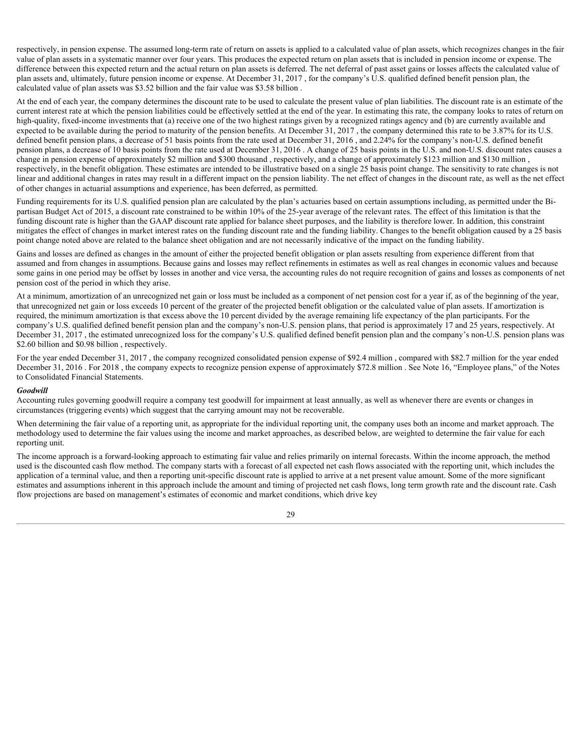respectively, in pension expense. The assumed long-term rate of return on assets is applied to a calculated value of plan assets, which recognizes changes in the fair value of plan assets in a systematic manner over four years. This produces the expected return on plan assets that is included in pension income or expense. The difference between this expected return and the actual return on plan assets is deferred. The net deferral of past asset gains or losses affects the calculated value of plan assets and, ultimately, future pension income or expense. At December 31, 2017 , for the company's U.S. qualified defined benefit pension plan, the calculated value of plan assets was \$3.52 billion and the fair value was \$3.58 billion .

At the end of each year, the company determines the discount rate to be used to calculate the present value of plan liabilities. The discount rate is an estimate of the current interest rate at which the pension liabilities could be effectively settled at the end of the year. In estimating this rate, the company looks to rates of return on high-quality, fixed-income investments that (a) receive one of the two highest ratings given by a recognized ratings agency and (b) are currently available and expected to be available during the period to maturity of the pension benefits. At December 31, 2017, the company determined this rate to be 3.87% for its U.S. defined benefit pension plans, a decrease of 51 basis points from the rate used at December 31, 2016 , and 2.24% for the company's non-U.S. defined benefit pension plans, a decrease of 10 basis points from the rate used at December 31, 2016 . A change of 25 basis points in the U.S. and non-U.S. discount rates causes a change in pension expense of approximately \$2 million and \$300 thousand , respectively, and a change of approximately \$123 million and \$130 million , respectively, in the benefit obligation. These estimates are intended to be illustrative based on a single 25 basis point change. The sensitivity to rate changes is not linear and additional changes in rates may result in a different impact on the pension liability. The net effect of changes in the discount rate, as well as the net effect of other changes in actuarial assumptions and experience, has been deferred, as permitted.

Funding requirements for its U.S. qualified pension plan are calculated by the plan's actuaries based on certain assumptions including, as permitted under the Bipartisan Budget Act of 2015, a discount rate constrained to be within 10% of the 25-year average of the relevant rates. The effect of this limitation is that the funding discount rate is higher than the GAAP discount rate applied for balance sheet purposes, and the liability is therefore lower. In addition, this constraint mitigates the effect of changes in market interest rates on the funding discount rate and the funding liability. Changes to the benefit obligation caused by a 25 basis point change noted above are related to the balance sheet obligation and are not necessarily indicative of the impact on the funding liability.

Gains and losses are defined as changes in the amount of either the projected benefit obligation or plan assets resulting from experience different from that assumed and from changes in assumptions. Because gains and losses may reflect refinements in estimates as well as real changes in economic values and because some gains in one period may be offset by losses in another and vice versa, the accounting rules do not require recognition of gains and losses as components of net pension cost of the period in which they arise.

At a minimum, amortization of an unrecognized net gain or loss must be included as a component of net pension cost for a year if, as of the beginning of the year, that unrecognized net gain or loss exceeds 10 percent of the greater of the projected benefit obligation or the calculated value of plan assets. If amortization is required, the minimum amortization is that excess above the 10 percent divided by the average remaining life expectancy of the plan participants. For the company's U.S. qualified defined benefit pension plan and the company's non-U.S. pension plans, that period is approximately 17 and 25 years, respectively. At December 31, 2017 , the estimated unrecognized loss for the company's U.S. qualified defined benefit pension plan and the company's non-U.S. pension plans was \$2.60 billion and \$0.98 billion, respectively.

For the year ended December 31, 2017, the company recognized consolidated pension expense of \$92.4 million, compared with \$82.7 million for the year ended December 31, 2016 . For 2018 , the company expects to recognize pension expense of approximately \$72.8 million . See Note 16, "Employee plans," of the Notes to Consolidated Financial Statements.

#### *Goodwill*

Accounting rules governing goodwill require a company test goodwill for impairment at least annually, as well as whenever there are events or changes in circumstances (triggering events) which suggest that the carrying amount may not be recoverable.

When determining the fair value of a reporting unit, as appropriate for the individual reporting unit, the company uses both an income and market approach. The methodology used to determine the fair values using the income and market approaches, as described below, are weighted to determine the fair value for each reporting unit.

The income approach is a forward-looking approach to estimating fair value and relies primarily on internal forecasts. Within the income approach, the method used is the discounted cash flow method. The company starts with a forecast of all expected net cash flows associated with the reporting unit, which includes the application of a terminal value, and then a reporting unit-specific discount rate is applied to arrive at a net present value amount. Some of the more significant estimates and assumptions inherent in this approach include the amount and timing of projected net cash flows, long term growth rate and the discount rate. Cash flow projections are based on management's estimates of economic and market conditions, which drive key

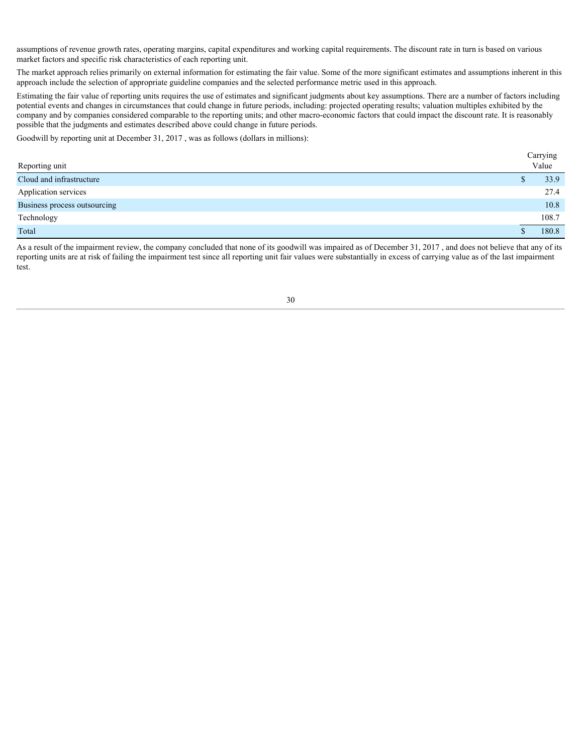assumptions of revenue growth rates, operating margins, capital expenditures and working capital requirements. The discount rate in turn is based on various market factors and specific risk characteristics of each reporting unit.

The market approach relies primarily on external information for estimating the fair value. Some of the more significant estimates and assumptions inherent in this approach include the selection of appropriate guideline companies and the selected performance metric used in this approach.

Estimating the fair value of reporting units requires the use of estimates and significant judgments about key assumptions. There are a number of factors including potential events and changes in circumstances that could change in future periods, including: projected operating results; valuation multiples exhibited by the company and by companies considered comparable to the reporting units; and other macro-economic factors that could impact the discount rate. It is reasonably possible that the judgments and estimates described above could change in future periods.

Goodwill by reporting unit at December 31, 2017 , was as follows (dollars in millions):

| Reporting unit               | Carrying<br>Value |
|------------------------------|-------------------|
| Cloud and infrastructure     | 33.9              |
| Application services         | 27.4              |
| Business process outsourcing | 10.8              |
| Technology                   | 108.7             |
| Total                        | 180.8             |

As a result of the impairment review, the company concluded that none of its goodwill was impaired as of December 31, 2017, and does not believe that any of its reporting units are at risk of failing the impairment test since all reporting unit fair values were substantially in excess of carrying value as of the last impairment test.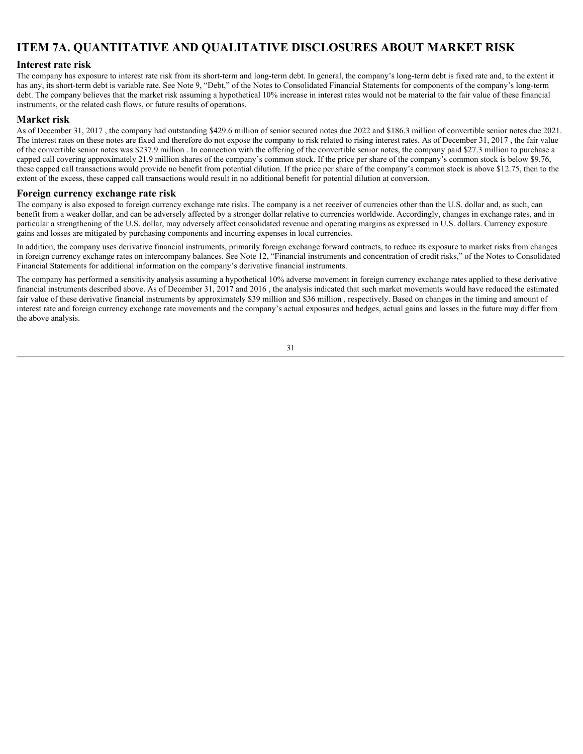# <span id="page-31-0"></span>**ITEM 7A. QUANTITATIVE AND QUALITATIVE DISCLOSURES ABOUT MARKET RISK**

# **Interest rate risk**

The company has exposure to interest rate risk from its short-term and long-term debt. In general, the company's long-term debt is fixed rate and, to the extent it has any, its short-term debt is variable rate. See Note 9, "Debt," of the Notes to Consolidated Financial Statements for components of the company's long-term debt. The company believes that the market risk assuming a hypothetical 10% increase in interest rates would not be material to the fair value of these financial instruments, or the related cash flows, or future results of operations.

### **Market risk**

As of December 31, 2017 , the company had outstanding \$429.6 million of senior secured notes due 2022 and \$186.3 million of convertible senior notes due 2021. The interest rates on these notes are fixed and therefore do not expose the company to risk related to rising interest rates. As of December 31, 2017 , the fair value of the convertible senior notes was \$237.9 million . In connection with the offering of the convertible senior notes, the company paid \$27.3 million to purchase a capped call covering approximately 21.9 million shares of the company's common stock. If the price per share of the company's common stock is below \$9.76, these capped call transactions would provide no benefit from potential dilution. If the price per share of the company's common stock is above \$12.75, then to the extent of the excess, these capped call transactions would result in no additional benefit for potential dilution at conversion.

### **Foreign currency exchange rate risk**

The company is also exposed to foreign currency exchange rate risks. The company is a net receiver of currencies other than the U.S. dollar and, as such, can benefit from a weaker dollar, and can be adversely affected by a stronger dollar relative to currencies worldwide. Accordingly, changes in exchange rates, and in particular a strengthening of the U.S. dollar, may adversely affect consolidated revenue and operating margins as expressed in U.S. dollars. Currency exposure gains and losses are mitigated by purchasing components and incurring expenses in local currencies.

In addition, the company uses derivative financial instruments, primarily foreign exchange forward contracts, to reduce its exposure to market risks from changes in foreign currency exchange rates on intercompany balances. See Note 12, "Financial instruments and concentration of credit risks," of the Notes to Consolidated Financial Statements for additional information on the company's derivative financial instruments.

The company has performed a sensitivity analysis assuming a hypothetical 10% adverse movement in foreign currency exchange rates applied to these derivative financial instruments described above. As of December 31, 2017 and 2016 , the analysis indicated that such market movements would have reduced the estimated fair value of these derivative financial instruments by approximately \$39 million and \$36 million, respectively. Based on changes in the timing and amount of interest rate and foreign currency exchange rate movements and the company's actual exposures and hedges, actual gains and losses in the future may differ from the above analysis.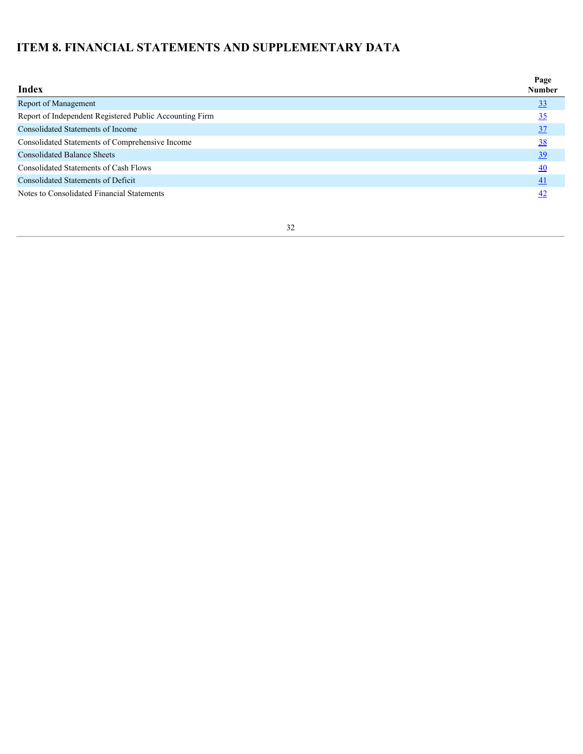# <span id="page-32-0"></span>**ITEM 8. FINANCIAL STATEMENTS AND SUPPLEMENTARY DATA**

|                                                         | Page          |
|---------------------------------------------------------|---------------|
| Index                                                   | <b>Number</b> |
| Report of Management                                    | 33            |
| Report of Independent Registered Public Accounting Firm | 35            |
| <b>Consolidated Statements of Income</b>                | 37            |
| Consolidated Statements of Comprehensive Income         | 38            |
| <b>Consolidated Balance Sheets</b>                      | 39            |
| Consolidated Statements of Cash Flows                   | 40            |
| <b>Consolidated Statements of Deficit</b>               | 41            |
| Notes to Consolidated Financial Statements              | 42            |
|                                                         |               |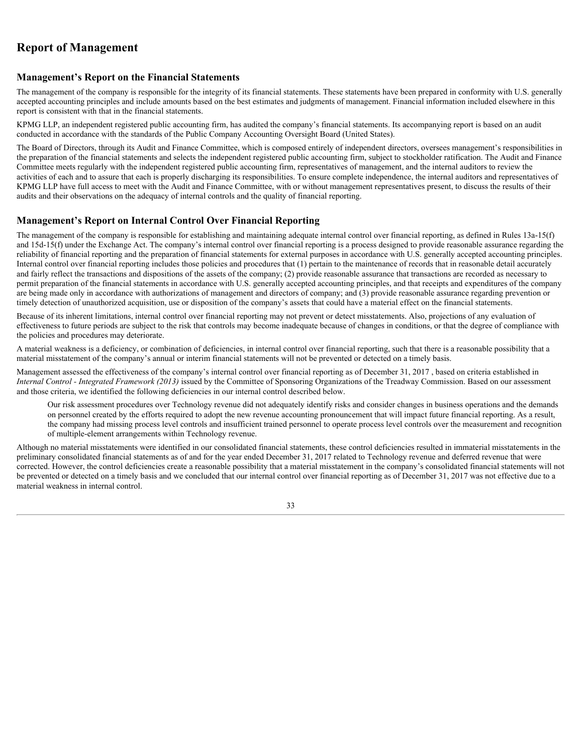# <span id="page-33-0"></span>**Report of Management**

# **Management's Report on the Financial Statements**

The management of the company is responsible for the integrity of its financial statements. These statements have been prepared in conformity with U.S. generally accepted accounting principles and include amounts based on the best estimates and judgments of management. Financial information included elsewhere in this report is consistent with that in the financial statements.

KPMG LLP, an independent registered public accounting firm, has audited the company's financial statements. Its accompanying report is based on an audit conducted in accordance with the standards of the Public Company Accounting Oversight Board (United States).

The Board of Directors, through its Audit and Finance Committee, which is composed entirely of independent directors, oversees management's responsibilities in the preparation of the financial statements and selects the independent registered public accounting firm, subject to stockholder ratification. The Audit and Finance Committee meets regularly with the independent registered public accounting firm, representatives of management, and the internal auditors to review the activities of each and to assure that each is properly discharging its responsibilities. To ensure complete independence, the internal auditors and representatives of KPMG LLP have full access to meet with the Audit and Finance Committee, with or without management representatives present, to discuss the results of their audits and their observations on the adequacy of internal controls and the quality of financial reporting.

# **Management's Report on Internal Control Over Financial Reporting**

The management of the company is responsible for establishing and maintaining adequate internal control over financial reporting, as defined in Rules 13a-15(f) and 15d-15(f) under the Exchange Act. The company's internal control over financial reporting is a process designed to provide reasonable assurance regarding the reliability of financial reporting and the preparation of financial statements for external purposes in accordance with U.S. generally accepted accounting principles. Internal control over financial reporting includes those policies and procedures that (1) pertain to the maintenance of records that in reasonable detail accurately and fairly reflect the transactions and dispositions of the assets of the company; (2) provide reasonable assurance that transactions are recorded as necessary to permit preparation of the financial statements in accordance with U.S. generally accepted accounting principles, and that receipts and expenditures of the company are being made only in accordance with authorizations of management and directors of company; and (3) provide reasonable assurance regarding prevention or timely detection of unauthorized acquisition, use or disposition of the company's assets that could have a material effect on the financial statements.

Because of its inherent limitations, internal control over financial reporting may not prevent or detect misstatements. Also, projections of any evaluation of effectiveness to future periods are subject to the risk that controls may become inadequate because of changes in conditions, or that the degree of compliance with the policies and procedures may deteriorate.

A material weakness is a deficiency, or combination of deficiencies, in internal control over financial reporting, such that there is a reasonable possibility that a material misstatement of the company's annual or interim financial statements will not be prevented or detected on a timely basis.

Management assessed the effectiveness of the company's internal control over financial reporting as of December 31, 2017 , based on criteria established in *Internal Control -Integrated Framework (2013)* issued by the Committee of Sponsoring Organizations of the Treadway Commission. Based on our assessment and those criteria, we identified the following deficiencies in our internal control described below.

Our risk assessment procedures over Technology revenue did not adequately identify risks and consider changes in business operations and the demands on personnel created by the efforts required to adopt the new revenue accounting pronouncement that will impact future financial reporting. As a result, the company had missing process level controls and insufficient trained personnel to operate process level controls over the measurement and recognition of multiple-element arrangements within Technology revenue.

Although no material misstatements were identified in our consolidated financial statements, these control deficiencies resulted in immaterial misstatements in the preliminary consolidated financial statements as of and for the year ended December 31, 2017 related to Technology revenue and deferred revenue that were corrected. However, the control deficiencies create a reasonable possibility that a material misstatement in the company's consolidated financial statements will not be prevented or detected on a timely basis and we concluded that our internal control over financial reporting as of December 31, 2017 was not effective due to a material weakness in internal control.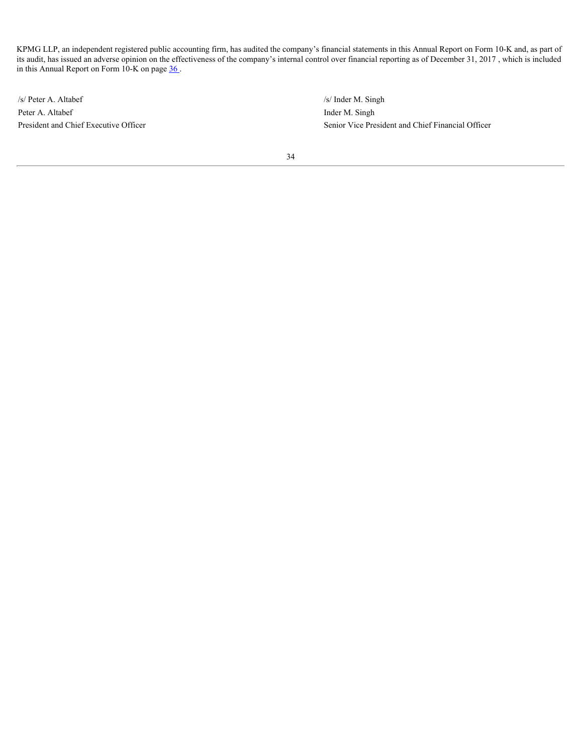KPMG LLP, an independent registered public accounting firm, has audited the company's financial statements in this Annual Report on Form 10-K and, as part of its audit, has issued an adverse opinion on the effectiveness of the company's internal control over financial reporting as of December 31, 2017 , which is included in this Annual Report on Form  $10-K$  on page  $36$ .

/s/ Peter A. Altabef /s/ Inder M. Singh

Peter A. Altabef Inder M. Singh Inder M. Singh Inder M. Singh Inder M. Singh Inder M. Singh Inder M. Singh Inder M. Singh Inder M. Singh Inder M. Singh Inder M. Singh Inder M. Singh Inder M. Singh Inder M. Singh Inder M. S President and Chief Executive Officer Senior Vice President and Chief Financial Officer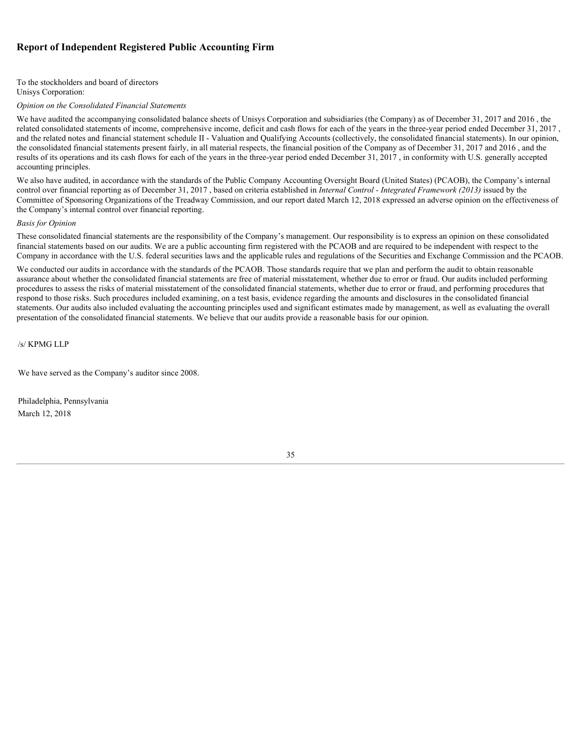# <span id="page-35-0"></span>**Report of Independent Registered Public Accounting Firm**

To the stockholders and board of directors Unisys Corporation:

#### *Opinion on the Consolidated Financial Statements*

We have audited the accompanying consolidated balance sheets of Unisys Corporation and subsidiaries (the Company) as of December 31, 2017 and 2016, the related consolidated statements of income, comprehensive income, deficit and cash flows for each of the years in the three-year period ended December 31, 2017 , and the related notes and financial statement schedule II - Valuation and Qualifying Accounts (collectively, the consolidated financial statements). In our opinion, the consolidated financial statements present fairly, in all material respects, the financial position of the Company as of December 31, 2017 and 2016 , and the results of its operations and its cash flows for each of the years in the three-year period ended December 31, 2017 , in conformity with U.S. generally accepted accounting principles.

We also have audited, in accordance with the standards of the Public Company Accounting Oversight Board (United States) (PCAOB), the Company's internal control over financial reporting as of December 31, 2017 , based on criteria established in *Internal Control -Integrated Framework (2013)* issued by the Committee of Sponsoring Organizations of the Treadway Commission, and our report dated March 12, 2018 expressed an adverse opinion on the effectiveness of the Company's internal control over financial reporting.

#### *Basis for Opinion*

These consolidated financial statements are the responsibility of the Company's management. Our responsibility is to express an opinion on these consolidated financial statements based on our audits. We are a public accounting firm registered with the PCAOB and are required to be independent with respect to the Company in accordance with the U.S. federal securities laws and the applicable rules and regulations of the Securities and Exchange Commission and the PCAOB.

We conducted our audits in accordance with the standards of the PCAOB. Those standards require that we plan and perform the audit to obtain reasonable assurance about whether the consolidated financial statements are free of material misstatement, whether due to error or fraud. Our audits included performing procedures to assess the risks of material misstatement of the consolidated financial statements, whether due to error or fraud, and performing procedures that respond to those risks. Such procedures included examining, on a test basis, evidence regarding the amounts and disclosures in the consolidated financial statements. Our audits also included evaluating the accounting principles used and significant estimates made by management, as well as evaluating the overall presentation of the consolidated financial statements. We believe that our audits provide a reasonable basis for our opinion.

/s/ KPMG LLP

We have served as the Company's auditor since 2008.

Philadelphia, Pennsylvania March 12, 2018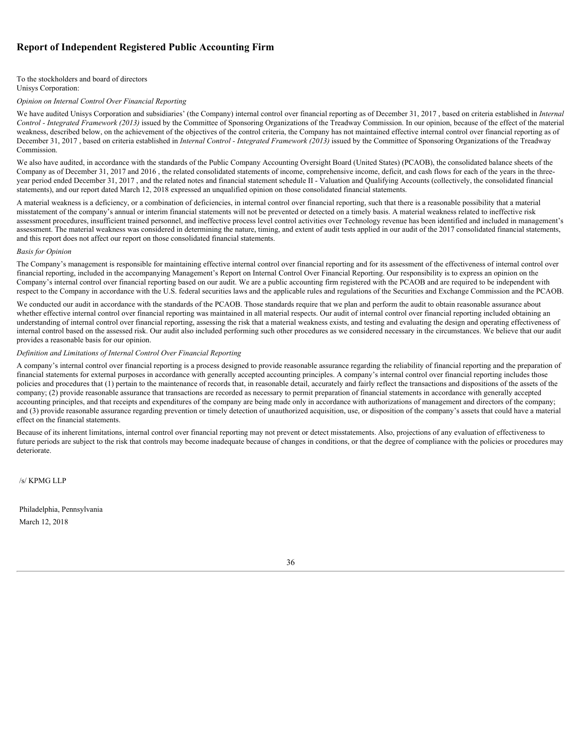# **Report of Independent Registered Public Accounting Firm**

#### To the stockholders and board of directors Unisys Corporation:

#### *Opinion on Internal Control Over Financial Reporting*

We have audited Unisys Corporation and subsidiaries' (the Company) internal control over financial reporting as of December 31, 2017, based on criteria established in *Internal Control -Integrated Framework (2013)* issued by the Committee of Sponsoring Organizations of the Treadway Commission. In our opinion, because of the effect of the material weakness, described below, on the achievement of the objectives of the control criteria, the Company has not maintained effective internal control over financial reporting as of December 31, 2017 , based on criteria established in *Internal Control -Integrated Framework (2013)* issued by the Committee of Sponsoring Organizations of the Treadway Commission.

We also have audited, in accordance with the standards of the Public Company Accounting Oversight Board (United States) (PCAOB), the consolidated balance sheets of the Company as of December 31, 2017 and 2016 , the related consolidated statements of income, comprehensive income, deficit, and cash flows for each of the years in the threeyear period ended December 31, 2017 , and the related notes and financial statement schedule II - Valuation and Qualifying Accounts (collectively, the consolidated financial statements), and our report dated March 12, 2018 expressed an unqualified opinion on those consolidated financial statements.

A material weakness is a deficiency, or a combination of deficiencies, in internal control over financial reporting, such that there is a reasonable possibility that a material misstatement of the company's annual or interim financial statements will not be prevented or detected on a timely basis. A material weakness related to ineffective risk assessment procedures, insufficient trained personnel, and ineffective process level control activities over Technology revenue has been identified and included in management's assessment. The material weakness was considered in determining the nature, timing, and extent of audit tests applied in our audit of the 2017 consolidated financial statements, and this report does not affect our report on those consolidated financial statements.

#### *Basis for Opinion*

The Company's management is responsible for maintaining effective internal control over financial reporting and for its assessment of the effectiveness of internal control over financial reporting, included in the accompanying Management's Report on Internal Control Over Financial Reporting. Our responsibility is to express an opinion on the Company's internal control over financial reporting based on our audit. We are a public accounting firm registered with the PCAOB and are required to be independent with respect to the Company in accordance with the U.S. federal securities laws and the applicable rules and regulations of the Securities and Exchange Commission and the PCAOB.

We conducted our audit in accordance with the standards of the PCAOB. Those standards require that we plan and perform the audit to obtain reasonable assurance about whether effective internal control over financial reporting was maintained in all material respects. Our audit of internal control over financial reporting included obtaining an understanding of internal control over financial reporting, assessing the risk that a material weakness exists, and testing and evaluating the design and operating effectiveness of internal control based on the assessed risk. Our audit also included performing such other procedures as we considered necessary in the circumstances. We believe that our audit provides a reasonable basis for our opinion.

#### *Definition and Limitations of Internal Control Over Financial Reporting*

A company's internal control over financial reporting is a process designed to provide reasonable assurance regarding the reliability of financial reporting and the preparation of financial statements for external purposes in accordance with generally accepted accounting principles. A company's internal control over financial reporting includes those policies and procedures that (1) pertain to the maintenance of records that, in reasonable detail, accurately and fairly reflect the transactions and dispositions of the assets of the company; (2) provide reasonable assurance that transactions are recorded as necessary to permit preparation of financial statements in accordance with generally accepted accounting principles, and that receipts and expenditures of the company are being made only in accordance with authorizations of management and directors of the company; and (3) provide reasonable assurance regarding prevention or timely detection of unauthorized acquisition, use, or disposition of the company's assets that could have a material effect on the financial statements.

Because of its inherent limitations, internal control over financial reporting may not prevent or detect misstatements. Also, projections of any evaluation of effectiveness to future periods are subject to the risk that controls may become inadequate because of changes in conditions, or that the degree of compliance with the policies or procedures may deteriorate.

/s/ KPMG LLP

Philadelphia, Pennsylvania March 12, 2018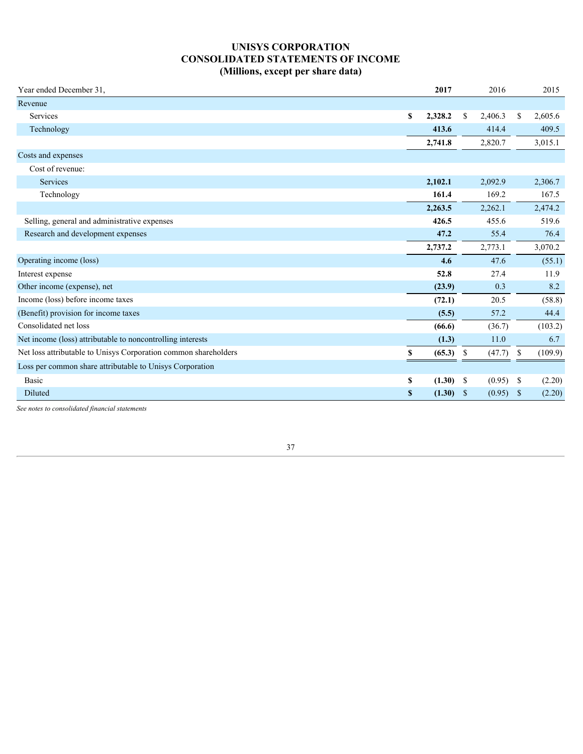# **UNISYS CORPORATION CONSOLIDATED STATEMENTS OF INCOME (Millions, except per share data)**

| 2,406.3<br>Services<br>2,328.2<br>\$<br>2,605.6<br>S<br>\$<br>413.6<br>414.4<br>409.5<br>Technology<br>2,741.8<br>2,820.7<br>3,015.1<br>Cost of revenue:<br>2,092.9<br>2,306.7<br>Services<br>2,102.1<br>169.2<br>167.5<br>Technology<br>161.4<br>2,474.2<br>2,263.5<br>2,262.1<br>Selling, general and administrative expenses<br>426.5<br>455.6<br>519.6<br>Research and development expenses<br>76.4<br>47.2<br>55.4<br>3,070.2<br>2,737.2<br>2,773.1<br>47.6<br>4.6<br>52.8<br>27.4<br>11.9<br>8.2<br>(23.9)<br>0.3<br>20.5<br>(58.8)<br>(72.1)<br>44.4<br>57.2<br>(5.5)<br>(66.6)<br>(36.7)<br>(103.2)<br>$11.0$<br>(1.3)<br>6.7<br>$(65.3)$ \$<br>$(47.7)$ \$<br>(109.9)<br>$(1.30)$ \$<br>$(0.95)$ \$<br>Basic<br>(2.20)<br>S<br>Diluted<br>$(1.30)$ \$<br>$(0.95)$ \$<br>(2.20)<br><sup>\$</sup> | Year ended December 31.                                         | 2017 | 2016 | 2015 |  |
|----------------------------------------------------------------------------------------------------------------------------------------------------------------------------------------------------------------------------------------------------------------------------------------------------------------------------------------------------------------------------------------------------------------------------------------------------------------------------------------------------------------------------------------------------------------------------------------------------------------------------------------------------------------------------------------------------------------------------------------------------------------------------------------------------------|-----------------------------------------------------------------|------|------|------|--|
| (55.1)                                                                                                                                                                                                                                                                                                                                                                                                                                                                                                                                                                                                                                                                                                                                                                                                   | Revenue                                                         |      |      |      |  |
|                                                                                                                                                                                                                                                                                                                                                                                                                                                                                                                                                                                                                                                                                                                                                                                                          |                                                                 |      |      |      |  |
|                                                                                                                                                                                                                                                                                                                                                                                                                                                                                                                                                                                                                                                                                                                                                                                                          |                                                                 |      |      |      |  |
|                                                                                                                                                                                                                                                                                                                                                                                                                                                                                                                                                                                                                                                                                                                                                                                                          |                                                                 |      |      |      |  |
|                                                                                                                                                                                                                                                                                                                                                                                                                                                                                                                                                                                                                                                                                                                                                                                                          | Costs and expenses                                              |      |      |      |  |
|                                                                                                                                                                                                                                                                                                                                                                                                                                                                                                                                                                                                                                                                                                                                                                                                          |                                                                 |      |      |      |  |
|                                                                                                                                                                                                                                                                                                                                                                                                                                                                                                                                                                                                                                                                                                                                                                                                          |                                                                 |      |      |      |  |
|                                                                                                                                                                                                                                                                                                                                                                                                                                                                                                                                                                                                                                                                                                                                                                                                          |                                                                 |      |      |      |  |
|                                                                                                                                                                                                                                                                                                                                                                                                                                                                                                                                                                                                                                                                                                                                                                                                          |                                                                 |      |      |      |  |
|                                                                                                                                                                                                                                                                                                                                                                                                                                                                                                                                                                                                                                                                                                                                                                                                          |                                                                 |      |      |      |  |
|                                                                                                                                                                                                                                                                                                                                                                                                                                                                                                                                                                                                                                                                                                                                                                                                          |                                                                 |      |      |      |  |
|                                                                                                                                                                                                                                                                                                                                                                                                                                                                                                                                                                                                                                                                                                                                                                                                          |                                                                 |      |      |      |  |
|                                                                                                                                                                                                                                                                                                                                                                                                                                                                                                                                                                                                                                                                                                                                                                                                          | Operating income (loss)                                         |      |      |      |  |
|                                                                                                                                                                                                                                                                                                                                                                                                                                                                                                                                                                                                                                                                                                                                                                                                          | Interest expense                                                |      |      |      |  |
|                                                                                                                                                                                                                                                                                                                                                                                                                                                                                                                                                                                                                                                                                                                                                                                                          | Other income (expense), net                                     |      |      |      |  |
|                                                                                                                                                                                                                                                                                                                                                                                                                                                                                                                                                                                                                                                                                                                                                                                                          | Income (loss) before income taxes                               |      |      |      |  |
|                                                                                                                                                                                                                                                                                                                                                                                                                                                                                                                                                                                                                                                                                                                                                                                                          | (Benefit) provision for income taxes                            |      |      |      |  |
|                                                                                                                                                                                                                                                                                                                                                                                                                                                                                                                                                                                                                                                                                                                                                                                                          | Consolidated net loss                                           |      |      |      |  |
|                                                                                                                                                                                                                                                                                                                                                                                                                                                                                                                                                                                                                                                                                                                                                                                                          | Net income (loss) attributable to noncontrolling interests      |      |      |      |  |
|                                                                                                                                                                                                                                                                                                                                                                                                                                                                                                                                                                                                                                                                                                                                                                                                          | Net loss attributable to Unisys Corporation common shareholders |      |      |      |  |
|                                                                                                                                                                                                                                                                                                                                                                                                                                                                                                                                                                                                                                                                                                                                                                                                          | Loss per common share attributable to Unisys Corporation        |      |      |      |  |
|                                                                                                                                                                                                                                                                                                                                                                                                                                                                                                                                                                                                                                                                                                                                                                                                          |                                                                 |      |      |      |  |
|                                                                                                                                                                                                                                                                                                                                                                                                                                                                                                                                                                                                                                                                                                                                                                                                          |                                                                 |      |      |      |  |

*See notes to consolidated financial statements*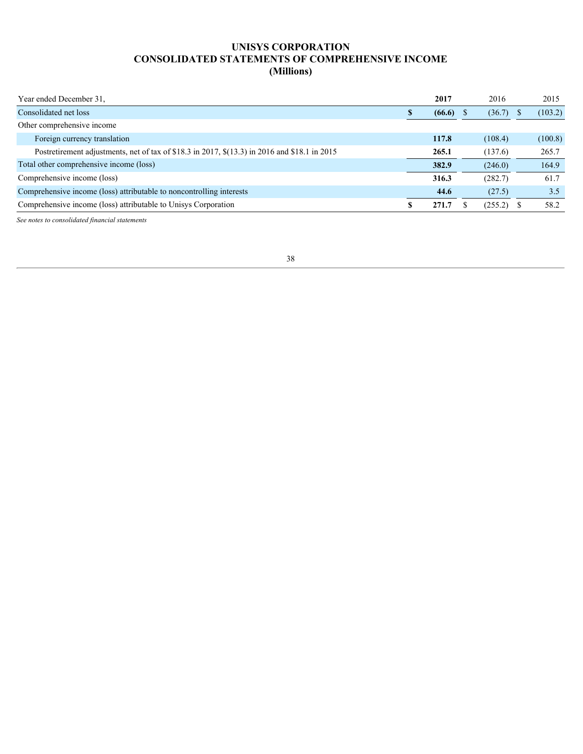# **UNISYS CORPORATION CONSOLIDATED STATEMENTS OF COMPREHENSIVE INCOME (Millions)**

| Year ended December 31.                                                                       | 2017        | 2016    | 2015    |
|-----------------------------------------------------------------------------------------------|-------------|---------|---------|
| Consolidated net loss                                                                         | $(66.6)$ \$ | (36.7)  | (103.2) |
| Other comprehensive income                                                                    |             |         |         |
| Foreign currency translation                                                                  | 117.8       | (108.4) | (100.8) |
| Postretirement adjustments, net of tax of \$18.3 in 2017, \$(13.3) in 2016 and \$18.1 in 2015 | 265.1       | (137.6) | 265.7   |
| Total other comprehensive income (loss)                                                       | 382.9       | (246.0) | 164.9   |
| Comprehensive income (loss)                                                                   | 316.3       | (282.7) | 61.7    |
| Comprehensive income (loss) attributable to noncontrolling interests                          | 44.6        | (27.5)  | 3.5     |
| Comprehensive income (loss) attributable to Unisys Corporation                                | 271.7       | (255.2) | 58.2    |

*See notes to consolidated financial statements*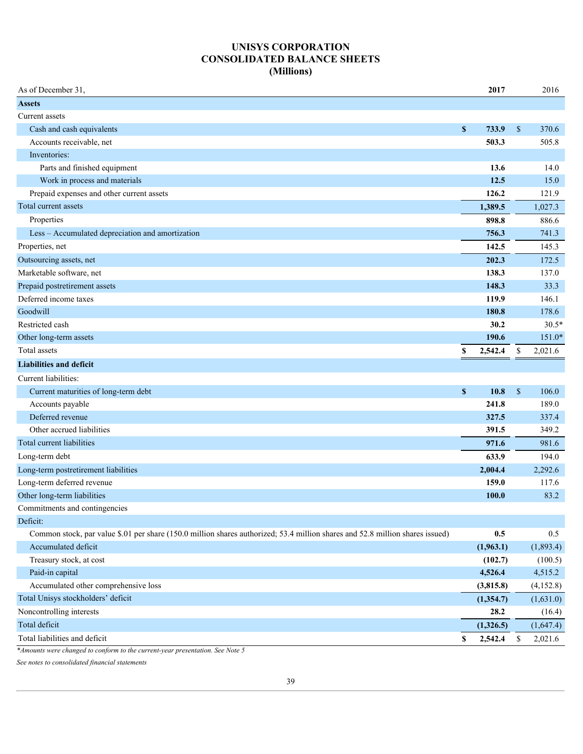# **UNISYS CORPORATION CONSOLIDATED BALANCE SHEETS (Millions)**

| As of December 31,                                                                                                            |              | 2017      |              | 2016      |  |
|-------------------------------------------------------------------------------------------------------------------------------|--------------|-----------|--------------|-----------|--|
| <b>Assets</b>                                                                                                                 |              |           |              |           |  |
| Current assets                                                                                                                |              |           |              |           |  |
| Cash and cash equivalents                                                                                                     | $\mathbf{s}$ | 733.9     | $\sqrt{S}$   | 370.6     |  |
| Accounts receivable, net                                                                                                      |              | 503.3     |              | 505.8     |  |
| Inventories:                                                                                                                  |              |           |              |           |  |
| Parts and finished equipment                                                                                                  |              | 13.6      |              | 14.0      |  |
| Work in process and materials                                                                                                 |              | 12.5      |              | 15.0      |  |
| Prepaid expenses and other current assets                                                                                     |              | 126.2     |              | 121.9     |  |
| Total current assets                                                                                                          |              | 1,389.5   |              | 1,027.3   |  |
| Properties                                                                                                                    |              | 898.8     |              | 886.6     |  |
| Less - Accumulated depreciation and amortization                                                                              |              | 756.3     |              | 741.3     |  |
| Properties, net                                                                                                               |              | 142.5     |              | 145.3     |  |
| Outsourcing assets, net                                                                                                       |              | 202.3     |              | 172.5     |  |
| Marketable software, net                                                                                                      |              | 138.3     |              | 137.0     |  |
| Prepaid postretirement assets                                                                                                 |              | 148.3     |              | 33.3      |  |
| Deferred income taxes                                                                                                         |              | 119.9     |              | 146.1     |  |
| Goodwill                                                                                                                      |              | 180.8     |              | 178.6     |  |
| Restricted cash                                                                                                               |              | 30.2      |              | $30.5*$   |  |
| Other long-term assets                                                                                                        |              | 190.6     |              | $151.0*$  |  |
| Total assets                                                                                                                  | S            | 2,542.4   | \$           | 2,021.6   |  |
| <b>Liabilities and deficit</b>                                                                                                |              |           |              |           |  |
| Current liabilities:                                                                                                          |              |           |              |           |  |
| Current maturities of long-term debt                                                                                          | $\mathbf{s}$ | 10.8      | $\mathbb{S}$ | 106.0     |  |
| Accounts payable                                                                                                              |              | 241.8     |              | 189.0     |  |
| Deferred revenue                                                                                                              |              | 327.5     |              | 337.4     |  |
| Other accrued liabilities                                                                                                     |              | 391.5     |              | 349.2     |  |
| Total current liabilities                                                                                                     |              | 971.6     |              | 981.6     |  |
| Long-term debt                                                                                                                |              | 633.9     |              | 194.0     |  |
| Long-term postretirement liabilities                                                                                          |              | 2,004.4   |              | 2,292.6   |  |
| Long-term deferred revenue                                                                                                    |              | 159.0     |              | 117.6     |  |
| Other long-term liabilities                                                                                                   |              | 100.0     |              | 83.2      |  |
| Commitments and contingencies                                                                                                 |              |           |              |           |  |
| Deficit:                                                                                                                      |              |           |              |           |  |
| Common stock, par value \$.01 per share (150.0 million shares authorized; 53.4 million shares and 52.8 million shares issued) |              | 0.5       |              | 0.5       |  |
| Accumulated deficit                                                                                                           |              | (1,963.1) |              | (1,893.4) |  |
| Treasury stock, at cost                                                                                                       |              | (102.7)   |              | (100.5)   |  |
| Paid-in capital                                                                                                               |              | 4,526.4   |              | 4,515.2   |  |
| Accumulated other comprehensive loss                                                                                          |              | (3,815.8) |              | (4,152.8) |  |
| Total Unisys stockholders' deficit                                                                                            |              | (1,354.7) |              | (1,631.0) |  |
| Noncontrolling interests                                                                                                      |              | 28.2      |              | (16.4)    |  |
| Total deficit                                                                                                                 |              | (1,326.5) |              | (1,647.4) |  |
| Total liabilities and deficit                                                                                                 | \$           | 2,542.4   | \$           | 2,021.6   |  |
| *Amounts were changed to conform to the current-year presentation. See Note 5                                                 |              |           |              |           |  |

*\*Amounts were changed to conform to the current-year presentation. See Note* 

*See notes to consolidated financial statements*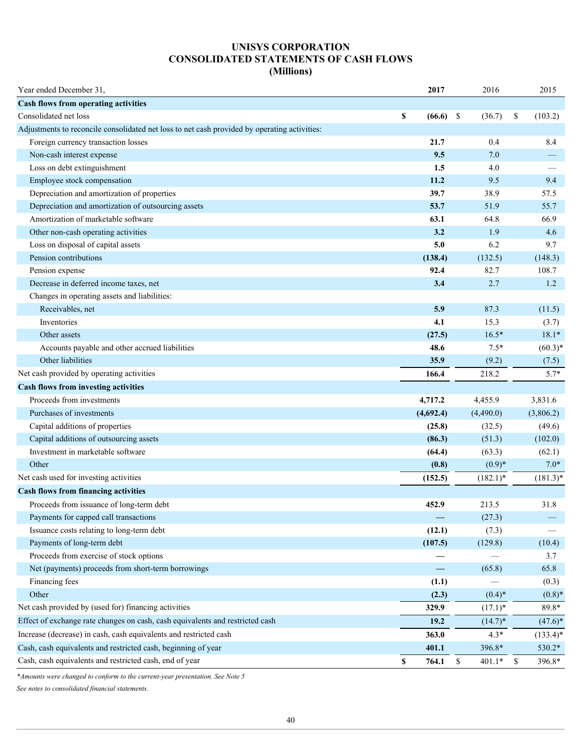# **UNISYS CORPORATION CONSOLIDATED STATEMENTS OF CASH FLOWS (Millions)**

| Year ended December 31.                                                                      | 2017                            | 2016                     | 2015                            |
|----------------------------------------------------------------------------------------------|---------------------------------|--------------------------|---------------------------------|
| <b>Cash flows from operating activities</b>                                                  |                                 |                          |                                 |
| Consolidated net loss                                                                        | \$<br>$(66.6)$ \$               | (36.7)                   | (103.2)<br>-S                   |
| Adjustments to reconcile consolidated net loss to net cash provided by operating activities: |                                 |                          |                                 |
| Foreign currency transaction losses                                                          | 21.7                            | 0.4                      | 8.4                             |
| Non-cash interest expense                                                                    | 9.5                             | 7.0                      | $\longrightarrow$               |
| Loss on debt extinguishment                                                                  | 1.5                             | 4.0                      | $\overline{\phantom{m}}$        |
| Employee stock compensation                                                                  | 11.2                            | 9.5                      | 9.4                             |
| Depreciation and amortization of properties                                                  | 39.7                            | 38.9                     | 57.5                            |
| Depreciation and amortization of outsourcing assets                                          | 53.7                            | 51.9                     | 55.7                            |
| Amortization of marketable software                                                          | 63.1                            | 64.8                     | 66.9                            |
| Other non-cash operating activities                                                          | 3.2                             | 1.9                      | 4.6                             |
| Loss on disposal of capital assets                                                           | 5.0                             | 6.2                      | 9.7                             |
| Pension contributions                                                                        | (138.4)                         | (132.5)                  | (148.3)                         |
| Pension expense                                                                              | 92.4                            | 82.7                     | 108.7                           |
| Decrease in deferred income taxes, net                                                       | 3.4                             | 2.7                      | 1.2                             |
| Changes in operating assets and liabilities:                                                 |                                 |                          |                                 |
| Receivables, net                                                                             | 5.9                             | 87.3                     | (11.5)                          |
| Inventories                                                                                  | 4.1                             | 15.3                     | (3.7)                           |
| Other assets                                                                                 | (27.5)                          | $16.5*$                  | $18.1*$                         |
| Accounts payable and other accrued liabilities                                               | 48.6                            | $7.5*$                   | $(60.3)*$                       |
| Other liabilities                                                                            | 35.9                            | (9.2)                    | (7.5)                           |
| Net cash provided by operating activities                                                    | 166.4                           | 218.2                    | $5.7*$                          |
| <b>Cash flows from investing activities</b>                                                  |                                 |                          |                                 |
| Proceeds from investments                                                                    | 4,717.2                         | 4,455.9                  | 3,831.6                         |
| Purchases of investments                                                                     | (4,692.4)                       | (4,490.0)                | (3,806.2)                       |
| Capital additions of properties                                                              | (25.8)                          | (32.5)                   | (49.6)                          |
| Capital additions of outsourcing assets                                                      | (86.3)                          | (51.3)                   | (102.0)                         |
| Investment in marketable software                                                            | (64.4)                          | (63.3)                   | (62.1)                          |
| Other                                                                                        |                                 |                          | $7.0*$                          |
| Net cash used for investing activities                                                       | (0.8)                           | $(0.9)*$                 |                                 |
|                                                                                              | (152.5)                         | $(182.1)^*$              | $(181.3)*$                      |
| <b>Cash flows from financing activities</b>                                                  |                                 |                          |                                 |
| Proceeds from issuance of long-term debt                                                     | 452.9                           | 213.5                    | 31.8                            |
| Payments for capped call transactions                                                        | $\hspace{0.1mm}-\hspace{0.1mm}$ | (27.3)                   | $\overline{\phantom{m}}$        |
| Issuance costs relating to long-term debt                                                    | (12.1)                          | (7.3)                    | $\hspace{0.1mm}-\hspace{0.1mm}$ |
| Payments of long-term debt                                                                   | (107.5)                         | (129.8)                  | (10.4)                          |
| Proceeds from exercise of stock options                                                      | $\hspace{0.1mm}-\hspace{0.1mm}$ | $\overline{\phantom{m}}$ | 3.7                             |
| Net (payments) proceeds from short-term borrowings                                           | $\qquad \qquad -$               | (65.8)                   | 65.8                            |
| Financing fees                                                                               | (1.1)                           | $\overline{\phantom{m}}$ | (0.3)                           |
| Other                                                                                        | (2.3)                           | $(0.4)$ *                | $(0.8)$ *                       |
| Net cash provided by (used for) financing activities                                         | 329.9                           | $(17.1)^*$               | $89.8*$                         |
| Effect of exchange rate changes on cash, cash equivalents and restricted cash                | 19.2                            | $(14.7)$ *               | $(47.6)$ *                      |
| Increase (decrease) in cash, cash equivalents and restricted cash                            | 363.0                           | $4.3*$                   | $(133.4)^*$                     |
| Cash, cash equivalents and restricted cash, beginning of year                                | 401.1                           | 396.8*                   | 530.2*                          |
| Cash, cash equivalents and restricted cash, end of year                                      | 764.1 \$<br>\$                  | $401.1*$ \$              | 396.8*                          |

*\*Amounts were changed to conform to the current-year presentation. See Note 5*

*See notes to consolidated financial statements.*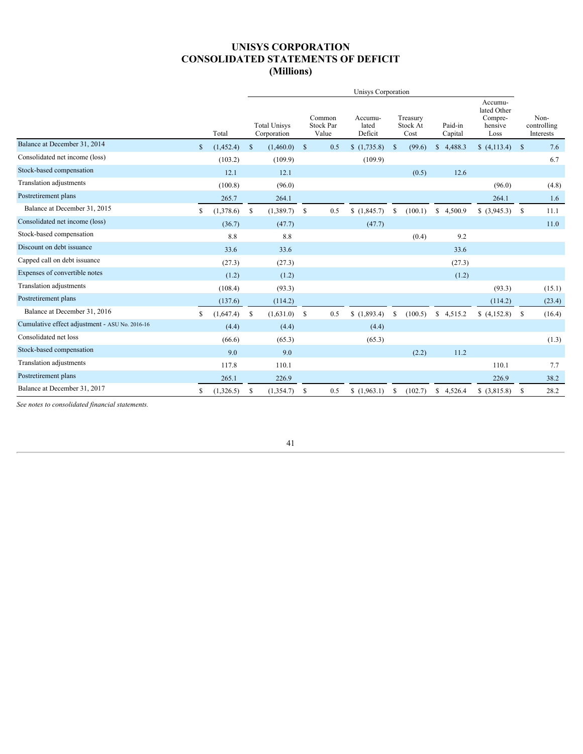# **UNISYS CORPORATION CONSOLIDATED STATEMENTS OF DEFICIT (Millions)**

|                                                |                 |                |                                    |     |                                     | Unisys Corporation          |              |                                     |                    |                                                      |                                  |
|------------------------------------------------|-----------------|----------------|------------------------------------|-----|-------------------------------------|-----------------------------|--------------|-------------------------------------|--------------------|------------------------------------------------------|----------------------------------|
|                                                | Total           |                | <b>Total Unisys</b><br>Corporation |     | Common<br><b>Stock Par</b><br>Value | Accumu-<br>lated<br>Deficit |              | Treasury<br><b>Stock At</b><br>Cost | Paid-in<br>Capital | Accumu-<br>lated Other<br>Compre-<br>hensive<br>Loss | Non-<br>controlling<br>Interests |
| Balance at December 31, 2014                   | $\mathbb{S}$    | $(1,452.4)$ \$ | $(1,460.0)$ \$                     |     | 0.5                                 | (1,735.8)                   | $\mathbf{s}$ | (99.6)                              | \$4,488.3          | $(4,113.4)$ \$                                       | 7.6                              |
| Consolidated net income (loss)                 | (103.2)         |                | (109.9)                            |     |                                     | (109.9)                     |              |                                     |                    |                                                      | 6.7                              |
| Stock-based compensation                       | 12.1            |                | 12.1                               |     |                                     |                             |              | (0.5)                               | 12.6               |                                                      |                                  |
| Translation adjustments                        | (100.8)         |                | (96.0)                             |     |                                     |                             |              |                                     |                    | (96.0)                                               | (4.8)                            |
| Postretirement plans                           | 265.7           |                | 264.1                              |     |                                     |                             |              |                                     |                    | 264.1                                                | 1.6                              |
| Balance at December 31, 2015                   | (1,378.6)<br>\$ | - S            | $(1,389.7)$ \$                     |     | 0.5                                 | (1,845.7)                   | <sup>S</sup> | (100.1)                             | \$4,500.9          | $$ (3,945.3) \quad $$                                | 11.1                             |
| Consolidated net income (loss)                 | (36.7)          |                | (47.7)                             |     |                                     | (47.7)                      |              |                                     |                    |                                                      | 11.0                             |
| Stock-based compensation                       |                 | 8.8            | 8.8                                |     |                                     |                             |              | (0.4)                               | 9.2                |                                                      |                                  |
| Discount on debt issuance                      | 33.6            |                | 33.6                               |     |                                     |                             |              |                                     | 33.6               |                                                      |                                  |
| Capped call on debt issuance                   | (27.3)          |                | (27.3)                             |     |                                     |                             |              |                                     | (27.3)             |                                                      |                                  |
| Expenses of convertible notes                  |                 | (1.2)          | (1.2)                              |     |                                     |                             |              |                                     | (1.2)              |                                                      |                                  |
| Translation adjustments                        | (108.4)         |                | (93.3)                             |     |                                     |                             |              |                                     |                    | (93.3)                                               | (15.1)                           |
| Postretirement plans                           | (137.6)         |                | (114.2)                            |     |                                     |                             |              |                                     |                    | (114.2)                                              | (23.4)                           |
| Balance at December 31, 2016                   | S.              | $(1,647.4)$ \$ | $(1,631.0)$ \$                     |     | 0.5                                 | \$(1,893.4)                 | $\mathbb{S}$ | (100.5)                             | \$4,515.2          | $(4,152.8)$ \$                                       | (16.4)                           |
| Cumulative effect adjustment - ASU No. 2016-16 |                 | (4.4)          | (4.4)                              |     |                                     | (4.4)                       |              |                                     |                    |                                                      |                                  |
| Consolidated net loss                          | (66.6)          |                | (65.3)                             |     |                                     | (65.3)                      |              |                                     |                    |                                                      | (1.3)                            |
| Stock-based compensation                       |                 | 9.0            | 9.0                                |     |                                     |                             |              | (2.2)                               | 11.2               |                                                      |                                  |
| Translation adjustments                        | 117.8           |                | 110.1                              |     |                                     |                             |              |                                     |                    | 110.1                                                | 7.7                              |
| Postretirement plans                           | 265.1           |                | 226.9                              |     |                                     |                             |              |                                     |                    | 226.9                                                | 38.2                             |
| Balance at December 31, 2017                   | (1,326.5)<br>S  | - \$           | (1,354.7)                          | - S | 0.5                                 | (1,963.1)                   | -S           | (102.7)                             | \$4,526.4          | \$ (3,815.8) \$                                      | 28.2                             |

*See notes to consolidated financial statements.*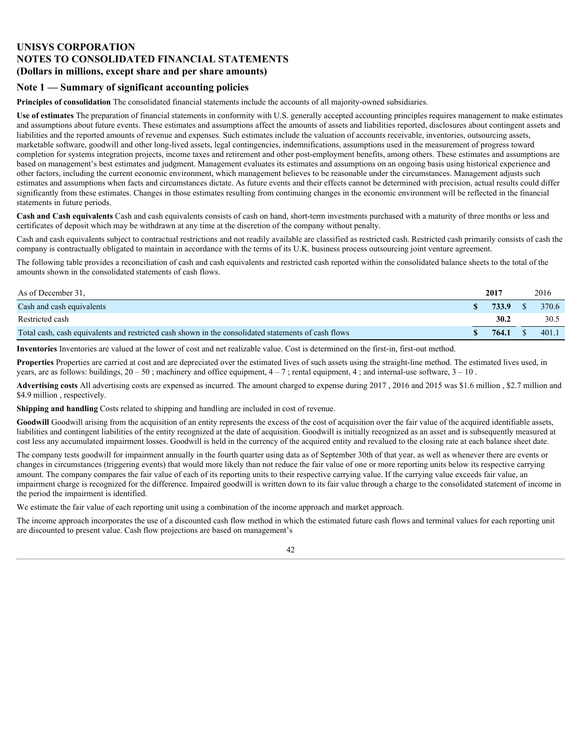# **UNISYS CORPORATION NOTES TO CONSOLIDATED FINANCIAL STATEMENTS (Dollars in millions, except share and per share amounts)**

# **Note 1 — Summary of significant accounting policies**

**Principles of consolidation** The consolidated financial statements include the accounts of all majority-owned subsidiaries.

**Use of estimates** The preparation of financial statements in conformity with U.S. generally accepted accounting principles requires management to make estimates and assumptions about future events. These estimates and assumptions affect the amounts of assets and liabilities reported, disclosures about contingent assets and liabilities and the reported amounts of revenue and expenses. Such estimates include the valuation of accounts receivable, inventories, outsourcing assets, marketable software, goodwill and other long-lived assets, legal contingencies, indemnifications, assumptions used in the measurement of progress toward completion for systems integration projects, income taxes and retirement and other post-employment benefits, among others. These estimates and assumptions are based on management's best estimates and judgment. Management evaluates its estimates and assumptions on an ongoing basis using historical experience and other factors, including the current economic environment, which management believes to be reasonable under the circumstances. Management adjusts such estimates and assumptions when facts and circumstances dictate. As future events and their effects cannot be determined with precision, actual results could differ significantly from these estimates. Changes in those estimates resulting from continuing changes in the economic environment will be reflected in the financial statements in future periods.

**Cash and Cash equivalents** Cash and cash equivalents consists of cash on hand, short-term investments purchased with a maturity of three months or less and certificates of deposit which may be withdrawn at any time at the discretion of the company without penalty.

Cash and cash equivalents subject to contractual restrictions and not readily available are classified as restricted cash. Restricted cash primarily consists of cash the company is contractually obligated to maintain in accordance with the terms of its U.K. business process outsourcing joint venture agreement.

The following table provides a reconciliation of cash and cash equivalents and restricted cash reported within the consolidated balance sheets to the total of the amounts shown in the consolidated statements of cash flows.

| As of December 31.                                                                                  | 2017  | 2016  |  |
|-----------------------------------------------------------------------------------------------------|-------|-------|--|
| Cash and cash equivalents                                                                           | 733.9 | 370.6 |  |
| Restricted cash                                                                                     | 30.2  | 30.5  |  |
| Total cash, cash equivalents and restricted cash shown in the consolidated statements of cash flows | 764.1 | 401.1 |  |

**Inventories** Inventories are valued at the lower of cost and net realizable value. Cost is determined on the first-in, first-out method.

**Properties** Properties are carried at cost and are depreciated over the estimated lives of such assets using the straight-line method. The estimated lives used, in years, are as follows: buildings,  $20 - 50$ ; machinery and office equipment,  $4 - 7$ ; rental equipment, 4; and internal-use software,  $3 - 10$ .

**Advertising costs** All advertising costs are expensed as incurred. The amount charged to expense during 2017 , 2016 and 2015 was \$1.6 million , \$2.7 million and \$4.9 million, respectively.

**Shipping and handling** Costs related to shipping and handling are included in cost of revenue.

Goodwill Goodwill arising from the acquisition of an entity represents the excess of the cost of acquisition over the fair value of the acquired identifiable assets, liabilities and contingent liabilities of the entity recognized at the date of acquisition. Goodwill is initially recognized as an asset and is subsequently measured at cost less any accumulated impairment losses. Goodwill is held in the currency of the acquired entity and revalued to the closing rate at each balance sheet date.

The company tests goodwill for impairment annually in the fourth quarter using data as of September 30th of that year, as well as whenever there are events or changes in circumstances (triggering events) that would more likely than not reduce the fair value of one or more reporting units below its respective carrying amount. The company compares the fair value of each of its reporting units to their respective carrying value. If the carrying value exceeds fair value, an impairment charge is recognized for the difference. Impaired goodwill is written down to its fair value through a charge to the consolidated statement of income in the period the impairment is identified.

We estimate the fair value of each reporting unit using a combination of the income approach and market approach.

The income approach incorporates the use of a discounted cash flow method in which the estimated future cash flows and terminal values for each reporting unit are discounted to present value. Cash flow projections are based on management's

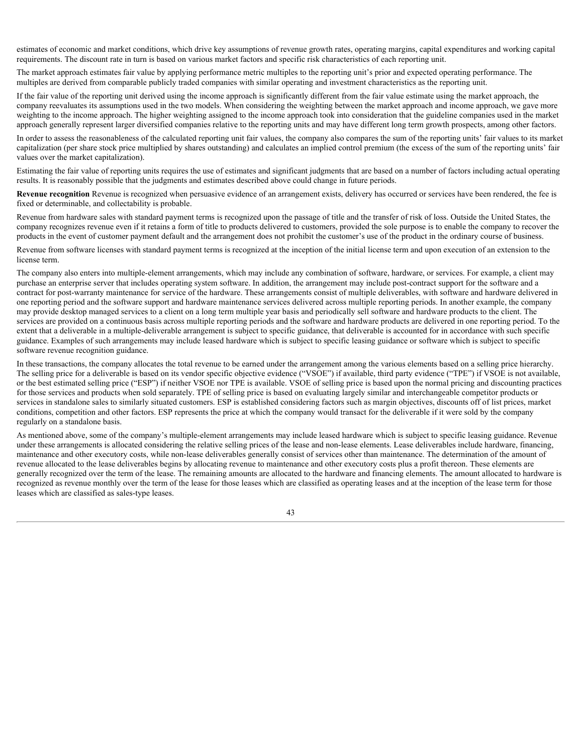estimates of economic and market conditions, which drive key assumptions of revenue growth rates, operating margins, capital expenditures and working capital requirements. The discount rate in turn is based on various market factors and specific risk characteristics of each reporting unit.

The market approach estimates fair value by applying performance metric multiples to the reporting unit's prior and expected operating performance. The multiples are derived from comparable publicly traded companies with similar operating and investment characteristics as the reporting unit.

If the fair value of the reporting unit derived using the income approach is significantly different from the fair value estimate using the market approach, the company reevaluates its assumptions used in the two models. When considering the weighting between the market approach and income approach, we gave more weighting to the income approach. The higher weighting assigned to the income approach took into consideration that the guideline companies used in the market approach generally represent larger diversified companies relative to the reporting units and may have different long term growth prospects, among other factors.

In order to assess the reasonableness of the calculated reporting unit fair values, the company also compares the sum of the reporting units' fair values to its market capitalization (per share stock price multiplied by shares outstanding) and calculates an implied control premium (the excess of the sum of the reporting units' fair values over the market capitalization).

Estimating the fair value of reporting units requires the use of estimates and significant judgments that are based on a number of factors including actual operating results. It is reasonably possible that the judgments and estimates described above could change in future periods.

**Revenue recognition** Revenue is recognized when persuasive evidence of an arrangement exists, delivery has occurred or services have been rendered, the fee is fixed or determinable, and collectability is probable.

Revenue from hardware sales with standard payment terms is recognized upon the passage of title and the transfer of risk of loss. Outside the United States, the company recognizes revenue even if it retains a form of title to products delivered to customers, provided the sole purpose is to enable the company to recover the products in the event of customer payment default and the arrangement does not prohibit the customer's use of the product in the ordinary course of business.

Revenue from software licenses with standard payment terms is recognized at the inception of the initial license term and upon execution of an extension to the license term.

The company also enters into multiple-element arrangements, which may include any combination of software, hardware, or services. For example, a client may purchase an enterprise server that includes operating system software. In addition, the arrangement may include post-contract support for the software and a contract for post-warranty maintenance for service of the hardware. These arrangements consist of multiple deliverables, with software and hardware delivered in one reporting period and the software support and hardware maintenance services delivered across multiple reporting periods. In another example, the company may provide desktop managed services to a client on a long term multiple year basis and periodically sell software and hardware products to the client. The services are provided on a continuous basis across multiple reporting periods and the software and hardware products are delivered in one reporting period. To the extent that a deliverable in a multiple-deliverable arrangement is subject to specific guidance, that deliverable is accounted for in accordance with such specific guidance. Examples of such arrangements may include leased hardware which is subject to specific leasing guidance or software which is subject to specific software revenue recognition guidance.

In these transactions, the company allocates the total revenue to be earned under the arrangement among the various elements based on a selling price hierarchy. The selling price for a deliverable is based on its vendor specific objective evidence ("VSOE") if available, third party evidence ("TPE") if VSOE is not available, or the best estimated selling price ("ESP") if neither VSOE nor TPE is available. VSOE of selling price is based upon the normal pricing and discounting practices for those services and products when sold separately. TPE of selling price is based on evaluating largely similar and interchangeable competitor products or services in standalone sales to similarly situated customers. ESP is established considering factors such as margin objectives, discounts off of list prices, market conditions, competition and other factors. ESP represents the price at which the company would transact for the deliverable if it were sold by the company regularly on a standalone basis.

As mentioned above, some of the company's multiple-element arrangements may include leased hardware which is subject to specific leasing guidance. Revenue under these arrangements is allocated considering the relative selling prices of the lease and non-lease elements. Lease deliverables include hardware, financing, maintenance and other executory costs, while non-lease deliverables generally consist of services other than maintenance. The determination of the amount of revenue allocated to the lease deliverables begins by allocating revenue to maintenance and other executory costs plus a profit thereon. These elements are generally recognized over the term of the lease. The remaining amounts are allocated to the hardware and financing elements. The amount allocated to hardware is recognized as revenue monthly over the term of the lease for those leases which are classified as operating leases and at the inception of the lease term for those leases which are classified as sales-type leases.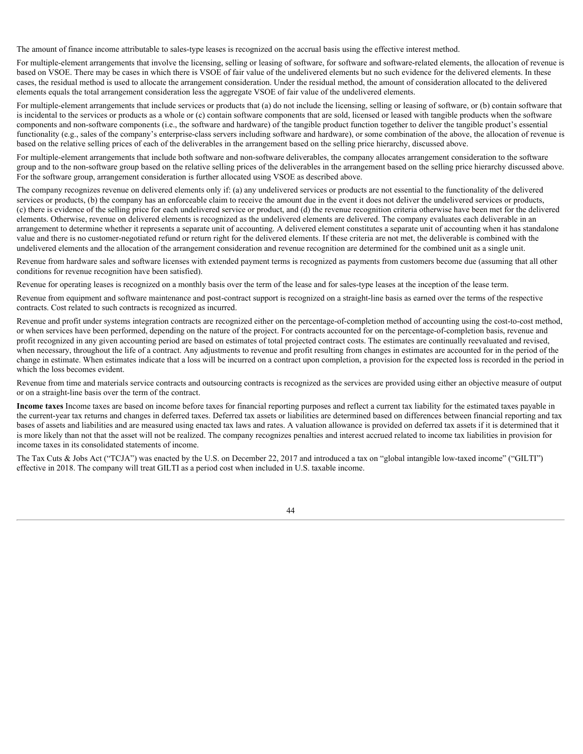The amount of finance income attributable to sales-type leases is recognized on the accrual basis using the effective interest method.

For multiple-element arrangements that involve the licensing, selling or leasing of software, for software and software-related elements, the allocation of revenue is based on VSOE. There may be cases in which there is VSOE of fair value of the undelivered elements but no such evidence for the delivered elements. In these cases, the residual method is used to allocate the arrangement consideration. Under the residual method, the amount of consideration allocated to the delivered elements equals the total arrangement consideration less the aggregate VSOE of fair value of the undelivered elements.

For multiple-element arrangements that include services or products that (a) do not include the licensing, selling or leasing of software, or (b) contain software that is incidental to the services or products as a whole or (c) contain software components that are sold, licensed or leased with tangible products when the software components and non-software components (i.e., the software and hardware) of the tangible product function together to deliver the tangible product's essential functionality (e.g., sales of the company's enterprise-class servers including software and hardware), or some combination of the above, the allocation of revenue is based on the relative selling prices of each of the deliverables in the arrangement based on the selling price hierarchy, discussed above.

For multiple-element arrangements that include both software and non-software deliverables, the company allocates arrangement consideration to the software group and to the non-software group based on the relative selling prices of the deliverables in the arrangement based on the selling price hierarchy discussed above. For the software group, arrangement consideration is further allocated using VSOE as described above.

The company recognizes revenue on delivered elements only if: (a) any undelivered services or products are not essential to the functionality of the delivered services or products, (b) the company has an enforceable claim to receive the amount due in the event it does not deliver the undelivered services or products, (c) there is evidence of the selling price for each undelivered service or product, and (d) the revenue recognition criteria otherwise have been met for the delivered elements. Otherwise, revenue on delivered elements is recognized as the undelivered elements are delivered. The company evaluates each deliverable in an arrangement to determine whether it represents a separate unit of accounting. A delivered element constitutes a separate unit of accounting when it has standalone value and there is no customer-negotiated refund or return right for the delivered elements. If these criteria are not met, the deliverable is combined with the undelivered elements and the allocation of the arrangement consideration and revenue recognition are determined for the combined unit as a single unit.

Revenue from hardware sales and software licenses with extended payment terms is recognized as payments from customers become due (assuming that all other conditions for revenue recognition have been satisfied).

Revenue for operating leases is recognized on a monthly basis over the term of the lease and for sales-type leases at the inception of the lease term.

Revenue from equipment and software maintenance and post-contract support is recognized on a straight-line basis as earned over the terms of the respective contracts. Cost related to such contracts is recognized as incurred.

Revenue and profit under systems integration contracts are recognized either on the percentage-of-completion method of accounting using the cost-to-cost method, or when services have been performed, depending on the nature of the project. For contracts accounted for on the percentage-of-completion basis, revenue and profit recognized in any given accounting period are based on estimates of total projected contract costs. The estimates are continually reevaluated and revised, when necessary, throughout the life of a contract. Any adjustments to revenue and profit resulting from changes in estimates are accounted for in the period of the change in estimate. When estimates indicate that a loss will be incurred on a contract upon completion, a provision for the expected loss is recorded in the period in which the loss becomes evident.

Revenue from time and materials service contracts and outsourcing contracts is recognized as the services are provided using either an objective measure of output or on a straight-line basis over the term of the contract.

**Income taxes** Income taxes are based on income before taxes for financial reporting purposes and reflect a current tax liability for the estimated taxes payable in the current-year tax returns and changes in deferred taxes. Deferred tax assets or liabilities are determined based on differences between financial reporting and tax bases of assets and liabilities and are measured using enacted tax laws and rates. A valuation allowance is provided on deferred tax assets if it is determined that it is more likely than not that the asset will not be realized. The company recognizes penalties and interest accrued related to income tax liabilities in provision for income taxes in its consolidated statements of income.

The Tax Cuts & Jobs Act ("TCJA") was enacted by the U.S. on December 22, 2017 and introduced a tax on "global intangible low-taxed income" ("GILTI") effective in 2018. The company will treat GILTI as a period cost when included in U.S. taxable income.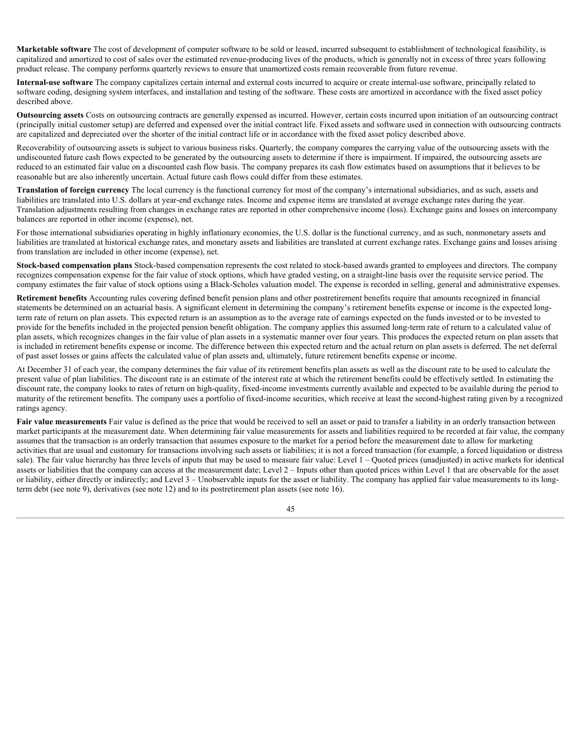**Marketable software** The cost of development of computer software to be sold or leased, incurred subsequent to establishment of technological feasibility, is capitalized and amortized to cost of sales over the estimated revenue-producing lives of the products, which is generally not in excess of three years following product release. The company performs quarterly reviews to ensure that unamortized costs remain recoverable from future revenue.

**Internal-use software** The company capitalizes certain internal and external costs incurred to acquire or create internal-use software, principally related to software coding, designing system interfaces, and installation and testing of the software. These costs are amortized in accordance with the fixed asset policy described above.

**Outsourcing assets** Costs on outsourcing contracts are generally expensed as incurred. However, certain costs incurred upon initiation of an outsourcing contract (principally initial customer setup) are deferred and expensed over the initial contract life. Fixed assets and software used in connection with outsourcing contracts are capitalized and depreciated over the shorter of the initial contract life or in accordance with the fixed asset policy described above.

Recoverability of outsourcing assets is subject to various business risks. Quarterly, the company compares the carrying value of the outsourcing assets with the undiscounted future cash flows expected to be generated by the outsourcing assets to determine if there is impairment. If impaired, the outsourcing assets are reduced to an estimated fair value on a discounted cash flow basis. The company prepares its cash flow estimates based on assumptions that it believes to be reasonable but are also inherently uncertain. Actual future cash flows could differ from these estimates.

**Translation of foreign currency** The local currency is the functional currency for most of the company's international subsidiaries, and as such, assets and liabilities are translated into U.S. dollars at year-end exchange rates. Income and expense items are translated at average exchange rates during the year. Translation adjustments resulting from changes in exchange rates are reported in other comprehensive income (loss). Exchange gains and losses on intercompany balances are reported in other income (expense), net.

For those international subsidiaries operating in highly inflationary economies, the U.S. dollar is the functional currency, and as such, nonmonetary assets and liabilities are translated at historical exchange rates, and monetary assets and liabilities are translated at current exchange rates. Exchange gains and losses arising from translation are included in other income (expense), net.

**Stock-based compensation plans** Stock-based compensation represents the cost related to stock-based awards granted to employees and directors. The company recognizes compensation expense for the fair value of stock options, which have graded vesting, on a straight-line basis over the requisite service period. The company estimates the fair value of stock options using a Black-Scholes valuation model. The expense is recorded in selling, general and administrative expenses.

**Retirement benefits** Accounting rules covering defined benefit pension plans and other postretirement benefits require that amounts recognized in financial statements be determined on an actuarial basis. A significant element in determining the company's retirement benefits expense or income is the expected longterm rate of return on plan assets. This expected return is an assumption as to the average rate of earnings expected on the funds invested or to be invested to provide for the benefits included in the projected pension benefit obligation. The company applies this assumed long-term rate of return to a calculated value of plan assets, which recognizes changes in the fair value of plan assets in a systematic manner over four years. This produces the expected return on plan assets that is included in retirement benefits expense or income. The difference between this expected return and the actual return on plan assets is deferred. The net deferral of past asset losses or gains affects the calculated value of plan assets and, ultimately, future retirement benefits expense or income.

At December 31 of each year, the company determines the fair value of its retirement benefits plan assets as well as the discount rate to be used to calculate the present value of plan liabilities. The discount rate is an estimate of the interest rate at which the retirement benefits could be effectively settled. In estimating the discount rate, the company looks to rates of return on high-quality, fixed-income investments currently available and expected to be available during the period to maturity of the retirement benefits. The company uses a portfolio of fixed-income securities, which receive at least the second-highest rating given by a recognized ratings agency.

**Fair value measurements** Fair value is defined as the price that would be received to sell an asset or paid to transfer a liability in an orderly transaction between market participants at the measurement date. When determining fair value measurements for assets and liabilities required to be recorded at fair value, the company assumes that the transaction is an orderly transaction that assumes exposure to the market for a period before the measurement date to allow for marketing activities that are usual and customary for transactions involving such assets or liabilities; it is not a forced transaction (for example, a forced liquidation or distress sale). The fair value hierarchy has three levels of inputs that may be used to measure fair value: Level 1 – Quoted prices (unadjusted) in active markets for identical assets or liabilities that the company can access at the measurement date; Level 2 – Inputs other than quoted prices within Level 1 that are observable for the asset or liability, either directly or indirectly; and Level 3 – Unobservable inputs for the asset or liability. The company has applied fair value measurements to its longterm debt (see note 9), derivatives (see note 12) and to its postretirement plan assets (see note 16).

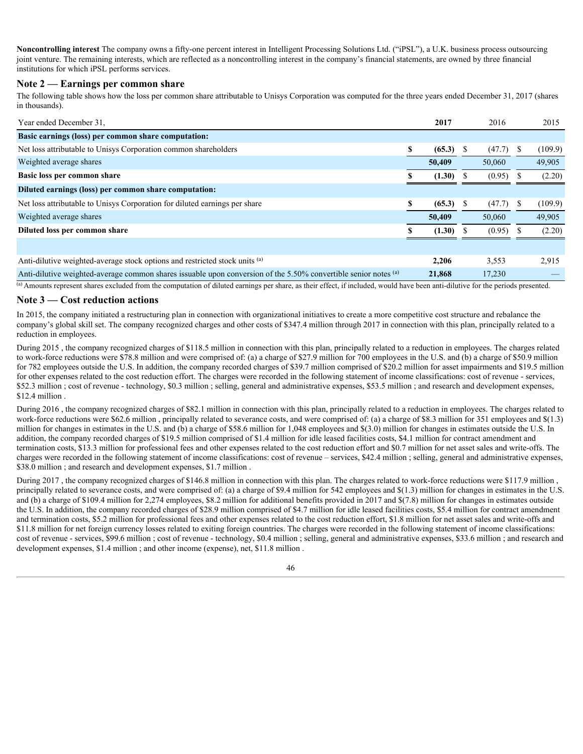**Noncontrolling interest** The company owns a fifty-one percent interest in Intelligent Processing Solutions Ltd. ("iPSL"), a U.K. business process outsourcing joint venture. The remaining interests, which are reflected as a noncontrolling interest in the company's financial statements, are owned by three financial institutions for which iPSL performs services.

### **Note 2 — Earnings per common share**

The following table shows how the loss per common share attributable to Unisys Corporation was computed for the three years ended December 31, 2017 (shares in thousands).

| Year ended December 31.                                                                                         | 2017   | 2016   | 2015    |
|-----------------------------------------------------------------------------------------------------------------|--------|--------|---------|
| Basic earnings (loss) per common share computation:                                                             |        |        |         |
| Net loss attributable to Unisys Corporation common shareholders                                                 | (65.3) | (47.7) | (109.9) |
| Weighted average shares                                                                                         | 50,409 | 50,060 | 49,905  |
| Basic loss per common share                                                                                     | (1.30) | (0.95) | (2.20)  |
| Diluted earnings (loss) per common share computation:                                                           |        |        |         |
| Net loss attributable to Unisys Corporation for diluted earnings per share                                      | (65.3) | (47.7) | (109.9) |
| Weighted average shares                                                                                         | 50,409 | 50,060 | 49,905  |
| Diluted loss per common share                                                                                   | (1.30) | (0.95) | (2.20)  |
|                                                                                                                 |        |        |         |
| Anti-dilutive weighted-average stock options and restricted stock units (a)                                     | 2,206  | 3,553  | 2,915   |
| Anti-dilutive weighted-average common shares issuable upon conversion of the 5.50% convertible senior notes (a) | 21,868 | 17,230 |         |

(a) Amounts represent shares excluded from the computation of diluted earnings per share, as their effect, if included, would have been anti-dilutive for the periods presented.

### **Note 3 — Cost reduction actions**

In 2015, the company initiated a restructuring plan in connection with organizational initiatives to create a more competitive cost structure and rebalance the company's global skill set. The company recognized charges and other costs of \$347.4 million through 2017 in connection with this plan, principally related to a reduction in employees.

During 2015 , the company recognized charges of \$118.5 million in connection with this plan, principally related to a reduction in employees. The charges related to work-force reductions were \$78.8 million and were comprised of: (a) a charge of \$27.9 million for 700 employees in the U.S. and (b) a charge of \$50.9 million for 782 employees outside the U.S. In addition, the company recorded charges of \$39.7 million comprised of \$20.2 million for asset impairments and \$19.5 million for other expenses related to the cost reduction effort. The charges were recorded in the following statement of income classifications: cost of revenue - services, \$52.3 million ; cost of revenue - technology, \$0.3 million ; selling, general and administrative expenses, \$53.5 million ; and research and development expenses, \$12.4 million .

During 2016 , the company recognized charges of \$82.1 million in connection with this plan, principally related to a reduction in employees. The charges related to work-force reductions were \$62.6 million, principally related to severance costs, and were comprised of: (a) a charge of \$8.3 million for 351 employees and \$(1.3) million for changes in estimates in the U.S. and (b) a charge of \$58.6 million for 1,048 employees and \$(3.0) million for changes in estimates outside the U.S. In addition, the company recorded charges of \$19.5 million comprised of \$1.4 million for idle leased facilities costs, \$4.1 million for contract amendment and termination costs, \$13.3 million for professional fees and other expenses related to the cost reduction effort and \$0.7 million for net asset sales and write-offs. The charges were recorded in the following statement of income classifications: cost of revenue – services, \$42.4 million ; selling, general and administrative expenses, \$38.0 million ; and research and development expenses, \$1.7 million .

During 2017 , the company recognized charges of \$146.8 million in connection with this plan. The charges related to work-force reductions were \$117.9 million , principally related to severance costs, and were comprised of: (a) a charge of \$9.4 million for 542 employees and \$(1.3) million for changes in estimates in the U.S. and (b) a charge of \$109.4 million for 2,274 employees, \$8.2 million for additional benefits provided in 2017 and \$(7.8) million for changes in estimates outside the U.S. In addition, the company recorded charges of \$28.9 million comprised of \$4.7 million for idle leased facilities costs, \$5.4 million for contract amendment and termination costs, \$5.2 million for professional fees and other expenses related to the cost reduction effort, \$1.8 million for net asset sales and write-offs and \$11.8 million for net foreign currency losses related to exiting foreign countries. The charges were recorded in the following statement of income classifications: cost of revenue - services, \$99.6 million ; cost of revenue - technology, \$0.4 million ; selling, general and administrative expenses, \$33.6 million ; and research and development expenses, \$1.4 million ; and other income (expense), net, \$11.8 million .

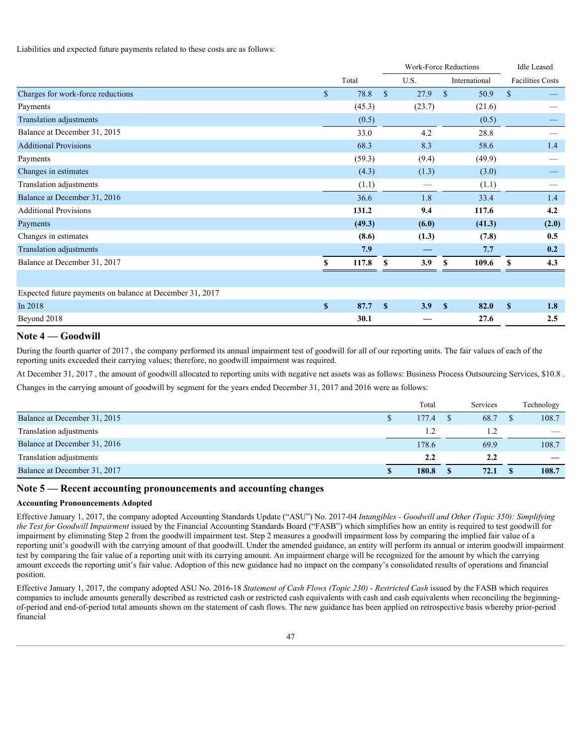Liabilities and expected future payments related to these costs are as follows:

|                                                          |              |            |                    | Work-Force Reductions         |                    |               |                         | <b>Idle Leased</b>              |  |  |
|----------------------------------------------------------|--------------|------------|--------------------|-------------------------------|--------------------|---------------|-------------------------|---------------------------------|--|--|
|                                                          | Total        |            |                    | U.S.                          |                    | International | <b>Facilities Costs</b> |                                 |  |  |
| Charges for work-force reductions                        |              | 78.8       | $\mathbf{\hat{s}}$ | 27.9                          | $\mathbf{\hat{s}}$ | 50.9          | $\mathbf{\hat{s}}$      | $\qquad \qquad -$               |  |  |
| Payments                                                 |              | (45.3)     |                    | (23.7)                        |                    | (21.6)        |                         |                                 |  |  |
| Translation adjustments                                  |              | (0.5)      |                    |                               |                    | (0.5)         |                         | $\overline{\phantom{m}}$        |  |  |
| Balance at December 31, 2015                             |              | 33.0       |                    | 4.2                           |                    | 28.8          |                         | $\overline{\phantom{a}}$        |  |  |
| <b>Additional Provisions</b>                             |              | 68.3       |                    | 8.3                           |                    | 58.6          |                         | 1.4                             |  |  |
| Payments                                                 |              | (59.3)     |                    | (9.4)                         |                    | (49.9)        |                         | $\hspace{0.05cm}$               |  |  |
| Changes in estimates                                     |              | (4.3)      |                    | (1.3)                         |                    | (3.0)         |                         | $\overline{\phantom{m}}$        |  |  |
| Translation adjustments                                  |              | (1.1)      |                    | $\overline{\phantom{a}}$      |                    | (1.1)         |                         | $\hspace{0.1mm}-\hspace{0.1mm}$ |  |  |
| Balance at December 31, 2016                             |              | 36.6       |                    | 1.8                           |                    | 33.4          |                         | 1.4                             |  |  |
| <b>Additional Provisions</b>                             |              | 131.2      |                    | 9.4                           |                    | 117.6         |                         | 4.2                             |  |  |
| Payments                                                 |              | (49.3)     |                    | (6.0)                         |                    | (41.3)        |                         | (2.0)                           |  |  |
| Changes in estimates                                     |              | (8.6)      |                    | (1.3)                         |                    | (7.8)         |                         | 0.5                             |  |  |
| Translation adjustments                                  |              | 7.9        |                    | $\overline{\phantom{m}}$      |                    | 7.7           |                         | 0.2                             |  |  |
| Balance at December 31, 2017                             |              | $117.8$ \$ |                    | 3.9                           | - S                | 109.6         | - \$                    | 4.3                             |  |  |
|                                                          |              |            |                    |                               |                    |               |                         |                                 |  |  |
| Expected future payments on balance at December 31, 2017 |              |            |                    |                               |                    |               |                         |                                 |  |  |
| In 2018                                                  | $\mathbf{s}$ | 87.7       | $\mathbf{s}$       | 3.9 <sub>5</sub>              |                    | 82.0          | $\mathbf{s}$            | 1.8                             |  |  |
| Beyond 2018                                              |              | 30.1       |                    | $\overbrace{\phantom{12333}}$ |                    | 27.6          |                         | 2.5                             |  |  |

# **Note 4 — Goodwill**

During the fourth quarter of 2017 , the company performed its annual impairment test of goodwill for all of our reporting units. The fair values of each of the reporting units exceeded their carrying values; therefore, no goodwill impairment was required.

At December 31, 2017 , the amount of goodwill allocated to reporting units with negative net assets was as follows: Business Process Outsourcing Services, \$10.8 . Changes in the carrying amount of goodwill by segment for the years ended December 31, 2017 and 2016 were as follows:

|                              | Total | Services | Technology                      |
|------------------------------|-------|----------|---------------------------------|
| Balance at December 31, 2015 | 177.4 | 68.7     | 108.7                           |
| Translation adjustments      |       |          |                                 |
| Balance at December 31, 2016 | 178.6 | 69.9     | 108.7                           |
| Translation adjustments      | 2.2   | 2.2      | $\hspace{0.1mm}-\hspace{0.1mm}$ |
| Balance at December 31, 2017 | 180.8 | 72.1     | 108.7                           |

### **Note 5 — Recent accounting pronouncements and accounting changes**

### **Accounting Pronouncements Adopted**

Effective January 1, 2017, the company adopted Accounting Standards Update ("ASU") No. 2017-04 *Intangibles -Goodwill and Other (Topic 350): Simplifying the Test for Goodwill Impairment* issued by the Financial Accounting Standards Board ("FASB") which simplifies how an entity is required to test goodwill for impairment by eliminating Step 2 from the goodwill impairment test. Step 2 measures a goodwill impairment loss by comparing the implied fair value of a reporting unit's goodwill with the carrying amount of that goodwill. Under the amended guidance, an entity will perform its annual or interim goodwill impairment test by comparing the fair value of a reporting unit with its carrying amount. An impairment charge will be recognized for the amount by which the carrying amount exceeds the reporting unit's fair value. Adoption of this new guidance had no impact on the company's consolidated results of operations and financial position.

Effective January 1, 2017, the company adopted ASU No. 2016-18 *Statement of Cash Flows (Topic 230) -Restricted Cash* issued by the FASB which requires companies to include amounts generally described as restricted cash or restricted cash equivalents with cash and cash equivalents when reconciling the beginningof-period and end-of-period total amounts shown on the statement of cash flows. The new guidance has been applied on retrospective basis whereby prior-period financial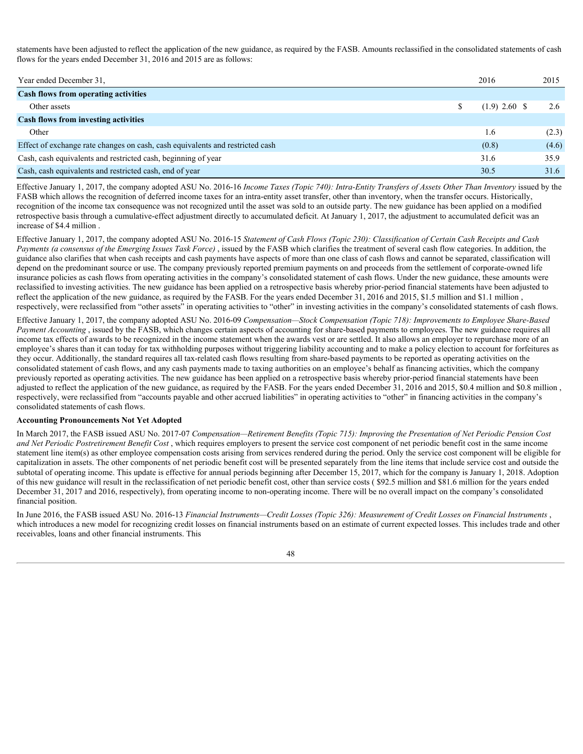statements have been adjusted to reflect the application of the new guidance, as required by the FASB. Amounts reclassified in the consolidated statements of cash flows for the years ended December 31, 2016 and 2015 are as follows:

| Year ended December 31.                                                       | 2016            | 2015  |
|-------------------------------------------------------------------------------|-----------------|-------|
| <b>Cash flows from operating activities</b>                                   |                 |       |
| Other assets                                                                  | $(1.9)$ 2.60 \$ | 2.6   |
| <b>Cash flows from investing activities</b>                                   |                 |       |
| Other                                                                         | l.6             | (2.3) |
| Effect of exchange rate changes on cash, cash equivalents and restricted cash | (0.8)           | (4.6) |
| Cash, cash equivalents and restricted cash, beginning of year                 | 31.6            | 35.9  |
| Cash, cash equivalents and restricted cash, end of year                       | 30.5            | 31.6  |

Effective January 1, 2017, the company adopted ASU No. 2016-16 Income Taxes (Topic 740): Intra-Entity Transfers of Assets Other Than Inventory issued by the FASB which allows the recognition of deferred income taxes for an intra-entity asset transfer, other than inventory, when the transfer occurs. Historically, recognition of the income tax consequence was not recognized until the asset was sold to an outside party. The new guidance has been applied on a modified retrospective basis through a cumulative-effect adjustment directly to accumulated deficit. At January 1, 2017, the adjustment to accumulated deficit was an increase of \$4.4 million .

Effective January 1, 2017, the company adopted ASU No. 2016-15 Statement of Cash Flows (Topic 230): Classification of Certain Cash Receipts and *Cash Payments (a consensus of the Emerging Issues Task Force)* , issued by the FASB which clarifies the treatment of several cash flow categories. In addition, the guidance also clarifies that when cash receipts and cash payments have aspects of more than one class of cash flows and cannot be separated, classification will depend on the predominant source or use. The company previously reported premium payments on and proceeds from the settlement of corporate-owned life insurance policies as cash flows from operating activities in the company's consolidated statement of cash flows. Under the new guidance, these amounts were reclassified to investing activities. The new guidance has been applied on a retrospective basis whereby prior-period financial statements have been adjusted to reflect the application of the new guidance, as required by the FASB. For the years ended December 31, 2016 and 2015, \$1.5 million and \$1.1 million, respectively, were reclassified from "other assets" in operating activities to "other" in investing activities in the company's consolidated statements of cash flows.

Effective January 1, 2017, the company adopted ASU No. 2016-09 *Compensation—Stock Compensation (Topic 718): Improvements to Employee Share-Based Payment Accounting* , issued by the FASB, which changes certain aspects of accounting for share-based payments to employees. The new guidance requires all income tax effects of awards to be recognized in the income statement when the awards vest or are settled. It also allows an employer to repurchase more of an employee's shares than it can today for tax withholding purposes without triggering liability accounting and to make a policy election to account for forfeitures as they occur. Additionally, the standard requires all tax-related cash flows resulting from share-based payments to be reported as operating activities on the consolidated statement of cash flows, and any cash payments made to taxing authorities on an employee's behalf as financing activities, which the company previously reported as operating activities. The new guidance has been applied on a retrospective basis whereby prior-period financial statements have been adjusted to reflect the application of the new guidance, as required by the FASB. For the years ended December 31, 2016 and 2015, \$0.4 million and \$0.8 million, respectively, were reclassified from "accounts payable and other accrued liabilities" in operating activities to "other" in financing activities in the company's consolidated statements of cash flows.

## **Accounting Pronouncements Not Yet Adopted**

In March 2017, the FASB issued ASU No. 2017-07 Compensation—Retirement Benefits (Topic 715): Improving the Presentation of Net Periodic Pension Cost *and Net Periodic Postretirement Benefit Cost* , which requires employers to present the service cost component of net periodic benefit cost in the same income statement line item(s) as other employee compensation costs arising from services rendered during the period. Only the service cost component will be eligible for capitalization in assets. The other components of net periodic benefit cost will be presented separately from the line items that include service cost and outside the subtotal of operating income. This update is effective for annual periods beginning after December 15, 2017, which for the company is January 1, 2018. Adoption of this new guidance will result in the reclassification of net periodic benefit cost, other than service costs ( \$92.5 million and \$81.6 million for the years ended December 31, 2017 and 2016, respectively), from operating income to non-operating income. There will be no overall impact on the company's consolidated financial position.

In June 2016, the FASB issued ASU No. 2016-13 Financial Instruments—Credit Losses (Topic 326): Measurement of Credit Losses on Financial Instruments , which introduces a new model for recognizing credit losses on financial instruments based on an estimate of current expected losses. This includes trade and other receivables, loans and other financial instruments. This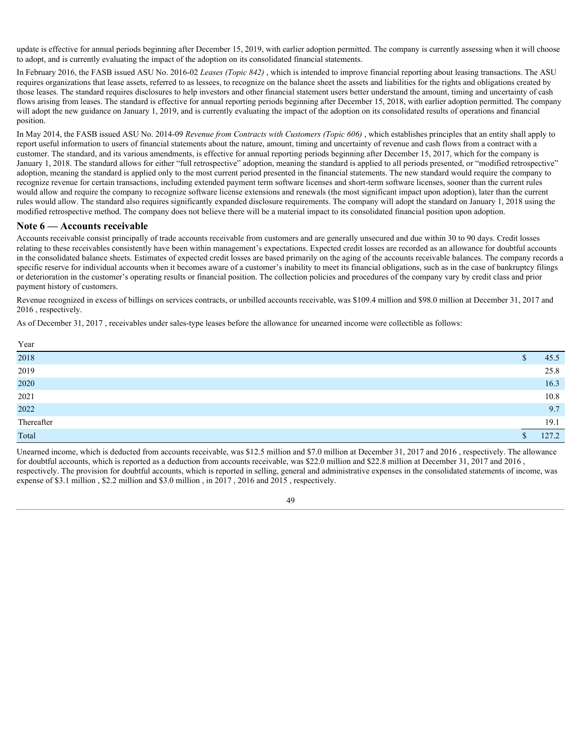update is effective for annual periods beginning after December 15, 2019, with earlier adoption permitted. The company is currently assessing when it will choose to adopt, and is currently evaluating the impact of the adoption on its consolidated financial statements.

In February 2016, the FASB issued ASU No. 2016-02 *Leases (Topic 842)* , which is intended to improve financial reporting about leasing transactions. The ASU requires organizations that lease assets, referred to as lessees, to recognize on the balance sheet the assets and liabilities for the rights and obligations created by those leases. The standard requires disclosures to help investors and other financial statement users better understand the amount, timing and uncertainty of cash flows arising from leases. The standard is effective for annual reporting periods beginning after December 15, 2018, with earlier adoption permitted. The company will adopt the new guidance on January 1, 2019, and is currently evaluating the impact of the adoption on its consolidated results of operations and financial position.

In May 2014, the FASB issued ASU No. 2014-09 *Revenue from Contracts with Customers (Topic 606)* , which establishes principles that an entity shall apply to report useful information to users of financial statements about the nature, amount, timing and uncertainty of revenue and cash flows from a contract with a customer. The standard, and its various amendments, is effective for annual reporting periods beginning after December 15, 2017, which for the company is January 1, 2018. The standard allows for either "full retrospective" adoption, meaning the standard is applied to all periods presented, or "modified retrospective" adoption, meaning the standard is applied only to the most current period presented in the financial statements. The new standard would require the company to recognize revenue for certain transactions, including extended payment term software licenses and short-term software licenses, sooner than the current rules would allow and require the company to recognize software license extensions and renewals (the most significant impact upon adoption), later than the current rules would allow. The standard also requires significantly expanded disclosure requirements. The company will adopt the standard on January 1, 2018 using the modified retrospective method. The company does not believe there will be a material impact to its consolidated financial position upon adoption.

### **Note 6 — Accounts receivable**

Accounts receivable consist principally of trade accounts receivable from customers and are generally unsecured and due within 30 to 90 days. Credit losses relating to these receivables consistently have been within management's expectations. Expected credit losses are recorded as an allowance for doubtful accounts in the consolidated balance sheets. Estimates of expected credit losses are based primarily on the aging of the accounts receivable balances. The company records a specific reserve for individual accounts when it becomes aware of a customer's inability to meet its financial obligations, such as in the case of bankruptcy filings or deterioration in the customer's operating results or financial position. The collection policies and procedures of the company vary by credit class and prior payment history of customers.

Revenue recognized in excess of billings on services contracts, or unbilled accounts receivable, was \$109.4 million and \$98.0 million at December 31, 2017 and 2016 , respectively.

As of December 31, 2017 , receivables under sales-type leases before the allowance for unearned income were collectible as follows:

| Year         |                      |
|--------------|----------------------|
| 2018         | 45.5                 |
| 2019         | 25.8                 |
| 2020         | $\frac{16.3}{10.8}$  |
| 2021<br>2022 |                      |
|              | 9.7                  |
| Thereafter   | $\frac{19.1}{127.2}$ |
| Total        |                      |
|              |                      |

Unearned income, which is deducted from accounts receivable, was \$12.5 million and \$7.0 million at December 31, 2017 and 2016 , respectively. The allowance for doubtful accounts, which is reported as a deduction from accounts receivable, was \$22.0 million and \$22.8 million at December 31, 2017 and 2016 , respectively. The provision for doubtful accounts, which is reported in selling, general and administrative expenses in the consolidated statements of income, was expense of \$3.1 million , \$2.2 million and \$3.0 million , in 2017 , 2016 and 2015 , respectively.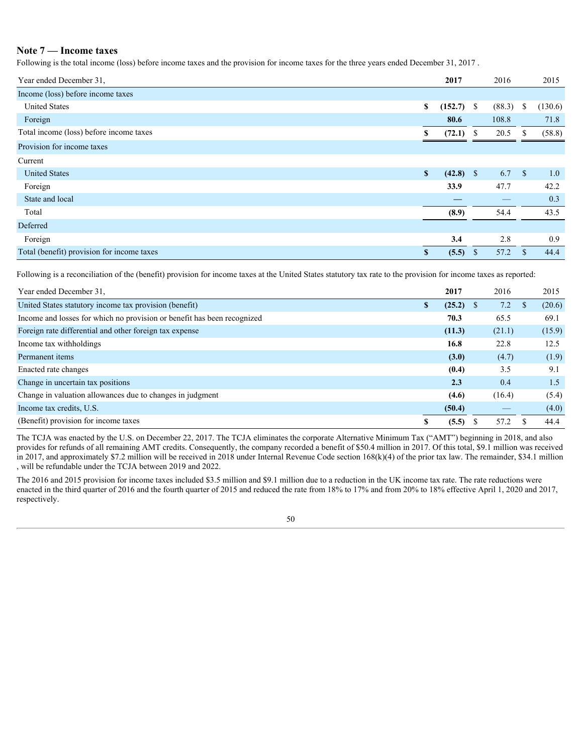## **Note 7 — Income taxes**

Following is the total income (loss) before income taxes and the provision for income taxes for the three years ended December 31, 2017 .

| Year ended December 31,                    |              | 2017         |              | 2016                            |      | 2015    |
|--------------------------------------------|--------------|--------------|--------------|---------------------------------|------|---------|
| Income (loss) before income taxes          |              |              |              |                                 |      |         |
| <b>United States</b>                       | S            | $(152.7)$ \$ |              | $(88.3)$ \$                     |      | (130.6) |
| Foreign                                    |              | 80.6         |              | 108.8                           |      | 71.8    |
| Total income (loss) before income taxes    |              | (72.1)       | $\mathbf{S}$ | 20.5                            | -S   | (58.8)  |
| Provision for income taxes                 |              |              |              |                                 |      |         |
| Current                                    |              |              |              |                                 |      |         |
| <b>United States</b>                       | $\mathbf{s}$ | $(42.8)$ \$  |              | 6.7                             | - \$ | 1.0     |
| Foreign                                    |              | 33.9         |              | 47.7                            |      | 42.2    |
| State and local                            |              |              |              | $\hspace{0.1mm}-\hspace{0.1mm}$ |      | 0.3     |
| Total                                      |              | (8.9)        |              | 54.4                            |      | 43.5    |
| Deferred                                   |              |              |              |                                 |      |         |
| Foreign                                    |              | 3.4          |              | 2.8                             |      | 0.9     |
| Total (benefit) provision for income taxes |              | (5.5)        | - 5          | 57.2                            |      | 44.4    |

Following is a reconciliation of the (benefit) provision for income taxes at the United States statutory tax rate to the provision for income taxes as reported:

| Year ended December 31,                                                 | 2017   | 2016                          | 2015   |
|-------------------------------------------------------------------------|--------|-------------------------------|--------|
| United States statutory income tax provision (benefit)                  | (25.2) | 7.2                           | (20.6) |
| Income and losses for which no provision or benefit has been recognized | 70.3   | 65.5                          | 69.1   |
| Foreign rate differential and other foreign tax expense                 | (11.3) | (21.1)                        | (15.9) |
| Income tax withholdings                                                 | 16.8   | 22.8                          | 12.5   |
| Permanent items                                                         | (3.0)  | (4.7)                         | (1.9)  |
| Enacted rate changes                                                    | (0.4)  | 3.5                           | 9.1    |
| Change in uncertain tax positions                                       | 2.3    | 0.4                           | 1.5    |
| Change in valuation allowances due to changes in judgment               | (4.6)  | (16.4)                        | (5.4)  |
| Income tax credits, U.S.                                                | (50.4) | $\overbrace{\phantom{aaaaa}}$ | (4.0)  |
| (Benefit) provision for income taxes                                    | (5.5)  | 57.2                          | 44.4   |

The TCJA was enacted by the U.S. on December 22, 2017. The TCJA eliminates the corporate Alternative Minimum Tax ("AMT") beginning in 2018, and also provides for refunds of all remaining AMT credits. Consequently, the company recorded a benefit of \$50.4 million in 2017. Of this total, \$9.1 million was received in 2017, and approximately \$7.2 million will be received in 2018 under Internal Revenue Code section  $168(k)(4)$  of the prior tax law. The remainder, \$34.1 million , will be refundable under the TCJA between 2019 and 2022.

The 2016 and 2015 provision for income taxes included \$3.5 million and \$9.1 million due to a reduction in the UK income tax rate. The rate reductions were enacted in the third quarter of 2016 and the fourth quarter of 2015 and reduced the rate from 18% to 17% and from 20% to 18% effective April 1, 2020 and 2017, respectively.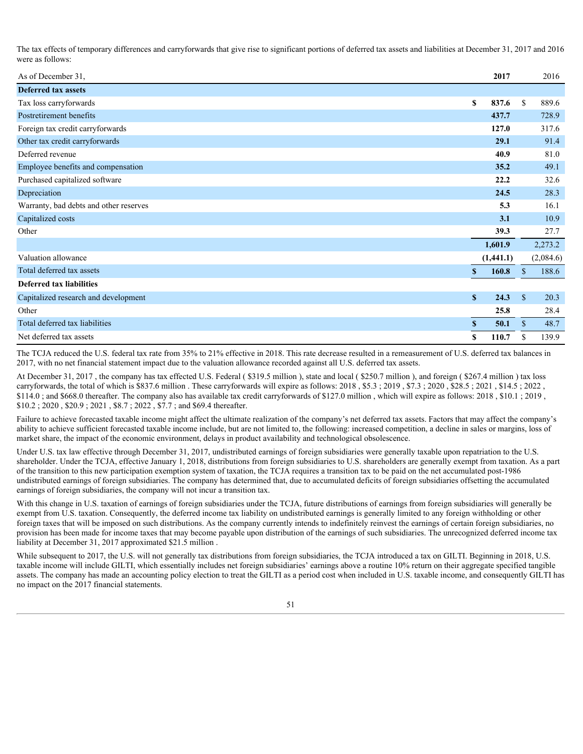The tax effects of temporary differences and carryforwards that give rise to significant portions of deferred tax assets and liabilities at December 31, 2017 and 2016 were as follows:

| As of December 31,                     |              | 2017      |               | 2016      |
|----------------------------------------|--------------|-----------|---------------|-----------|
| <b>Deferred tax assets</b>             |              |           |               |           |
| Tax loss carryforwards                 | S            | 837.6     | <sup>\$</sup> | 889.6     |
| Postretirement benefits                |              | 437.7     |               | 728.9     |
| Foreign tax credit carryforwards       |              | 127.0     |               | 317.6     |
| Other tax credit carryforwards         |              | 29.1      |               | 91.4      |
| Deferred revenue                       |              | 40.9      |               | 81.0      |
| Employee benefits and compensation     |              | 35.2      |               | 49.1      |
| Purchased capitalized software         |              | 22.2      |               | 32.6      |
| Depreciation                           |              | 24.5      |               | 28.3      |
| Warranty, bad debts and other reserves |              | 5.3       |               | 16.1      |
| Capitalized costs                      |              | 3.1       |               | 10.9      |
| Other                                  |              | 39.3      |               | 27.7      |
|                                        |              | 1,601.9   |               | 2,273.2   |
| Valuation allowance                    |              | (1,441.1) |               | (2,084.6) |
| Total deferred tax assets              | $\mathbf{s}$ | 160.8     | <sup>S</sup>  | 188.6     |
| <b>Deferred tax liabilities</b>        |              |           |               |           |
| Capitalized research and development   | S            | 24.3      | $\mathbb{S}$  | 20.3      |
| Other                                  |              | 25.8      |               | 28.4      |
| Total deferred tax liabilities         | S            | 50.1      | $\mathbb{S}$  | 48.7      |
| Net deferred tax assets                | \$           | 110.7     | <sup>\$</sup> | 139.9     |

The TCJA reduced the U.S. federal tax rate from 35% to 21% effective in 2018. This rate decrease resulted in a remeasurement of U.S. deferred tax balances in 2017, with no net financial statement impact due to the valuation allowance recorded against all U.S. deferred tax assets.

At December 31, 2017 , the company has tax effected U.S. Federal ( \$319.5 million ), state and local ( \$250.7 million ), and foreign ( \$267.4 million ) tax loss carryforwards, the total of which is \$837.6 million . These carryforwards will expire as follows: 2018 , \$5.3 ; 2019 , \$7.3 ; 2020 , \$28.5 ; 2021 , \$14.5 ; 2022 , \$114.0 ; and \$668.0 thereafter. The company also has available tax credit carryforwards of \$127.0 million , which will expire as follows: 2018 , \$10.1 ; 2019 , \$10.2 ; 2020 , \$20.9 ; 2021 , \$8.7 ; 2022 , \$7.7 ; and \$69.4 thereafter.

Failure to achieve forecasted taxable income might affect the ultimate realization of the company's net deferred tax assets. Factors that may affect the company's ability to achieve sufficient forecasted taxable income include, but are not limited to, the following: increased competition, a decline in sales or margins, loss of market share, the impact of the economic environment, delays in product availability and technological obsolescence.

Under U.S. tax law effective through December 31, 2017, undistributed earnings of foreign subsidiaries were generally taxable upon repatriation to the U.S. shareholder. Under the TCJA, effective January 1, 2018, distributions from foreign subsidiaries to U.S. shareholders are generally exempt from taxation. As a part of the transition to this new participation exemption system of taxation, the TCJA requires a transition tax to be paid on the net accumulated post-1986 undistributed earnings of foreign subsidiaries. The company has determined that, due to accumulated deficits of foreign subsidiaries offsetting the accumulated earnings of foreign subsidiaries, the company will not incur a transition tax.

With this change in U.S. taxation of earnings of foreign subsidiaries under the TCJA, future distributions of earnings from foreign subsidiaries will generally be exempt from U.S. taxation. Consequently, the deferred income tax liability on undistributed earnings is generally limited to any foreign withholding or other foreign taxes that will be imposed on such distributions. As the company currently intends to indefinitely reinvest the earnings of certain foreign subsidiaries, no provision has been made for income taxes that may become payable upon distribution of the earnings of such subsidiaries. The unrecognized deferred income tax liability at December 31, 2017 approximated \$21.5 million .

While subsequent to 2017, the U.S. will not generally tax distributions from foreign subsidiaries, the TCJA introduced a tax on GILTI. Beginning in 2018, U.S. taxable income will include GILTI, which essentially includes net foreign subsidiaries' earnings above a routine 10% return on their aggregate specified tangible assets. The company has made an accounting policy election to treat the GILTI as a period cost when included in U.S. taxable income, and consequently GILTI has no impact on the 2017 financial statements.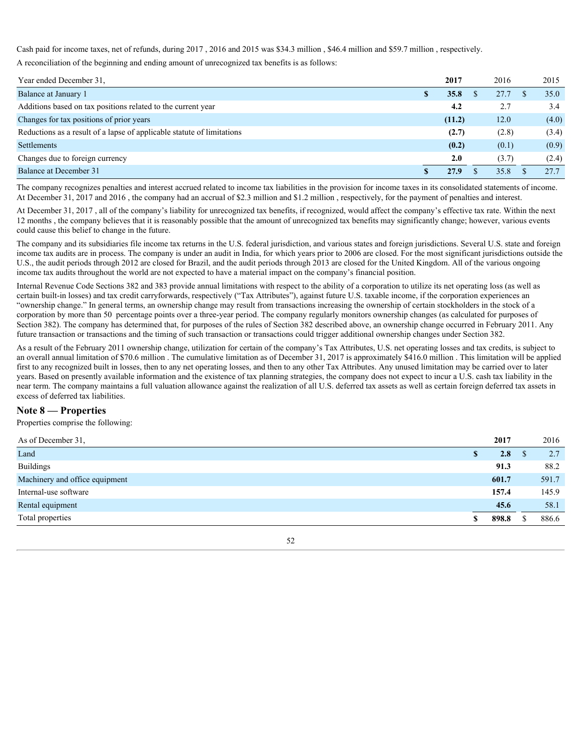Cash paid for income taxes, net of refunds, during 2017 , 2016 and 2015 was \$34.3 million , \$46.4 million and \$59.7 million , respectively.

A reconciliation of the beginning and ending amount of unrecognized tax benefits is as follows:

| 2015<br>Year ended December 31.<br>2017<br>2016                                                   |
|---------------------------------------------------------------------------------------------------|
| 35.0<br>Balance at January 1<br>27.7<br>35.8                                                      |
| Additions based on tax positions related to the current year<br>3.4<br>4.2<br>2.7                 |
| Changes for tax positions of prior years<br>(4.0)<br>12.0<br>(11.2)                               |
| Reductions as a result of a lapse of applicable statute of limitations<br>(2.7)<br>(2.8)<br>(3.4) |
| (0.9)<br>Settlements<br>(0.2)<br>(0.1)                                                            |
| Changes due to foreign currency<br>2.0<br>(3.7)<br>(2.4)                                          |
| Balance at December 31<br>27.7<br>35.8<br>27.9                                                    |

The company recognizes penalties and interest accrued related to income tax liabilities in the provision for income taxes in its consolidated statements of income. At December 31, 2017 and 2016 , the company had an accrual of \$2.3 million and \$1.2 million , respectively, for the payment of penalties and interest.

At December 31, 2017 , all of the company's liability for unrecognized tax benefits, if recognized, would affect the company's effective tax rate. Within the next 12 months , the company believes that it is reasonably possible that the amount of unrecognized tax benefits may significantly change; however, various events could cause this belief to change in the future.

The company and its subsidiaries file income tax returns in the U.S. federal jurisdiction, and various states and foreign jurisdictions. Several U.S. state and foreign income tax audits are in process. The company is under an audit in India, for which years prior to 2006 are closed. For the most significant jurisdictions outside the U.S., the audit periods through 2012 are closed for Brazil, and the audit periods through 2013 are closed for the United Kingdom. All of the various ongoing income tax audits throughout the world are not expected to have a material impact on the company's financial position.

Internal Revenue Code Sections 382 and 383 provide annual limitations with respect to the ability of a corporation to utilize its net operating loss (as well as certain built-in losses) and tax credit carryforwards, respectively ("Tax Attributes"), against future U.S. taxable income, if the corporation experiences an "ownership change." In general terms, an ownership change may result from transactions increasing the ownership of certain stockholders in the stock of a corporation by more than 50 percentage points over a three-year period. The company regularly monitors ownership changes (as calculated for purposes of Section 382). The company has determined that, for purposes of the rules of Section 382 described above, an ownership change occurred in February 2011. Any future transaction or transactions and the timing of such transaction or transactions could trigger additional ownership changes under Section 382.

As a result of the February 2011 ownership change, utilization for certain of the company's Tax Attributes, U.S. net operating losses and tax credits, is subject to an overall annual limitation of \$70.6 million . The cumulative limitation as of December 31, 2017 is approximately \$416.0 million . This limitation will be applied first to any recognized built in losses, then to any net operating losses, and then to any other Tax Attributes. Any unused limitation may be carried over to later years. Based on presently available information and the existence of tax planning strategies, the company does not expect to incur a U.S. cash tax liability in the near term. The company maintains a full valuation allowance against the realization of all U.S. deferred tax assets as well as certain foreign deferred tax assets in excess of deferred tax liabilities.

### **Note 8 — Properties**

Properties comprise the following:

| As of December 31,             | 2017  | 2016  |
|--------------------------------|-------|-------|
| Land                           | 2.8   | 2.7   |
| <b>Buildings</b>               | 91.3  | 88.2  |
| Machinery and office equipment | 601.7 | 591.7 |
| Internal-use software          | 157.4 | 145.9 |
| Rental equipment               | 45.6  | 58.1  |
| Total properties               | 898.8 | 886.6 |
|                                |       |       |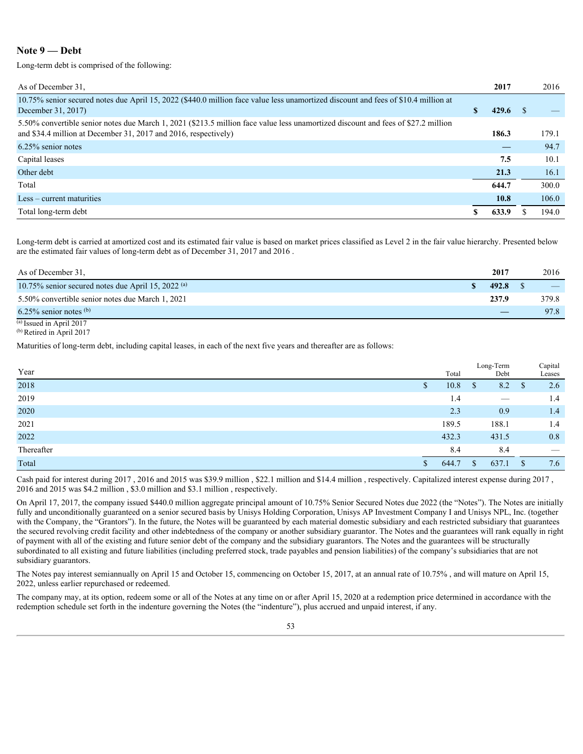## **Note 9 — Debt**

Long-term debt is comprised of the following:

| As of December 31,                                                                                                                                                                                   | 2017  | 2016  |
|------------------------------------------------------------------------------------------------------------------------------------------------------------------------------------------------------|-------|-------|
| 10.75% senior secured notes due April 15, 2022 (\$440.0 million face value less unamortized discount and fees of \$10.4 million at<br>December 31, 2017)                                             | 429.6 |       |
| 5.50% convertible senior notes due March 1, 2021 (\$213.5 million face value less unamortized discount and fees of \$27.2 million<br>and \$34.4 million at December 31, 2017 and 2016, respectively) | 186.3 | 179.1 |
| $6.25\%$ senior notes                                                                                                                                                                                |       | 94.7  |
| Capital leases                                                                                                                                                                                       | 7.5   | 10.1  |
| Other debt                                                                                                                                                                                           | 21.3  | 16.1  |
| Total                                                                                                                                                                                                | 644.7 | 300.0 |
| Less – current maturities                                                                                                                                                                            | 10.8  | 106.0 |
| Total long-term debt                                                                                                                                                                                 | 633.9 | 194.0 |

Long-term debt is carried at amortized cost and its estimated fair value is based on market prices classified as Level 2 in the fair value hierarchy. Presented below are the estimated fair values of long-term debt as of December 31, 2017 and 2016 .

| As of December 31,                                            | 2017  | 2016  |
|---------------------------------------------------------------|-------|-------|
| 10.75% senior secured notes due April 15, 2022 <sup>(a)</sup> | 492.8 |       |
| 5.50% convertible senior notes due March 1, 2021              | 237.9 | 379.8 |
| $6.25\%$ senior notes $(b)$                                   |       | 97.8  |
| $(a)$ Issued in April 2017                                    |       |       |

(b) Retired in April 2017

Maturities of long-term debt, including capital leases, in each of the next five years and thereafter are as follows:

| Year                               | Total | Long-Term<br>Debt |                                 | Capital<br>Leases               |
|------------------------------------|-------|-------------------|---------------------------------|---------------------------------|
| 2018                               | 10.8  |                   | 8.2                             | 2.6                             |
| 2019                               | 1.4   |                   | $\hspace{0.1mm}-\hspace{0.1mm}$ | 1.4                             |
| 2020<br>2021<br>2022<br>Thereafter | 2.3   | 0.9               |                                 | 1.4                             |
|                                    | 189.5 | 188.1             |                                 | 1.4                             |
|                                    | 432.3 | 431.5             |                                 | 0.8                             |
|                                    | 8.4   | 8.4               |                                 | $\hspace{0.1mm}-\hspace{0.1mm}$ |
| Total                              | 644.7 | 637.1             |                                 | 7.6                             |

Cash paid for interest during 2017 , 2016 and 2015 was \$39.9 million , \$22.1 million and \$14.4 million , respectively. Capitalized interest expense during 2017 , 2016 and 2015 was \$4.2 million , \$3.0 million and \$3.1 million , respectively.

On April 17, 2017, the company issued \$440.0 million aggregate principal amount of 10.75% Senior Secured Notes due 2022 (the "Notes"). The Notes are initially fully and unconditionally guaranteed on a senior secured basis by Unisys Holding Corporation, Unisys AP Investment Company I and Unisys NPL, Inc. (together with the Company, the "Grantors"). In the future, the Notes will be guaranteed by each material domestic subsidiary and each restricted subsidiary that guarantees the secured revolving credit facility and other indebtedness of the company or another subsidiary guarantor. The Notes and the guarantees will rank equally in right of payment with all of the existing and future senior debt of the company and the subsidiary guarantors. The Notes and the guarantees will be structurally subordinated to all existing and future liabilities (including preferred stock, trade payables and pension liabilities) of the company's subsidiaries that are not subsidiary guarantors.

The Notes pay interest semiannually on April 15 and October 15, commencing on October 15, 2017, at an annual rate of 10.75% , and will mature on April 15, 2022, unless earlier repurchased or redeemed.

The company may, at its option, redeem some or all of the Notes at any time on or after April 15, 2020 at a redemption price determined in accordance with the redemption schedule set forth in the indenture governing the Notes (the "indenture"), plus accrued and unpaid interest, if any.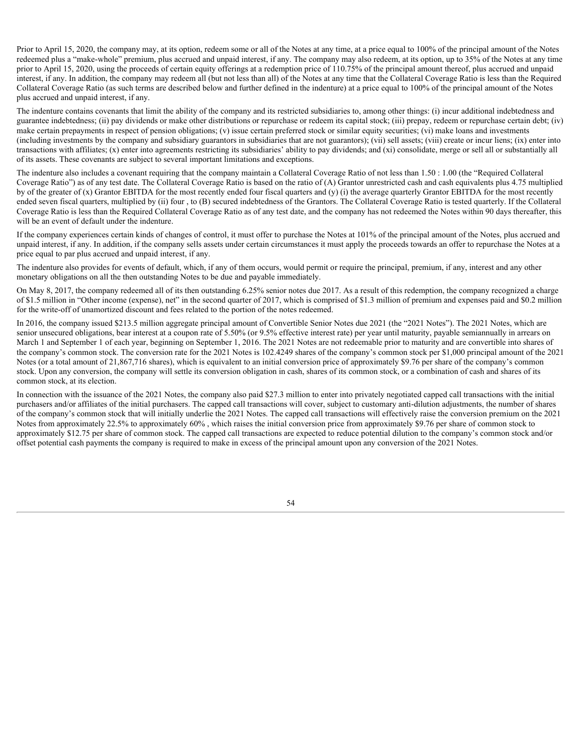Prior to April 15, 2020, the company may, at its option, redeem some or all of the Notes at any time, at a price equal to 100% of the principal amount of the Notes redeemed plus a "make-whole" premium, plus accrued and unpaid interest, if any. The company may also redeem, at its option, up to 35% of the Notes at any time prior to April 15, 2020, using the proceeds of certain equity offerings at a redemption price of 110.75% of the principal amount thereof, plus accrued and unpaid interest, if any. In addition, the company may redeem all (but not less than all) of the Notes at any time that the Collateral Coverage Ratio is less than the Required Collateral Coverage Ratio (as such terms are described below and further defined in the indenture) at a price equal to 100% of the principal amount of the Notes plus accrued and unpaid interest, if any.

The indenture contains covenants that limit the ability of the company and its restricted subsidiaries to, among other things: (i) incur additional indebtedness and guarantee indebtedness; (ii) pay dividends or make other distributions or repurchase or redeem its capital stock; (iii) prepay, redeem or repurchase certain debt; (iv) make certain prepayments in respect of pension obligations; (v) issue certain preferred stock or similar equity securities; (vi) make loans and investments (including investments by the company and subsidiary guarantors in subsidiaries that are not guarantors); (vii) sell assets; (viii) create or incur liens; (ix) enter into transactions with affiliates; (x) enter into agreements restricting its subsidiaries' ability to pay dividends; and (xi) consolidate, merge or sell all or substantially all of its assets. These covenants are subject to several important limitations and exceptions.

The indenture also includes a covenant requiring that the company maintain a Collateral Coverage Ratio of not less than 1.50 : 1.00 (the "Required Collateral Coverage Ratio") as of any test date. The Collateral Coverage Ratio is based on the ratio of (A) Grantor unrestricted cash and cash equivalents plus 4.75 multiplied by of the greater of (x) Grantor EBITDA for the most recently ended four fiscal quarters and (y) (i) the average quarterly Grantor EBITDA for the most recently ended seven fiscal quarters, multiplied by (ii) four , to (B) secured indebtedness of the Grantors. The Collateral Coverage Ratio is tested quarterly. If the Collateral Coverage Ratio is less than the Required Collateral Coverage Ratio as of any test date, and the company has not redeemed the Notes within 90 days thereafter, this will be an event of default under the indenture.

If the company experiences certain kinds of changes of control, it must offer to purchase the Notes at 101% of the principal amount of the Notes, plus accrued and unpaid interest, if any. In addition, if the company sells assets under certain circumstances it must apply the proceeds towards an offer to repurchase the Notes at a price equal to par plus accrued and unpaid interest, if any.

The indenture also provides for events of default, which, if any of them occurs, would permit or require the principal, premium, if any, interest and any other monetary obligations on all the then outstanding Notes to be due and payable immediately.

On May 8, 2017, the company redeemed all of its then outstanding 6.25% senior notes due 2017. As a result of this redemption, the company recognized a charge of \$1.5 million in "Other income (expense), net" in the second quarter of 2017, which is comprised of \$1.3 million of premium and expenses paid and \$0.2 million for the write-off of unamortized discount and fees related to the portion of the notes redeemed.

In 2016, the company issued \$213.5 million aggregate principal amount of Convertible Senior Notes due 2021 (the "2021 Notes"). The 2021 Notes, which are senior unsecured obligations, bear interest at a coupon rate of 5.50% (or 9.5% effective interest rate) per year until maturity, payable semiannually in arrears on March 1 and September 1 of each year, beginning on September 1, 2016. The 2021 Notes are not redeemable prior to maturity and are convertible into shares of the company's common stock. The conversion rate for the 2021 Notes is 102.4249 shares of the company's common stock per \$1,000 principal amount of the 2021 Notes (or a total amount of 21,867,716 shares), which is equivalent to an initial conversion price of approximately \$9.76 per share of the company's common stock. Upon any conversion, the company will settle its conversion obligation in cash, shares of its common stock, or a combination of cash and shares of its common stock, at its election.

In connection with the issuance of the 2021 Notes, the company also paid \$27.3 million to enter into privately negotiated capped call transactions with the initial purchasers and/or affiliates of the initial purchasers. The capped call transactions will cover, subject to customary anti-dilution adjustments, the number of shares of the company's common stock that will initially underlie the 2021 Notes. The capped call transactions will effectively raise the conversion premium on the 2021 Notes from approximately 22.5% to approximately 60% , which raises the initial conversion price from approximately \$9.76 per share of common stock to approximately \$12.75 per share of common stock. The capped call transactions are expected to reduce potential dilution to the company's common stock and/or offset potential cash payments the company is required to make in excess of the principal amount upon any conversion of the 2021 Notes.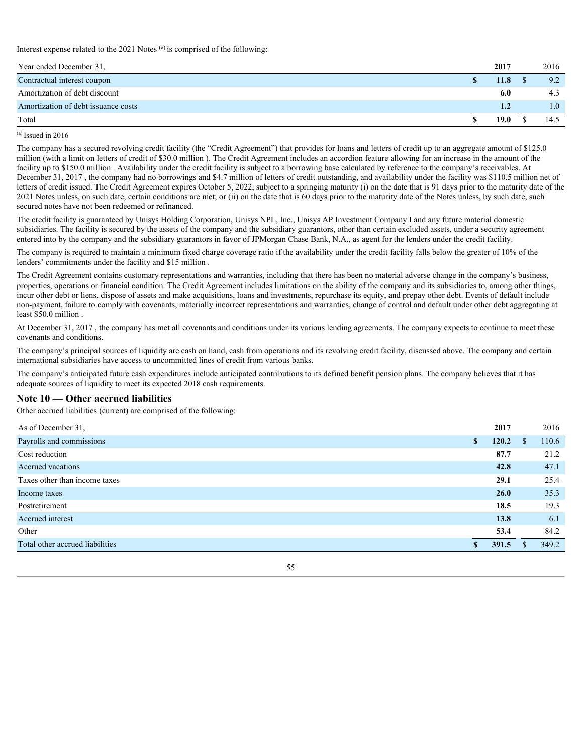Interest expense related to the 2021 Notes (a) is comprised of the following:

| Year ended December 31,             | 2017 | 2016 |  |
|-------------------------------------|------|------|--|
| Contractual interest coupon         | 11.8 | 9.2  |  |
| Amortization of debt discount       | 6.0  | 4.3  |  |
| Amortization of debt issuance costs | 1.2  | 1.0  |  |
| Total                               | 19.0 | 14.5 |  |

 $(a)$  Issued in 2016

The company has a secured revolving credit facility (the "Credit Agreement") that provides for loans and letters of credit up to an aggregate amount of \$125.0 million (with a limit on letters of credit of \$30.0 million ). The Credit Agreement includes an accordion feature allowing for an increase in the amount of the facility up to \$150.0 million . Availability under the credit facility is subject to a borrowing base calculated by reference to the company's receivables. At December 31, 2017 , the company had no borrowings and \$4.7 million of letters of credit outstanding, and availability under the facility was \$110.5 million net of letters of credit issued. The Credit Agreement expires October 5, 2022, subject to a springing maturity (i) on the date that is 91 days prior to the maturity date of the 2021 Notes unless, on such date, certain conditions are met; or (ii) on the date that is 60 days prior to the maturity date of the Notes unless, by such date, such secured notes have not been redeemed or refinanced.

The credit facility is guaranteed by Unisys Holding Corporation, Unisys NPL, Inc., Unisys AP Investment Company I and any future material domestic subsidiaries. The facility is secured by the assets of the company and the subsidiary guarantors, other than certain excluded assets, under a security agreement entered into by the company and the subsidiary guarantors in favor of JPMorgan Chase Bank, N.A., as agent for the lenders under the credit facility.

The company is required to maintain a minimum fixed charge coverage ratio if the availability under the credit facility falls below the greater of 10% of the lenders' commitments under the facility and \$15 million .

The Credit Agreement contains customary representations and warranties, including that there has been no material adverse change in the company's business, properties, operations or financial condition. The Credit Agreement includes limitations on the ability of the company and its subsidiaries to, among other things, incur other debt or liens, dispose of assets and make acquisitions, loans and investments, repurchase its equity, and prepay other debt. Events of default include non-payment, failure to comply with covenants, materially incorrect representations and warranties, change of control and default under other debt aggregating at least \$50.0 million .

At December 31, 2017 , the company has met all covenants and conditions under its various lending agreements. The company expects to continue to meet these covenants and conditions.

The company's principal sources of liquidity are cash on hand, cash from operations and its revolving credit facility, discussed above. The company and certain international subsidiaries have access to uncommitted lines of credit from various banks.

The company's anticipated future cash expenditures include anticipated contributions to its defined benefit pension plans. The company believes that it has adequate sources of liquidity to meet its expected 2018 cash requirements.

### **Note 10 — Other accrued liabilities**

Other accrued liabilities (current) are comprised of the following:

| As of December 31,              |    | 2017  | 2016  |  |
|---------------------------------|----|-------|-------|--|
| Payrolls and commissions        | S. | 120.2 | 110.6 |  |
| Cost reduction                  |    | 87.7  | 21.2  |  |
| Accrued vacations               |    | 42.8  | 47.1  |  |
| Taxes other than income taxes   |    | 29.1  | 25.4  |  |
| Income taxes                    |    | 26.0  | 35.3  |  |
| Postretirement                  |    | 18.5  | 19.3  |  |
| Accrued interest                |    | 13.8  | 6.1   |  |
| Other                           |    | 53.4  | 84.2  |  |
| Total other accrued liabilities |    | 391.5 | 349.2 |  |

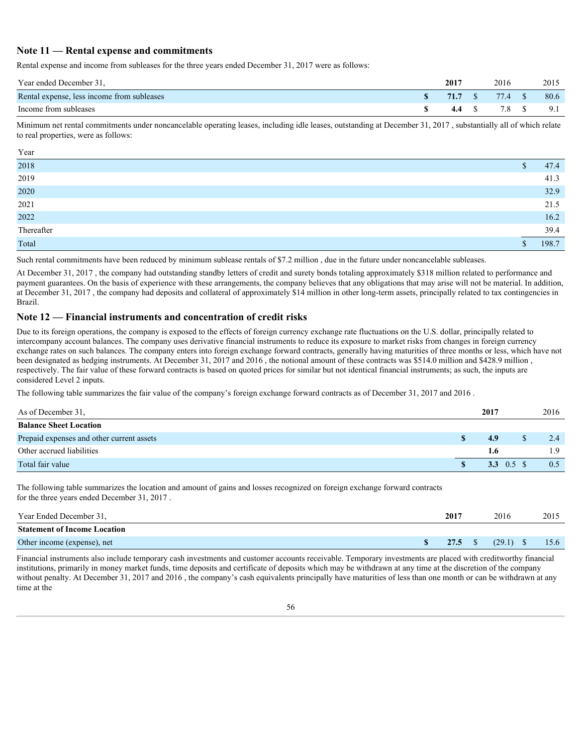# **Note 11 — Rental expense and commitments**

Rental expense and income from subleases for the three years ended December 31, 2017 were as follows:

| Year ended December 31,                    | 2017 | 2016 | 2015             |
|--------------------------------------------|------|------|------------------|
| Rental expense, less income from subleases | 71.7 | 77.4 | 80.6             |
| Income from subleases                      | 4.4  |      | $\mathbf Q$<br>, |

Minimum net rental commitments under noncancelable operating leases, including idle leases, outstanding at December 31, 2017 , substantially all of which relate to real properties, were as follows:

| 2018<br>47.4<br>2019<br>41.3<br>2020<br>32.9<br>2021<br>$21.5\,$<br>2022<br>$\frac{16.2}{39.4}$<br>198.7<br>Total | Year |  |
|-------------------------------------------------------------------------------------------------------------------|------|--|
|                                                                                                                   |      |  |
|                                                                                                                   |      |  |
|                                                                                                                   |      |  |
|                                                                                                                   |      |  |
|                                                                                                                   |      |  |
|                                                                                                                   |      |  |
|                                                                                                                   |      |  |

Such rental commitments have been reduced by minimum sublease rentals of \$7.2 million , due in the future under noncancelable subleases.

At December 31, 2017 , the company had outstanding standby letters of credit and surety bonds totaling approximately \$318 million related to performance and payment guarantees. On the basis of experience with these arrangements, the company believes that any obligations that may arise will not be material. In addition, at December 31, 2017 , the company had deposits and collateral of approximately \$14 million in other long-term assets, principally related to tax contingencies in Brazil.

## **Note 12 — Financial instruments and concentration of credit risks**

Due to its foreign operations, the company is exposed to the effects of foreign currency exchange rate fluctuations on the U.S. dollar, principally related to intercompany account balances. The company uses derivative financial instruments to reduce its exposure to market risks from changes in foreign currency exchange rates on such balances. The company enters into foreign exchange forward contracts, generally having maturities of three months or less, which have not been designated as hedging instruments. At December 31, 2017 and 2016, the notional amount of these contracts was \$514.0 million and \$428.9 million, respectively. The fair value of these forward contracts is based on quoted prices for similar but not identical financial instruments; as such, the inputs are considered Level 2 inputs.

The following table summarizes the fair value of the company's foreign exchange forward contracts as of December 31, 2017 and 2016 .

| As of December 31,                        | 2017         | 2016 |
|-------------------------------------------|--------------|------|
| <b>Balance Sheet Location</b>             |              |      |
| Prepaid expenses and other current assets | 4.9          | 2.4  |
| Other accrued liabilities                 | 1.6          | 1.9  |
| Total fair value                          | 3.3 $0.5$ \$ | 0.5  |

The following table summarizes the location and amount of gains and losses recognized on foreign exchange forward contracts for the three years ended December 31, 2017 .

| Year Ended December 31,             | 2017 | 2016                  | 2015 |
|-------------------------------------|------|-----------------------|------|
| <b>Statement of Income Location</b> |      |                       |      |
| Other income (expense), net         | 27.5 | $(29)^{15}$<br>(27.1) | 15.6 |

Financial instruments also include temporary cash investments and customer accounts receivable. Temporary investments are placed with creditworthy financial institutions, primarily in money market funds, time deposits and certificate of deposits which may be withdrawn at any time at the discretion of the company without penalty. At December 31, 2017 and 2016, the company's cash equivalents principally have maturities of less than one month or can be withdrawn at any time at the

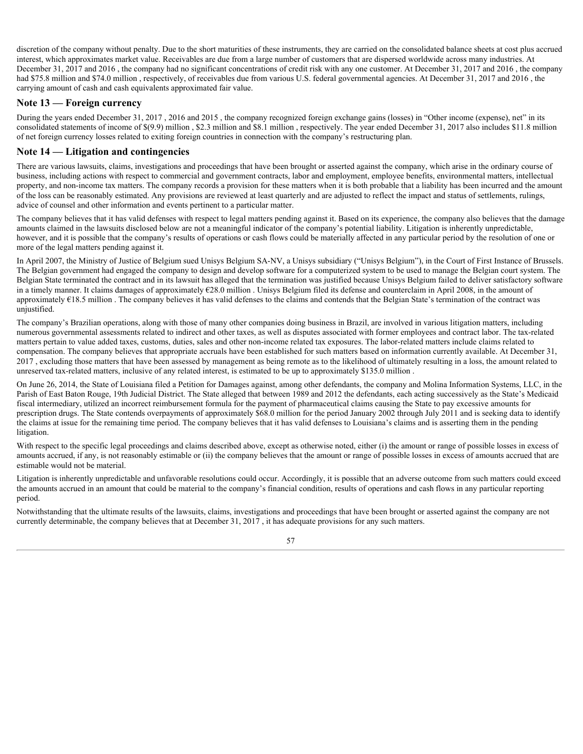discretion of the company without penalty. Due to the short maturities of these instruments, they are carried on the consolidated balance sheets at cost plus accrued interest, which approximates market value. Receivables are due from a large number of customers that are dispersed worldwide across many industries. At December 31, 2017 and 2016 , the company had no significant concentrations of credit risk with any one customer. At December 31, 2017 and 2016 , the company had \$75.8 million and \$74.0 million, respectively, of receivables due from various U.S. federal governmental agencies. At December 31, 2017 and 2016, the carrying amount of cash and cash equivalents approximated fair value.

## **Note 13 — Foreign currency**

During the years ended December 31, 2017 , 2016 and 2015 , the company recognized foreign exchange gains (losses) in "Other income (expense), net" in its consolidated statements of income of \$(9.9) million , \$2.3 million and \$8.1 million , respectively. The year ended December 31, 2017 also includes \$11.8 million of net foreign currency losses related to exiting foreign countries in connection with the company's restructuring plan.

### **Note 14 — Litigation and contingencies**

There are various lawsuits, claims, investigations and proceedings that have been brought or asserted against the company, which arise in the ordinary course of business, including actions with respect to commercial and government contracts, labor and employment, employee benefits, environmental matters, intellectual property, and non-income tax matters. The company records a provision for these matters when it is both probable that a liability has been incurred and the amount of the loss can be reasonably estimated. Any provisions are reviewed at least quarterly and are adjusted to reflect the impact and status of settlements, rulings, advice of counsel and other information and events pertinent to a particular matter.

The company believes that it has valid defenses with respect to legal matters pending against it. Based on its experience, the company also believes that the damage amounts claimed in the lawsuits disclosed below are not a meaningful indicator of the company's potential liability. Litigation is inherently unpredictable, however, and it is possible that the company's results of operations or cash flows could be materially affected in any particular period by the resolution of one or more of the legal matters pending against it.

In April 2007, the Ministry of Justice of Belgium sued Unisys Belgium SA-NV, a Unisys subsidiary ("Unisys Belgium"), in the Court of First Instance of Brussels. The Belgian government had engaged the company to design and develop software for a computerized system to be used to manage the Belgian court system. The Belgian State terminated the contract and in its lawsuit has alleged that the termination was justified because Unisys Belgium failed to deliver satisfactory software in a timely manner. It claims damages of approximately €28.0 million . Unisys Belgium filed its defense and counterclaim in April 2008, in the amount of approximately €18.5 million . The company believes it has valid defenses to the claims and contends that the Belgian State's termination of the contract was unjustified.

The company's Brazilian operations, along with those of many other companies doing business in Brazil, are involved in various litigation matters, including numerous governmental assessments related to indirect and other taxes, as well as disputes associated with former employees and contract labor. The tax-related matters pertain to value added taxes, customs, duties, sales and other non-income related tax exposures. The labor-related matters include claims related to compensation. The company believes that appropriate accruals have been established for such matters based on information currently available. At December 31, 2017 , excluding those matters that have been assessed by management as being remote as to the likelihood of ultimately resulting in a loss, the amount related to unreserved tax-related matters, inclusive of any related interest, is estimated to be up to approximately \$135.0 million .

On June 26, 2014, the State of Louisiana filed a Petition for Damages against, among other defendants, the company and Molina Information Systems, LLC, in the Parish of East Baton Rouge, 19th Judicial District. The State alleged that between 1989 and 2012 the defendants, each acting successively as the State's Medicaid fiscal intermediary, utilized an incorrect reimbursement formula for the payment of pharmaceutical claims causing the State to pay excessive amounts for prescription drugs. The State contends overpayments of approximately \$68.0 million for the period January 2002 through July 2011 and is seeking data to identify the claims at issue for the remaining time period. The company believes that it has valid defenses to Louisiana's claims and is asserting them in the pending litigation.

With respect to the specific legal proceedings and claims described above, except as otherwise noted, either (i) the amount or range of possible losses in excess of amounts accrued, if any, is not reasonably estimable or (ii) the company believes that the amount or range of possible losses in excess of amounts accrued that are estimable would not be material.

Litigation is inherently unpredictable and unfavorable resolutions could occur. Accordingly, it is possible that an adverse outcome from such matters could exceed the amounts accrued in an amount that could be material to the company's financial condition, results of operations and cash flows in any particular reporting period.

Notwithstanding that the ultimate results of the lawsuits, claims, investigations and proceedings that have been brought or asserted against the company are not currently determinable, the company believes that at December 31, 2017 , it has adequate provisions for any such matters.

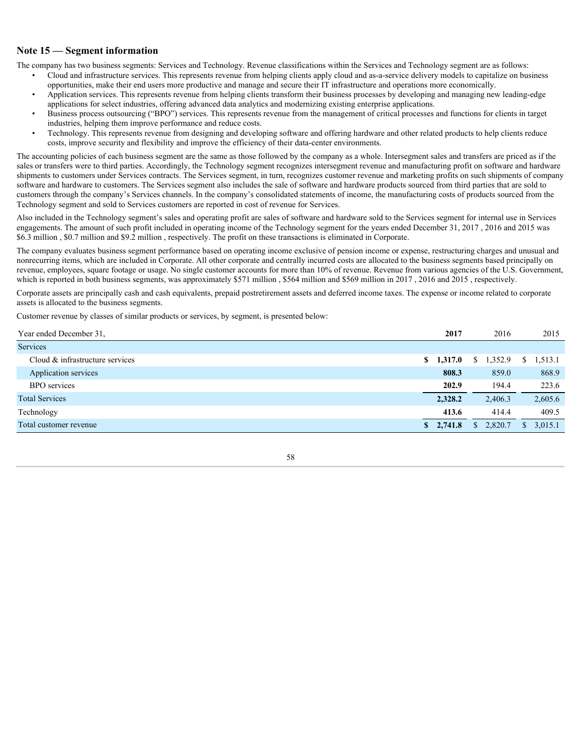### **Note 15 — Segment information**

The company has two business segments: Services and Technology. Revenue classifications within the Services and Technology segment are as follows:

- Cloud and infrastructure services. This represents revenue from helping clients apply cloud and as-a-service delivery models to capitalize on business opportunities, make their end users more productive and manage and secure their IT infrastructure and operations more economically.
- Application services. This represents revenue from helping clients transform their business processes by developing and managing new leading-edge applications for select industries, offering advanced data analytics and modernizing existing enterprise applications.
- Business process outsourcing ("BPO") services. This represents revenue from the management of critical processes and functions for clients in target industries, helping them improve performance and reduce costs.
- Technology. This represents revenue from designing and developing software and offering hardware and other related products to help clients reduce costs, improve security and flexibility and improve the efficiency of their data-center environments.

The accounting policies of each business segment are the same as those followed by the company as a whole. Intersegment sales and transfers are priced as if the sales or transfers were to third parties. Accordingly, the Technology segment recognizes intersegment revenue and manufacturing profit on software and hardware shipments to customers under Services contracts. The Services segment, in turn, recognizes customer revenue and marketing profits on such shipments of company software and hardware to customers. The Services segment also includes the sale of software and hardware products sourced from third parties that are sold to customers through the company's Services channels. In the company's consolidated statements of income, the manufacturing costs of products sourced from the Technology segment and sold to Services customers are reported in cost of revenue for Services.

Also included in the Technology segment's sales and operating profit are sales of software and hardware sold to the Services segment for internal use in Services engagements. The amount of such profit included in operating income of the Technology segment for the years ended December 31, 2017 , 2016 and 2015 was \$6.3 million , \$0.7 million and \$9.2 million , respectively. The profit on these transactions is eliminated in Corporate.

The company evaluates business segment performance based on operating income exclusive of pension income or expense, restructuring charges and unusual and nonrecurring items, which are included in Corporate. All other corporate and centrally incurred costs are allocated to the business segments based principally on revenue, employees, square footage or usage. No single customer accounts for more than 10% of revenue. Revenue from various agencies of the U.S. Government, which is reported in both business segments, was approximately \$571 million , \$564 million and \$569 million in 2017, 2016 and 2015, respectively.

Corporate assets are principally cash and cash equivalents, prepaid postretirement assets and deferred income taxes. The expense or income related to corporate assets is allocated to the business segments.

Customer revenue by classes of similar products or services, by segment, is presented below:

| Year ended December 31,         | 2017          | 2016    | 2015    |
|---------------------------------|---------------|---------|---------|
| Services                        |               |         |         |
| Cloud & infrastructure services | \$1,317.0     | 1,352.9 | 1,513.1 |
| Application services            | 808.3         | 859.0   | 868.9   |
| <b>BPO</b> services             | 202.9         | 194.4   | 223.6   |
| <b>Total Services</b>           | 2,328.2       | 2,406.3 | 2,605.6 |
| Technology                      | 413.6         | 414.4   | 409.5   |
| Total customer revenue          | 2,741.8<br>D. | 2,820.7 | 3,015.1 |

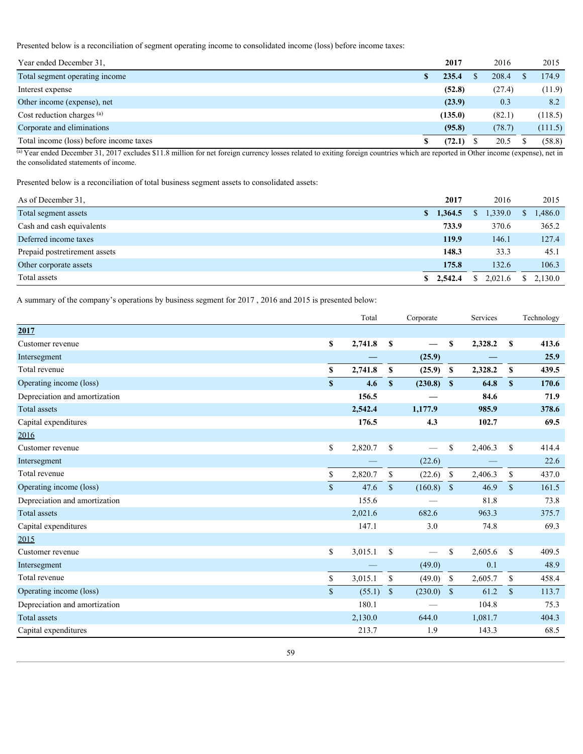Presented below is a reconciliation of segment operating income to consolidated income (loss) before income taxes:

| Year ended December 31.                 | 2017    | 2016   | 2015    |  |
|-----------------------------------------|---------|--------|---------|--|
| Total segment operating income          | 235.4   | 208.4  | 174.9   |  |
| Interest expense                        | (52.8)  | (27.4) | (11.9)  |  |
| Other income (expense), net             | (23.9)  | 0.3    | 8.2     |  |
| Cost reduction charges (a)              | (135.0) | (82.1) | (118.5) |  |
| Corporate and eliminations              | (95.8)  | (78.7) | (111.5) |  |
| Total income (loss) before income taxes | (72.1)  | 20.5   | (58.8)  |  |

(a) Year ended December 31, 2017 excludes \$11.8 million for net foreign currency losses related to exiting foreign countries which are reported in Other income (expense), net in the consolidated statements of income.

Presented below is a reconciliation of total business segment assets to consolidated assets:

| As of December 31,            | 2017          | 2016    | 2015                 |  |
|-------------------------------|---------------|---------|----------------------|--|
| Total segment assets          | 1,364.5<br>D. | 1,339.0 | 1,486.0              |  |
| Cash and cash equivalents     | 733.9         | 370.6   | 365.2                |  |
| Deferred income taxes         | 119.9         | 146.1   | 127.4                |  |
| Prepaid postretirement assets | 148.3         | 33.3    | 45.1                 |  |
| Other corporate assets        | 175.8         | 132.6   | 106.3                |  |
| Total assets                  | 2,542.4       |         | $2,021.6$ \$ 2,130.0 |  |

A summary of the company's operations by business segment for 2017 , 2016 and 2015 is presented below:

|                               |               | Total                           |              | Corporate                       |               | Services                 |               | Technology |
|-------------------------------|---------------|---------------------------------|--------------|---------------------------------|---------------|--------------------------|---------------|------------|
| 2017                          |               |                                 |              |                                 |               |                          |               |            |
| Customer revenue              | <sup>\$</sup> | 2,741.8                         | $\mathbf s$  | $\overline{\phantom{0}}$        | $\mathbf{s}$  | $2,328.2$ \$             |               | 413.6      |
| Intersegment                  |               | $\hspace{0.1mm}-\hspace{0.1mm}$ |              | (25.9)                          |               | $\hspace{0.05cm}$        |               | 25.9       |
| Total revenue                 |               | 2,741.8                         | -S           | (25.9)                          | <b>S</b>      | 2,328.2                  | -S            | 439.5      |
| Operating income (loss)       | S             | 4.6                             | $\mathbf{s}$ | $(230.8)$ \$                    |               | 64.8                     | $\mathbf{s}$  | 170.6      |
| Depreciation and amortization |               | 156.5                           |              | $\overline{\phantom{m}}$        |               | 84.6                     |               | 71.9       |
| Total assets                  |               | 2,542.4                         |              | 1,177.9                         |               | 985.9                    |               | 378.6      |
| Capital expenditures          |               | 176.5                           |              | 4.3                             |               | 102.7                    |               | 69.5       |
| 2016                          |               |                                 |              |                                 |               |                          |               |            |
| Customer revenue              | S.            | 2,820.7                         | -\$          | $\overline{\phantom{m}}$        | -S            | 2,406.3                  | - \$          | 414.4      |
| Intersegment                  |               | $\qquad \qquad -$               |              | (22.6)                          |               | $\overline{\phantom{0}}$ |               | 22.6       |
| Total revenue                 |               | 2,820.7                         | - \$         | (22.6)<br>$\mathbf S$           |               | 2,406.3                  | \$            | 437.0      |
| Operating income (loss)       | $\mathbb{S}$  | 47.6                            | $\mathbb{S}$ | $(160.8)$ \$                    |               | 46.9                     | $\mathcal{S}$ | 161.5      |
| Depreciation and amortization |               | 155.6                           |              | $\overline{\phantom{m}}$        |               | 81.8                     |               | 73.8       |
| Total assets                  |               | 2,021.6                         |              | 682.6                           |               | 963.3                    |               | 375.7      |
| Capital expenditures          |               | 147.1                           |              | 3.0                             |               | 74.8                     |               | 69.3       |
| 2015                          |               |                                 |              |                                 |               |                          |               |            |
| Customer revenue              | <sup>\$</sup> | $3,015.1$ \$                    |              | $\overline{\phantom{m}}$        | $\mathcal{S}$ | $2,605.6$ \$             |               | 409.5      |
| Intersegment                  |               | $\hspace{0.05cm}$               |              | (49.0)                          |               | 0.1                      |               | 48.9       |
| Total revenue                 |               | 3,015.1                         | $\mathbb{S}$ | (49.0)<br>$\mathbf S$           |               | 2,605.7                  | \$            | 458.4      |
| Operating income (loss)       | $\mathbb{S}$  | $(55.1)$ \$                     |              | $(230.0)$ \$                    |               | 61.2                     | $\mathbf S$   | 113.7      |
| Depreciation and amortization |               | 180.1                           |              | $\hspace{0.1mm}-\hspace{0.1mm}$ |               | 104.8                    |               | 75.3       |
| Total assets                  |               | 2,130.0                         |              | 644.0                           |               | 1,081.7                  |               | 404.3      |
| Capital expenditures          |               | 213.7                           |              | 1.9                             |               | 143.3                    |               | 68.5       |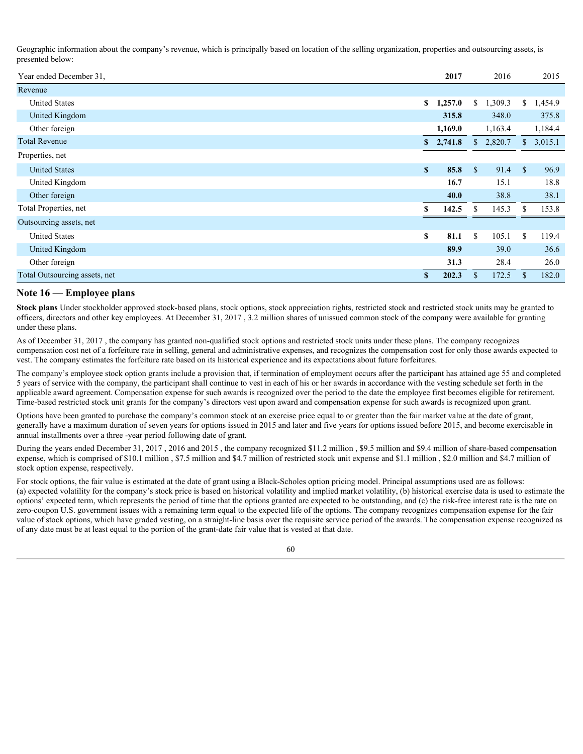Geographic information about the company's revenue, which is principally based on location of the selling organization, properties and outsourcing assets, is presented below:

| Year ended December 31,       |              | 2017      |                    | 2016    |                    | 2015    |  |
|-------------------------------|--------------|-----------|--------------------|---------|--------------------|---------|--|
| Revenue                       |              |           |                    |         |                    |         |  |
| <b>United States</b>          |              | \$1,257.0 | S.                 | 1,309.3 | \$                 | 1,454.9 |  |
| United Kingdom                |              | 315.8     |                    | 348.0   |                    | 375.8   |  |
| Other foreign                 |              | 1,169.0   |                    | 1,163.4 |                    | 1,184.4 |  |
| <b>Total Revenue</b>          | S.           | 2,741.8   | S.                 | 2,820.7 | <sup>S</sup>       | 3,015.1 |  |
| Properties, net               |              |           |                    |         |                    |         |  |
| <b>United States</b>          | $\mathbf{s}$ | 85.8      | $\mathbf{\hat{S}}$ | 91.4    | $\mathbf{\hat{s}}$ | 96.9    |  |
| United Kingdom                |              | 16.7      |                    | 15.1    |                    | 18.8    |  |
| Other foreign                 |              | 40.0      |                    | 38.8    |                    | 38.1    |  |
| Total Properties, net         |              | 142.5     |                    | 145.3   |                    | 153.8   |  |
| Outsourcing assets, net       |              |           |                    |         |                    |         |  |
| <b>United States</b>          | S            | 81.1      | <sup>\$</sup>      | 105.1   | <sup>\$</sup>      | 119.4   |  |
| United Kingdom                |              | 89.9      |                    | 39.0    |                    | 36.6    |  |
| Other foreign                 |              | 31.3      |                    | 28.4    |                    | 26.0    |  |
| Total Outsourcing assets, net | \$           | 202.3     |                    | 172.5   | S                  | 182.0   |  |

## **Note 16 — Employee plans**

**Stock plans** Under stockholder approved stock-based plans, stock options, stock appreciation rights, restricted stock and restricted stock units may be granted to officers, directors and other key employees. At December 31, 2017 , 3.2 million shares of unissued common stock of the company were available for granting under these plans.

As of December 31, 2017 , the company has granted non-qualified stock options and restricted stock units under these plans. The company recognizes compensation cost net of a forfeiture rate in selling, general and administrative expenses, and recognizes the compensation cost for only those awards expected to vest. The company estimates the forfeiture rate based on its historical experience and its expectations about future forfeitures.

The company's employee stock option grants include a provision that, if termination of employment occurs after the participant has attained age 55 and completed 5 years of service with the company, the participant shall continue to vest in each of his or her awards in accordance with the vesting schedule set forth in the applicable award agreement. Compensation expense for such awards is recognized over the period to the date the employee first becomes eligible for retirement. Time-based restricted stock unit grants for the company's directors vest upon award and compensation expense for such awards is recognized upon grant.

Options have been granted to purchase the company's common stock at an exercise price equal to or greater than the fair market value at the date of grant, generally have a maximum duration of seven years for options issued in 2015 and later and five years for options issued before 2015, and become exercisable in annual installments over a three -year period following date of grant.

During the years ended December 31, 2017 , 2016 and 2015 , the company recognized \$11.2 million , \$9.5 million and \$9.4 million of share-based compensation expense, which is comprised of \$10.1 million , \$7.5 million and \$4.7 million of restricted stock unit expense and \$1.1 million , \$2.0 million and \$4.7 million of stock option expense, respectively.

For stock options, the fair value is estimated at the date of grant using a Black-Scholes option pricing model. Principal assumptions used are as follows: (a) expected volatility for the company's stock price is based on historical volatility and implied market volatility, (b) historical exercise data is used to estimate the options' expected term, which represents the period of time that the options granted are expected to be outstanding, and (c) the risk-free interest rate is the rate on zero-coupon U.S. government issues with a remaining term equal to the expected life of the options. The company recognizes compensation expense for the fair value of stock options, which have graded vesting, on a straight-line basis over the requisite service period of the awards. The compensation expense recognized as of any date must be at least equal to the portion of the grant-date fair value that is vested at that date.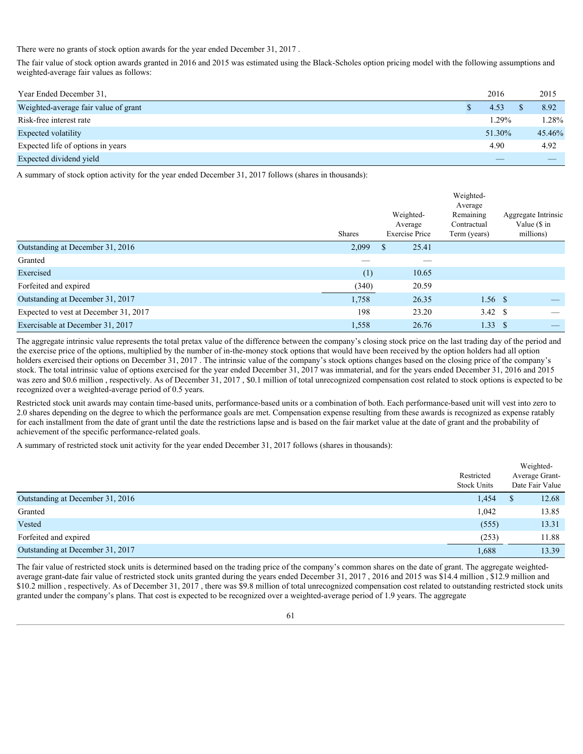There were no grants of stock option awards for the year ended December 31, 2017 .

The fair value of stock option awards granted in 2016 and 2015 was estimated using the Black-Scholes option pricing model with the following assumptions and weighted-average fair values as follows:

| Year Ended December 31,              | 2016                     | 2015   |
|--------------------------------------|--------------------------|--------|
| Weighted-average fair value of grant | 4.53                     | 8.92   |
| Risk-free interest rate              | 1.29%                    | 1.28%  |
| Expected volatility                  | 51.30%                   | 45.46% |
| Expected life of options in years    | 4.90                     | 4.92   |
| Expected dividend yield              | $\overline{\phantom{a}}$ |        |

A summary of stock option activity for the year ended December 31, 2017 follows (shares in thousands):

|                                       |        |                                 | Weighted-            |                                 |
|---------------------------------------|--------|---------------------------------|----------------------|---------------------------------|
|                                       |        | Weighted-                       | Average<br>Remaining | Aggregate Intrinsic             |
|                                       |        | Average                         | Contractual          | Value $(\$$ in                  |
|                                       | Shares | <b>Exercise Price</b>           | Term (years)         | millions)                       |
| Outstanding at December 31, 2016      | 2,099  | 25.41                           |                      |                                 |
| Granted                               |        | $\hspace{0.1mm}-\hspace{0.1mm}$ |                      |                                 |
| Exercised                             | (1)    | 10.65                           |                      |                                 |
| Forfeited and expired                 | (340)  | 20.59                           |                      |                                 |
| Outstanding at December 31, 2017      | 1,758  | 26.35                           | $1.56$ \$            | $\overline{\phantom{m}}$        |
| Expected to vest at December 31, 2017 | 198    | 23.20                           | $3.42 \quad $$       | $\hspace{0.1mm}-\hspace{0.1mm}$ |
| Exercisable at December 31, 2017      | 1,558  | 26.76                           | $1.33 \quad$ \$      | $\overline{\phantom{a}}$        |

The aggregate intrinsic value represents the total pretax value of the difference between the company's closing stock price on the last trading day of the period and the exercise price of the options, multiplied by the number of in-the-money stock options that would have been received by the option holders had all option holders exercised their options on December 31, 2017. The intrinsic value of the company's stock options changes based on the closing price of the company's stock. The total intrinsic value of options exercised for the year ended December 31, 2017 was immaterial, and for the years ended December 31, 2016 and 2015 was zero and \$0.6 million, respectively. As of December 31, 2017, \$0.1 million of total unrecognized compensation cost related to stock options is expected to be recognized over a weighted-average period of 0.5 years.

Restricted stock unit awards may contain time-based units, performance-based units or a combination of both. Each performance-based unit will vest into zero to 2.0 shares depending on the degree to which the performance goals are met. Compensation expense resulting from these awards is recognized as expense ratably for each installment from the date of grant until the date the restrictions lapse and is based on the fair market value at the date of grant and the probability of achievement of the specific performance-related goals.

A summary of restricted stock unit activity for the year ended December 31, 2017 follows (shares in thousands):

|                                  | Restricted<br><b>Stock Units</b> | Weighted- | Average Grant-<br>Date Fair Value |
|----------------------------------|----------------------------------|-----------|-----------------------------------|
| Outstanding at December 31, 2016 | 1,454                            | -D        | 12.68                             |
| Granted                          | 1,042                            |           | 13.85                             |
| Vested                           | (555)                            |           | 13.31                             |
| Forfeited and expired            | (253)                            |           | 11.88                             |
| Outstanding at December 31, 2017 | 1,688                            |           | 13.39                             |

The fair value of restricted stock units is determined based on the trading price of the company's common shares on the date of grant. The aggregate weightedaverage grant-date fair value of restricted stock units granted during the years ended December 31, 2017 , 2016 and 2015 was \$14.4 million , \$12.9 million and \$10.2 million, respectively. As of December 31, 2017, there was \$9.8 million of total unrecognized compensation cost related to outstanding restricted stock units granted under the company's plans. That cost is expected to be recognized over a weighted-average period of 1.9 years. The aggregate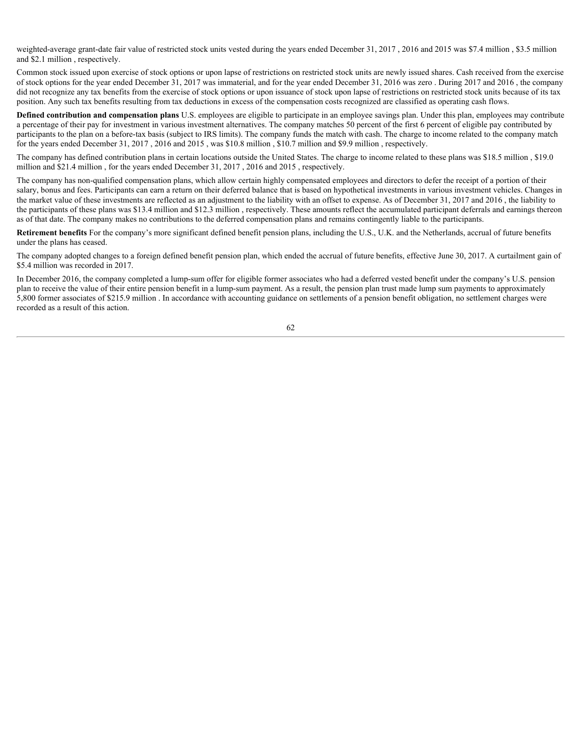weighted-average grant-date fair value of restricted stock units vested during the years ended December 31, 2017, 2016 and 2015 was \$7.4 million, \$3.5 million and \$2.1 million , respectively.

Common stock issued upon exercise of stock options or upon lapse of restrictions on restricted stock units are newly issued shares. Cash received from the exercise of stock options for the year ended December 31, 2017 was immaterial, and for the year ended December 31, 2016 was zero . During 2017 and 2016 , the company did not recognize any tax benefits from the exercise of stock options or upon issuance of stock upon lapse of restrictions on restricted stock units because of its tax position. Any such tax benefits resulting from tax deductions in excess of the compensation costs recognized are classified as operating cash flows.

**Defined contribution and compensation plans** U.S. employees are eligible to participate in an employee savings plan. Under this plan, employees may contribute a percentage of their pay for investment in various investment alternatives. The company matches 50 percent of the first 6 percent of eligible pay contributed by participants to the plan on a before-tax basis (subject to IRS limits). The company funds the match with cash. The charge to income related to the company match for the years ended December 31, 2017, 2016 and 2015, was \$10.8 million, \$10.7 million and \$9.9 million, respectively.

The company has defined contribution plans in certain locations outside the United States. The charge to income related to these plans was \$18.5 million , \$19.0 million and \$21.4 million , for the years ended December 31, 2017 , 2016 and 2015 , respectively.

The company has non-qualified compensation plans, which allow certain highly compensated employees and directors to defer the receipt of a portion of their salary, bonus and fees. Participants can earn a return on their deferred balance that is based on hypothetical investments in various investment vehicles. Changes in the market value of these investments are reflected as an adjustment to the liability with an offset to expense. As of December 31, 2017 and 2016 , the liability to the participants of these plans was \$13.4 million and \$12.3 million , respectively. These amounts reflect the accumulated participant deferrals and earnings thereon as of that date. The company makes no contributions to the deferred compensation plans and remains contingently liable to the participants.

**Retirement benefits** For the company's more significant defined benefit pension plans, including the U.S., U.K. and the Netherlands, accrual of future benefits under the plans has ceased.

The company adopted changes to a foreign defined benefit pension plan, which ended the accrual of future benefits, effective June 30, 2017. A curtailment gain of \$5.4 million was recorded in 2017.

In December 2016, the company completed a lump-sum offer for eligible former associates who had a deferred vested benefit under the company's U.S. pension plan to receive the value of their entire pension benefit in a lump-sum payment. As a result, the pension plan trust made lump sum payments to approximately 5,800 former associates of \$215.9 million . In accordance with accounting guidance on settlements of a pension benefit obligation, no settlement charges were recorded as a result of this action.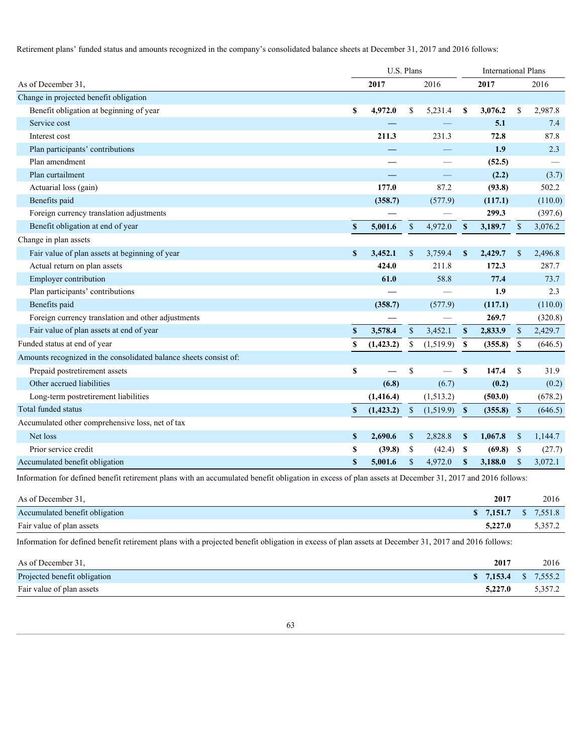Retirement plans' funded status and amounts recognized in the company's consolidated balance sheets at December 31, 2017 and 2016 follows:

| As of December 31,<br>Change in projected benefit obligation<br>Benefit obligation at beginning of year | S.           | 2017                          |               | 2016                            |              | 2017         |                    |                          |
|---------------------------------------------------------------------------------------------------------|--------------|-------------------------------|---------------|---------------------------------|--------------|--------------|--------------------|--------------------------|
|                                                                                                         |              |                               |               |                                 |              |              |                    | 2016                     |
|                                                                                                         |              |                               |               |                                 |              |              |                    |                          |
|                                                                                                         |              | 4,972.0                       | - \$          | 5,231.4                         | S            | 3,076.2      |                    | 2,987.8                  |
| Service cost                                                                                            |              | $\hspace{0.05cm}$             |               | $\overline{\phantom{0}}$        |              | 5.1          |                    | 7.4                      |
| Interest cost                                                                                           |              | 211.3                         |               | 231.3                           |              | 72.8         |                    | 87.8                     |
| Plan participants' contributions                                                                        |              |                               |               | $\hspace{0.1mm}-\hspace{0.1mm}$ |              | 1.9          |                    | 2.3                      |
| Plan amendment                                                                                          |              | $\overbrace{\phantom{13333}}$ |               |                                 |              | (52.5)       |                    | $\overline{\phantom{m}}$ |
| Plan curtailment                                                                                        |              |                               |               | $\hspace{0.1mm}-\hspace{0.1mm}$ |              | (2.2)        |                    | (3.7)                    |
| Actuarial loss (gain)                                                                                   |              | 177.0                         |               | 87.2                            |              | (93.8)       |                    | 502.2                    |
| Benefits paid                                                                                           |              | (358.7)                       |               | (577.9)                         |              | (117.1)      |                    | (110.0)                  |
| Foreign currency translation adjustments                                                                |              | $\overbrace{\phantom{13333}}$ |               |                                 |              | 299.3        |                    | (397.6)                  |
| Benefit obligation at end of year                                                                       | $\mathbf{S}$ | 5,001.6                       | -S            | 4,972.0                         | <sup>S</sup> | 3,189.7      | $\mathbf{\hat{s}}$ | 3,076.2                  |
| Change in plan assets                                                                                   |              |                               |               |                                 |              |              |                    |                          |
| Fair value of plan assets at beginning of year                                                          | $\mathbf{s}$ | 3,452.1                       | - \$          | 3,759.4                         | <sup>S</sup> | 2,429.7      | - \$               | 2,496.8                  |
| Actual return on plan assets                                                                            |              | 424.0                         |               | 211.8                           |              | 172.3        |                    | 287.7                    |
| Employer contribution                                                                                   |              | 61.0                          |               | 58.8                            |              | 77.4         |                    | 73.7                     |
| Plan participants' contributions                                                                        |              | $\overline{\phantom{0}}$      |               | $\overline{\phantom{m}}$        |              | 1.9          |                    | 2.3                      |
| Benefits paid                                                                                           |              | (358.7)                       |               | (577.9)                         |              | (117.1)      |                    | (110.0)                  |
| Foreign currency translation and other adjustments                                                      |              | $\overline{\phantom{0}}$      |               | $\overline{\phantom{m}}$        |              | 269.7        |                    | (320.8)                  |
| Fair value of plan assets at end of year                                                                |              | 3,578.4                       |               | 3,452.1                         | $\mathbf{s}$ | 2,833.9      | -8                 | 2,429.7                  |
| Funded status at end of year                                                                            |              | (1, 423.2)                    | <sup>S</sup>  | $(1,519.9)$ \$                  |              | $(355.8)$ \$ |                    | (646.5)                  |
| Amounts recognized in the consolidated balance sheets consist of:                                       |              |                               |               |                                 |              |              |                    |                          |
| Prepaid postretirement assets                                                                           | <sup>S</sup> |                               | $\mathcal{S}$ |                                 | - \$         | 147.4        | -S                 | 31.9                     |
| Other accrued liabilities                                                                               |              | (6.8)                         |               | (6.7)                           |              | (0.2)        |                    | (0.2)                    |
| Long-term postretirement liabilities                                                                    |              | (1, 416.4)                    |               | (1,513.2)                       |              | (503.0)      |                    | (678.2)                  |
| Total funded status                                                                                     |              | (1, 423.2)                    | -S            | $(1,519.9)$ \$                  |              | $(355.8)$ \$ |                    | (646.5)                  |
| Accumulated other comprehensive loss, net of tax                                                        |              |                               |               |                                 |              |              |                    |                          |
| Net loss                                                                                                |              | 2,690.6                       | -8            | 2,828.8                         | -SS          | 1,067.8      |                    | 1,144.7                  |
| Prior service credit                                                                                    | -S           | $(39.8)$ \$                   |               | $(42.4)$ \$                     |              | (69.8)       |                    | (27.7)                   |
| Accumulated benefit obligation                                                                          | S            | 5,001.6                       | -S            | 4,972.0                         | - \$         | 3,188.0      | -S                 | 3,072.1                  |

Information for defined benefit retirement plans with an accumulated benefit obligation in excess of plan assets at December 31, 2017 and 2016 follows:

| $\sim$<br>As of December 31.   | 2017    | 2016                 |  |
|--------------------------------|---------|----------------------|--|
| Accumulated benefit obligation | 7,151.7 | 7,551.8              |  |
| Fair value of plan assets      | 5,227.0 | - - - - -<br>5,357.2 |  |

Information for defined benefit retirement plans with a projected benefit obligation in excess of plan assets at December 31, 2017 and 2016 follows:

| As of December 31.           | 2017    | 2016    |  |
|------------------------------|---------|---------|--|
| Projected benefit obligation | 7,153.4 | 7,555.2 |  |
| Fair value of plan assets    | 5,227.0 | 5,357.2 |  |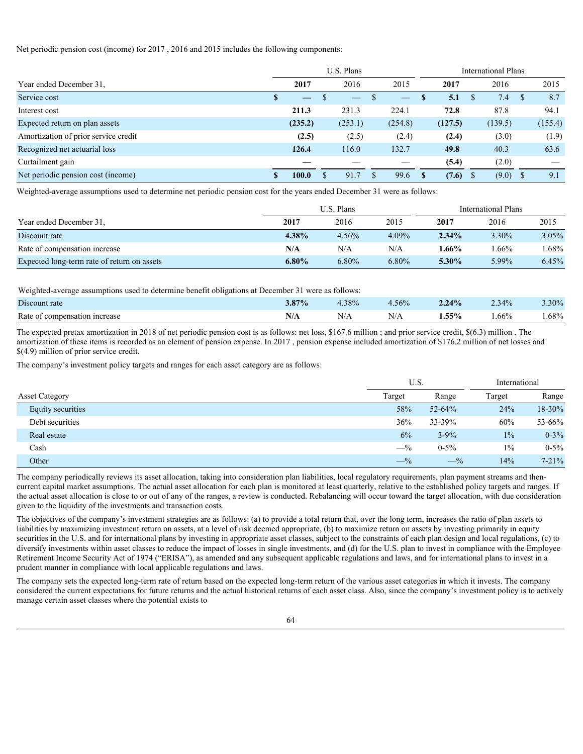Net periodic pension cost (income) for 2017 , 2016 and 2015 includes the following components:

|                                      |         | U.S. Plans        |                   |  | <b>International Plans</b> |  |         |            |  |                                 |
|--------------------------------------|---------|-------------------|-------------------|--|----------------------------|--|---------|------------|--|---------------------------------|
| Year ended December 31,              | 2017    |                   | 2016              |  | 2015                       |  | 2017    | 2016       |  | 2015                            |
| Service cost                         |         |                   |                   |  |                            |  | J.,     | $\sqrt{4}$ |  | 8.7                             |
| Interest cost                        | 211.3   |                   | 231.3             |  | 224.                       |  | 72.8    | 87.8       |  | 94.1                            |
| Expected return on plan assets       | (235.2) |                   | (253.1)           |  | (254.8)                    |  | (127.5) | (139.5)    |  | (155.4)                         |
| Amortization of prior service credit |         | (2.5)             | (2.5)             |  | (2.4)                      |  | (2.4)   | (3.0)      |  | (1.9)                           |
| Recognized net actuarial loss        | 126.4   |                   | 116.0             |  | 132.7                      |  | 49.8    | 40.3       |  | 63.6                            |
| Curtailment gain                     |         | $\hspace{0.05cm}$ | $\hspace{0.05cm}$ |  | $\hspace{0.05cm}$          |  | (5.4)   | (2.0)      |  | $\hspace{0.1mm}-\hspace{0.1mm}$ |
| Net periodic pension cost (income)   | 100.0   |                   | 91.7              |  | 99.6                       |  | (7.6)   | (9.0)      |  | 9.1                             |

Weighted-average assumptions used to determine net periodic pension cost for the years ended December 31 were as follows:

|                                             |          | U.S. Plans |       |          | International Plans |       |
|---------------------------------------------|----------|------------|-------|----------|---------------------|-------|
| Year ended December 31.                     | 2017     | 2016       | 2015  | 2017     | 2016                | 2015  |
| Discount rate                               | 4.38%    | 4.56%      | 4.09% | $2.34\%$ | 3.30%               | 3.05% |
| Rate of compensation increase               | N/A      | N/A        | N/A   | 1.66%    | 1.66%               | 1.68% |
| Expected long-term rate of return on assets | $6.80\%$ | 6.80%      | 6.80% | 5.30%    | 5.99%               | 6.45% |

Weighted-average assumptions used to determine benefit obligations at December 31 were as follows:

| Discount rate                 | $3.87\%$ | 4.38%                  | 4.56% | $\mathcal{L}^{\text{max}}_{\text{max}}$ and $\mathcal{L}^{\text{max}}_{\text{max}}$ and $\mathcal{L}^{\text{max}}_{\text{max}}$<br>2.24% | 2.34%    | $1.30\%$<br>3.5070 |
|-------------------------------|----------|------------------------|-------|------------------------------------------------------------------------------------------------------------------------------------------|----------|--------------------|
| Rate of compensation increase | IV/A     | $\mathbf{v}$<br>17 T F | N/A   | $1.55\%$<br>1.JJ                                                                                                                         | $1.66\%$ | $0.68\%$           |

The expected pretax amortization in 2018 of net periodic pension cost is as follows: net loss, \$167.6 million ; and prior service credit, \$(6.3) million . The amortization of these items is recorded as an element of pension expense. In 2017 , pension expense included amortization of \$176.2 million of net losses and \$(4.9) million of prior service credit.

The company's investment policy targets and ranges for each asset category are as follows:

|                       | U.S.   |           | International |           |
|-----------------------|--------|-----------|---------------|-----------|
| <b>Asset Category</b> | Target | Range     | Target        | Range     |
| Equity securities     | 58%    | 52-64%    | 24%           | $18-30%$  |
| Debt securities       | 36%    | 33-39%    | 60%           | 53-66%    |
| Real estate           | 6%     | $3 - 9%$  | $1\%$         | $0 - 3\%$ |
| Cash                  | $-$ %  | $0 - 5\%$ | $1\%$         | $0 - 5\%$ |
| Other                 | $-$ %  | $-^{0}$   | 14%           | $7 - 21%$ |

The company periodically reviews its asset allocation, taking into consideration plan liabilities, local regulatory requirements, plan payment streams and thencurrent capital market assumptions. The actual asset allocation for each plan is monitored at least quarterly, relative to the established policy targets and ranges. If the actual asset allocation is close to or out of any of the ranges, a review is conducted. Rebalancing will occur toward the target allocation, with due consideration given to the liquidity of the investments and transaction costs.

The objectives of the company's investment strategies are as follows: (a) to provide a total return that, over the long term, increases the ratio of plan assets to liabilities by maximizing investment return on assets, at a level of risk deemed appropriate, (b) to maximize return on assets by investing primarily in equity securities in the U.S. and for international plans by investing in appropriate asset classes, subject to the constraints of each plan design and local regulations, (c) to diversify investments within asset classes to reduce the impact of losses in single investments, and (d) for the U.S. plan to invest in compliance with the Employee Retirement Income Security Act of 1974 ("ERISA"), as amended and any subsequent applicable regulations and laws, and for international plans to invest in a prudent manner in compliance with local applicable regulations and laws.

The company sets the expected long-term rate of return based on the expected long-term return of the various asset categories in which it invests. The company considered the current expectations for future returns and the actual historical returns of each asset class. Also, since the company's investment policy is to actively manage certain asset classes where the potential exists to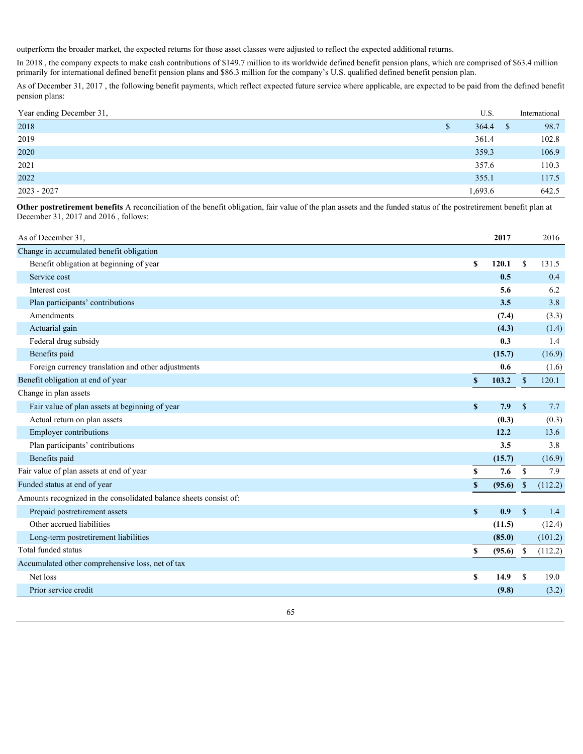outperform the broader market, the expected returns for those asset classes were adjusted to reflect the expected additional returns.

In 2018 , the company expects to make cash contributions of \$149.7 million to its worldwide defined benefit pension plans, which are comprised of \$63.4 million primarily for international defined benefit pension plans and \$86.3 million for the company's U.S. qualified defined benefit pension plan.

As of December 31, 2017 , the following benefit payments, which reflect expected future service where applicable, are expected to be paid from the defined benefit pension plans:

| Year ending December 31, | U.S.    | International |
|--------------------------|---------|---------------|
| 2018                     | 364.4   | 98.7          |
| 2019                     | 361.4   | 102.8         |
| 2020                     | 359.3   | 106.9         |
| 2021                     | 357.6   | 110.3         |
| 2022                     | 355.1   | 117.5         |
| $2023 - 2027$            | 1,693.6 | 642.5         |

**Other postretirement benefits** A reconciliation of the benefit obligation, fair value of the plan assets and the funded status of the postretirement benefit plan at December 31, 2017 and 2016 , follows:

| As of December 31,                                                |               | 2017        |                    | 2016    |
|-------------------------------------------------------------------|---------------|-------------|--------------------|---------|
| Change in accumulated benefit obligation                          |               |             |                    |         |
| Benefit obligation at beginning of year                           | <b>S</b>      | 120.1       | - \$               | 131.5   |
| Service cost                                                      |               | 0.5         |                    | 0.4     |
| Interest cost                                                     |               | 5.6         |                    | 6.2     |
| Plan participants' contributions                                  |               | 3.5         |                    | 3.8     |
| Amendments                                                        |               | (7.4)       |                    | (3.3)   |
| Actuarial gain                                                    |               | (4.3)       |                    | (1.4)   |
| Federal drug subsidy                                              |               | 0.3         |                    | 1.4     |
| Benefits paid                                                     |               | (15.7)      |                    | (16.9)  |
| Foreign currency translation and other adjustments                |               | 0.6         |                    | (1.6)   |
| Benefit obligation at end of year                                 | $\mathbf{s}$  | 103.2       | $\mathbf{\hat{s}}$ | 120.1   |
| Change in plan assets                                             |               |             |                    |         |
| Fair value of plan assets at beginning of year                    | $\mathbf{s}$  | 7.9         | - \$               | 7.7     |
| Actual return on plan assets                                      |               | (0.3)       |                    | (0.3)   |
| <b>Employer contributions</b>                                     |               | 12.2        |                    | 13.6    |
| Plan participants' contributions                                  |               | 3.5         |                    | 3.8     |
| Benefits paid                                                     |               | (15.7)      |                    | (16.9)  |
| Fair value of plan assets at end of year                          | S             | 7.6         | $\mathbf{s}$       | 7.9     |
| Funded status at end of year                                      | $\mathbf{s}$  | $(95.6)$ \$ |                    | (112.2) |
| Amounts recognized in the consolidated balance sheets consist of: |               |             |                    |         |
| Prepaid postretirement assets                                     | $\mathbf{s}$  | 0.9         | $\mathcal{S}$      | 1.4     |
| Other accrued liabilities                                         |               | (11.5)      |                    | (12.4)  |
| Long-term postretirement liabilities                              |               | (85.0)      |                    | (101.2) |
| Total funded status                                               | $\mathbf{s}$  | $(95.6)$ \$ |                    | (112.2) |
| Accumulated other comprehensive loss, net of tax                  |               |             |                    |         |
| Net loss                                                          | <sup>\$</sup> | 14.9        | -S                 | 19.0    |
| Prior service credit                                              |               | (9.8)       |                    | (3.2)   |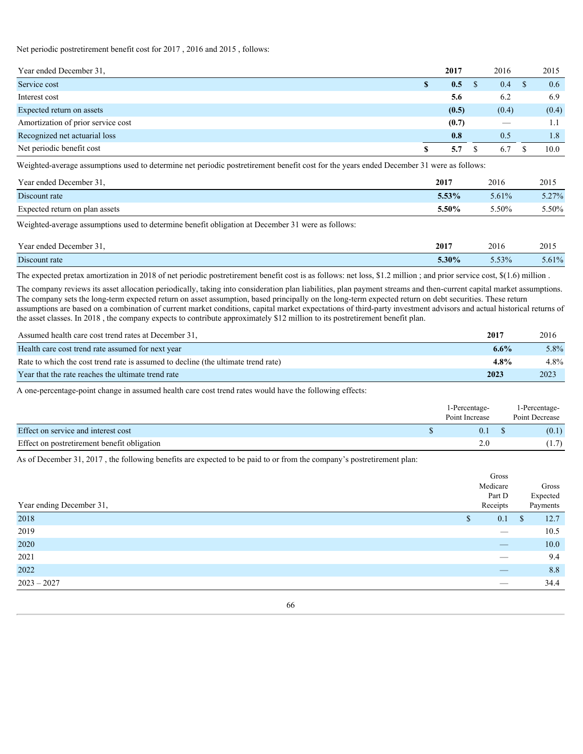Net periodic postretirement benefit cost for 2017 , 2016 and 2015 , follows:

| Year ended December 31,            | 2017  | 2016                     | 2015  |
|------------------------------------|-------|--------------------------|-------|
| Service cost                       | 0.5   | 0.4                      | 0.6   |
| Interest cost                      | 5.6   | 6.2                      | 6.9   |
| Expected return on assets          | (0.5) | (0.4)                    | (0.4) |
| Amortization of prior service cost | (0.7) | $\overline{\phantom{m}}$ | 1.1   |
| Recognized net actuarial loss      | 0.8   | 0.5                      | 1.8   |
| Net periodic benefit cost          |       |                          | 10.0  |

Weighted-average assumptions used to determine net periodic postretirement benefit cost for the years ended December 31 were as follows:

| Year ended December 31,        | 2017  | 2016  | 2015  |
|--------------------------------|-------|-------|-------|
| Discount rate                  | 5.53% | 5.61% | 5.27% |
| Expected return on plan assets | 5.50% | 5.50% | 5.50% |

Weighted-average assumptions used to determine benefit obligation at December 31 were as follows:

| Year ended December 31, | 2017  | 2016                                                                                                                                     | 2015  |
|-------------------------|-------|------------------------------------------------------------------------------------------------------------------------------------------|-------|
|                         |       |                                                                                                                                          |       |
| Discount rate           | 5.30% | $\mathcal{L}^{\text{max}}_{\text{max}}$ and $\mathcal{L}^{\text{max}}_{\text{max}}$ and $\mathcal{L}^{\text{max}}_{\text{max}}$<br>5.53% | 5.61% |

The expected pretax amortization in 2018 of net periodic postretirement benefit cost is as follows: net loss, \$1.2 million ; and prior service cost, \$(1.6) million .

The company reviews its asset allocation periodically, taking into consideration plan liabilities, plan payment streams and then-current capital market assumptions. The company sets the long-term expected return on asset assumption, based principally on the long-term expected return on debt securities. These return assumptions are based on a combination of current market conditions, capital market expectations of third-party investment advisors and actual historical returns of the asset classes. In 2018 , the company expects to contribute approximately \$12 million to its postretirement benefit plan.

| Assumed health care cost trend rates at December 31.                              | 2017 | 2016 |
|-----------------------------------------------------------------------------------|------|------|
| Health care cost trend rate assumed for next year                                 | 6.6% | 5.8% |
| Rate to which the cost trend rate is assumed to decline (the ultimate trend rate) | 4.8% | 4.8% |
| Year that the rate reaches the ultimate trend rate                                | 2023 | 2023 |
|                                                                                   |      |      |

A one-percentage-point change in assumed health care cost trend rates would have the following effects:

|                                             | 1-Percentage-<br>Point Increase | 1-Percentage-<br>Point Decrease |
|---------------------------------------------|---------------------------------|---------------------------------|
| Effect on service and interest cost         |                                 | (0.1)                           |
| Effect on postretirement benefit obligation | 2.0                             | l 1. <i>1</i>                   |

As of December 31, 2017 , the following benefits are expected to be paid to or from the company's postretirement plan:

|                          | Gross                           |          |
|--------------------------|---------------------------------|----------|
|                          | Medicare                        | Gross    |
|                          | Part D                          | Expected |
| Year ending December 31, | Receipts                        | Payments |
| 2018                     | 0.1                             | 12.7     |
| 2019                     | $\hspace{0.1mm}-\hspace{0.1mm}$ | $10.5$   |
| 2020                     | $\overline{\phantom{m}}$        | 10.0     |
| 2021                     | $\hspace{0.1mm}-\hspace{0.1mm}$ | 9.4      |
| 2022                     | $\overline{\phantom{m}}$        | 8.8      |
| $2023 - 2027$            |                                 | 34.4     |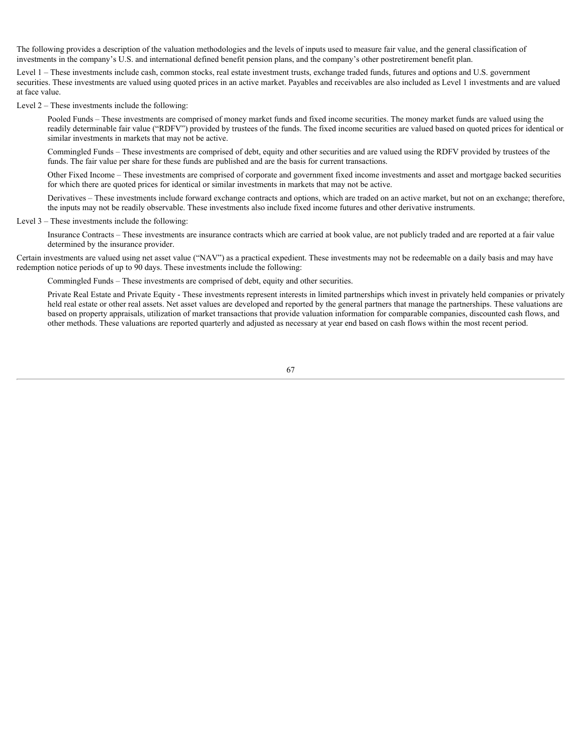The following provides a description of the valuation methodologies and the levels of inputs used to measure fair value, and the general classification of investments in the company's U.S. and international defined benefit pension plans, and the company's other postretirement benefit plan.

Level 1 – These investments include cash, common stocks, real estate investment trusts, exchange traded funds, futures and options and U.S. government securities. These investments are valued using quoted prices in an active market. Payables and receivables are also included as Level 1 investments and are valued at face value.

Level 2 – These investments include the following:

Pooled Funds – These investments are comprised of money market funds and fixed income securities. The money market funds are valued using the readily determinable fair value ("RDFV") provided by trustees of the funds. The fixed income securities are valued based on quoted prices for identical or similar investments in markets that may not be active.

Commingled Funds – These investments are comprised of debt, equity and other securities and are valued using the RDFV provided by trustees of the funds. The fair value per share for these funds are published and are the basis for current transactions.

Other Fixed Income – These investments are comprised of corporate and government fixed income investments and asset and mortgage backed securities for which there are quoted prices for identical or similar investments in markets that may not be active.

Derivatives – These investments include forward exchange contracts and options, which are traded on an active market, but not on an exchange; therefore, the inputs may not be readily observable. These investments also include fixed income futures and other derivative instruments.

Level 3 – These investments include the following:

Insurance Contracts – These investments are insurance contracts which are carried at book value, are not publicly traded and are reported at a fair value determined by the insurance provider.

Certain investments are valued using net asset value ("NAV") as a practical expedient. These investments may not be redeemable on a daily basis and may have redemption notice periods of up to 90 days. These investments include the following:

Commingled Funds – These investments are comprised of debt, equity and other securities.

Private Real Estate and Private Equity - These investments represent interests in limited partnerships which invest in privately held companies or privately held real estate or other real assets. Net asset values are developed and reported by the general partners that manage the partnerships. These valuations are based on property appraisals, utilization of market transactions that provide valuation information for comparable companies, discounted cash flows, and other methods. These valuations are reported quarterly and adjusted as necessary at year end based on cash flows within the most recent period.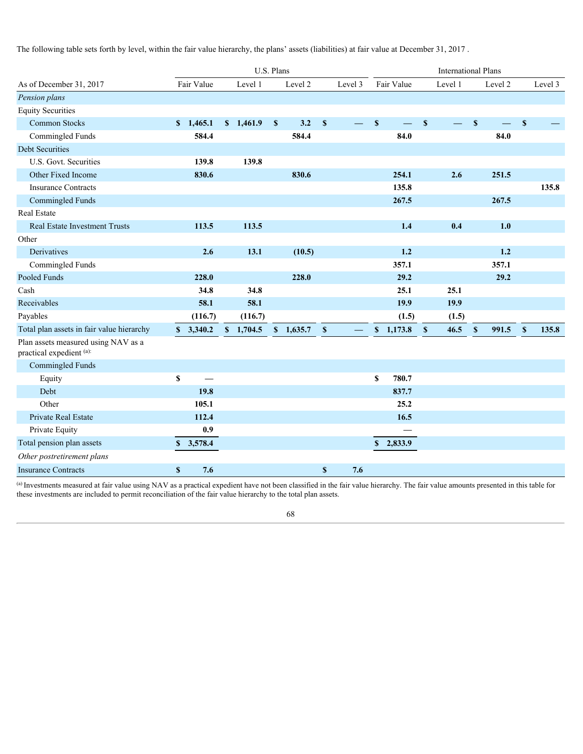The following table sets forth by level, within the fair value hierarchy, the plans' assets (liabilities) at fair value at December 31, 2017 .

|                                                                            |                                          |                         | U.S. Plans |                     |                                 |         | <b>International Plans</b> |         |
|----------------------------------------------------------------------------|------------------------------------------|-------------------------|------------|---------------------|---------------------------------|---------|----------------------------|---------|
| As of December 31, 2017                                                    | Fair Value                               | Level 1                 | Level 2    | Level 3             | Fair Value                      | Level 1 | Level 2                    | Level 3 |
| Pension plans                                                              |                                          |                         |            |                     |                                 |         |                            |         |
| <b>Equity Securities</b>                                                   |                                          |                         |            |                     |                                 |         |                            |         |
| Common Stocks                                                              | \$1,465.1                                | $$1,461.9$ \ $$$        | 3.2 S      |                     |                                 |         |                            |         |
| Commingled Funds                                                           | 584.4                                    |                         | 584.4      |                     | 84.0                            |         | 84.0                       |         |
| <b>Debt Securities</b>                                                     |                                          |                         |            |                     |                                 |         |                            |         |
| U.S. Govt. Securities                                                      | 139.8                                    | 139.8                   |            |                     |                                 |         |                            |         |
| Other Fixed Income                                                         | 830.6                                    |                         | 830.6      |                     | 254.1                           | 2.6     | 251.5                      |         |
| <b>Insurance Contracts</b>                                                 |                                          |                         |            |                     | 135.8                           |         |                            | 135.8   |
| Commingled Funds                                                           |                                          |                         |            |                     | 267.5                           |         | 267.5                      |         |
| Real Estate                                                                |                                          |                         |            |                     |                                 |         |                            |         |
| Real Estate Investment Trusts                                              | 113.5                                    | 113.5                   |            |                     | 1.4                             | 0.4     | $1.0$                      |         |
| Other                                                                      |                                          |                         |            |                     |                                 |         |                            |         |
| Derivatives                                                                | 2.6                                      | 13.1                    | (10.5)     |                     | 1.2                             |         | 1.2                        |         |
| Commingled Funds                                                           |                                          |                         |            |                     | 357.1                           |         | 357.1                      |         |
| Pooled Funds                                                               | 228.0                                    |                         | 228.0      |                     | 29.2                            |         | 29.2                       |         |
| Cash                                                                       | 34.8                                     | 34.8                    |            |                     | 25.1                            | 25.1    |                            |         |
| Receivables                                                                | 58.1                                     | 58.1                    |            |                     | 19.9                            | 19.9    |                            |         |
| Payables                                                                   | (116.7)                                  | (116.7)                 |            |                     | (1.5)                           | (1.5)   |                            |         |
| Total plan assets in fair value hierarchy                                  | 3,340.2                                  | 1,704.5<br>$\mathbf{s}$ |            | $\frac{1}{2}$       | $1,173.8$ \$<br>$\mathbf{s}$    | 46.5    | $991.5$ \$<br><sup>S</sup> | 135.8   |
| Plan assets measured using NAV as a<br>practical expedient <sup>(a):</sup> |                                          |                         |            |                     |                                 |         |                            |         |
| Commingled Funds                                                           |                                          |                         |            |                     |                                 |         |                            |         |
| Equity                                                                     | $\mathbf{s}$<br>$\overline{\phantom{0}}$ |                         |            |                     | 780.7<br>S                      |         |                            |         |
| Debt                                                                       | 19.8                                     |                         |            |                     | 837.7                           |         |                            |         |
| Other                                                                      | 105.1                                    |                         |            |                     | 25.2                            |         |                            |         |
| Private Real Estate                                                        | 112.4                                    |                         |            |                     | 16.5                            |         |                            |         |
| Private Equity                                                             | 0.9                                      |                         |            |                     | $\hspace{0.1mm}-\hspace{0.1mm}$ |         |                            |         |
| Total pension plan assets                                                  | \$3,578.4                                |                         |            |                     | \$2,833.9                       |         |                            |         |
| Other postretirement plans                                                 |                                          |                         |            |                     |                                 |         |                            |         |
| <b>Insurance Contracts</b>                                                 | 7.6<br>$\mathbf S$                       |                         |            | $\mathbf{s}$<br>7.6 |                                 |         |                            |         |

(a) Investments measured at fair value using NAV as a practical expedient have not been classified in the fair value hierarchy. The fair value amounts presented in this table for these investments are included to permit reconciliation of the fair value hierarchy to the total plan assets.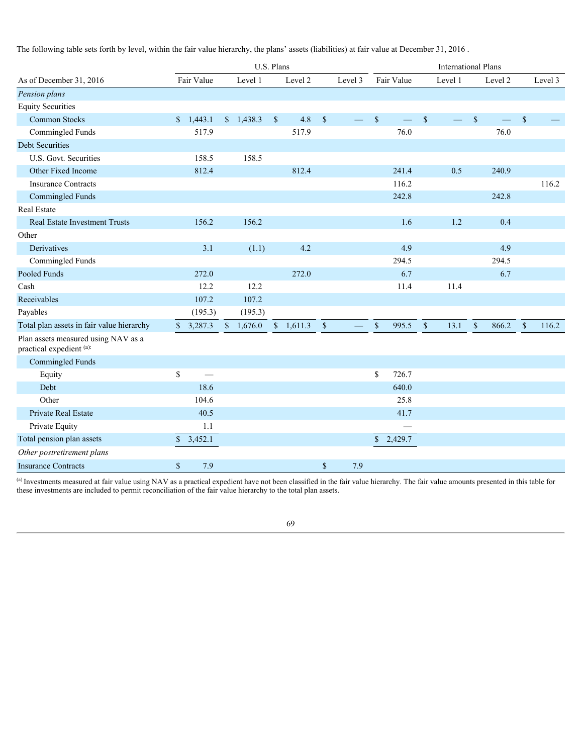The following table sets forth by level, within the fair value hierarchy, the plans' assets (liabilities) at fair value at December 31, 2016 .

|                                                                 |                                          | U.S. Plans              |         |                     |                          |         | <b>International Plans</b> |         |
|-----------------------------------------------------------------|------------------------------------------|-------------------------|---------|---------------------|--------------------------|---------|----------------------------|---------|
| As of December 31, 2016                                         | Fair Value                               | Level 1                 | Level 2 | Level 3             | Fair Value               | Level 1 | Level 2                    | Level 3 |
| Pension plans                                                   |                                          |                         |         |                     |                          |         |                            |         |
| <b>Equity Securities</b>                                        |                                          |                         |         |                     |                          |         |                            |         |
| Common Stocks                                                   | $\frac{1,443.1}{2}$                      |                         |         |                     |                          |         |                            | - \$    |
| Commingled Funds                                                | 517.9                                    |                         | 517.9   |                     | 76.0                     |         | 76.0                       |         |
| <b>Debt Securities</b>                                          |                                          |                         |         |                     |                          |         |                            |         |
| U.S. Govt. Securities                                           | 158.5                                    | 158.5                   |         |                     |                          |         |                            |         |
| Other Fixed Income                                              | 812.4                                    |                         | 812.4   |                     | 241.4                    | 0.5     | 240.9                      |         |
| <b>Insurance Contracts</b>                                      |                                          |                         |         |                     | 116.2                    |         |                            | 116.2   |
| Commingled Funds                                                |                                          |                         |         |                     | 242.8                    |         | 242.8                      |         |
| Real Estate                                                     |                                          |                         |         |                     |                          |         |                            |         |
| Real Estate Investment Trusts                                   | 156.2                                    | 156.2                   |         |                     | 1.6                      | 1.2     | 0.4                        |         |
| Other                                                           |                                          |                         |         |                     |                          |         |                            |         |
| Derivatives                                                     | 3.1                                      | (1.1)                   | 4.2     |                     | 4.9                      |         | 4.9                        |         |
| Commingled Funds                                                |                                          |                         |         |                     | 294.5                    |         | 294.5                      |         |
| Pooled Funds                                                    | 272.0                                    |                         | 272.0   |                     | 6.7                      |         | 6.7                        |         |
| Cash                                                            | 12.2                                     | 12.2                    |         |                     | 11.4                     | 11.4    |                            |         |
| Receivables                                                     | 107.2                                    | 107.2                   |         |                     |                          |         |                            |         |
| Payables                                                        | (195.3)                                  | (195.3)                 |         |                     |                          |         |                            |         |
| Total plan assets in fair value hierarchy                       | \$3,287.3                                | 1,676.0<br>$\mathbb{S}$ |         | $\frac{1}{2}$       | 995.5 \$<br>$\mathbb{S}$ | 13.1    | $\mathbb{S}$<br>866.2 \$   | 116.2   |
| Plan assets measured using NAV as a<br>practical expedient (a): |                                          |                         |         |                     |                          |         |                            |         |
| Commingled Funds                                                |                                          |                         |         |                     |                          |         |                            |         |
| Equity                                                          | $\mathbb{S}$<br>$\overline{\phantom{0}}$ |                         |         |                     | 726.7<br>$\mathbb{S}$    |         |                            |         |
| Debt                                                            | 18.6                                     |                         |         |                     | 640.0                    |         |                            |         |
| Other                                                           | 104.6                                    |                         |         |                     | 25.8                     |         |                            |         |
| Private Real Estate                                             | 40.5                                     |                         |         |                     | 41.7                     |         |                            |         |
| Private Equity                                                  | 1.1                                      |                         |         |                     | $\overline{\phantom{m}}$ |         |                            |         |
| Total pension plan assets                                       | \$3,452.1                                |                         |         |                     | \$2,429.7                |         |                            |         |
| Other postretirement plans                                      |                                          |                         |         |                     |                          |         |                            |         |
| <b>Insurance Contracts</b>                                      | 7.9<br>$\mathbb{S}$                      |                         |         | $\mathbb{S}$<br>7.9 |                          |         |                            |         |

(a) Investments measured at fair value using NAV as a practical expedient have not been classified in the fair value hierarchy. The fair value amounts presented in this table for these investments are included to permit reconciliation of the fair value hierarchy to the total plan assets.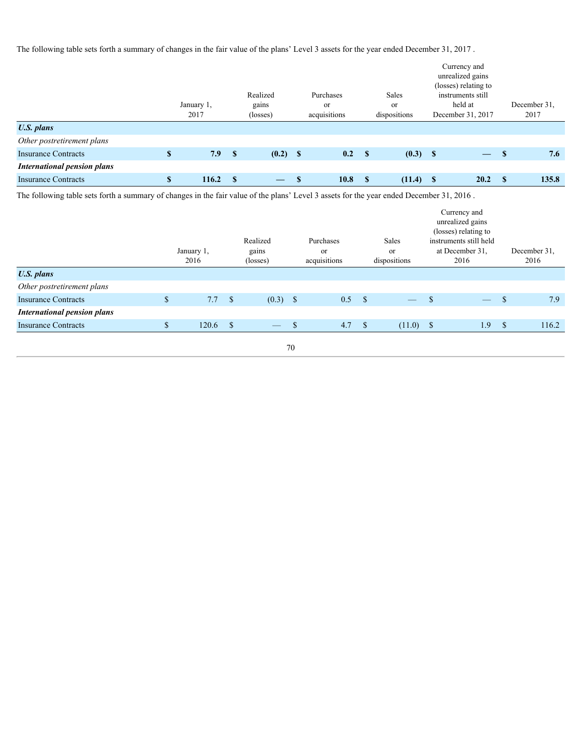The following table sets forth a summary of changes in the fair value of the plans' Level 3 assets for the year ended December 31, 2017 .

|                                                                                                                                                                        |              | January 1,<br>2017 |                  | Realized<br>gains<br>(losses) |        | Purchases<br><sub>or</sub><br>acquisitions |                   | Sales<br>or<br>dispositions | Currency and<br>unrealized gains<br>(losses) relating to<br>instruments still<br>held at<br>December 31, 2017 |        | December 31,<br>2017 |
|------------------------------------------------------------------------------------------------------------------------------------------------------------------------|--------------|--------------------|------------------|-------------------------------|--------|--------------------------------------------|-------------------|-----------------------------|---------------------------------------------------------------------------------------------------------------|--------|----------------------|
| <b>U.S. plans</b>                                                                                                                                                      |              |                    |                  |                               |        |                                            |                   |                             |                                                                                                               |        |                      |
| Other postretirement plans                                                                                                                                             |              |                    |                  |                               |        |                                            |                   |                             |                                                                                                               |        |                      |
| <b>Insurance Contracts</b>                                                                                                                                             | $\mathbf S$  |                    | 7.9 <sub>5</sub> | $(0.2)$ \$                    |        |                                            | 0.2 S             | $(0.3)$ \$                  |                                                                                                               | $-$ \$ | 7.6                  |
| <b>International pension plans</b>                                                                                                                                     |              |                    |                  |                               |        |                                            |                   |                             |                                                                                                               |        |                      |
|                                                                                                                                                                        |              |                    |                  |                               | $-$ \$ |                                            | 10.8 <sub>5</sub> | $(11.4)$ \$                 |                                                                                                               | 20.2 S | 135.8                |
| <b>Insurance Contracts</b><br>The following table sets forth a summary of changes in the fair value of the plans' Level 3 assets for the year ended December 31, 2016. | $\mathbf{s}$ | $116.2$ \$         |                  |                               |        |                                            |                   |                             |                                                                                                               |        |                      |
|                                                                                                                                                                        |              | January 1,<br>2016 |                  | Realized<br>gains<br>(losses) |        | Purchases<br><sub>or</sub><br>acquisitions |                   | Sales<br>or<br>dispositions | Currency and<br>unrealized gains<br>(losses) relating to<br>instruments still held<br>at December 31,<br>2016 |        | December 31,<br>2016 |
| <b>U.S. plans</b>                                                                                                                                                      |              |                    |                  |                               |        |                                            |                   |                             |                                                                                                               |        |                      |
| Other postretirement plans                                                                                                                                             |              |                    |                  |                               |        |                                            |                   |                             |                                                                                                               |        |                      |
| <b>Insurance Contracts</b><br><b>International pension plans</b>                                                                                                       | $\mathbb{S}$ | 7.7 S              |                  | $(0.3)$ \$                    |        |                                            | $0.5$ \$          | $-$ \$                      |                                                                                                               | $-$ \$ | 7.9                  |

<sup>70</sup>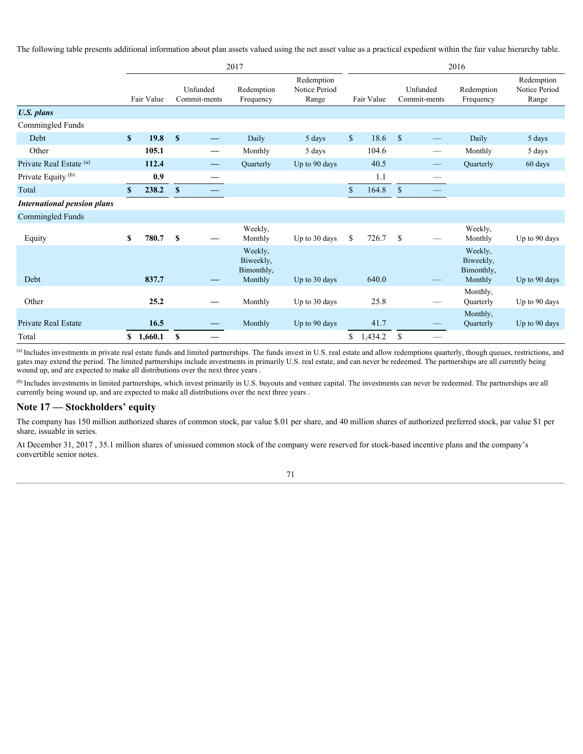The following table presents additional information about plan assets valued using the net asset value as a practical expedient within the fair value hierarchy table.

|                                    | 2017         |            |          |                                 |                                               |                                      | 2016         |            |               |                          |                                               |                                      |  |  |
|------------------------------------|--------------|------------|----------|---------------------------------|-----------------------------------------------|--------------------------------------|--------------|------------|---------------|--------------------------|-----------------------------------------------|--------------------------------------|--|--|
|                                    |              | Fair Value |          | Unfunded<br>Commit-ments        | Redemption<br>Frequency                       | Redemption<br>Notice Period<br>Range |              | Fair Value |               | Unfunded<br>Commit-ments | Redemption<br>Frequency                       | Redemption<br>Notice Period<br>Range |  |  |
| <b>U.S. plans</b>                  |              |            |          |                                 |                                               |                                      |              |            |               |                          |                                               |                                      |  |  |
| Commingled Funds                   |              |            |          |                                 |                                               |                                      |              |            |               |                          |                                               |                                      |  |  |
| Debt                               | $\mathbf{s}$ | $19.8$ \$  |          | $\overline{\phantom{m}}$        | Daily                                         | 5 days                               | $\mathbf{s}$ | $18.6$ \$  |               | $\overline{\phantom{m}}$ | Daily                                         | 5 days                               |  |  |
| Other                              |              | 105.1      |          | $\overline{\phantom{0}}$        | Monthly                                       | 5 days                               |              | 104.6      |               | $\hspace{0.05cm}$        | Monthly                                       | 5 days                               |  |  |
| Private Real Estate (a)            |              | 112.4      |          | $\hspace{0.05cm}$               | Quarterly                                     | Up to 90 days                        |              | 40.5       |               | $\hspace{0.05cm}$        | Quarterly                                     | 60 days                              |  |  |
| Private Equity <sup>(b)</sup>      |              | 0.9        |          | $\hspace{0.1mm}-\hspace{0.1mm}$ |                                               |                                      |              | 1.1        |               | $\hspace{0.05cm}$        |                                               |                                      |  |  |
| Total                              | <sup>S</sup> | 238.2      | <b>S</b> | $\overline{\phantom{m}}$        |                                               |                                      | $\mathbb{S}$ | 164.8      | $\sqrt{S}$    | $\hspace{0.05cm}$        |                                               |                                      |  |  |
| <b>International pension plans</b> |              |            |          |                                 |                                               |                                      |              |            |               |                          |                                               |                                      |  |  |
| <b>Commingled Funds</b>            |              |            |          |                                 |                                               |                                      |              |            |               |                          |                                               |                                      |  |  |
| Equity                             | S            | 780.7      | - S      |                                 | Weekly,<br>Monthly                            | Up to 30 days                        | -S           | 726.7      | <sup>\$</sup> |                          | Weekly,<br>Monthly                            | Up to 90 days                        |  |  |
| Debt                               |              | 837.7      |          | $\hspace{0.05cm}$               | Weekly,<br>Biweekly,<br>Bimonthly,<br>Monthly | Up to 30 days                        |              | 640.0      |               | $\hspace{0.05cm}$        | Weekly,<br>Biweekly,<br>Bimonthly,<br>Monthly | Up to 90 days                        |  |  |
| Other                              |              | 25.2       |          | $\overline{\phantom{m}}$        | Monthly                                       | Up to 30 days                        |              | 25.8       |               | $\hspace{0.05cm}$        | Monthly,<br>Quarterly                         | Up to 90 days                        |  |  |
| Private Real Estate                |              | 16.5       |          | $\overline{\phantom{m}}$        | Monthly                                       | Up to 90 days                        |              | 41.7       |               | $\overline{\phantom{m}}$ | Monthly,<br>Quarterly                         | Up to 90 days                        |  |  |
| Total                              |              |            |          |                                 |                                               |                                      |              | \$1,434.2  | $\mathbb{S}$  | $\overline{\phantom{m}}$ |                                               |                                      |  |  |

(a) Includes investments in private real estate funds and limited partnerships. The funds invest in U.S. real estate and allow redemptions quarterly, though queues, restrictions, and gates may extend the period. The limited partnerships include investments in primarily U.S. real estate, and can never be redeemed. The partnerships are all currently being wound up, and are expected to make all distributions over the next three years .

(b) Includes investments in limited partnerships, which invest primarily in U.S. buyouts and venture capital. The investments can never be redeemed. The partnerships are all currently being wound up, and are expected to make all distributions over the next three years .

### **Note 17 — Stockholders' equity**

The company has 150 million authorized shares of common stock, par value \$.01 per share, and 40 million shares of authorized preferred stock, par value \$1 per share, issuable in series.

At December 31, 2017 , 35.1 million shares of unissued common stock of the company were reserved for stock-based incentive plans and the company's convertible senior notes.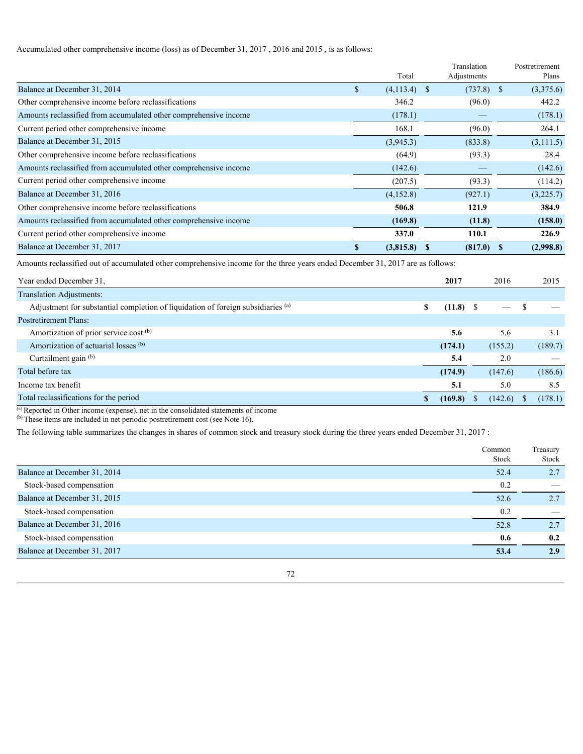Accumulated other comprehensive income (loss) as of December 31, 2017 , 2016 and 2015 , is as follows:

|                                                                  | Total          | Translation<br>Adjustments | Postretirement<br>Plans |
|------------------------------------------------------------------|----------------|----------------------------|-------------------------|
| Balance at December 31, 2014                                     | $(4,113.4)$ \$ | $(737.8)$ \$               | (3,375.6)               |
| Other comprehensive income before reclassifications              | 346.2          | (96.0)                     | 442.2                   |
| Amounts reclassified from accumulated other comprehensive income | (178.1)        |                            | (178.1)                 |
| Current period other comprehensive income                        | 168.1          | (96.0)                     | 264.1                   |
| Balance at December 31, 2015                                     | (3,945.3)      | (833.8)                    | (3,111.5)               |
| Other comprehensive income before reclassifications              | (64.9)         | (93.3)                     | 28.4                    |
| Amounts reclassified from accumulated other comprehensive income | (142.6)        |                            | (142.6)                 |
| Current period other comprehensive income                        | (207.5)        | (93.3)                     | (114.2)                 |
| Balance at December 31, 2016                                     | (4,152.8)      | (927.1)                    | (3,225.7)               |
| Other comprehensive income before reclassifications              | 506.8          | 121.9                      | 384.9                   |
| Amounts reclassified from accumulated other comprehensive income | (169.8)        | (11.8)                     | (158.0)                 |
| Current period other comprehensive income                        | 337.0          | 110.1                      | 226.9                   |
| Balance at December 31, 2017                                     | $(3,815.8)$ \$ | $(817.0)$ \$               | (2,998.8)               |

Amounts reclassified out of accumulated other comprehensive income for the three years ended December 31, 2017 are as follows:

(a) Reported in Other income (expense), net in the consolidated statements of income

(b) These items are included in net periodic postretirement cost (see Note 16).

The following table summarizes the changes in shares of common stock and treasury stock during the three years ended December 31, 2017 :

|                              | Common<br>Stock | Freasury<br>Stock              |
|------------------------------|-----------------|--------------------------------|
| Balance at December 31, 2014 | 52.4            | 2.7                            |
| Stock-based compensation     | 0.2             | $\overline{\phantom{a}}$       |
| Balance at December 31, 2015 | 52.6            | 2.7                            |
| Stock-based compensation     | 0.2             | $\overbrace{\hspace{25mm}}^{}$ |
| Balance at December 31, 2016 | 52.8            | 2.7                            |
| Stock-based compensation     | 0.6             | 0.2                            |
| Balance at December 31, 2017 | 53.4            | 2.9                            |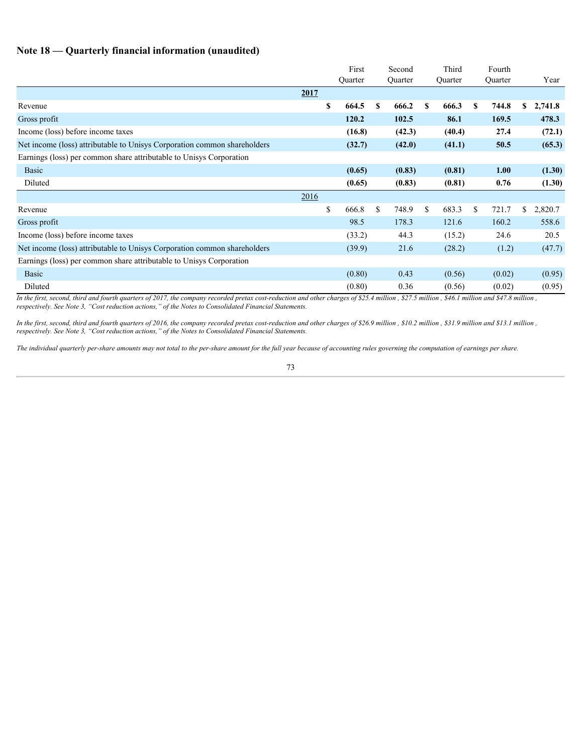## **Note 18 — Quarterly financial information (unaudited)**

|                                                                          |               | First<br>Quarter |     | Second<br>Quarter |     | Third<br>Quarter |    | Fourth<br>Quarter |   | Year    |
|--------------------------------------------------------------------------|---------------|------------------|-----|-------------------|-----|------------------|----|-------------------|---|---------|
|                                                                          | 2017          |                  |     |                   |     |                  |    |                   |   |         |
| Revenue                                                                  | <b>S</b>      | 664.5            | -8  | 666.2             | -S  | 666.3            | S  | 744.8             | S | 2,741.8 |
| Gross profit                                                             |               | 120.2            |     | 102.5             |     | 86.1             |    | 169.5             |   | 478.3   |
| Income (loss) before income taxes                                        |               | (16.8)           |     | (42.3)            |     | (40.4)           |    | 27.4              |   | (72.1)  |
| Net income (loss) attributable to Unisys Corporation common shareholders |               | (32.7)           |     | (42.0)            |     | (41.1)           |    | 50.5              |   | (65.3)  |
| Earnings (loss) per common share attributable to Unisys Corporation      |               |                  |     |                   |     |                  |    |                   |   |         |
| Basic                                                                    |               | (0.65)           |     | (0.83)            |     | (0.81)           |    | 1.00              |   | (1.30)  |
| Diluted                                                                  |               | (0.65)           |     | (0.83)            |     | (0.81)           |    | 0.76              |   | (1.30)  |
|                                                                          | 2016          |                  |     |                   |     |                  |    |                   |   |         |
| Revenue                                                                  | <sup>\$</sup> | 666.8            | -\$ | 748.9             | - S | 683.3            | -S | 721.7             | S | 2,820.7 |
| Gross profit                                                             |               | 98.5             |     | 178.3             |     | 121.6            |    | 160.2             |   | 558.6   |
| Income (loss) before income taxes                                        |               | (33.2)           |     | 44.3              |     | (15.2)           |    | 24.6              |   | 20.5    |
| Net income (loss) attributable to Unisys Corporation common shareholders |               | (39.9)           |     | 21.6              |     | (28.2)           |    | (1.2)             |   | (47.7)  |
| Earnings (loss) per common share attributable to Unisys Corporation      |               |                  |     |                   |     |                  |    |                   |   |         |
| Basic                                                                    |               | (0.80)           |     | 0.43              |     | (0.56)           |    | (0.02)            |   | (0.95)  |
| Diluted                                                                  |               | (0.80)           |     | 0.36              |     | (0.56)           |    | (0.02)            |   | (0.95)  |

In the first, second, third and fourth quarters of 2017, the company recorded pretax cost-reduction and other charges of \$25.4 million , \$27.5 million , \$46.1 million and \$47.8 million *, respectively. See Note 3, "Cost reduction actions," of the Notes to Consolidated Financial Statements.* 

In the first, second, third and fourth quarters of 2016, the company recorded pretax cost-reduction and other charges of \$26.9 million , \$10.2 million , \$31.9 million and \$13.1 million *, respectively. See Note 3, "Cost reduction actions," of the Notes to Consolidated Financial Statements.* 

The individual quarterly per-share amounts may not total to the per-share amount for the full year because of accounting rules governing the computation of earnings per share.

73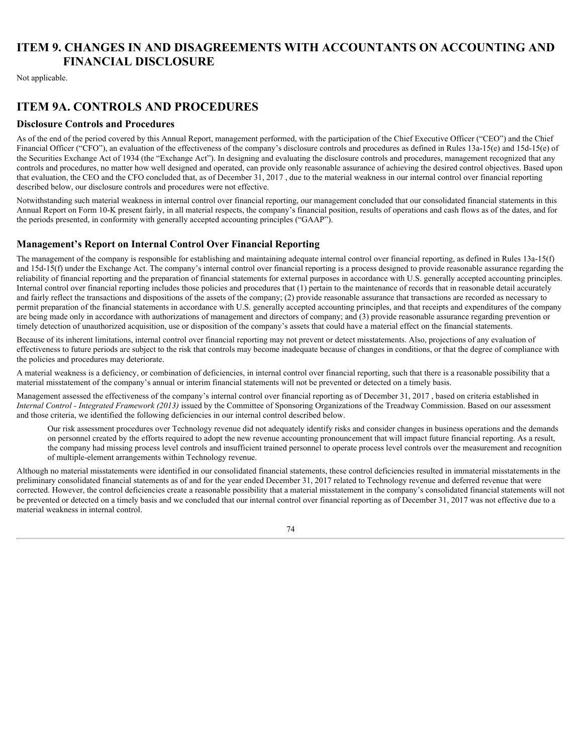# **ITEM 9. CHANGES IN AND DISAGREEMENTS WITH ACCOUNTANTS ON ACCOUNTING AND FINANCIAL DISCLOSURE**

Not applicable.

# **ITEM 9A. CONTROLS AND PROCEDURES**

## **Disclosure Controls and Procedures**

As of the end of the period covered by this Annual Report, management performed, with the participation of the Chief Executive Officer ("CEO") and the Chief Financial Officer ("CFO"), an evaluation of the effectiveness of the company's disclosure controls and procedures as defined in Rules 13a-15(e) and 15d-15(e) of the Securities Exchange Act of 1934 (the "Exchange Act"). In designing and evaluating the disclosure controls and procedures, management recognized that any controls and procedures, no matter how well designed and operated, can provide only reasonable assurance of achieving the desired control objectives. Based upon that evaluation, the CEO and the CFO concluded that, as of December 31, 2017 , due to the material weakness in our internal control over financial reporting described below, our disclosure controls and procedures were not effective.

Notwithstanding such material weakness in internal control over financial reporting, our management concluded that our consolidated financial statements in this Annual Report on Form 10-K present fairly, in all material respects, the company's financial position, results of operations and cash flows as of the dates, and for the periods presented, in conformity with generally accepted accounting principles ("GAAP").

## **Management's Report on Internal Control Over Financial Reporting**

The management of the company is responsible for establishing and maintaining adequate internal control over financial reporting, as defined in Rules 13a-15(f) and  $15d-15(f)$  under the Exchange Act. The company's internal control over financial reporting is a process designed to provide reasonable assurance regarding the reliability of financial reporting and the preparation of financial statements for external purposes in accordance with U.S. generally accepted accounting principles. Internal control over financial reporting includes those policies and procedures that (1) pertain to the maintenance of records that in reasonable detail accurately and fairly reflect the transactions and dispositions of the assets of the company; (2) provide reasonable assurance that transactions are recorded as necessary to permit preparation of the financial statements in accordance with U.S. generally accepted accounting principles, and that receipts and expenditures of the company are being made only in accordance with authorizations of management and directors of company; and (3) provide reasonable assurance regarding prevention or timely detection of unauthorized acquisition, use or disposition of the company's assets that could have a material effect on the financial statements.

Because of its inherent limitations, internal control over financial reporting may not prevent or detect misstatements. Also, projections of any evaluation of effectiveness to future periods are subject to the risk that controls may become inadequate because of changes in conditions, or that the degree of compliance with the policies and procedures may deteriorate.

A material weakness is a deficiency, or combination of deficiencies, in internal control over financial reporting, such that there is a reasonable possibility that a material misstatement of the company's annual or interim financial statements will not be prevented or detected on a timely basis.

Management assessed the effectiveness of the company's internal control over financial reporting as of December 31, 2017 , based on criteria established in *Internal Control -Integrated Framework (2013)* issued by the Committee of Sponsoring Organizations of the Treadway Commission. Based on our assessment and those criteria, we identified the following deficiencies in our internal control described below.

Our risk assessment procedures over Technology revenue did not adequately identify risks and consider changes in business operations and the demands on personnel created by the efforts required to adopt the new revenue accounting pronouncement that will impact future financial reporting. As a result, the company had missing process level controls and insufficient trained personnel to operate process level controls over the measurement and recognition of multiple-element arrangements within Technology revenue.

Although no material misstatements were identified in our consolidated financial statements, these control deficiencies resulted in immaterial misstatements in the preliminary consolidated financial statements as of and for the year ended December 31, 2017 related to Technology revenue and deferred revenue that were corrected. However, the control deficiencies create a reasonable possibility that a material misstatement in the company's consolidated financial statements will not be prevented or detected on a timely basis and we concluded that our internal control over financial reporting as of December 31, 2017 was not effective due to a material weakness in internal control.

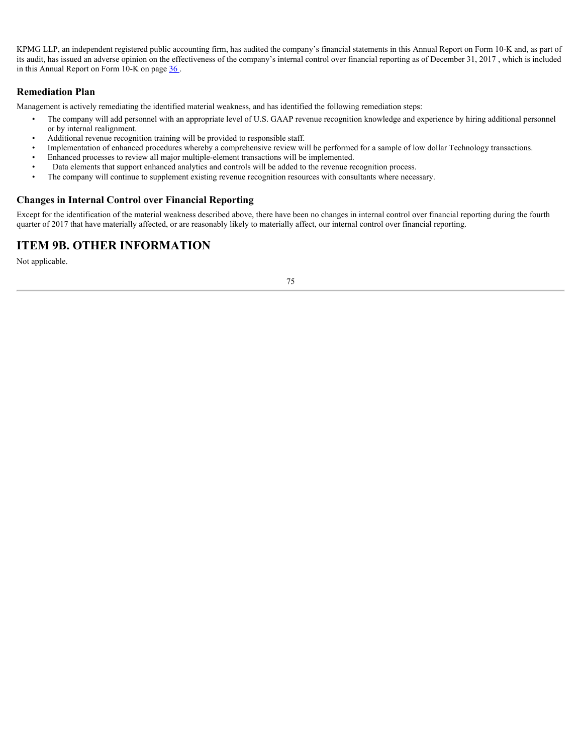KPMG LLP, an independent registered public accounting firm, has audited the company's financial statements in this Annual Report on Form 10-K and, as part of its audit, has issued an adverse opinion on the effectiveness of the company's internal control over financial reporting as of December 31, 2017 , which is included in this Annual Report on Form 10-K on page [36 .](#page-36-0)

## **Remediation Plan**

Management is actively remediating the identified material weakness, and has identified the following remediation steps:

- The company will add personnel with an appropriate level of U.S. GAAP revenue recognition knowledge and experience by hiring additional personnel or by internal realignment.
- Additional revenue recognition training will be provided to responsible staff.
- Implementation of enhanced procedures whereby a comprehensive review will be performed for a sample of low dollar Technology transactions.
- Enhanced processes to review all major multiple-element transactions will be implemented.
- Data elements that support enhanced analytics and controls will be added to the revenue recognition process.
- The company will continue to supplement existing revenue recognition resources with consultants where necessary.

#### **Changes in Internal Control over Financial Reporting**

Except for the identification of the material weakness described above, there have been no changes in internal control over financial reporting during the fourth quarter of 2017 that have materially affected, or are reasonably likely to materially affect, our internal control over financial reporting.

# **ITEM 9B. OTHER INFORMATION**

Not applicable.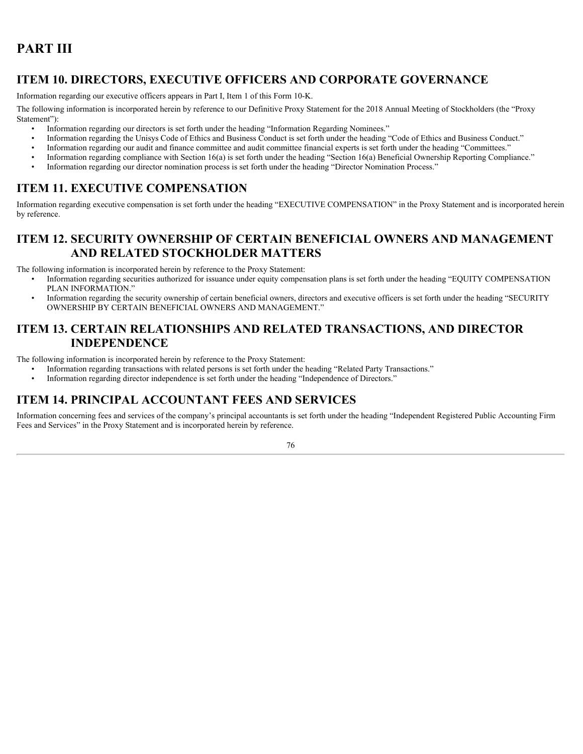# **PART III**

# **ITEM 10. DIRECTORS, EXECUTIVE OFFICERS AND CORPORATE GOVERNANCE**

Information regarding our executive officers appears in Part I, Item 1 of this Form 10-K.

The following information is incorporated herein by reference to our Definitive Proxy Statement for the 2018 Annual Meeting of Stockholders (the "Proxy Statement"):

- Information regarding our directors is set forth under the heading "Information Regarding Nominees."
- Information regarding the Unisys Code of Ethics and Business Conduct is set forth under the heading "Code of Ethics and Business Conduct."
- Information regarding our audit and finance committee and audit committee financial experts is set forth under the heading "Committees."
- Information regarding compliance with Section 16(a) is set forth under the heading "Section 16(a) Beneficial Ownership Reporting Compliance."
- Information regarding our director nomination process is set forth under the heading "Director Nomination Process."

# **ITEM 11. EXECUTIVE COMPENSATION**

Information regarding executive compensation is set forth under the heading "EXECUTIVE COMPENSATION" in the Proxy Statement and is incorporated herein by reference.

# **ITEM 12. SECURITY OWNERSHIP OF CERTAIN BENEFICIAL OWNERS AND MANAGEMENT AND RELATED STOCKHOLDER MATTERS**

The following information is incorporated herein by reference to the Proxy Statement:

- Information regarding securities authorized for issuance under equity compensation plans is set forth under the heading "EQUITY COMPENSATION PLAN INFORMATION."
- Information regarding the security ownership of certain beneficial owners, directors and executive officers is set forth under the heading "SECURITY OWNERSHIP BY CERTAIN BENEFICIAL OWNERS AND MANAGEMENT."

# **ITEM 13. CERTAIN RELATIONSHIPS AND RELATED TRANSACTIONS, AND DIRECTOR INDEPENDENCE**

The following information is incorporated herein by reference to the Proxy Statement:

- Information regarding transactions with related persons is set forth under the heading "Related Party Transactions."
- Information regarding director independence is set forth under the heading "Independence of Directors."

# **ITEM 14. PRINCIPAL ACCOUNTANT FEES AND SERVICES**

Information concerning fees and services of the company's principal accountants is set forth under the heading "Independent Registered Public Accounting Firm Fees and Services" in the Proxy Statement and is incorporated herein by reference.

76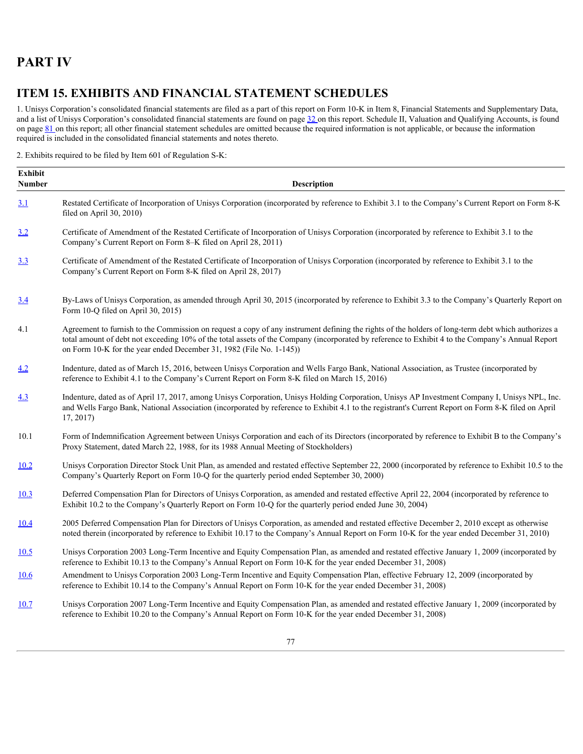# **PART IV**

# **ITEM 15. EXHIBITS AND FINANCIAL STATEMENT SCHEDULES**

1. Unisys Corporation's consolidated financial statements are filed as a part of this report on Form 10-K in Item 8, Financial Statements and Supplementary Data, and a list of Unisys Corporation's consolidated financial statements are found on page [32 o](#page-32-0)n this report. Schedule II, Valuation and Qualifying Accounts, is found on page [81 o](#page-81-0)n this report; all other financial statement schedules are omitted because the required information is not applicable, or because the information required is included in the consolidated financial statements and notes thereto.

2. Exhibits required to be filed by Item 601 of Regulation S-K:

| Exhibit<br><b>Number</b> | <b>Description</b>                                                                                                                                                                                                                                                                                                                                                            |
|--------------------------|-------------------------------------------------------------------------------------------------------------------------------------------------------------------------------------------------------------------------------------------------------------------------------------------------------------------------------------------------------------------------------|
| 3.1                      | Restated Certificate of Incorporation of Unisys Corporation (incorporated by reference to Exhibit 3.1 to the Company's Current Report on Form 8-K<br>filed on April 30, 2010)                                                                                                                                                                                                 |
| 3.2                      | Certificate of Amendment of the Restated Certificate of Incorporation of Unisys Corporation (incorporated by reference to Exhibit 3.1 to the<br>Company's Current Report on Form 8-K filed on April 28, 2011)                                                                                                                                                                 |
| 3.3                      | Certificate of Amendment of the Restated Certificate of Incorporation of Unisys Corporation (incorporated by reference to Exhibit 3.1 to the<br>Company's Current Report on Form 8-K filed on April 28, 2017)                                                                                                                                                                 |
| 3.4                      | By-Laws of Unisys Corporation, as amended through April 30, 2015 (incorporated by reference to Exhibit 3.3 to the Company's Quarterly Report on<br>Form 10-Q filed on April 30, 2015)                                                                                                                                                                                         |
| 4.1                      | Agreement to furnish to the Commission on request a copy of any instrument defining the rights of the holders of long-term debt which authorizes a<br>total amount of debt not exceeding 10% of the total assets of the Company (incorporated by reference to Exhibit 4 to the Company's Annual Report<br>on Form 10-K for the year ended December 31, 1982 (File No. 1-145)) |
| 4.2                      | Indenture, dated as of March 15, 2016, between Unisys Corporation and Wells Fargo Bank, National Association, as Trustee (incorporated by<br>reference to Exhibit 4.1 to the Company's Current Report on Form 8-K filed on March 15, 2016)                                                                                                                                    |
| 4.3                      | Indenture, dated as of April 17, 2017, among Unisys Corporation, Unisys Holding Corporation, Unisys AP Investment Company I, Unisys NPL, Inc.<br>and Wells Fargo Bank, National Association (incorporated by reference to Exhibit 4.1 to the registrant's Current Report on Form 8-K filed on April<br>17, 2017                                                               |
| 10.1                     | Form of Indemnification Agreement between Unisys Corporation and each of its Directors (incorporated by reference to Exhibit B to the Company's<br>Proxy Statement, dated March 22, 1988, for its 1988 Annual Meeting of Stockholders)                                                                                                                                        |
| 10.2                     | Unisys Corporation Director Stock Unit Plan, as amended and restated effective September 22, 2000 (incorporated by reference to Exhibit 10.5 to the<br>Company's Quarterly Report on Form 10-Q for the quarterly period ended September 30, 2000)                                                                                                                             |
| 10.3                     | Deferred Compensation Plan for Directors of Unisys Corporation, as amended and restated effective April 22, 2004 (incorporated by reference to<br>Exhibit 10.2 to the Company's Quarterly Report on Form 10-Q for the quarterly period ended June 30, 2004)                                                                                                                   |
| 10.4                     | 2005 Deferred Compensation Plan for Directors of Unisys Corporation, as amended and restated effective December 2, 2010 except as otherwise<br>noted therein (incorporated by reference to Exhibit 10.17 to the Company's Annual Report on Form 10-K for the year ended December 31, 2010)                                                                                    |
| 10.5                     | Unisys Corporation 2003 Long-Term Incentive and Equity Compensation Plan, as amended and restated effective January 1, 2009 (incorporated by<br>reference to Exhibit 10.13 to the Company's Annual Report on Form 10-K for the year ended December 31, 2008)                                                                                                                  |
| 10.6                     | Amendment to Unisys Corporation 2003 Long-Term Incentive and Equity Compensation Plan, effective February 12, 2009 (incorporated by<br>reference to Exhibit 10.14 to the Company's Annual Report on Form 10-K for the year ended December 31, 2008)                                                                                                                           |
| 10.7                     | Unisys Corporation 2007 Long-Term Incentive and Equity Compensation Plan, as amended and restated effective January 1, 2009 (incorporated by<br>reference to Exhibit 10.20 to the Company's Annual Report on Form 10-K for the year ended December 31, 2008)                                                                                                                  |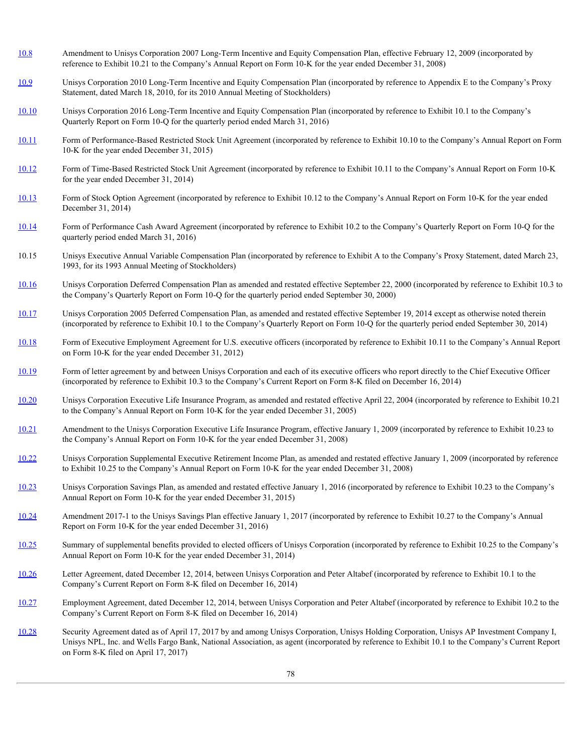- [10.8](https://content.edgar-online.com/ExternalLink/EDGAR/0001193125-09-042668.html?hash=70daa129bd855221fad8759e8cfc65625926dd3c58167a0357713065140db4a9&dest=DEX1021_HTM) Amendment to Unisys Corporation 2007 Long-Term Incentive and Equity Compensation Plan, effective February 12, 2009 (incorporated by reference to Exhibit 10.21 to the Company's Annual Report on Form 10-K for the year ended December 31, 2008)
- [10.9](https://content.edgar-online.com/ExternalLink/EDGAR/0000950123-10-025664.html?hash=5ef64db8e364f52f066dc38cc51814242c960c45a74cfc5644d7c0dd3cfe5f6f&dest=W77427DEF14A_HTM_149) Unisys Corporation 2010 Long-Term Incentive and Equity Compensation Plan (incorporated by reference to Appendix E to the Company's Proxy Statement, dated March 18, 2010, for its 2010 Annual Meeting of Stockholders)
- [10.10](https://content.edgar-online.com/ExternalLink/EDGAR/0001193125-16-567700.html?hash=a6f3ca8f5b0921711eeef01fac3737a2c06f73f2ee994b9e095f64b7b2ab957d&dest=D168329DEX101_HTM) Unisys Corporation 2016 Long-Term Incentive and Equity Compensation Plan (incorporated by reference to Exhibit 10.1 to the Company's Quarterly Report on Form 10-Q for the quarterly period ended March 31, 2016)
- [10.11](https://content.edgar-online.com/ExternalLink/EDGAR/0001193125-16-483720.html?hash=2ee4574723ae21d485764442dececd285ba5a58847db75fa13fc9994b01c9ff8&dest=D13712DEX1010_HTM) Form of Performance-Based Restricted Stock Unit Agreement (incorporated by reference to Exhibit 10.10 to the Company's Annual Report on Form 10-K for the year ended December 31, 2015)
- [10.12](https://content.edgar-online.com/ExternalLink/EDGAR/0001193125-15-058367.html?hash=75fc0be945fb5905d02e2915f8c1cea99238f5c794c7323006e22d49f22e6426&dest=D825749DEX1011_HTM) Form of Time-Based Restricted Stock Unit Agreement (incorporated by reference to Exhibit 10.11 to the Company's Annual Report on Form 10-K for the year ended December 31, 2014)
- [10.13](https://content.edgar-online.com/ExternalLink/EDGAR/0001193125-15-058367.html?hash=75fc0be945fb5905d02e2915f8c1cea99238f5c794c7323006e22d49f22e6426&dest=D825749DEX1012_HTM) Form of Stock Option Agreement (incorporated by reference to Exhibit 10.12 to the Company's Annual Report on Form 10-K for the year ended December 31, 2014)
- [10.14](https://content.edgar-online.com/ExternalLink/EDGAR/0001193125-16-567700.html?hash=a6f3ca8f5b0921711eeef01fac3737a2c06f73f2ee994b9e095f64b7b2ab957d&dest=D168329DEX102_HTM) Form of Performance Cash Award Agreement (incorporated by reference to Exhibit 10.2 to the Company's Quarterly Report on Form 10-Q for the quarterly period ended March 31, 2016)
- 10.15 Unisys Executive Annual Variable Compensation Plan (incorporated by reference to Exhibit A to the Company's Proxy Statement, dated March 23, 1993, for its 1993 Annual Meeting of Stockholders)
- [10.16](https://content.edgar-online.com/ExternalLink/EDGAR/0000746838-00-000005.html?hash=63afd9b7520a422d9070248287fb151434b9b86058b1ed8070a405ed9f10decb&dest=0000746838-00-000005-0004_TXT) Unisys Corporation Deferred Compensation Plan as amended and restated effective September 22, 2000 (incorporated by reference to Exhibit 10.3 to the Company's Quarterly Report on Form 10-Q for the quarterly period ended September 30, 2000)
- [10.17](https://content.edgar-online.com/ExternalLink/EDGAR/0001193125-14-391758.html?hash=ae463afdd25460f310ef706d3249ed50d86df2f5de001c9496dc727b4542291c&dest=D779319DEX101_HTM) Unisys Corporation 2005 Deferred Compensation Plan, as amended and restated effective September 19, 2014 except as otherwise noted therein (incorporated by reference to Exhibit 10.1 to the Company's Quarterly Report on Form 10-Q for the quarterly period ended September 30, 2014)
- [10.18](https://content.edgar-online.com/ExternalLink/EDGAR/0001193125-13-071504.html?hash=17bcd1d8916ab33e67fc198a0ddc25b42fd399cc8082903cc110dd5ccf019c29&dest=D444691DEX1011_HTM) Form of Executive Employment Agreement for U.S. executive officers (incorporated by reference to Exhibit 10.11 to the Company's Annual Report on Form 10-K for the year ended December 31, 2012)
- [10.19](https://content.edgar-online.com/ExternalLink/EDGAR/0001193125-14-443273.html?hash=4b90d54a5ce517611ff16c7637787e9aedd8e899e6ef5478b0c8f46a5ff93224&dest=D838336DEX103_HTM) Form of letter agreement by and between Unisys Corporation and each of its executive officers who report directly to the Chief Executive Officer (incorporated by reference to Exhibit 10.3 to the Company's Current Report on Form 8-K filed on December 16, 2014)
- [10.20](https://content.edgar-online.com/ExternalLink/EDGAR/0001193125-06-038890.html?hash=0ad0a12e86d98838c38ed2f07819fb146c85627cafefe556be885ef06f2514ab&dest=DEX1021_HTM) Unisys Corporation Executive Life Insurance Program, as amended and restated effective April 22, 2004 (incorporated by reference to Exhibit 10.21 to the Company's Annual Report on Form 10-K for the year ended December 31, 2005)
- [10.21](https://content.edgar-online.com/ExternalLink/EDGAR/0001193125-09-042668.html?hash=70daa129bd855221fad8759e8cfc65625926dd3c58167a0357713065140db4a9&dest=DEX1023_HTM) Amendment to the Unisys Corporation Executive Life Insurance Program, effective January 1, 2009 (incorporated by reference to Exhibit 10.23 to the Company's Annual Report on Form 10-K for the year ended December 31, 2008)
- [10.22](https://content.edgar-online.com/ExternalLink/EDGAR/0001193125-09-042668.html?hash=70daa129bd855221fad8759e8cfc65625926dd3c58167a0357713065140db4a9&dest=DEX1025_HTM) Unisys Corporation Supplemental Executive Retirement Income Plan, as amended and restated effective January 1, 2009 (incorporated by reference to Exhibit 10.25 to the Company's Annual Report on Form 10-K for the year ended December 31, 2008)
- [10.23](https://content.edgar-online.com/ExternalLink/EDGAR/0001193125-16-483720.html?hash=2ee4574723ae21d485764442dececd285ba5a58847db75fa13fc9994b01c9ff8&dest=D13712DEX1023_HTM) Unisys Corporation Savings Plan, as amended and restated effective January 1, 2016 (incorporated by reference to Exhibit 10.23 to the Company's Annual Report on Form 10-K for the year ended December 31, 2015)
- [10.24](https://content.edgar-online.com/ExternalLink/EDGAR/0000746838-17-000008.html?hash=9a8996d2264771ac4590ab95a7f606eb4486747e211848d82b7135b17432c596&dest=EX102710-K2016_HTM) Amendment 2017-1 to the Unisys Savings Plan effective January 1, 2017 (incorporated by reference to Exhibit 10.27 to the Company's Annual Report on Form 10-K for the year ended December 31, 2016)
- [10.25](https://content.edgar-online.com/ExternalLink/EDGAR/0001193125-15-058367.html?hash=75fc0be945fb5905d02e2915f8c1cea99238f5c794c7323006e22d49f22e6426&dest=D825749DEX1025_HTM) Summary of supplemental benefits provided to elected officers of Unisys Corporation (incorporated by reference to Exhibit 10.25 to the Company's Annual Report on Form 10-K for the year ended December 31, 2014)
- [10.26](https://content.edgar-online.com/ExternalLink/EDGAR/0001193125-14-443273.html?hash=4b90d54a5ce517611ff16c7637787e9aedd8e899e6ef5478b0c8f46a5ff93224&dest=D838336DEX101_HTM) Letter Agreement, dated December 12, 2014, between Unisys Corporation and Peter Altabef (incorporated by reference to Exhibit 10.1 to the Company's Current Report on Form 8-K filed on December 16, 2014)
- [10.27](https://content.edgar-online.com/ExternalLink/EDGAR/0001193125-14-443273.html?hash=4b90d54a5ce517611ff16c7637787e9aedd8e899e6ef5478b0c8f46a5ff93224&dest=D838336DEX102_HTM) Employment Agreement, dated December 12, 2014, between Unisys Corporation and Peter Altabef (incorporated by reference to Exhibit 10.2 to the Company's Current Report on Form 8-K filed on December 16, 2014)
- [10.28](https://content.edgar-online.com/ExternalLink/EDGAR/0000746838-17-000016.html?hash=3349341d296f08d51f5a0fa339409e261cdb8af26dc598718b5e5ae7a0a60f5e&dest=A20170417-EXHIBIT101XSECUR_HTM) Security Agreement dated as of April 17, 2017 by and among Unisys Corporation, Unisys Holding Corporation, Unisys AP Investment Company I, Unisys NPL, Inc. and Wells Fargo Bank, National Association, as agent (incorporated by reference to Exhibit 10.1 to the Company's Current Report on Form 8-K filed on April 17, 2017)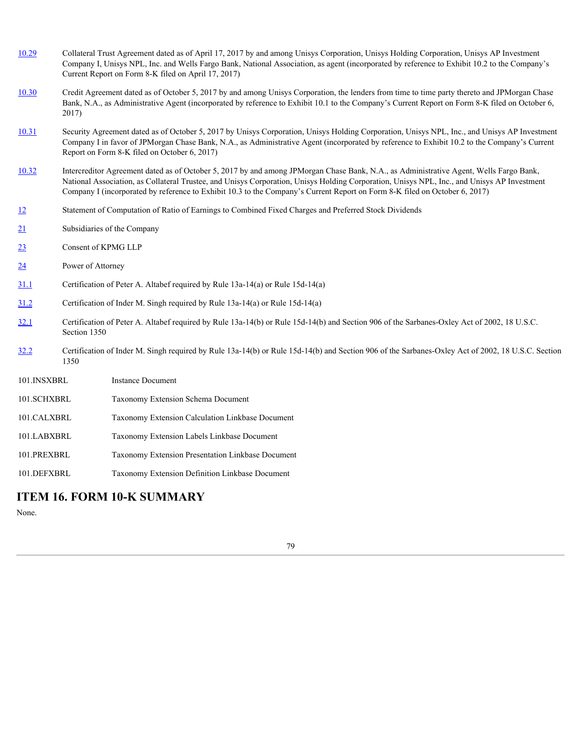- [10.29](https://content.edgar-online.com/ExternalLink/EDGAR/0000746838-17-000016.html?hash=3349341d296f08d51f5a0fa339409e261cdb8af26dc598718b5e5ae7a0a60f5e&dest=A20170417-EXHIBIT102XCOLLA_HTM) Collateral Trust Agreement dated as of April 17, 2017 by and among Unisys Corporation, Unisys Holding Corporation, Unisys AP Investment Company I, Unisys NPL, Inc. and Wells Fargo Bank, National Association, as agent (incorporated by reference to Exhibit 10.2 to the Company's Current Report on Form 8-K filed on April 17, 2017)
- [10.30](https://content.edgar-online.com/ExternalLink/EDGAR/0000746838-17-000054.html?hash=04bf9cc4730e0c2c6c4c0d6b2603c7804ccf703ea27b1cd4c5fbc8a5acd50f0a&dest=EX101UNISYS-ABLCREDITAGREE_HTM) Credit Agreement dated as of October 5, 2017 by and among Unisys Corporation, the lenders from time to time party thereto and JPMorgan Chase Bank, N.A., as Administrative Agent (incorporated by reference to Exhibit 10.1 to the Company's Current Report on Form 8-K filed on October 6, 2017)
- [10.31](https://content.edgar-online.com/ExternalLink/EDGAR/0000746838-17-000054.html?hash=04bf9cc4730e0c2c6c4c0d6b2603c7804ccf703ea27b1cd4c5fbc8a5acd50f0a&dest=EX102UNISYS_2017SECURITYAG_HTM) Security Agreement dated as of October 5, 2017 by Unisys Corporation, Unisys Holding Corporation, Unisys NPL, Inc., and Unisys AP Investment Company I in favor of JPMorgan Chase Bank, N.A., as Administrative Agent (incorporated by reference to Exhibit 10.2 to the Company's Current Report on Form 8-K filed on October 6, 2017)
- [10.32](https://content.edgar-online.com/ExternalLink/EDGAR/0000746838-17-000054.html?hash=04bf9cc4730e0c2c6c4c0d6b2603c7804ccf703ea27b1cd4c5fbc8a5acd50f0a&dest=EX103UNISYS_ABL-NOTESINTER_HTM) Intercreditor Agreement dated as of October 5, 2017 by and among JPMorgan Chase Bank, N.A., as Administrative Agent, Wells Fargo Bank, National Association, as Collateral Trustee, and Unisys Corporation, Unisys Holding Corporation, Unisys NPL, Inc., and Unisys AP Investment Company I (incorporated by reference to Exhibit 10.3 to the Company's Current Report on Form 8-K filed on October 6, 2017)
- [12](#page-82-0) Statement of Computation of Ratio of Earnings to Combined Fixed Charges and Preferred Stock Dividends
- [21](#page-83-0) Subsidiaries of the Company
- [23](#page-84-0) Consent of KPMG LLP
- [24](#page-85-0) Power of Attorney
- [31.1](#page-86-0) Certification of Peter A. Altabef required by Rule 13a-14(a) or Rule 15d-14(a)
- [31.2](#page-87-0) Certification of Inder M. Singh required by Rule 13a-14(a) or Rule 15d-14(a)
- [32.1](#page-88-0) Certification of Peter A. Altabef required by Rule 13a-14(b) or Rule 15d-14(b) and Section 906 of the Sarbanes-Oxley Act of 2002, 18 U.S.C. Section 1350
- [32.2](#page-89-0) Certification of Inder M. Singh required by Rule 13a-14(b) or Rule 15d-14(b) and Section 906 of the Sarbanes-Oxley Act of 2002, 18 U.S.C. Section 1350

101.INSXBRL Instance Document

| 101.SCHXBRL | Taxonomy Extension Schema Document |  |
|-------------|------------------------------------|--|
|-------------|------------------------------------|--|

- 101.CALXBRL Taxonomy Extension Calculation Linkbase Document
- 101.LABXBRL Taxonomy Extension Labels Linkbase Document
- 101.PREXBRL Taxonomy Extension Presentation Linkbase Document
- 101.DEFXBRL Taxonomy Extension Definition Linkbase Document

## **ITEM 16. FORM 10-K SUMMARY**

None.

#### 79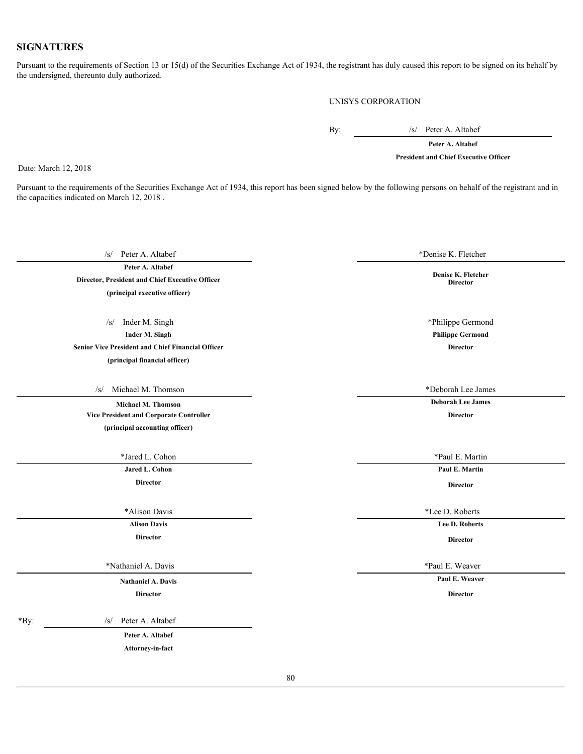## **SIGNATURES**

Pursuant to the requirements of Section 13 or 15(d) of the Securities Exchange Act of 1934, the registrant has duly caused this report to be signed on its behalf by the undersigned, thereunto duly authorized.

UNISYS CORPORATION

By:  $/s/$  Peter A. Altabef

**Peter A. Altabef President and Chief Executive Officer**

Date: March 12, 2018

Pursuant to the requirements of the Securities Exchange Act of 1934, this report has been signed below by the following persons on behalf of the registrant and in the capacities indicated on March 12, 2018 .

**Peter A. Altabef Director Director, President and Chief Executive Officer (principal executive officer)**

/s/ Inder M. Singh \*Philippe Germond

**Inder M. Singh Philippe Germond Senior Vice President and Chief Financial Officer Director (principal financial officer)**

/s/ Michael M. Thomson \*Deborah Lee James

**Michael M. Thomson Deborah Lee James Vice President and Corporate Controller Director (principal accounting officer)**

\*Jared L. Cohon \*Paul E. Martin

**Jared L. Cohon Paul E. Martin**

\*Nathaniel A. Davis \*Paul E. Weaver

**Nathaniel A. Davis Paul E. Weaver Director Director**

\*By: /s/ Peter A. Altabef **Peter A. Altabef**

**Attorney-in-fact**

/s/ Peter A. Altabef \*Denise K. Fletcher

**Denise K. Fletcher**

**Director Director**

\*Alison Davis \*Lee D. Roberts

**Alison Davis Lee D. Roberts**

**Director Director**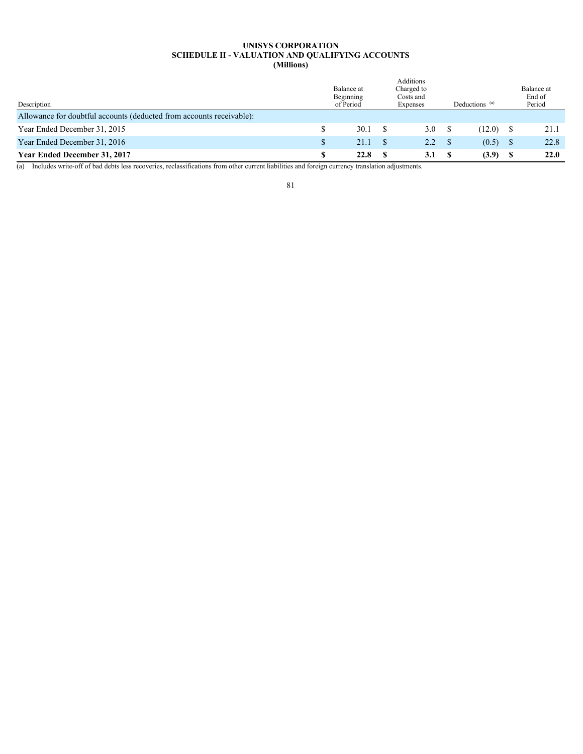#### **UNISYS CORPORATION SCHEDULE II - VALUATION AND QUALIFYING ACCOUNTS (Millions)**

<span id="page-81-0"></span>

| Description                                                          | Balance at<br>Beginning<br>of Period | Additions<br>Charged to<br>Costs and<br>Expenses | Deductions <sup>(a)</sup> |              | Balance at<br>End of<br>Period |
|----------------------------------------------------------------------|--------------------------------------|--------------------------------------------------|---------------------------|--------------|--------------------------------|
| Allowance for doubtful accounts (deducted from accounts receivable): |                                      |                                                  |                           |              |                                |
| Year Ended December 31, 2015                                         | 30.1                                 | 3.0                                              | (12.0)                    |              | 21.1                           |
| Year Ended December 31, 2016                                         | 21.1                                 | 2.2                                              | (0.5)                     | $\mathbf{r}$ | 22.8                           |
| <b>Year Ended December 31, 2017</b>                                  | 22.8                                 | 3.1                                              | (3.9)                     | S            | 22.0                           |

(a) Includes write-off of bad debts less recoveries, reclassifications from other current liabilities and foreign currency translation adjustments.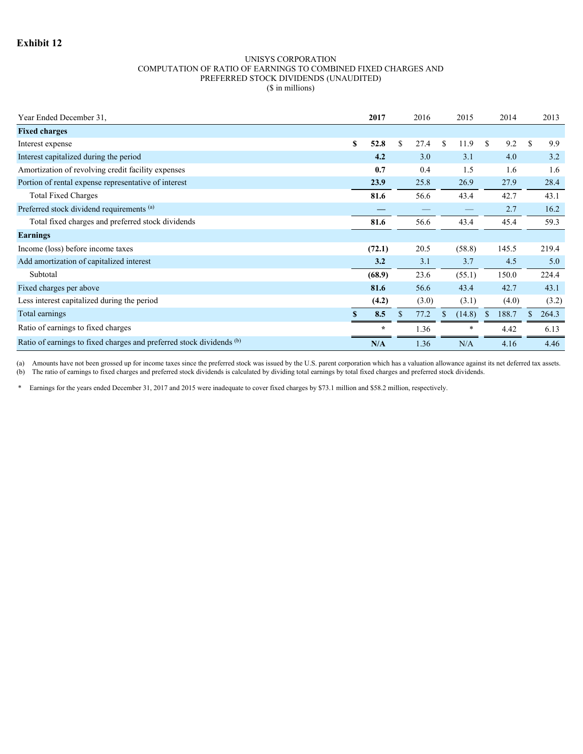#### UNISYS CORPORATION COMPUTATION OF RATIO OF EARNINGS TO COMBINED FIXED CHARGES AND PREFERRED STOCK DIVIDENDS (UNAUDITED) (\$ in millions)

<span id="page-82-0"></span>

| Year Ended December 31,                                              | 2017       | 2016                     | 2015   |          | 2014  | 2013                  |
|----------------------------------------------------------------------|------------|--------------------------|--------|----------|-------|-----------------------|
| <b>Fixed charges</b>                                                 |            |                          |        |          |       |                       |
| Interest expense                                                     | \$<br>52.8 | 27.4                     | 11.9   | -8       | 9.2   | 9.9<br>- \$           |
| Interest capitalized during the period                               | 4.2        | 3.0                      | 3.1    |          | 4.0   | 3.2                   |
| Amortization of revolving credit facility expenses                   | 0.7        | 0.4                      | 1.5    |          | 1.6   | 1.6                   |
| Portion of rental expense representative of interest                 | 23.9       | 25.8                     | 26.9   |          | 27.9  | 28.4                  |
| <b>Total Fixed Charges</b>                                           | 81.6       | 56.6                     | 43.4   |          | 42.7  | 43.1                  |
| Preferred stock dividend requirements (a)                            |            | $\overline{\phantom{m}}$ |        |          | 2.7   | 16.2                  |
| Total fixed charges and preferred stock dividends                    | 81.6       | 56.6                     | 43.4   |          | 45.4  | 59.3                  |
| <b>Earnings</b>                                                      |            |                          |        |          |       |                       |
| Income (loss) before income taxes                                    | (72.1)     | 20.5                     | (58.8) |          | 145.5 | 219.4                 |
| Add amortization of capitalized interest                             | 3.2        | 3.1                      | 3.7    |          | 4.5   | 5.0                   |
| Subtotal                                                             | (68.9)     | 23.6                     | (55.1) |          | 150.0 | 224.4                 |
| Fixed charges per above                                              | 81.6       | 56.6                     | 43.4   |          | 42.7  | 43.1                  |
| Less interest capitalized during the period                          | (4.2)      | (3.0)                    | (3.1)  |          | (4.0) | (3.2)                 |
| Total earnings                                                       | 8.5        | 77.2                     | (14.8) | <u>У</u> | 188.7 | 264.3<br><sup>S</sup> |
| Ratio of earnings to fixed charges                                   |            | 1.36                     |        |          | 4.42  | 6.13                  |
| Ratio of earnings to fixed charges and preferred stock dividends (b) | N/A        | 1.36                     | N/A    |          | 4.16  | 4.46                  |

(a) Amounts have not been grossed up for income taxes since the preferred stock was issued by the U.S. parent corporation which has a valuation allowance against its net deferred tax assets. (b) The ratio of earnings to fixed charges and preferred stock dividends is calculated by dividing total earnings by total fixed charges and preferred stock dividends.

\* Earnings for the years ended December 31, 2017 and 2015 were inadequate to cover fixed charges by \$73.1 million and \$58.2 million, respectively.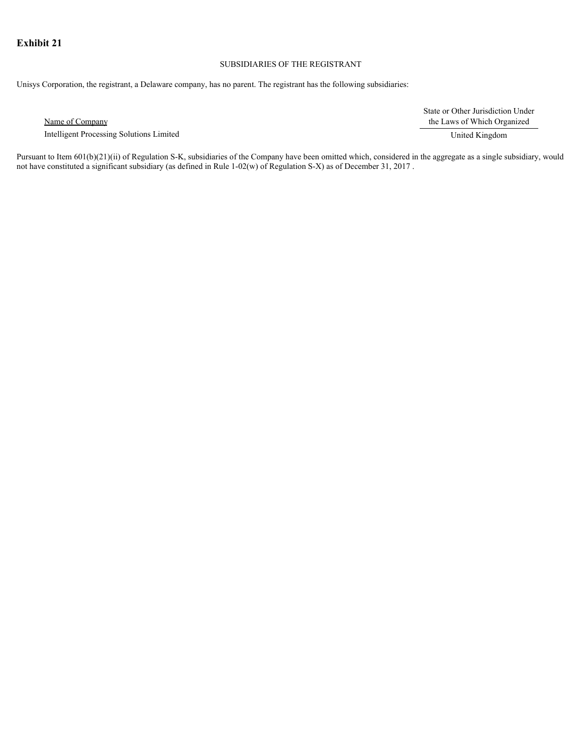#### SUBSIDIARIES OF THE REGISTRANT

<span id="page-83-0"></span>Unisys Corporation, the registrant, a Delaware company, has no parent. The registrant has the following subsidiaries:

Intelligent Processing Solutions Limited United Kingdom

State or Other Jurisdiction Under<br>
Name of Company State or Other Jurisdiction Under<br>
State or Other Jurisdiction Under the Laws of Which Organized

Pursuant to Item 601(b)(21)(ii) of Regulation S-K, subsidiaries of the Company have been omitted which, considered in the aggregate as a single subsidiary, would not have constituted a significant subsidiary (as defined in Rule 1-02(w) of Regulation S-X) as of December 31, 2017 .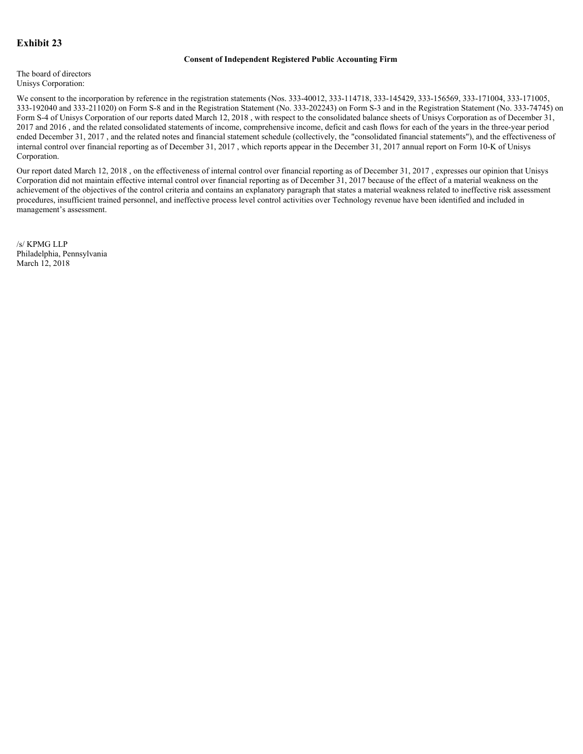## <span id="page-84-0"></span>**Exhibit 23**

#### **Consent of Independent Registered Public Accounting Firm**

The board of directors Unisys Corporation:

We consent to the incorporation by reference in the registration statements (Nos. 333-40012, 333-114718, 333-145429, 333-156569, 333-171004, 333-171005, 333-192040 and 333-211020) on Form S-8 and in the Registration Statement (No. 333-202243) on Form S-3 and in the Registration Statement (No. 333-74745) on Form S-4 of Unisys Corporation of our reports dated March 12, 2018 , with respect to the consolidated balance sheets of Unisys Corporation as of December 31, 2017 and 2016 , and the related consolidated statements of income, comprehensive income, deficit and cash flows for each of the years in the three-year period ended December 31, 2017 , and the related notes and financial statement schedule (collectively, the "consolidated financial statements"), and the effectiveness of internal control over financial reporting as of December 31, 2017 , which reports appear in the December 31, 2017 annual report on Form 10-K of Unisys Corporation.

Our report dated March 12, 2018 , on the effectiveness of internal control over financial reporting as of December 31, 2017 , expresses our opinion that Unisys Corporation did not maintain effective internal control over financial reporting as of December 31, 2017 because of the effect of a material weakness on the achievement of the objectives of the control criteria and contains an explanatory paragraph that states a material weakness related to ineffective risk assessment procedures, insufficient trained personnel, and ineffective process level control activities over Technology revenue have been identified and included in management's assessment.

/s/ KPMG LLP Philadelphia, Pennsylvania March 12, 2018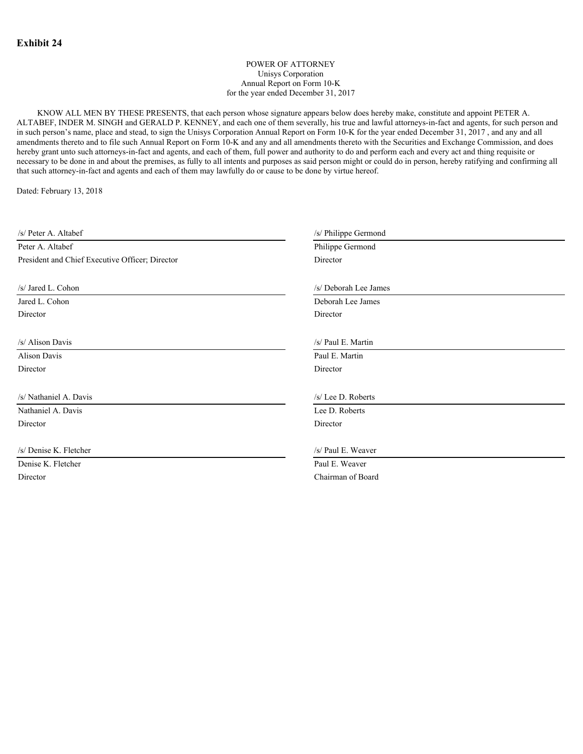#### POWER OF ATTORNEY Unisys Corporation Annual Report on Form 10-K for the year ended December 31, 2017

<span id="page-85-0"></span>KNOW ALL MEN BY THESE PRESENTS, that each person whose signature appears below does hereby make, constitute and appoint PETER A. ALTABEF, INDER M. SINGH and GERALD P. KENNEY, and each one of them severally, his true and lawful attorneys-in-fact and agents, for such person and in such person's name, place and stead, to sign the Unisys Corporation Annual Report on Form 10-K for the year ended December 31, 2017 , and any and all amendments thereto and to file such Annual Report on Form 10-K and any and all amendments thereto with the Securities and Exchange Commission, and does hereby grant unto such attorneys-in-fact and agents, and each of them, full power and authority to do and perform each and every act and thing requisite or necessary to be done in and about the premises, as fully to all intents and purposes as said person might or could do in person, hereby ratifying and confirming all that such attorney-in-fact and agents and each of them may lawfully do or cause to be done by virtue hereof.

Dated: February 13, 2018

| /s/ Peter A. Altabef                            | /s/ Philippe Germond  |  |  |  |  |  |  |  |
|-------------------------------------------------|-----------------------|--|--|--|--|--|--|--|
| Peter A. Altabef                                | Philippe Germond      |  |  |  |  |  |  |  |
| President and Chief Executive Officer; Director | Director              |  |  |  |  |  |  |  |
| /s/ Jared L. Cohon                              | /s/ Deborah Lee James |  |  |  |  |  |  |  |
| Jared L. Cohon                                  | Deborah Lee James     |  |  |  |  |  |  |  |
| Director                                        | Director              |  |  |  |  |  |  |  |
| /s/ Alison Davis                                | /s/ Paul E. Martin    |  |  |  |  |  |  |  |
| Alison Davis                                    | Paul E. Martin        |  |  |  |  |  |  |  |
| Director                                        | Director              |  |  |  |  |  |  |  |
| /s/ Nathaniel A. Davis                          | /s/ Lee D. Roberts    |  |  |  |  |  |  |  |
| Nathaniel A. Davis                              | Lee D. Roberts        |  |  |  |  |  |  |  |
| Director                                        | Director              |  |  |  |  |  |  |  |
| /s/ Denise K. Fletcher                          | /s/ Paul E. Weaver    |  |  |  |  |  |  |  |
| Denise K. Fletcher                              | Paul E. Weaver        |  |  |  |  |  |  |  |
| Director                                        | Chairman of Board     |  |  |  |  |  |  |  |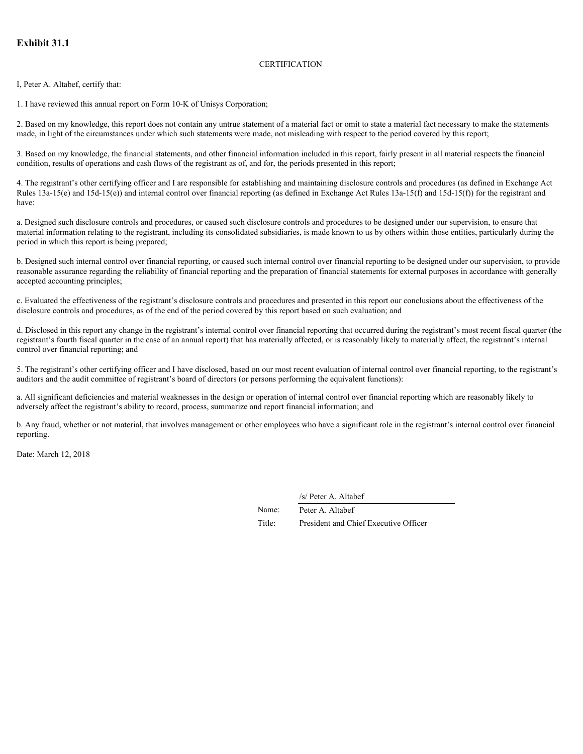## <span id="page-86-0"></span>**Exhibit 31.1**

#### **CERTIFICATION**

I, Peter A. Altabef, certify that:

1. I have reviewed this annual report on Form 10-K of Unisys Corporation;

2. Based on my knowledge, this report does not contain any untrue statement of a material fact or omit to state a material fact necessary to make the statements made, in light of the circumstances under which such statements were made, not misleading with respect to the period covered by this report;

3. Based on my knowledge, the financial statements, and other financial information included in this report, fairly present in all material respects the financial condition, results of operations and cash flows of the registrant as of, and for, the periods presented in this report;

4. The registrant's other certifying officer and I are responsible for establishing and maintaining disclosure controls and procedures (as defined in Exchange Act Rules 13a-15(e) and 15d-15(e)) and internal control over financial reporting (as defined in Exchange Act Rules 13a-15(f) and 15d-15(f)) for the registrant and have: the contract of the contract of the contract of the contract of the contract of the contract of the contract of the contract of the contract of the contract of the contract of the contract of the contract of the cont

a. Designed such disclosure controls and procedures, or caused such disclosure controls and procedures to be designed under our supervision, to ensure that material information relating to the registrant, including its consolidated subsidiaries, is made known to us by others within those entities, particularly during the period in which this report is being prepared;

b. Designed such internal control over financial reporting, or caused such internal control over financial reporting to be designed under our supervision, to provide reasonable assurance regarding the reliability of financial reporting and the preparation of financial statements for external purposes in accordance with generally accepted accounting principles;

c. Evaluated the effectiveness of the registrant's disclosure controls and procedures and presented in this report our conclusions about the effectiveness of the disclosure controls and procedures, as of the end of the period covered by this report based on such evaluation; and

d. Disclosed in this report any change in the registrant's internal control over financial reporting that occurred during the registrant's most recent fiscal quarter (the registrant's fourth fiscal quarter in the case of an annual report) that has materially affected, or is reasonably likely to materially affect, the registrant's internal control over financial reporting; and

5. The registrant's other certifying officer and I have disclosed, based on our most recent evaluation of internal control over financial reporting, to the registrant's auditors and the audit committee of registrant's board of directors (or persons performing the equivalent functions):

a. All significant deficiencies and material weaknesses in the design or operation of internal control over financial reporting which are reasonably likely to adversely affect the registrant's ability to record, process, summarize and report financial information; and

b. Any fraud, whether or not material, that involves management or other employees who have a significant role in the registrant's internal control over financial reporting.

Date: March 12, 2018

/s/ Peter A. Altabef

Name: Peter A. Altabef Title: President and Chief Executive Officer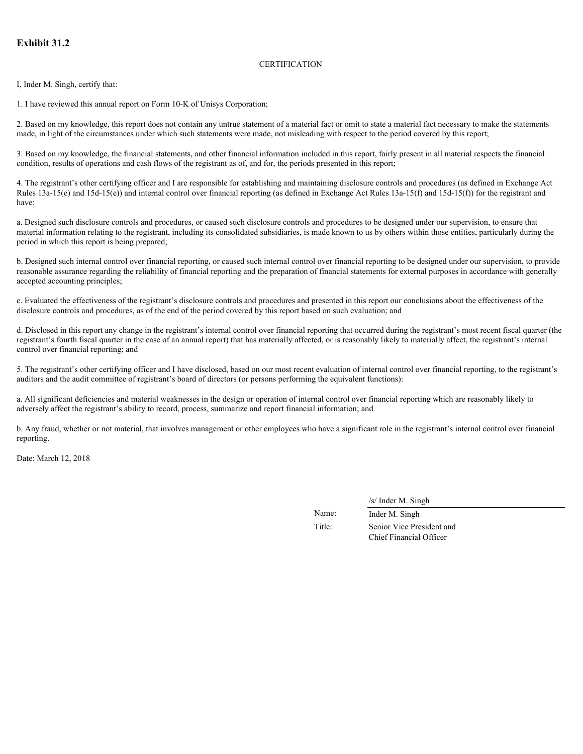## <span id="page-87-0"></span>**Exhibit 31.2**

#### **CERTIFICATION**

I, Inder M. Singh, certify that:

1. I have reviewed this annual report on Form 10-K of Unisys Corporation;

2. Based on my knowledge, this report does not contain any untrue statement of a material fact or omit to state a material fact necessary to make the statements made, in light of the circumstances under which such statements were made, not misleading with respect to the period covered by this report;

3. Based on my knowledge, the financial statements, and other financial information included in this report, fairly present in all material respects the financial condition, results of operations and cash flows of the registrant as of, and for, the periods presented in this report;

4. The registrant's other certifying officer and I are responsible for establishing and maintaining disclosure controls and procedures (as defined in Exchange Act Rules 13a-15(e) and 15d-15(e)) and internal control over financial reporting (as defined in Exchange Act Rules 13a-15(f) and 15d-15(f)) for the registrant and have: the contract of the contract of the contract of the contract of the contract of the contract of the contract of the contract of the contract of the contract of the contract of the contract of the contract of the cont

a. Designed such disclosure controls and procedures, or caused such disclosure controls and procedures to be designed under our supervision, to ensure that material information relating to the registrant, including its consolidated subsidiaries, is made known to us by others within those entities, particularly during the period in which this report is being prepared;

b. Designed such internal control over financial reporting, or caused such internal control over financial reporting to be designed under our supervision, to provide reasonable assurance regarding the reliability of financial reporting and the preparation of financial statements for external purposes in accordance with generally accepted accounting principles;

c. Evaluated the effectiveness of the registrant's disclosure controls and procedures and presented in this report our conclusions about the effectiveness of the disclosure controls and procedures, as of the end of the period covered by this report based on such evaluation; and

d. Disclosed in this report any change in the registrant's internal control over financial reporting that occurred during the registrant's most recent fiscal quarter (the registrant's fourth fiscal quarter in the case of an annual report) that has materially affected, or is reasonably likely to materially affect, the registrant's internal control over financial reporting; and

5. The registrant's other certifying officer and I have disclosed, based on our most recent evaluation of internal control over financial reporting, to the registrant's auditors and the audit committee of registrant's board of directors (or persons performing the equivalent functions):

a. All significant deficiencies and material weaknesses in the design or operation of internal control over financial reporting which are reasonably likely to adversely affect the registrant's ability to record, process, summarize and report financial information; and

b. Any fraud, whether or not material, that involves management or other employees who have a significant role in the registrant's internal control over financial reporting.

Date: March 12, 2018

/s/ Inder M. Singh

Name: Inder M. Singh Title: Senior Vice President and Chief Financial Officer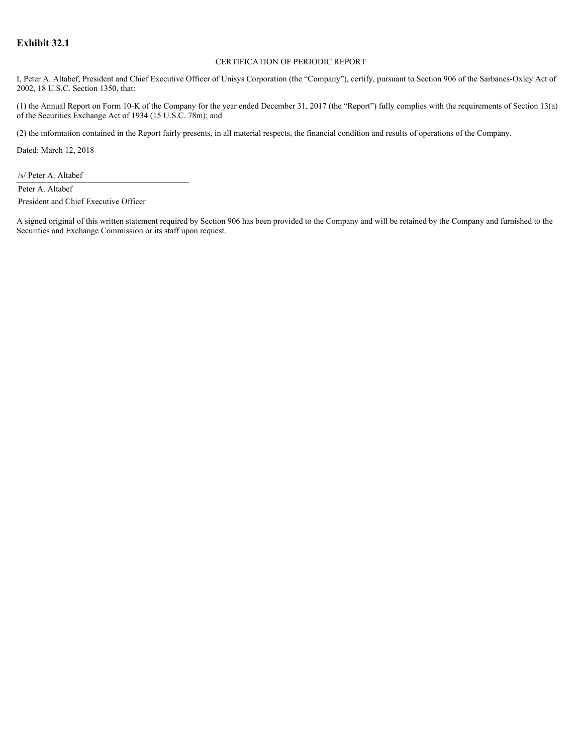## <span id="page-88-0"></span>**Exhibit 32.1**

#### CERTIFICATION OF PERIODIC REPORT

I, Peter A. Altabef, President and Chief Executive Officer of Unisys Corporation (the "Company"), certify, pursuant to Section 906 of the Sarbanes-Oxley Act of 2002, 18 U.S.C. Section 1350, that:

(1) the Annual Report on Form 10-K of the Company for the year ended December 31, 2017 (the "Report") fully complies with the requirements of Section 13(a) of the Securities Exchange Act of 1934 (15 U.S.C. 78m); and

(2) the information contained in the Report fairly presents, in all material respects, the financial condition and results of operations of the Company.

Dated: March 12, 2018

/s/ Peter A. Altabef

Peter A. Altabef President and Chief Executive Officer

A signed original of this written statement required by Section 906 has been provided to the Company and will be retained by the Company and furnished to the Securities and Exchange Commission or its staff upon request.